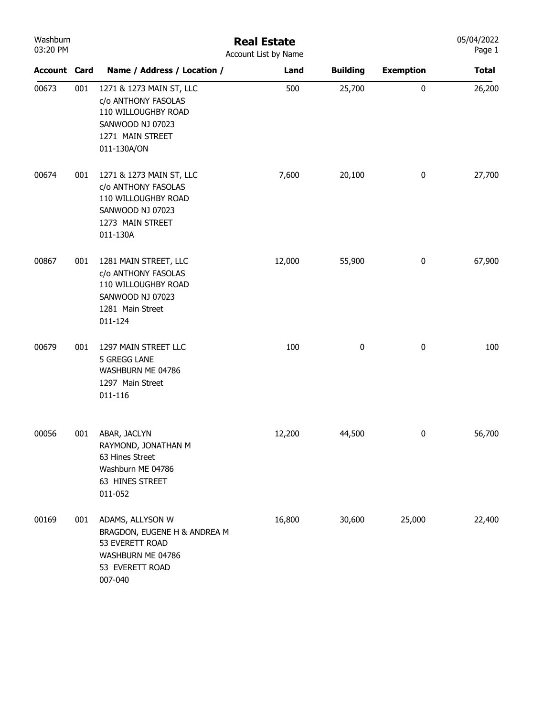| Washburn<br>03:20 PM |     | <b>Real Estate</b><br>Account List by Name                                                                                    |        |                 |                  |              |  |  |
|----------------------|-----|-------------------------------------------------------------------------------------------------------------------------------|--------|-----------------|------------------|--------------|--|--|
| <b>Account Card</b>  |     | Name / Address / Location /                                                                                                   | Land   | <b>Building</b> | <b>Exemption</b> | <b>Total</b> |  |  |
| 00673                | 001 | 1271 & 1273 MAIN ST, LLC<br>c/o ANTHONY FASOLAS<br>110 WILLOUGHBY ROAD<br>SANWOOD NJ 07023<br>1271 MAIN STREET<br>011-130A/ON | 500    | 25,700          | $\pmb{0}$        | 26,200       |  |  |
| 00674                | 001 | 1271 & 1273 MAIN ST, LLC<br>c/o ANTHONY FASOLAS<br>110 WILLOUGHBY ROAD<br>SANWOOD NJ 07023<br>1273 MAIN STREET<br>011-130A    | 7,600  | 20,100          | $\bf{0}$         | 27,700       |  |  |
| 00867                | 001 | 1281 MAIN STREET, LLC<br>c/o ANTHONY FASOLAS<br>110 WILLOUGHBY ROAD<br>SANWOOD NJ 07023<br>1281 Main Street<br>011-124        | 12,000 | 55,900          | $\bf{0}$         | 67,900       |  |  |
| 00679                | 001 | 1297 MAIN STREET LLC<br>5 GREGG LANE<br>WASHBURN ME 04786<br>1297 Main Street<br>011-116                                      | 100    | 0               | $\bf{0}$         | 100          |  |  |
| 00056                | 001 | ABAR, JACLYN<br>RAYMOND, JONATHAN M<br>63 Hines Street<br>Washburn ME 04786<br>63 HINES STREET<br>011-052                     | 12,200 | 44,500          | 0                | 56,700       |  |  |
| 00169                | 001 | ADAMS, ALLYSON W<br>BRAGDON, EUGENE H & ANDREA M<br>53 EVERETT ROAD<br>WASHBURN ME 04786<br>53 EVERETT ROAD<br>007-040        | 16,800 | 30,600          | 25,000           | 22,400       |  |  |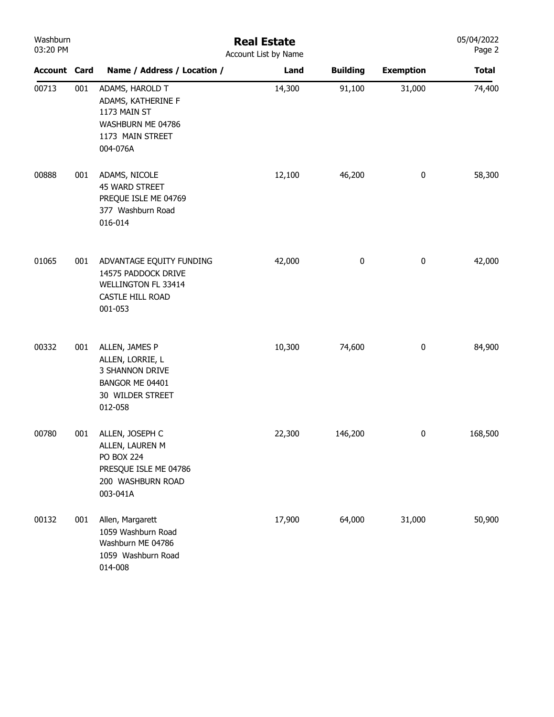| Washburn<br>03:20 PM |     | <b>Real Estate</b><br>Account List by Name                                                                        |        | 05/04/2022<br>Page 2 |                  |              |
|----------------------|-----|-------------------------------------------------------------------------------------------------------------------|--------|----------------------|------------------|--------------|
| <b>Account Card</b>  |     | Name / Address / Location /                                                                                       | Land   | <b>Building</b>      | <b>Exemption</b> | <b>Total</b> |
| 00713                | 001 | ADAMS, HAROLD T<br>ADAMS, KATHERINE F<br>1173 MAIN ST<br>WASHBURN ME 04786<br>1173 MAIN STREET<br>004-076A        | 14,300 | 91,100               | 31,000           | 74,400       |
| 00888                | 001 | ADAMS, NICOLE<br>45 WARD STREET<br>PREQUE ISLE ME 04769<br>377 Washburn Road<br>016-014                           | 12,100 | 46,200               | $\pmb{0}$        | 58,300       |
| 01065                | 001 | ADVANTAGE EQUITY FUNDING<br>14575 PADDOCK DRIVE<br>WELLINGTON FL 33414<br>CASTLE HILL ROAD<br>001-053             | 42,000 | $\pmb{0}$            | $\pmb{0}$        | 42,000       |
| 00332                | 001 | ALLEN, JAMES P<br>ALLEN, LORRIE, L<br>3 SHANNON DRIVE<br>BANGOR ME 04401<br>30 WILDER STREET<br>012-058           | 10,300 | 74,600               | $\boldsymbol{0}$ | 84,900       |
| 00780                | 001 | ALLEN, JOSEPH C<br>ALLEN, LAUREN M<br><b>PO BOX 224</b><br>PRESQUE ISLE ME 04786<br>200 WASHBURN ROAD<br>003-041A | 22,300 | 146,200              | 0                | 168,500      |
| 00132                | 001 | Allen, Margarett<br>1059 Washburn Road<br>Washburn ME 04786<br>1059 Washburn Road<br>014-008                      | 17,900 | 64,000               | 31,000           | 50,900       |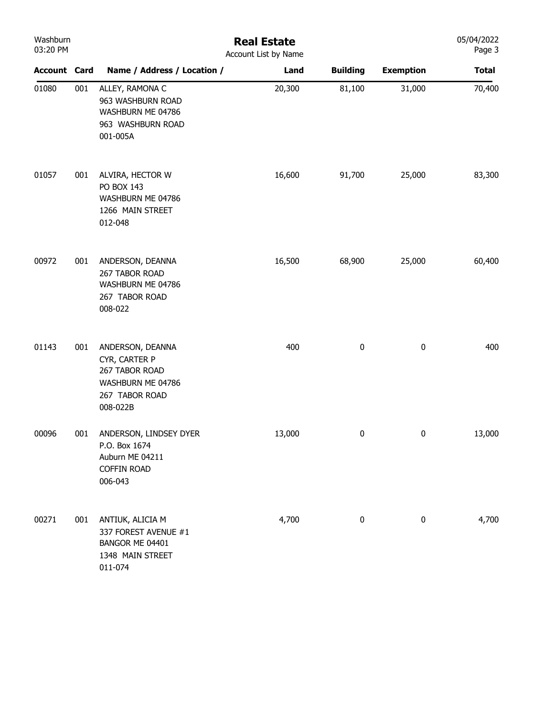| Washburn<br>03:20 PM |     | <b>Real Estate</b><br>Account List by Name                                                             |        |                 |                  |              |  |  |
|----------------------|-----|--------------------------------------------------------------------------------------------------------|--------|-----------------|------------------|--------------|--|--|
| <b>Account Card</b>  |     | Name / Address / Location /                                                                            | Land   | <b>Building</b> | <b>Exemption</b> | <b>Total</b> |  |  |
| 01080                | 001 | ALLEY, RAMONA C<br>963 WASHBURN ROAD<br>WASHBURN ME 04786<br>963 WASHBURN ROAD<br>001-005A             | 20,300 | 81,100          | 31,000           | 70,400       |  |  |
| 01057                | 001 | ALVIRA, HECTOR W<br>PO BOX 143<br>WASHBURN ME 04786<br>1266 MAIN STREET<br>012-048                     | 16,600 | 91,700          | 25,000           | 83,300       |  |  |
| 00972                | 001 | ANDERSON, DEANNA<br>267 TABOR ROAD<br>WASHBURN ME 04786<br>267 TABOR ROAD<br>008-022                   | 16,500 | 68,900          | 25,000           | 60,400       |  |  |
| 01143                | 001 | ANDERSON, DEANNA<br>CYR, CARTER P<br>267 TABOR ROAD<br>WASHBURN ME 04786<br>267 TABOR ROAD<br>008-022B | 400    | 0               | $\pmb{0}$        | 400          |  |  |
| 00096                | 001 | ANDERSON, LINDSEY DYER<br>P.O. Box 1674<br>Auburn ME 04211<br><b>COFFIN ROAD</b><br>006-043            | 13,000 | 0               | 0                | 13,000       |  |  |
| 00271                | 001 | ANTIUK, ALICIA M<br>337 FOREST AVENUE #1<br>BANGOR ME 04401<br>1348 MAIN STREET<br>011-074             | 4,700  | $\pmb{0}$       | $\pmb{0}$        | 4,700        |  |  |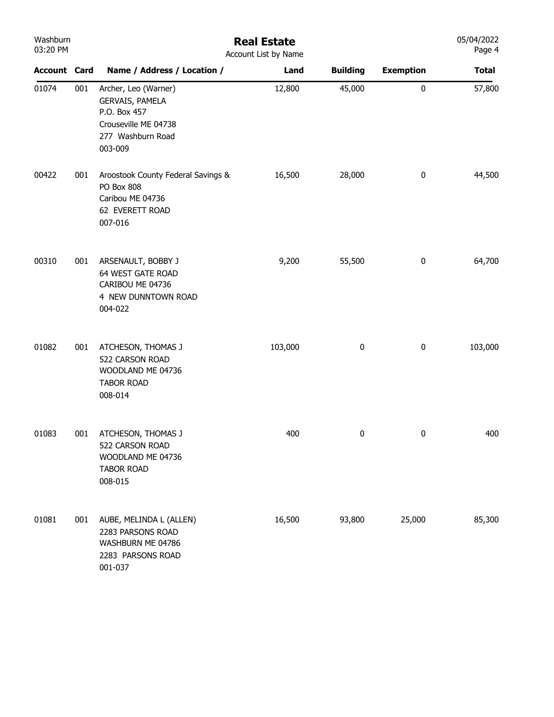| Washburn<br>03:20 PM |     | <b>Real Estate</b><br>Account List by Name                                                                      |         |                 |                  |              |  |  |  |
|----------------------|-----|-----------------------------------------------------------------------------------------------------------------|---------|-----------------|------------------|--------------|--|--|--|
| <b>Account Card</b>  |     | Name / Address / Location /                                                                                     | Land    | <b>Building</b> | <b>Exemption</b> | <b>Total</b> |  |  |  |
| 01074                | 001 | Archer, Leo (Warner)<br>GERVAIS, PAMELA<br>P.O. Box 457<br>Crouseville ME 04738<br>277 Washburn Road<br>003-009 | 12,800  | 45,000          | $\pmb{0}$        | 57,800       |  |  |  |
| 00422                | 001 | Aroostook County Federal Savings &<br>PO Box 808<br>Caribou ME 04736<br>62 EVERETT ROAD<br>007-016              | 16,500  | 28,000          | $\pmb{0}$        | 44,500       |  |  |  |
| 00310                | 001 | ARSENAULT, BOBBY J<br>64 WEST GATE ROAD<br>CARIBOU ME 04736<br>4 NEW DUNNTOWN ROAD<br>004-022                   | 9,200   | 55,500          | $\pmb{0}$        | 64,700       |  |  |  |
| 01082                | 001 | ATCHESON, THOMAS J<br>522 CARSON ROAD<br>WOODLAND ME 04736<br><b>TABOR ROAD</b><br>008-014                      | 103,000 | $\pmb{0}$       | $\pmb{0}$        | 103,000      |  |  |  |
| 01083                | 001 | ATCHESON, THOMAS J<br>522 CARSON ROAD<br>WOODLAND ME 04736<br><b>TABOR ROAD</b><br>008-015                      | 400     | 0               | $\pmb{0}$        | 400          |  |  |  |
| 01081                | 001 | AUBE, MELINDA L (ALLEN)<br>2283 PARSONS ROAD<br>WASHBURN ME 04786<br>2283 PARSONS ROAD<br>001-037               | 16,500  | 93,800          | 25,000           | 85,300       |  |  |  |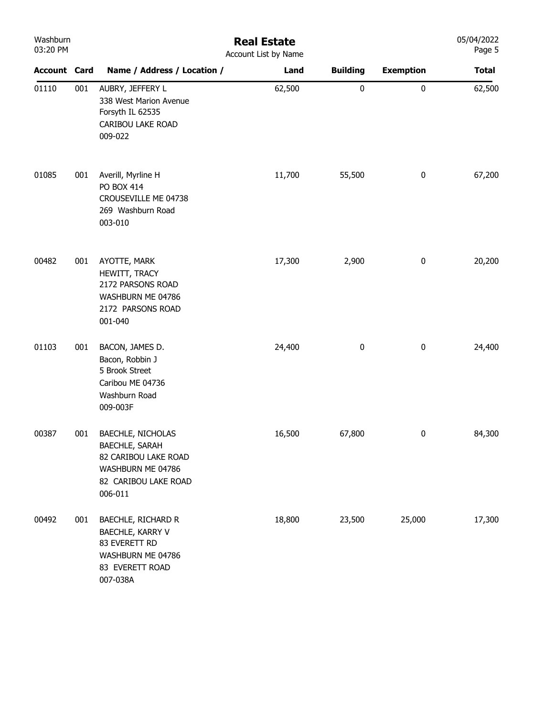| Washburn<br>03:20 PM |     |                                                                                                                            | <b>Real Estate</b><br>Account List by Name |                 |                  | 05/04/2022<br>Page 5 |
|----------------------|-----|----------------------------------------------------------------------------------------------------------------------------|--------------------------------------------|-----------------|------------------|----------------------|
| <b>Account Card</b>  |     | Name / Address / Location /                                                                                                | Land                                       | <b>Building</b> | <b>Exemption</b> | <b>Total</b>         |
| 01110                | 001 | AUBRY, JEFFERY L<br>338 West Marion Avenue<br>Forsyth IL 62535<br>CARIBOU LAKE ROAD<br>009-022                             | 62,500                                     | $\pmb{0}$       | $\pmb{0}$        | 62,500               |
| 01085                | 001 | Averill, Myrline H<br>PO BOX 414<br>CROUSEVILLE ME 04738<br>269 Washburn Road<br>003-010                                   | 11,700                                     | 55,500          | $\pmb{0}$        | 67,200               |
| 00482                | 001 | AYOTTE, MARK<br>HEWITT, TRACY<br>2172 PARSONS ROAD<br>WASHBURN ME 04786<br>2172 PARSONS ROAD<br>001-040                    | 17,300                                     | 2,900           | $\bf{0}$         | 20,200               |
| 01103                | 001 | BACON, JAMES D.<br>Bacon, Robbin J<br>5 Brook Street<br>Caribou ME 04736<br>Washburn Road<br>009-003F                      | 24,400                                     | 0               | $\bf{0}$         | 24,400               |
| 00387                | 001 | BAECHLE, NICHOLAS<br><b>BAECHLE, SARAH</b><br>82 CARIBOU LAKE ROAD<br>WASHBURN ME 04786<br>82 CARIBOU LAKE ROAD<br>006-011 | 16,500                                     | 67,800          | $\bf{0}$         | 84,300               |
| 00492                | 001 | <b>BAECHLE, RICHARD R</b><br>BAECHLE, KARRY V<br>83 EVERETT RD<br>WASHBURN ME 04786<br>83 EVERETT ROAD<br>007-038A         | 18,800                                     | 23,500          | 25,000           | 17,300               |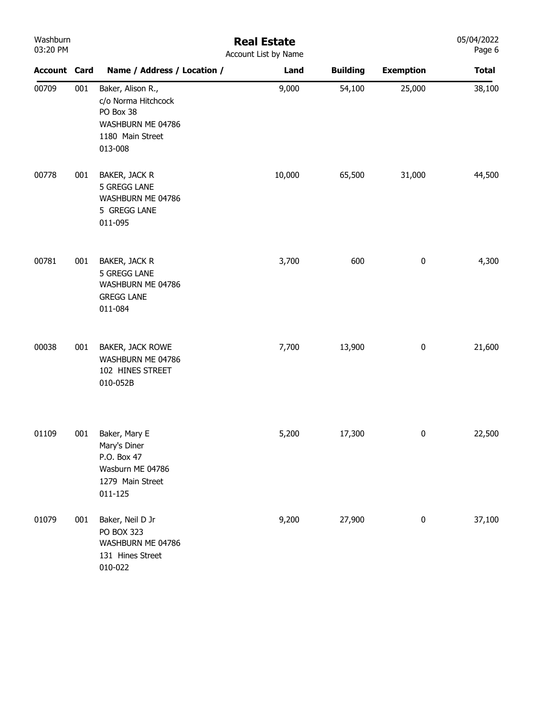| Washburn<br>03:20 PM |     |                                                                                                           | <b>Real Estate</b><br>Account List by Name |                 |                  | 05/04/2022<br>Page 6 |
|----------------------|-----|-----------------------------------------------------------------------------------------------------------|--------------------------------------------|-----------------|------------------|----------------------|
| <b>Account Card</b>  |     | Name / Address / Location /                                                                               | Land                                       | <b>Building</b> | <b>Exemption</b> | <b>Total</b>         |
| 00709                | 001 | Baker, Alison R.,<br>c/o Norma Hitchcock<br>PO Box 38<br>WASHBURN ME 04786<br>1180 Main Street<br>013-008 | 9,000                                      | 54,100          | 25,000           | 38,100               |
| 00778                | 001 | BAKER, JACK R<br>5 GREGG LANE<br>WASHBURN ME 04786<br>5 GREGG LANE<br>011-095                             | 10,000                                     | 65,500          | 31,000           | 44,500               |
| 00781                | 001 | BAKER, JACK R<br>5 GREGG LANE<br>WASHBURN ME 04786<br><b>GREGG LANE</b><br>011-084                        | 3,700                                      | 600             | $\pmb{0}$        | 4,300                |
| 00038                | 001 | BAKER, JACK ROWE<br>WASHBURN ME 04786<br>102 HINES STREET<br>010-052B                                     | 7,700                                      | 13,900          | $\pmb{0}$        | 21,600               |
| 01109                | 001 | Baker, Mary E<br>Mary's Diner<br>P.O. Box 47<br>Wasburn ME 04786<br>1279 Main Street<br>011-125           | 5,200                                      | 17,300          | 0                | 22,500               |
| 01079                | 001 | Baker, Neil D Jr<br>PO BOX 323<br>WASHBURN ME 04786<br>131 Hines Street<br>010-022                        | 9,200                                      | 27,900          | 0                | 37,100               |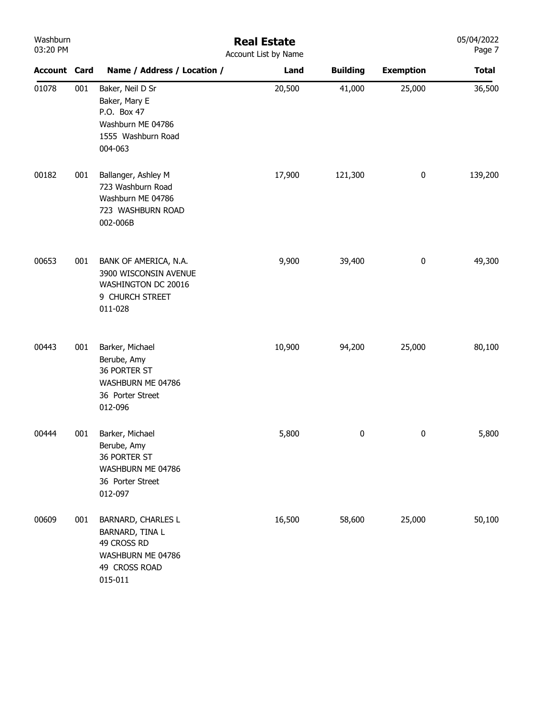| Washburn<br>03:20 PM |     | <b>Real Estate</b><br>Account List by Name                                                                   |        |                 |                  |              |  |  |
|----------------------|-----|--------------------------------------------------------------------------------------------------------------|--------|-----------------|------------------|--------------|--|--|
| <b>Account Card</b>  |     | Name / Address / Location /                                                                                  | Land   | <b>Building</b> | <b>Exemption</b> | <b>Total</b> |  |  |
| 01078                | 001 | Baker, Neil D Sr<br>Baker, Mary E<br>P.O. Box 47<br>Washburn ME 04786<br>1555 Washburn Road<br>004-063       | 20,500 | 41,000          | 25,000           | 36,500       |  |  |
| 00182                | 001 | Ballanger, Ashley M<br>723 Washburn Road<br>Washburn ME 04786<br>723 WASHBURN ROAD<br>002-006B               | 17,900 | 121,300         | $\pmb{0}$        | 139,200      |  |  |
| 00653                | 001 | BANK OF AMERICA, N.A.<br>3900 WISCONSIN AVENUE<br>WASHINGTON DC 20016<br>9 CHURCH STREET<br>011-028          | 9,900  | 39,400          | $\pmb{0}$        | 49,300       |  |  |
| 00443                | 001 | Barker, Michael<br>Berube, Amy<br>36 PORTER ST<br>WASHBURN ME 04786<br>36 Porter Street<br>012-096           | 10,900 | 94,200          | 25,000           | 80,100       |  |  |
| 00444                | 001 | Barker, Michael<br>Berube, Amy<br>36 PORTER ST<br>WASHBURN ME 04786<br>36 Porter Street<br>012-097           | 5,800  | 0               | 0                | 5,800        |  |  |
| 00609                | 001 | <b>BARNARD, CHARLES L</b><br>BARNARD, TINA L<br>49 CROSS RD<br>WASHBURN ME 04786<br>49 CROSS ROAD<br>015-011 | 16,500 | 58,600          | 25,000           | 50,100       |  |  |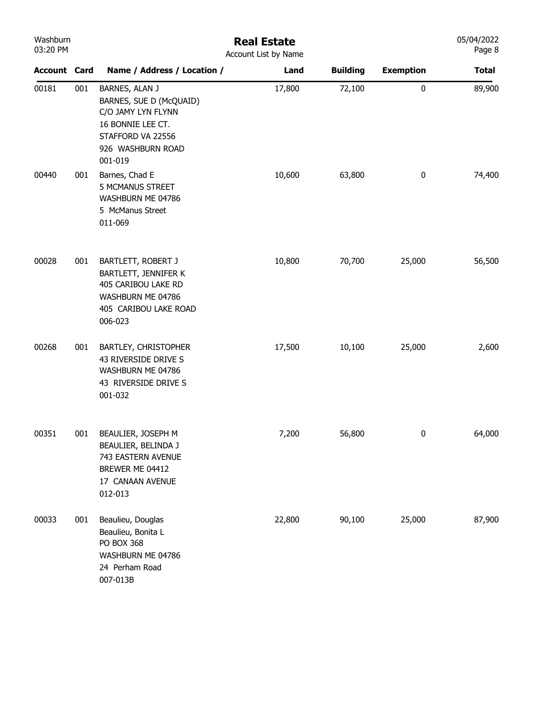| Washburn<br>03:20 PM |     | <b>Real Estate</b><br>Account List by Name                                                                                                |        |                 |                  |              |  |  |
|----------------------|-----|-------------------------------------------------------------------------------------------------------------------------------------------|--------|-----------------|------------------|--------------|--|--|
| <b>Account Card</b>  |     | Name / Address / Location /                                                                                                               | Land   | <b>Building</b> | <b>Exemption</b> | <b>Total</b> |  |  |
| 00181                | 001 | BARNES, ALAN J<br>BARNES, SUE D (McQUAID)<br>C/O JAMY LYN FLYNN<br>16 BONNIE LEE CT.<br>STAFFORD VA 22556<br>926 WASHBURN ROAD<br>001-019 | 17,800 | 72,100          | $\pmb{0}$        | 89,900       |  |  |
| 00440                | 001 | Barnes, Chad E<br>5 MCMANUS STREET<br>WASHBURN ME 04786<br>5 McManus Street<br>011-069                                                    | 10,600 | 63,800          | $\bf{0}$         | 74,400       |  |  |
| 00028                | 001 | BARTLETT, ROBERT J<br>BARTLETT, JENNIFER K<br>405 CARIBOU LAKE RD<br>WASHBURN ME 04786<br>405 CARIBOU LAKE ROAD<br>006-023                | 10,800 | 70,700          | 25,000           | 56,500       |  |  |
| 00268                | 001 | <b>BARTLEY, CHRISTOPHER</b><br>43 RIVERSIDE DRIVE S<br>WASHBURN ME 04786<br>43 RIVERSIDE DRIVE S<br>001-032                               | 17,500 | 10,100          | 25,000           | 2,600        |  |  |
| 00351                | 001 | BEAULIER, JOSEPH M<br>BEAULIER, BELINDA J<br>743 EASTERN AVENUE<br>BREWER ME 04412<br>17 CANAAN AVENUE<br>012-013                         | 7,200  | 56,800          | $\bf{0}$         | 64,000       |  |  |
| 00033                | 001 | Beaulieu, Douglas<br>Beaulieu, Bonita L<br><b>PO BOX 368</b><br>WASHBURN ME 04786<br>24 Perham Road<br>007-013B                           | 22,800 | 90,100          | 25,000           | 87,900       |  |  |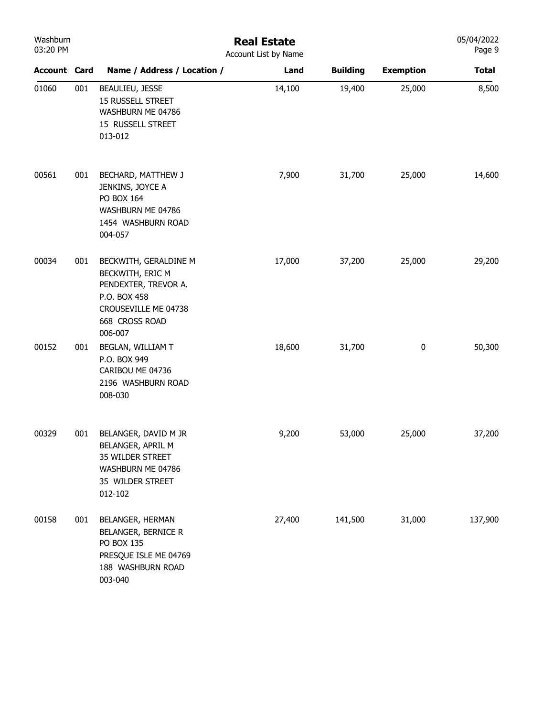| Washburn<br>03:20 PM |     | <b>Real Estate</b><br>Account List by Name                                                                                             |        |                 |                  |              |
|----------------------|-----|----------------------------------------------------------------------------------------------------------------------------------------|--------|-----------------|------------------|--------------|
| <b>Account Card</b>  |     | Name / Address / Location /                                                                                                            | Land   | <b>Building</b> | <b>Exemption</b> | <b>Total</b> |
| 01060                | 001 | BEAULIEU, JESSE<br><b>15 RUSSELL STREET</b><br>WASHBURN ME 04786<br>15 RUSSELL STREET<br>013-012                                       | 14,100 | 19,400          | 25,000           | 8,500        |
| 00561                | 001 | BECHARD, MATTHEW J<br>JENKINS, JOYCE A<br>PO BOX 164<br>WASHBURN ME 04786<br>1454 WASHBURN ROAD<br>004-057                             | 7,900  | 31,700          | 25,000           | 14,600       |
| 00034                | 001 | BECKWITH, GERALDINE M<br>BECKWITH, ERIC M<br>PENDEXTER, TREVOR A.<br>P.O. BOX 458<br>CROUSEVILLE ME 04738<br>668 CROSS ROAD<br>006-007 | 17,000 | 37,200          | 25,000           | 29,200       |
| 00152                | 001 | BEGLAN, WILLIAM T<br>P.O. BOX 949<br>CARIBOU ME 04736<br>2196 WASHBURN ROAD<br>008-030                                                 | 18,600 | 31,700          | 0                | 50,300       |
| 00329                | 001 | BELANGER, DAVID M JR<br>BELANGER, APRIL M<br>35 WILDER STREET<br>WASHBURN ME 04786<br>35 WILDER STREET<br>012-102                      | 9,200  | 53,000          | 25,000           | 37,200       |
| 00158                | 001 | BELANGER, HERMAN<br>BELANGER, BERNICE R<br>PO BOX 135<br>PRESQUE ISLE ME 04769<br>188 WASHBURN ROAD<br>003-040                         | 27,400 | 141,500         | 31,000           | 137,900      |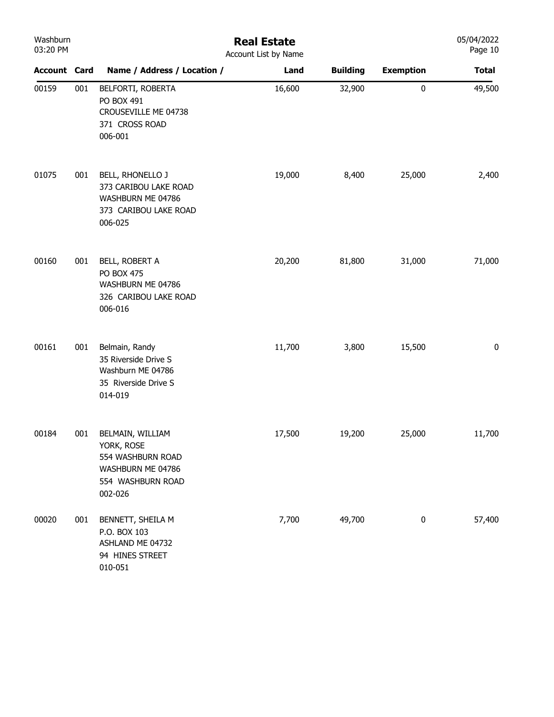| Washburn<br>03:20 PM |     | <b>Real Estate</b><br>Account List by Name                                                               |        |                 |                  |              |  |  |
|----------------------|-----|----------------------------------------------------------------------------------------------------------|--------|-----------------|------------------|--------------|--|--|
| <b>Account Card</b>  |     | Name / Address / Location /                                                                              | Land   | <b>Building</b> | <b>Exemption</b> | <b>Total</b> |  |  |
| 00159                | 001 | BELFORTI, ROBERTA<br>PO BOX 491<br>CROUSEVILLE ME 04738<br>371 CROSS ROAD<br>006-001                     | 16,600 | 32,900          | $\pmb{0}$        | 49,500       |  |  |
| 01075                | 001 | BELL, RHONELLO J<br>373 CARIBOU LAKE ROAD<br>WASHBURN ME 04786<br>373 CARIBOU LAKE ROAD<br>006-025       | 19,000 | 8,400           | 25,000           | 2,400        |  |  |
| 00160                | 001 | BELL, ROBERT A<br><b>PO BOX 475</b><br>WASHBURN ME 04786<br>326 CARIBOU LAKE ROAD<br>006-016             | 20,200 | 81,800          | 31,000           | 71,000       |  |  |
| 00161                | 001 | Belmain, Randy<br>35 Riverside Drive S<br>Washburn ME 04786<br>35 Riverside Drive S<br>014-019           | 11,700 | 3,800           | 15,500           | $\pmb{0}$    |  |  |
| 00184                | 001 | BELMAIN, WILLIAM<br>YORK, ROSE<br>554 WASHBURN ROAD<br>WASHBURN ME 04786<br>554 WASHBURN ROAD<br>002-026 | 17,500 | 19,200          | 25,000           | 11,700       |  |  |
| 00020                | 001 | BENNETT, SHEILA M<br>P.O. BOX 103<br>ASHLAND ME 04732<br>94 HINES STREET<br>010-051                      | 7,700  | 49,700          | $\bf{0}$         | 57,400       |  |  |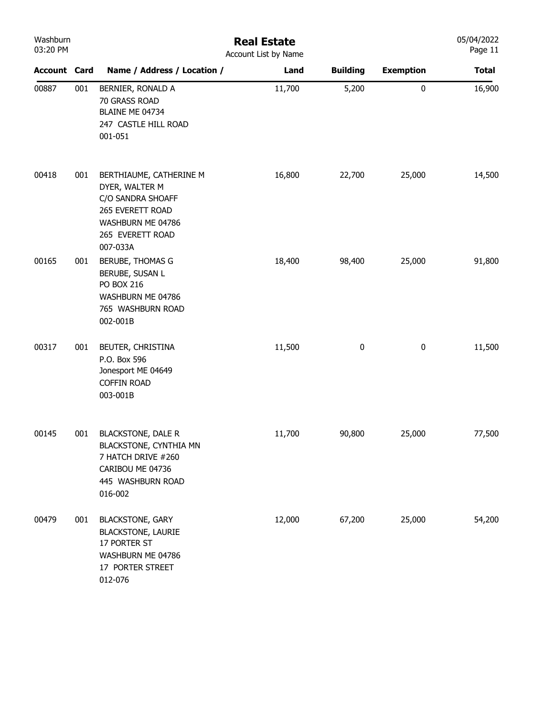| Washburn<br>03:20 PM |     | <b>Real Estate</b><br>Account List by Name                                                                                              |        |                 |                  |              |  |
|----------------------|-----|-----------------------------------------------------------------------------------------------------------------------------------------|--------|-----------------|------------------|--------------|--|
| <b>Account Card</b>  |     | Name / Address / Location /                                                                                                             | Land   | <b>Building</b> | <b>Exemption</b> | <b>Total</b> |  |
| 00887                | 001 | BERNIER, RONALD A<br>70 GRASS ROAD<br>BLAINE ME 04734<br>247 CASTLE HILL ROAD<br>001-051                                                | 11,700 | 5,200           | 0                | 16,900       |  |
| 00418                | 001 | BERTHIAUME, CATHERINE M<br>DYER, WALTER M<br>C/O SANDRA SHOAFF<br>265 EVERETT ROAD<br>WASHBURN ME 04786<br>265 EVERETT ROAD<br>007-033A | 16,800 | 22,700          | 25,000           | 14,500       |  |
| 00165                | 001 | BERUBE, THOMAS G<br>BERUBE, SUSAN L<br><b>PO BOX 216</b><br>WASHBURN ME 04786<br>765 WASHBURN ROAD<br>002-001B                          | 18,400 | 98,400          | 25,000           | 91,800       |  |
| 00317                | 001 | BEUTER, CHRISTINA<br>P.O. Box 596<br>Jonesport ME 04649<br><b>COFFIN ROAD</b><br>003-001B                                               | 11,500 | $\pmb{0}$       | $\pmb{0}$        | 11,500       |  |
| 00145                | 001 | <b>BLACKSTONE, DALE R</b><br>BLACKSTONE, CYNTHIA MN<br>7 HATCH DRIVE #260<br>CARIBOU ME 04736<br>445 WASHBURN ROAD<br>016-002           | 11,700 | 90,800          | 25,000           | 77,500       |  |
| 00479                | 001 | <b>BLACKSTONE, GARY</b><br><b>BLACKSTONE, LAURIE</b><br>17 PORTER ST<br>WASHBURN ME 04786<br>17 PORTER STREET<br>012-076                | 12,000 | 67,200          | 25,000           | 54,200       |  |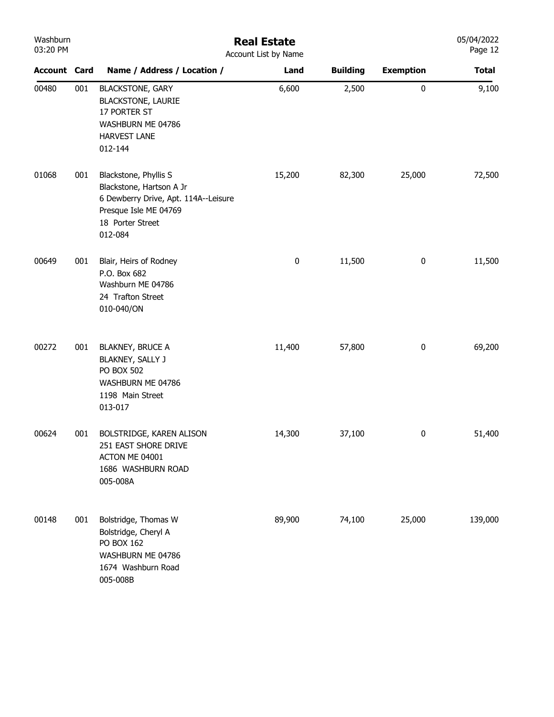| Washburn<br>03:20 PM |     | <b>Real Estate</b><br>Account List by Name                                                                                                        |        |                 |                  |              |  |  |  |
|----------------------|-----|---------------------------------------------------------------------------------------------------------------------------------------------------|--------|-----------------|------------------|--------------|--|--|--|
| <b>Account Card</b>  |     | Name / Address / Location /                                                                                                                       | Land   | <b>Building</b> | <b>Exemption</b> | <b>Total</b> |  |  |  |
| 00480                | 001 | <b>BLACKSTONE, GARY</b><br><b>BLACKSTONE, LAURIE</b><br>17 PORTER ST<br>WASHBURN ME 04786<br>HARVEST LANE<br>012-144                              | 6,600  | 2,500           | $\pmb{0}$        | 9,100        |  |  |  |
| 01068                | 001 | Blackstone, Phyllis S<br>Blackstone, Hartson A Jr<br>6 Dewberry Drive, Apt. 114A--Leisure<br>Presque Isle ME 04769<br>18 Porter Street<br>012-084 | 15,200 | 82,300          | 25,000           | 72,500       |  |  |  |
| 00649                | 001 | Blair, Heirs of Rodney<br>P.O. Box 682<br>Washburn ME 04786<br>24 Trafton Street<br>010-040/ON                                                    | 0      | 11,500          | $\pmb{0}$        | 11,500       |  |  |  |
| 00272                | 001 | <b>BLAKNEY, BRUCE A</b><br>BLAKNEY, SALLY J<br><b>PO BOX 502</b><br>WASHBURN ME 04786<br>1198 Main Street<br>013-017                              | 11,400 | 57,800          | $\bf{0}$         | 69,200       |  |  |  |
| 00624                | 001 | BOLSTRIDGE, KAREN ALISON<br>251 EAST SHORE DRIVE<br>ACTON ME 04001<br>1686 WASHBURN ROAD<br>005-008A                                              | 14,300 | 37,100          | $\mathbf{0}$     | 51,400       |  |  |  |
| 00148                | 001 | Bolstridge, Thomas W<br>Bolstridge, Cheryl A<br>PO BOX 162<br>WASHBURN ME 04786<br>1674 Washburn Road<br>005-008B                                 | 89,900 | 74,100          | 25,000           | 139,000      |  |  |  |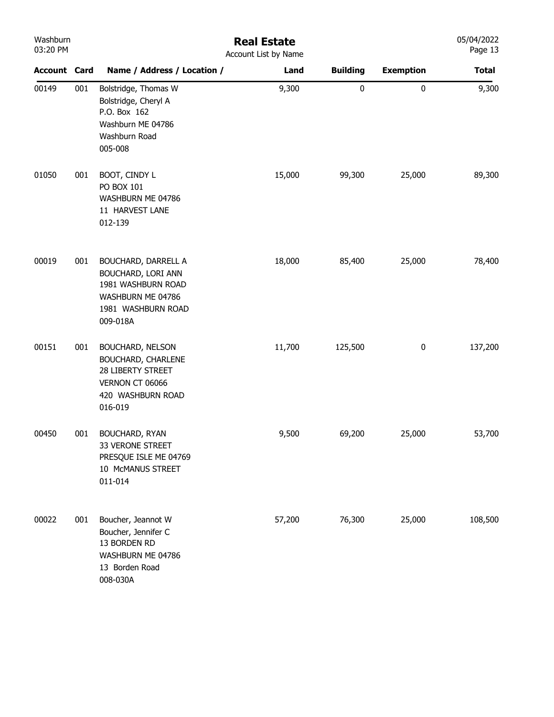| Washburn<br>03:20 PM |     |                                                                                                                               | <b>Real Estate</b><br>Account List by Name |                 |                  | 05/04/2022<br>Page 13 |
|----------------------|-----|-------------------------------------------------------------------------------------------------------------------------------|--------------------------------------------|-----------------|------------------|-----------------------|
| <b>Account Card</b>  |     | Name / Address / Location /                                                                                                   | Land                                       | <b>Building</b> | <b>Exemption</b> | <b>Total</b>          |
| 00149                | 001 | Bolstridge, Thomas W<br>Bolstridge, Cheryl A<br>P.O. Box 162<br>Washburn ME 04786<br>Washburn Road<br>005-008                 | 9,300                                      | $\pmb{0}$       | 0                | 9,300                 |
| 01050                | 001 | BOOT, CINDY L<br><b>PO BOX 101</b><br>WASHBURN ME 04786<br>11 HARVEST LANE<br>012-139                                         | 15,000                                     | 99,300          | 25,000           | 89,300                |
| 00019                | 001 | <b>BOUCHARD, DARRELL A</b><br>BOUCHARD, LORI ANN<br>1981 WASHBURN ROAD<br>WASHBURN ME 04786<br>1981 WASHBURN ROAD<br>009-018A | 18,000                                     | 85,400          | 25,000           | 78,400                |
| 00151                | 001 | <b>BOUCHARD, NELSON</b><br>BOUCHARD, CHARLENE<br>28 LIBERTY STREET<br>VERNON CT 06066<br>420 WASHBURN ROAD<br>016-019         | 11,700                                     | 125,500         | $\pmb{0}$        | 137,200               |
| 00450                | 001 | BOUCHARD, RYAN<br>33 VERONE STREET<br>PRESQUE ISLE ME 04769<br>10 McMANUS STREET<br>011-014                                   | 9,500                                      | 69,200          | 25,000           | 53,700                |
| 00022                | 001 | Boucher, Jeannot W<br>Boucher, Jennifer C<br>13 BORDEN RD<br>WASHBURN ME 04786<br>13 Borden Road<br>008-030A                  | 57,200                                     | 76,300          | 25,000           | 108,500               |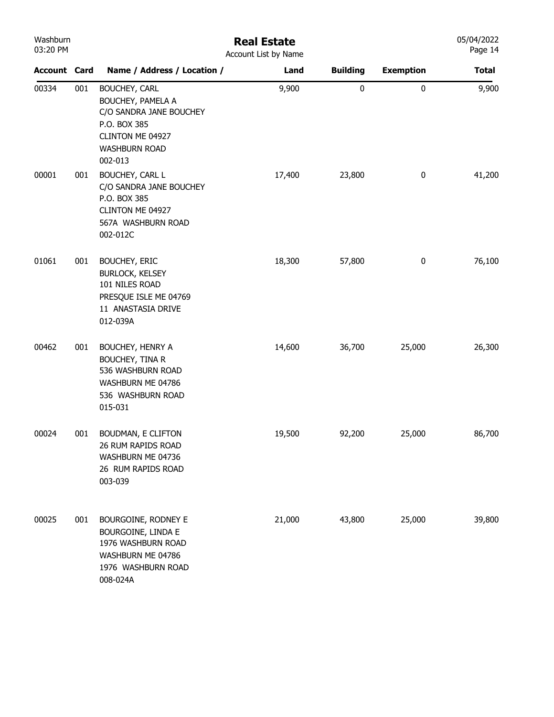| Washburn<br>03:20 PM |     |                                                                                                                                             | <b>Real Estate</b><br>Account List by Name |                 |                  | 05/04/2022<br>Page 14 |
|----------------------|-----|---------------------------------------------------------------------------------------------------------------------------------------------|--------------------------------------------|-----------------|------------------|-----------------------|
| <b>Account Card</b>  |     | Name / Address / Location /                                                                                                                 | Land                                       | <b>Building</b> | <b>Exemption</b> | <b>Total</b>          |
| 00334                | 001 | <b>BOUCHEY, CARL</b><br>BOUCHEY, PAMELA A<br>C/O SANDRA JANE BOUCHEY<br>P.O. BOX 385<br>CLINTON ME 04927<br><b>WASHBURN ROAD</b><br>002-013 | 9,900                                      | 0               | $\pmb{0}$        | 9,900                 |
| 00001                | 001 | BOUCHEY, CARL L<br>C/O SANDRA JANE BOUCHEY<br>P.O. BOX 385<br>CLINTON ME 04927<br>567A WASHBURN ROAD<br>002-012C                            | 17,400                                     | 23,800          | $\pmb{0}$        | 41,200                |
| 01061                | 001 | <b>BOUCHEY, ERIC</b><br><b>BURLOCK, KELSEY</b><br>101 NILES ROAD<br>PRESQUE ISLE ME 04769<br>11 ANASTASIA DRIVE<br>012-039A                 | 18,300                                     | 57,800          | $\bf{0}$         | 76,100                |
| 00462                | 001 | BOUCHEY, HENRY A<br><b>BOUCHEY, TINA R</b><br>536 WASHBURN ROAD<br>WASHBURN ME 04786<br>536 WASHBURN ROAD<br>015-031                        | 14,600                                     | 36,700          | 25,000           | 26,300                |
| 00024                | 001 | BOUDMAN, E CLIFTON<br>26 RUM RAPIDS ROAD<br>WASHBURN ME 04736<br>26 RUM RAPIDS ROAD<br>003-039                                              | 19,500                                     | 92,200          | 25,000           | 86,700                |
| 00025                | 001 | BOURGOINE, RODNEY E<br>BOURGOINE, LINDA E<br>1976 WASHBURN ROAD<br>WASHBURN ME 04786<br>1976 WASHBURN ROAD<br>008-024A                      | 21,000                                     | 43,800          | 25,000           | 39,800                |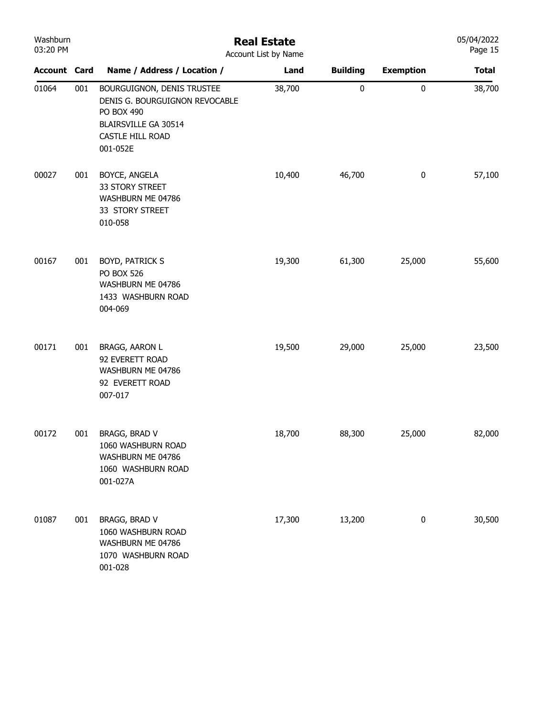| Washburn<br>03:20 PM |     |                                                                                                                                    | <b>Real Estate</b><br>Account List by Name |                 |                  | 05/04/2022<br>Page 15 |
|----------------------|-----|------------------------------------------------------------------------------------------------------------------------------------|--------------------------------------------|-----------------|------------------|-----------------------|
| <b>Account Card</b>  |     | Name / Address / Location /                                                                                                        | Land                                       | <b>Building</b> | <b>Exemption</b> | <b>Total</b>          |
| 01064                | 001 | BOURGUIGNON, DENIS TRUSTEE<br>DENIS G. BOURGUIGNON REVOCABLE<br>PO BOX 490<br>BLAIRSVILLE GA 30514<br>CASTLE HILL ROAD<br>001-052E | 38,700                                     | 0               | $\pmb{0}$        | 38,700                |
| 00027                | 001 | BOYCE, ANGELA<br>33 STORY STREET<br>WASHBURN ME 04786<br>33 STORY STREET<br>010-058                                                | 10,400                                     | 46,700          | $\pmb{0}$        | 57,100                |
| 00167                | 001 | BOYD, PATRICK S<br><b>PO BOX 526</b><br>WASHBURN ME 04786<br>1433 WASHBURN ROAD<br>004-069                                         | 19,300                                     | 61,300          | 25,000           | 55,600                |
| 00171                | 001 | BRAGG, AARON L<br>92 EVERETT ROAD<br>WASHBURN ME 04786<br>92 EVERETT ROAD<br>007-017                                               | 19,500                                     | 29,000          | 25,000           | 23,500                |
| 00172                | 001 | BRAGG, BRAD V<br>1060 WASHBURN ROAD<br>WASHBURN ME 04786<br>1060 WASHBURN ROAD<br>001-027A                                         | 18,700                                     | 88,300          | 25,000           | 82,000                |
| 01087                | 001 | BRAGG, BRAD V<br>1060 WASHBURN ROAD<br>WASHBURN ME 04786<br>1070 WASHBURN ROAD<br>001-028                                          | 17,300                                     | 13,200          | 0                | 30,500                |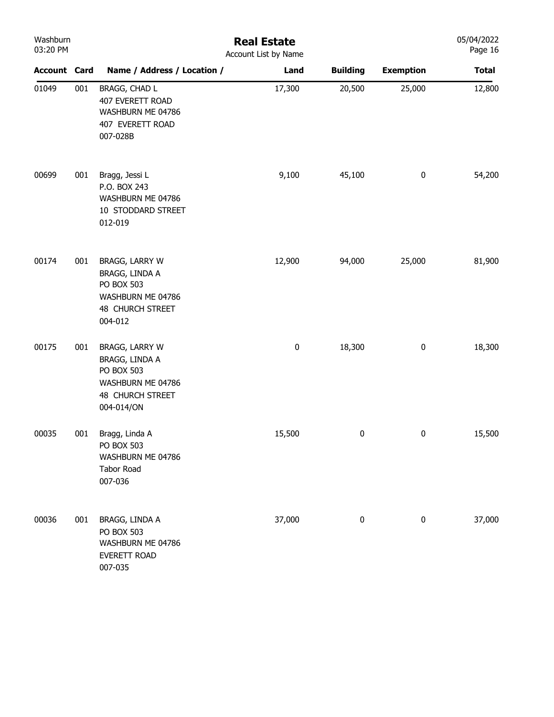| Washburn<br>03:20 PM |     |                                                                                                              | <b>Real Estate</b><br>Account List by Name |                 |                  | 05/04/2022<br>Page 16 |
|----------------------|-----|--------------------------------------------------------------------------------------------------------------|--------------------------------------------|-----------------|------------------|-----------------------|
| <b>Account Card</b>  |     | Name / Address / Location /                                                                                  | Land                                       | <b>Building</b> | <b>Exemption</b> | <b>Total</b>          |
| 01049                | 001 | BRAGG, CHAD L<br>407 EVERETT ROAD<br>WASHBURN ME 04786<br>407 EVERETT ROAD<br>007-028B                       | 17,300                                     | 20,500          | 25,000           | 12,800                |
| 00699                | 001 | Bragg, Jessi L<br>P.O. BOX 243<br>WASHBURN ME 04786<br>10 STODDARD STREET<br>012-019                         | 9,100                                      | 45,100          | $\boldsymbol{0}$ | 54,200                |
| 00174                | 001 | BRAGG, LARRY W<br>BRAGG, LINDA A<br>PO BOX 503<br>WASHBURN ME 04786<br><b>48 CHURCH STREET</b><br>004-012    | 12,900                                     | 94,000          | 25,000           | 81,900                |
| 00175                | 001 | BRAGG, LARRY W<br>BRAGG, LINDA A<br>PO BOX 503<br>WASHBURN ME 04786<br><b>48 CHURCH STREET</b><br>004-014/ON | 0                                          | 18,300          | $\boldsymbol{0}$ | 18,300                |
| 00035                | 001 | Bragg, Linda A<br><b>PO BOX 503</b><br>WASHBURN ME 04786<br>Tabor Road<br>007-036                            | 15,500                                     | 0               | $\bf{0}$         | 15,500                |
| 00036                | 001 | BRAGG, LINDA A<br><b>PO BOX 503</b><br>WASHBURN ME 04786<br>EVERETT ROAD<br>007-035                          | 37,000                                     | $\pmb{0}$       | $\pmb{0}$        | 37,000                |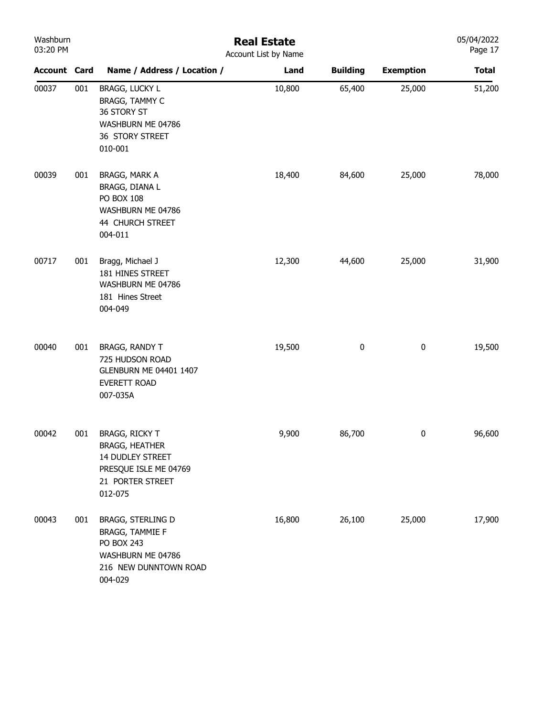| Washburn<br>03:20 PM |     |                                                                                                                            | <b>Real Estate</b><br>Account List by Name |                 |                  | 05/04/2022<br>Page 17 |
|----------------------|-----|----------------------------------------------------------------------------------------------------------------------------|--------------------------------------------|-----------------|------------------|-----------------------|
| <b>Account Card</b>  |     | Name / Address / Location /                                                                                                | Land                                       | <b>Building</b> | <b>Exemption</b> | <b>Total</b>          |
| 00037                | 001 | <b>BRAGG, LUCKY L</b><br>BRAGG, TAMMY C<br>36 STORY ST<br>WASHBURN ME 04786<br>36 STORY STREET<br>010-001                  | 10,800                                     | 65,400          | 25,000           | 51,200                |
| 00039                | 001 | BRAGG, MARK A<br>BRAGG, DIANA L<br>PO BOX 108<br>WASHBURN ME 04786<br>44 CHURCH STREET<br>004-011                          | 18,400                                     | 84,600          | 25,000           | 78,000                |
| 00717                | 001 | Bragg, Michael J<br>181 HINES STREET<br>WASHBURN ME 04786<br>181 Hines Street<br>004-049                                   | 12,300                                     | 44,600          | 25,000           | 31,900                |
| 00040                | 001 | <b>BRAGG, RANDY T</b><br>725 HUDSON ROAD<br><b>GLENBURN ME 04401 1407</b><br><b>EVERETT ROAD</b><br>007-035A               | 19,500                                     | 0               | $\pmb{0}$        | 19,500                |
| 00042                | 001 | <b>BRAGG, RICKY T</b><br><b>BRAGG, HEATHER</b><br>14 DUDLEY STREET<br>PRESQUE ISLE ME 04769<br>21 PORTER STREET<br>012-075 | 9,900                                      | 86,700          | 0                | 96,600                |
| 00043                | 001 | BRAGG, STERLING D<br><b>BRAGG, TAMMIE F</b><br>PO BOX 243<br>WASHBURN ME 04786<br>216 NEW DUNNTOWN ROAD<br>004-029         | 16,800                                     | 26,100          | 25,000           | 17,900                |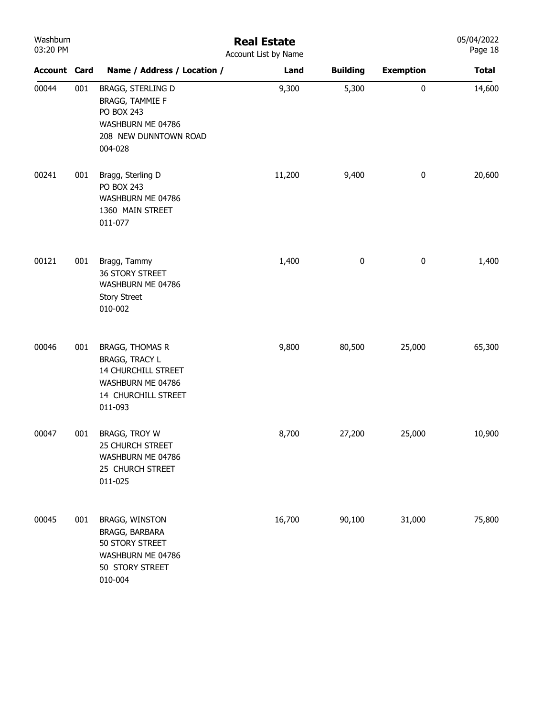| Washburn<br>03:20 PM |     |                                                                                                                               | <b>Real Estate</b><br>Account List by Name |                 |                  | 05/04/2022<br>Page 18 |
|----------------------|-----|-------------------------------------------------------------------------------------------------------------------------------|--------------------------------------------|-----------------|------------------|-----------------------|
| <b>Account Card</b>  |     | Name / Address / Location /                                                                                                   | Land                                       | <b>Building</b> | <b>Exemption</b> | <b>Total</b>          |
| 00044                | 001 | BRAGG, STERLING D<br><b>BRAGG, TAMMIE F</b><br>PO BOX 243<br>WASHBURN ME 04786<br>208 NEW DUNNTOWN ROAD<br>004-028            | 9,300                                      | 5,300           | $\pmb{0}$        | 14,600                |
| 00241                | 001 | Bragg, Sterling D<br>PO BOX 243<br>WASHBURN ME 04786<br>1360 MAIN STREET<br>011-077                                           | 11,200                                     | 9,400           | $\pmb{0}$        | 20,600                |
| 00121                | 001 | Bragg, Tammy<br>36 STORY STREET<br>WASHBURN ME 04786<br><b>Story Street</b><br>010-002                                        | 1,400                                      | $\pmb{0}$       | $\bf{0}$         | 1,400                 |
| 00046                | 001 | <b>BRAGG, THOMAS R</b><br><b>BRAGG, TRACY L</b><br>14 CHURCHILL STREET<br>WASHBURN ME 04786<br>14 CHURCHILL STREET<br>011-093 | 9,800                                      | 80,500          | 25,000           | 65,300                |
| 00047                | 001 | BRAGG, TROY W<br><b>25 CHURCH STREET</b><br>WASHBURN ME 04786<br>25 CHURCH STREET<br>011-025                                  | 8,700                                      | 27,200          | 25,000           | 10,900                |
| 00045                | 001 | <b>BRAGG, WINSTON</b><br>BRAGG, BARBARA<br>50 STORY STREET<br>WASHBURN ME 04786<br>50 STORY STREET<br>010-004                 | 16,700                                     | 90,100          | 31,000           | 75,800                |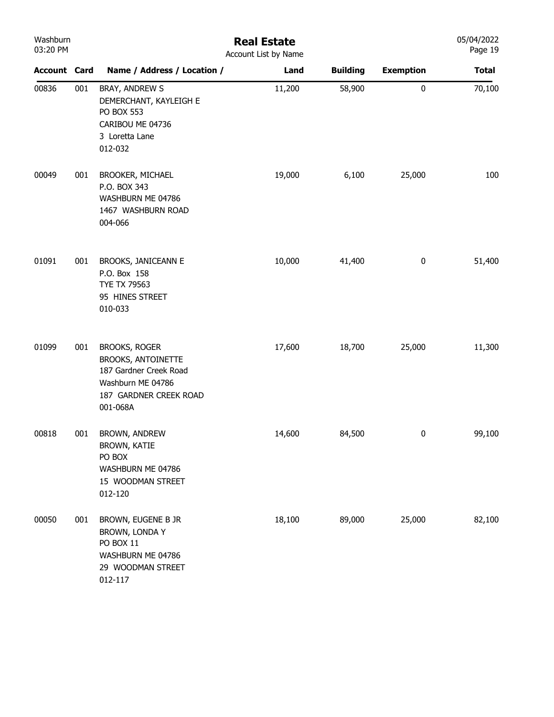| Washburn<br>03:20 PM |     |                                                                                                                                        | <b>Real Estate</b><br>Account List by Name |                 |                  | 05/04/2022<br>Page 19 |
|----------------------|-----|----------------------------------------------------------------------------------------------------------------------------------------|--------------------------------------------|-----------------|------------------|-----------------------|
| <b>Account Card</b>  |     | Name / Address / Location /                                                                                                            | Land                                       | <b>Building</b> | <b>Exemption</b> | <b>Total</b>          |
| 00836                | 001 | BRAY, ANDREW S<br>DEMERCHANT, KAYLEIGH E<br>PO BOX 553<br>CARIBOU ME 04736<br>3 Loretta Lane<br>012-032                                | 11,200                                     | 58,900          | $\pmb{0}$        | 70,100                |
| 00049                | 001 | <b>BROOKER, MICHAEL</b><br>P.O. BOX 343<br>WASHBURN ME 04786<br>1467 WASHBURN ROAD<br>004-066                                          | 19,000                                     | 6,100           | 25,000           | 100                   |
| 01091                | 001 | BROOKS, JANICEANN E<br>P.O. Box 158<br>TYE TX 79563<br>95 HINES STREET<br>010-033                                                      | 10,000                                     | 41,400          | $\bf{0}$         | 51,400                |
| 01099                | 001 | <b>BROOKS, ROGER</b><br><b>BROOKS, ANTOINETTE</b><br>187 Gardner Creek Road<br>Washburn ME 04786<br>187 GARDNER CREEK ROAD<br>001-068A | 17,600                                     | 18,700          | 25,000           | 11,300                |
| 00818                | 001 | BROWN, ANDREW<br><b>BROWN, KATIE</b><br>PO BOX<br>WASHBURN ME 04786<br>15 WOODMAN STREET<br>012-120                                    | 14,600                                     | 84,500          | $\bf{0}$         | 99,100                |
| 00050                | 001 | BROWN, EUGENE B JR<br>BROWN, LONDA Y<br>PO BOX 11<br>WASHBURN ME 04786<br>29 WOODMAN STREET<br>012-117                                 | 18,100                                     | 89,000          | 25,000           | 82,100                |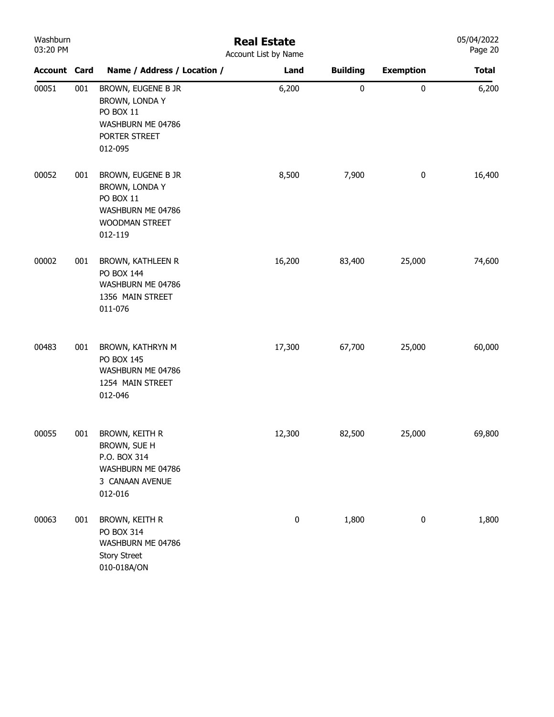| Washburn<br>03:20 PM |     |                                                                                                     | <b>Real Estate</b><br>Account List by Name |                 |                  | 05/04/2022<br>Page 20 |
|----------------------|-----|-----------------------------------------------------------------------------------------------------|--------------------------------------------|-----------------|------------------|-----------------------|
| <b>Account Card</b>  |     | Name / Address / Location /                                                                         | Land                                       | <b>Building</b> | <b>Exemption</b> | <b>Total</b>          |
| 00051                | 001 | BROWN, EUGENE B JR<br>BROWN, LONDA Y<br>PO BOX 11<br>WASHBURN ME 04786<br>PORTER STREET<br>012-095  | 6,200                                      | $\pmb{0}$       | $\pmb{0}$        | 6,200                 |
| 00052                | 001 | BROWN, EUGENE B JR<br>BROWN, LONDA Y<br>PO BOX 11<br>WASHBURN ME 04786<br>WOODMAN STREET<br>012-119 | 8,500                                      | 7,900           | $\pmb{0}$        | 16,400                |
| 00002                | 001 | <b>BROWN, KATHLEEN R</b><br>PO BOX 144<br>WASHBURN ME 04786<br>1356 MAIN STREET<br>011-076          | 16,200                                     | 83,400          | 25,000           | 74,600                |
| 00483                | 001 | BROWN, KATHRYN M<br>PO BOX 145<br>WASHBURN ME 04786<br>1254 MAIN STREET<br>012-046                  | 17,300                                     | 67,700          | 25,000           | 60,000                |
| 00055                | 001 | BROWN, KEITH R<br>BROWN, SUE H<br>P.O. BOX 314<br>WASHBURN ME 04786<br>3 CANAAN AVENUE<br>012-016   | 12,300                                     | 82,500          | 25,000           | 69,800                |
| 00063                | 001 | BROWN, KEITH R<br>PO BOX 314<br>WASHBURN ME 04786<br><b>Story Street</b><br>010-018A/ON             | $\pmb{0}$                                  | 1,800           | $\pmb{0}$        | 1,800                 |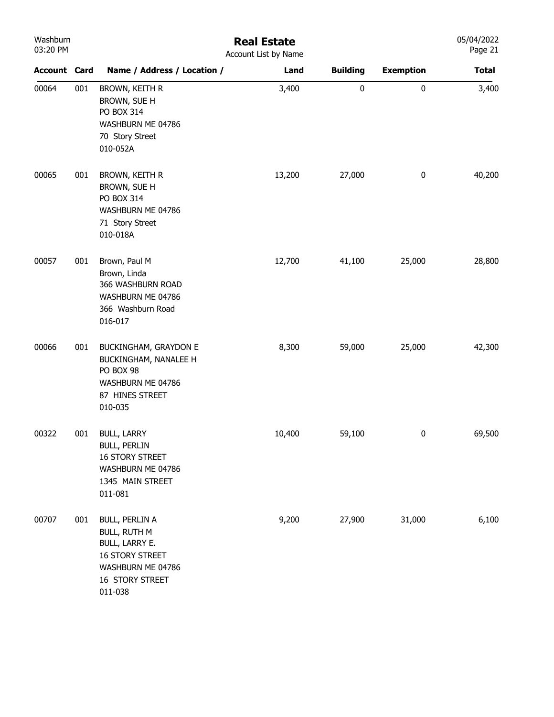| Washburn |
|----------|
| 03:20 PM |

## Real Estate

| 03:20 PM            |     |                                                                                                                                             | Account List by Name |                 |                  | Page 21      |
|---------------------|-----|---------------------------------------------------------------------------------------------------------------------------------------------|----------------------|-----------------|------------------|--------------|
| <b>Account Card</b> |     | Name / Address / Location /                                                                                                                 | Land                 | <b>Building</b> | <b>Exemption</b> | <b>Total</b> |
| 00064               | 001 | BROWN, KEITH R<br>BROWN, SUE H<br>PO BOX 314<br>WASHBURN ME 04786<br>70 Story Street<br>010-052A                                            | 3,400                | $\pmb{0}$       | 0                | 3,400        |
| 00065               | 001 | BROWN, KEITH R<br>BROWN, SUE H<br>PO BOX 314<br>WASHBURN ME 04786<br>71 Story Street<br>010-018A                                            | 13,200               | 27,000          | $\pmb{0}$        | 40,200       |
| 00057               | 001 | Brown, Paul M<br>Brown, Linda<br>366 WASHBURN ROAD<br>WASHBURN ME 04786<br>366 Washburn Road<br>016-017                                     | 12,700               | 41,100          | 25,000           | 28,800       |
| 00066               | 001 | BUCKINGHAM, GRAYDON E<br>BUCKINGHAM, NANALEE H<br>PO BOX 98<br>WASHBURN ME 04786<br>87 HINES STREET<br>010-035                              | 8,300                | 59,000          | 25,000           | 42,300       |
| 00322               | 001 | <b>BULL, LARRY</b><br><b>BULL, PERLIN</b><br>16 STORY STREET<br>WASHBURN ME 04786<br>1345 MAIN STREET<br>011-081                            | 10,400               | 59,100          | $\pmb{0}$        | 69,500       |
| 00707               | 001 | <b>BULL, PERLIN A</b><br><b>BULL, RUTH M</b><br>BULL, LARRY E.<br><b>16 STORY STREET</b><br>WASHBURN ME 04786<br>16 STORY STREET<br>011-038 | 9,200                | 27,900          | 31,000           | 6,100        |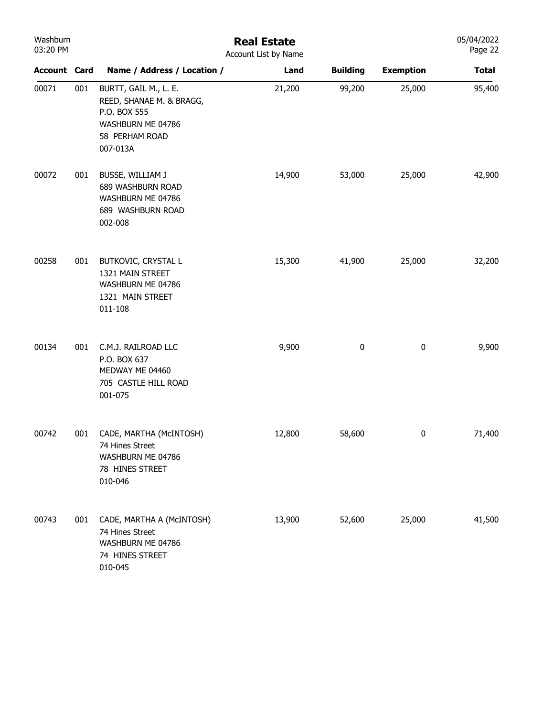| Washburn<br>03:20 PM |     |                                                                                                                      | <b>Real Estate</b><br>Account List by Name |                 |                  | 05/04/2022<br>Page 22 |
|----------------------|-----|----------------------------------------------------------------------------------------------------------------------|--------------------------------------------|-----------------|------------------|-----------------------|
| <b>Account Card</b>  |     | Name / Address / Location /                                                                                          | Land                                       | <b>Building</b> | <b>Exemption</b> | <b>Total</b>          |
| 00071                | 001 | BURTT, GAIL M., L. E.<br>REED, SHANAE M. & BRAGG,<br>P.O. BOX 555<br>WASHBURN ME 04786<br>58 PERHAM ROAD<br>007-013A | 21,200                                     | 99,200          | 25,000           | 95,400                |
| 00072                | 001 | BUSSE, WILLIAM J<br>689 WASHBURN ROAD<br>WASHBURN ME 04786<br>689 WASHBURN ROAD<br>002-008                           | 14,900                                     | 53,000          | 25,000           | 42,900                |
| 00258                | 001 | BUTKOVIC, CRYSTAL L<br>1321 MAIN STREET<br>WASHBURN ME 04786<br>1321 MAIN STREET<br>011-108                          | 15,300                                     | 41,900          | 25,000           | 32,200                |
| 00134                | 001 | C.M.J. RAILROAD LLC<br>P.O. BOX 637<br>MEDWAY ME 04460<br>705 CASTLE HILL ROAD<br>001-075                            | 9,900                                      | 0               | $\bf{0}$         | 9,900                 |
| 00742                | 001 | CADE, MARTHA (McINTOSH)<br>74 Hines Street<br>WASHBURN ME 04786<br>78 HINES STREET<br>010-046                        | 12,800                                     | 58,600          | 0                | 71,400                |
| 00743                | 001 | CADE, MARTHA A (MCINTOSH)<br>74 Hines Street<br>WASHBURN ME 04786<br>74 HINES STREET<br>010-045                      | 13,900                                     | 52,600          | 25,000           | 41,500                |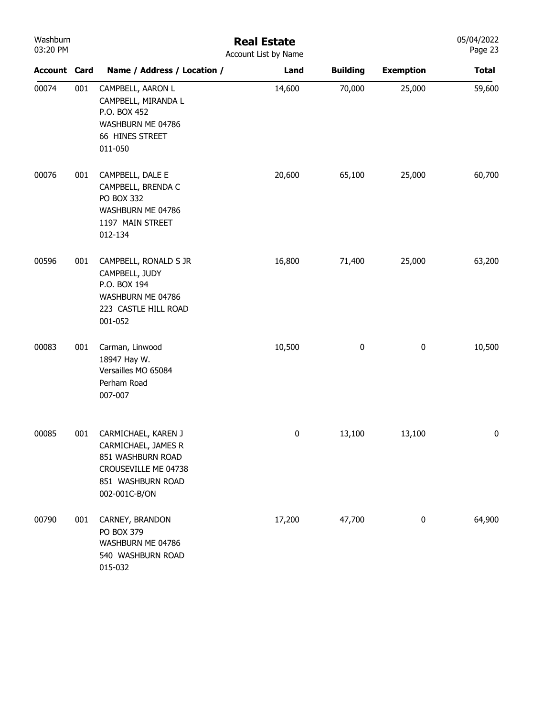| Washburn<br>03:20 PM |     |                                                                                                                               | <b>Real Estate</b><br>Account List by Name |                 |                  | 05/04/2022<br>Page 23 |
|----------------------|-----|-------------------------------------------------------------------------------------------------------------------------------|--------------------------------------------|-----------------|------------------|-----------------------|
| <b>Account Card</b>  |     | Name / Address / Location /                                                                                                   | Land                                       | <b>Building</b> | <b>Exemption</b> | <b>Total</b>          |
| 00074                | 001 | CAMPBELL, AARON L<br>CAMPBELL, MIRANDA L<br>P.O. BOX 452<br>WASHBURN ME 04786<br>66 HINES STREET<br>011-050                   | 14,600                                     | 70,000          | 25,000           | 59,600                |
| 00076                | 001 | CAMPBELL, DALE E<br>CAMPBELL, BRENDA C<br>PO BOX 332<br>WASHBURN ME 04786<br>1197 MAIN STREET<br>012-134                      | 20,600                                     | 65,100          | 25,000           | 60,700                |
| 00596                | 001 | CAMPBELL, RONALD S JR<br>CAMPBELL, JUDY<br>P.O. BOX 194<br>WASHBURN ME 04786<br>223 CASTLE HILL ROAD<br>001-052               | 16,800                                     | 71,400          | 25,000           | 63,200                |
| 00083                | 001 | Carman, Linwood<br>18947 Hay W.<br>Versailles MO 65084<br>Perham Road<br>007-007                                              | 10,500                                     | 0               | $\pmb{0}$        | 10,500                |
| 00085                | 001 | CARMICHAEL, KAREN J<br>CARMICHAEL, JAMES R<br>851 WASHBURN ROAD<br>CROUSEVILLE ME 04738<br>851 WASHBURN ROAD<br>002-001C-B/ON | $\pmb{0}$                                  | 13,100          | 13,100           | 0                     |
| 00790                | 001 | CARNEY, BRANDON<br>PO BOX 379<br>WASHBURN ME 04786<br>540 WASHBURN ROAD<br>015-032                                            | 17,200                                     | 47,700          | $\pmb{0}$        | 64,900                |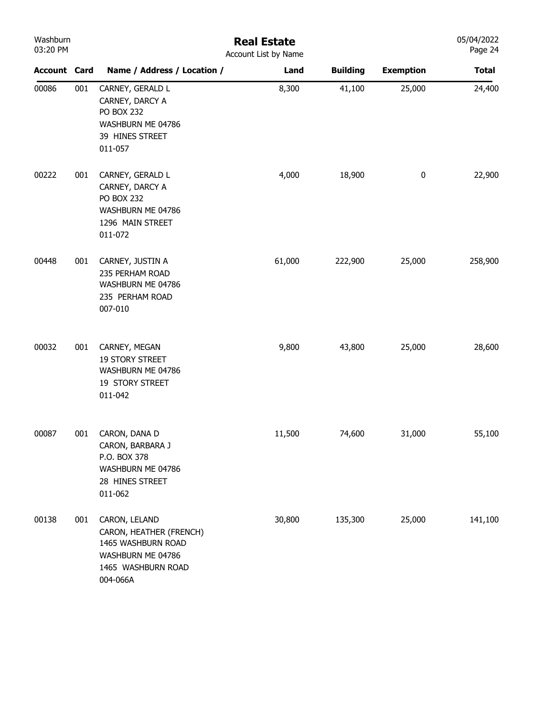| Washburn<br>03:20 PM | <b>Real Estate</b><br>Account List by Name |                                                                                                                       |        |                 |                  |              |  |
|----------------------|--------------------------------------------|-----------------------------------------------------------------------------------------------------------------------|--------|-----------------|------------------|--------------|--|
| <b>Account Card</b>  |                                            | Name / Address / Location /                                                                                           | Land   | <b>Building</b> | <b>Exemption</b> | <b>Total</b> |  |
| 00086                | 001                                        | CARNEY, GERALD L<br>CARNEY, DARCY A<br><b>PO BOX 232</b><br>WASHBURN ME 04786<br>39 HINES STREET<br>011-057           | 8,300  | 41,100          | 25,000           | 24,400       |  |
| 00222                | 001                                        | CARNEY, GERALD L<br>CARNEY, DARCY A<br><b>PO BOX 232</b><br>WASHBURN ME 04786<br>1296 MAIN STREET<br>011-072          | 4,000  | 18,900          | 0                | 22,900       |  |
| 00448                | 001                                        | CARNEY, JUSTIN A<br>235 PERHAM ROAD<br>WASHBURN ME 04786<br>235 PERHAM ROAD<br>007-010                                | 61,000 | 222,900         | 25,000           | 258,900      |  |
| 00032                | 001                                        | CARNEY, MEGAN<br><b>19 STORY STREET</b><br>WASHBURN ME 04786<br>19 STORY STREET<br>011-042                            | 9,800  | 43,800          | 25,000           | 28,600       |  |
| 00087                | 001                                        | CARON, DANA D<br>CARON, BARBARA J<br>P.O. BOX 378<br>WASHBURN ME 04786<br>28 HINES STREET<br>011-062                  | 11,500 | 74,600          | 31,000           | 55,100       |  |
| 00138                | 001                                        | CARON, LELAND<br>CARON, HEATHER (FRENCH)<br>1465 WASHBURN ROAD<br>WASHBURN ME 04786<br>1465 WASHBURN ROAD<br>004-066A | 30,800 | 135,300         | 25,000           | 141,100      |  |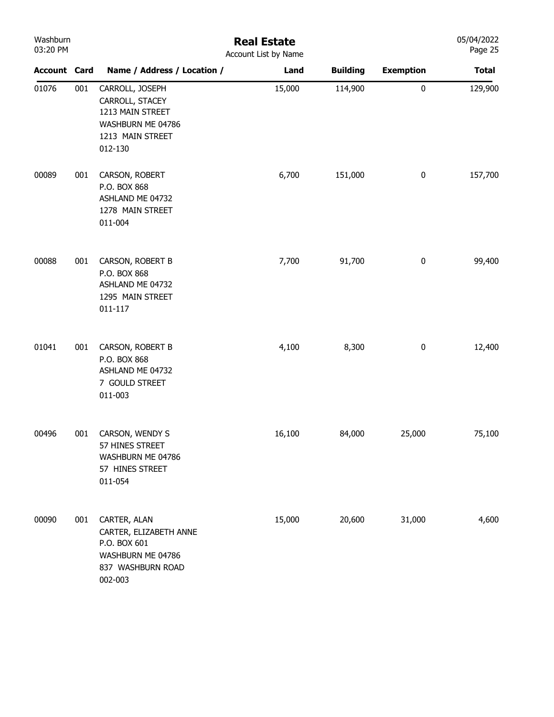| Washburn<br>03:20 PM |     | <b>Real Estate</b><br>Account List by Name                                                                  |        |                 |                  |              |  |
|----------------------|-----|-------------------------------------------------------------------------------------------------------------|--------|-----------------|------------------|--------------|--|
| <b>Account Card</b>  |     | Name / Address / Location /                                                                                 | Land   | <b>Building</b> | <b>Exemption</b> | <b>Total</b> |  |
| 01076                | 001 | CARROLL, JOSEPH<br>CARROLL, STACEY<br>1213 MAIN STREET<br>WASHBURN ME 04786<br>1213 MAIN STREET<br>012-130  | 15,000 | 114,900         | $\pmb{0}$        | 129,900      |  |
| 00089                | 001 | CARSON, ROBERT<br>P.O. BOX 868<br>ASHLAND ME 04732<br>1278 MAIN STREET<br>011-004                           | 6,700  | 151,000         | $\bf{0}$         | 157,700      |  |
| 00088                | 001 | CARSON, ROBERT B<br>P.O. BOX 868<br>ASHLAND ME 04732<br>1295 MAIN STREET<br>011-117                         | 7,700  | 91,700          | 0                | 99,400       |  |
| 01041                | 001 | CARSON, ROBERT B<br>P.O. BOX 868<br>ASHLAND ME 04732<br>7 GOULD STREET<br>011-003                           | 4,100  | 8,300           | $\bf{0}$         | 12,400       |  |
| 00496                | 001 | CARSON, WENDY S<br>57 HINES STREET<br>WASHBURN ME 04786<br>57 HINES STREET<br>011-054                       | 16,100 | 84,000          | 25,000           | 75,100       |  |
| 00090                | 001 | CARTER, ALAN<br>CARTER, ELIZABETH ANNE<br>P.O. BOX 601<br>WASHBURN ME 04786<br>837 WASHBURN ROAD<br>002-003 | 15,000 | 20,600          | 31,000           | 4,600        |  |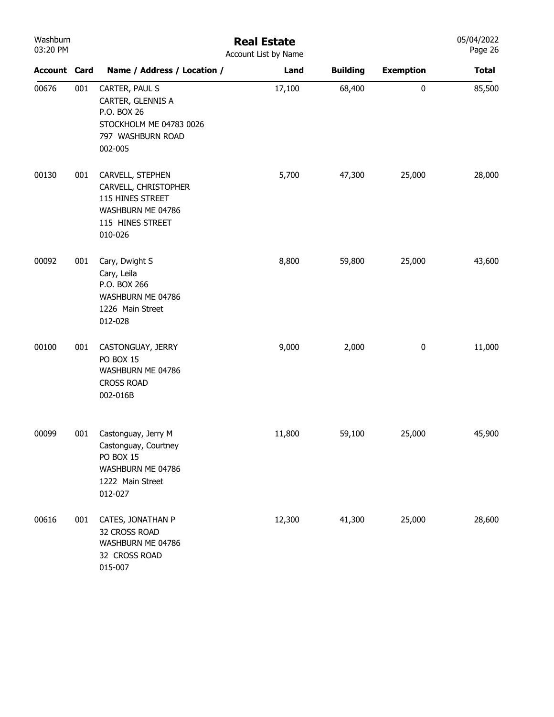| Washburn<br>03:20 PM |     | <b>Real Estate</b><br>Account List by Name                                                                       |        |                 |                  |              |  |  |  |
|----------------------|-----|------------------------------------------------------------------------------------------------------------------|--------|-----------------|------------------|--------------|--|--|--|
| <b>Account Card</b>  |     | Name / Address / Location /                                                                                      | Land   | <b>Building</b> | <b>Exemption</b> | <b>Total</b> |  |  |  |
| 00676                | 001 | CARTER, PAUL S<br>CARTER, GLENNIS A<br>P.O. BOX 26<br>STOCKHOLM ME 04783 0026<br>797 WASHBURN ROAD<br>002-005    | 17,100 | 68,400          | $\pmb{0}$        | 85,500       |  |  |  |
| 00130                | 001 | CARVELL, STEPHEN<br>CARVELL, CHRISTOPHER<br>115 HINES STREET<br>WASHBURN ME 04786<br>115 HINES STREET<br>010-026 | 5,700  | 47,300          | 25,000           | 28,000       |  |  |  |
| 00092                | 001 | Cary, Dwight S<br>Cary, Leila<br>P.O. BOX 266<br>WASHBURN ME 04786<br>1226 Main Street<br>012-028                | 8,800  | 59,800          | 25,000           | 43,600       |  |  |  |
| 00100                | 001 | CASTONGUAY, JERRY<br>PO BOX 15<br>WASHBURN ME 04786<br><b>CROSS ROAD</b><br>002-016B                             | 9,000  | 2,000           | $\pmb{0}$        | 11,000       |  |  |  |
| 00099                | 001 | Castonguay, Jerry M<br>Castonguay, Courtney<br>PO BOX 15<br>WASHBURN ME 04786<br>1222 Main Street<br>012-027     | 11,800 | 59,100          | 25,000           | 45,900       |  |  |  |
| 00616                | 001 | CATES, JONATHAN P<br>32 CROSS ROAD<br>WASHBURN ME 04786<br>32 CROSS ROAD<br>015-007                              | 12,300 | 41,300          | 25,000           | 28,600       |  |  |  |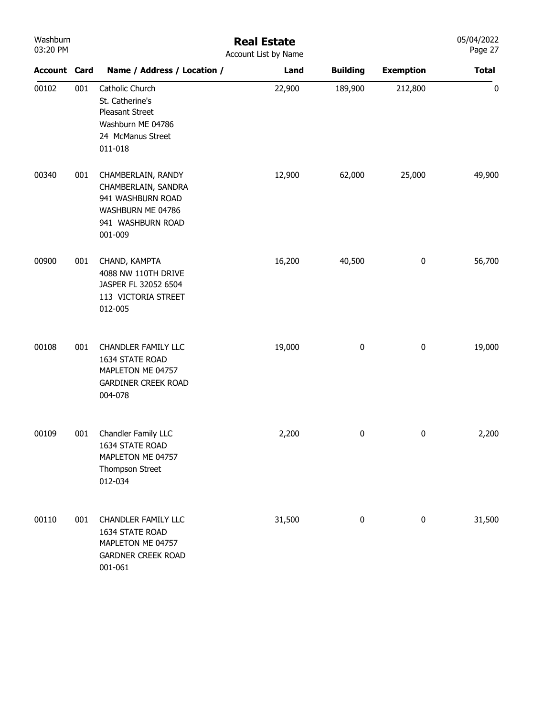| Washburn<br>03:20 PM |     |                                                                                                                     | <b>Real Estate</b><br>Account List by Name |                 |                  | 05/04/2022<br>Page 27 |
|----------------------|-----|---------------------------------------------------------------------------------------------------------------------|--------------------------------------------|-----------------|------------------|-----------------------|
| <b>Account Card</b>  |     | Name / Address / Location /                                                                                         | Land                                       | <b>Building</b> | <b>Exemption</b> | <b>Total</b>          |
| 00102                | 001 | Catholic Church<br>St. Catherine's<br>Pleasant Street<br>Washburn ME 04786<br>24 McManus Street<br>011-018          | 22,900                                     | 189,900         | 212,800          | 0                     |
| 00340                | 001 | CHAMBERLAIN, RANDY<br>CHAMBERLAIN, SANDRA<br>941 WASHBURN ROAD<br>WASHBURN ME 04786<br>941 WASHBURN ROAD<br>001-009 | 12,900                                     | 62,000          | 25,000           | 49,900                |
| 00900                | 001 | CHAND, KAMPTA<br>4088 NW 110TH DRIVE<br>JASPER FL 32052 6504<br>113 VICTORIA STREET<br>012-005                      | 16,200                                     | 40,500          | $\bf{0}$         | 56,700                |
| 00108                | 001 | <b>CHANDLER FAMILY LLC</b><br>1634 STATE ROAD<br>MAPLETON ME 04757<br><b>GARDINER CREEK ROAD</b><br>004-078         | 19,000                                     | 0               | $\pmb{0}$        | 19,000                |
| 00109                | 001 | Chandler Family LLC<br>1634 STATE ROAD<br>MAPLETON ME 04757<br>Thompson Street<br>012-034                           | 2,200                                      | 0               | $\pmb{0}$        | 2,200                 |
| 00110                | 001 | <b>CHANDLER FAMILY LLC</b><br>1634 STATE ROAD<br>MAPLETON ME 04757<br><b>GARDNER CREEK ROAD</b><br>001-061          | 31,500                                     | $\pmb{0}$       | $\pmb{0}$        | 31,500                |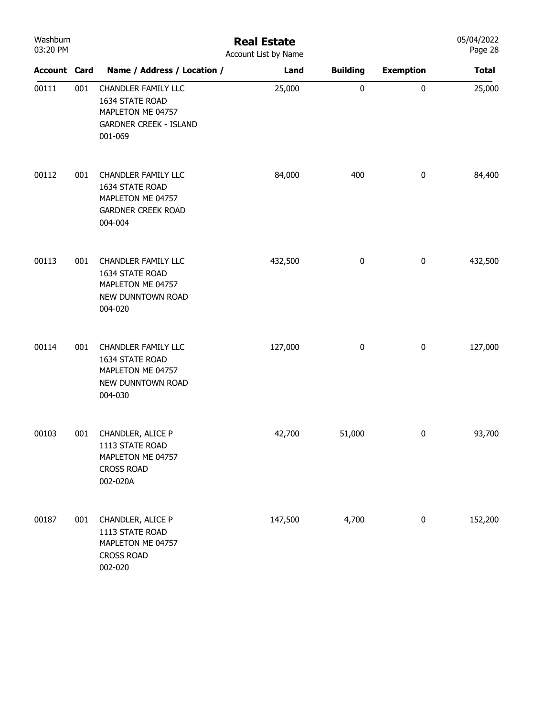| Washburn<br>03:20 PM |     | <b>Real Estate</b><br>Account List by Name                                                                     |         |                 |                  |              |  |  |  |
|----------------------|-----|----------------------------------------------------------------------------------------------------------------|---------|-----------------|------------------|--------------|--|--|--|
| <b>Account Card</b>  |     | Name / Address / Location /                                                                                    | Land    | <b>Building</b> | <b>Exemption</b> | <b>Total</b> |  |  |  |
| 00111                | 001 | <b>CHANDLER FAMILY LLC</b><br>1634 STATE ROAD<br>MAPLETON ME 04757<br><b>GARDNER CREEK - ISLAND</b><br>001-069 | 25,000  | $\pmb{0}$       | $\pmb{0}$        | 25,000       |  |  |  |
| 00112                | 001 | <b>CHANDLER FAMILY LLC</b><br>1634 STATE ROAD<br>MAPLETON ME 04757<br><b>GARDNER CREEK ROAD</b><br>004-004     | 84,000  | 400             | $\pmb{0}$        | 84,400       |  |  |  |
| 00113                | 001 | <b>CHANDLER FAMILY LLC</b><br>1634 STATE ROAD<br>MAPLETON ME 04757<br>NEW DUNNTOWN ROAD<br>004-020             | 432,500 | $\bf{0}$        | $\pmb{0}$        | 432,500      |  |  |  |
| 00114                | 001 | <b>CHANDLER FAMILY LLC</b><br>1634 STATE ROAD<br>MAPLETON ME 04757<br>NEW DUNNTOWN ROAD<br>004-030             | 127,000 | $\bf{0}$        | $\pmb{0}$        | 127,000      |  |  |  |
| 00103                | 001 | CHANDLER, ALICE P<br>1113 STATE ROAD<br>MAPLETON ME 04757<br><b>CROSS ROAD</b><br>002-020A                     | 42,700  | 51,000          | 0                | 93,700       |  |  |  |
| 00187                | 001 | CHANDLER, ALICE P<br>1113 STATE ROAD<br>MAPLETON ME 04757<br><b>CROSS ROAD</b><br>002-020                      | 147,500 | 4,700           | $\pmb{0}$        | 152,200      |  |  |  |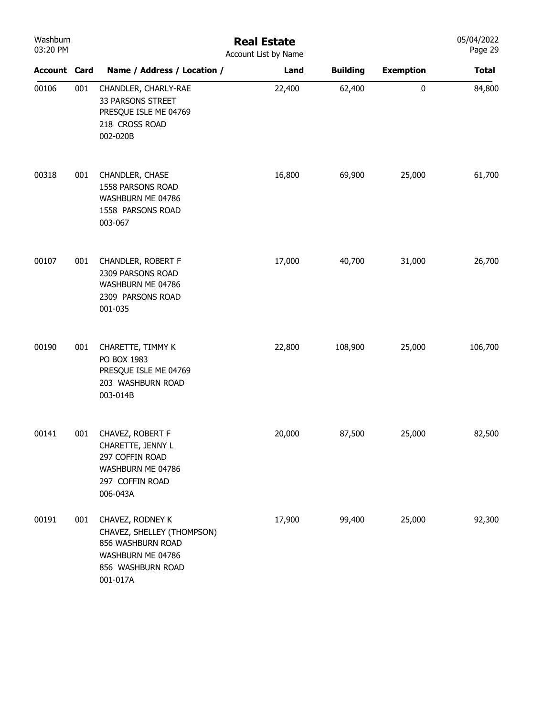| Washburn<br>03:20 PM |     | <b>Real Estate</b><br>Account List by Name                                                                                |        |                 |                  |              |  |  |
|----------------------|-----|---------------------------------------------------------------------------------------------------------------------------|--------|-----------------|------------------|--------------|--|--|
| <b>Account Card</b>  |     | Name / Address / Location /                                                                                               | Land   | <b>Building</b> | <b>Exemption</b> | <b>Total</b> |  |  |
| 00106                | 001 | CHANDLER, CHARLY-RAE<br>33 PARSONS STREET<br>PRESQUE ISLE ME 04769<br>218 CROSS ROAD<br>002-020B                          | 22,400 | 62,400          | $\pmb{0}$        | 84,800       |  |  |
| 00318                | 001 | CHANDLER, CHASE<br>1558 PARSONS ROAD<br>WASHBURN ME 04786<br>1558 PARSONS ROAD<br>003-067                                 | 16,800 | 69,900          | 25,000           | 61,700       |  |  |
| 00107                | 001 | CHANDLER, ROBERT F<br>2309 PARSONS ROAD<br>WASHBURN ME 04786<br>2309 PARSONS ROAD<br>001-035                              | 17,000 | 40,700          | 31,000           | 26,700       |  |  |
| 00190                | 001 | CHARETTE, TIMMY K<br>PO BOX 1983<br>PRESQUE ISLE ME 04769<br>203 WASHBURN ROAD<br>003-014B                                | 22,800 | 108,900         | 25,000           | 106,700      |  |  |
| 00141                | 001 | CHAVEZ, ROBERT F<br>CHARETTE, JENNY L<br>297 COFFIN ROAD<br>WASHBURN ME 04786<br>297 COFFIN ROAD<br>006-043A              | 20,000 | 87,500          | 25,000           | 82,500       |  |  |
| 00191                | 001 | CHAVEZ, RODNEY K<br>CHAVEZ, SHELLEY (THOMPSON)<br>856 WASHBURN ROAD<br>WASHBURN ME 04786<br>856 WASHBURN ROAD<br>001-017A | 17,900 | 99,400          | 25,000           | 92,300       |  |  |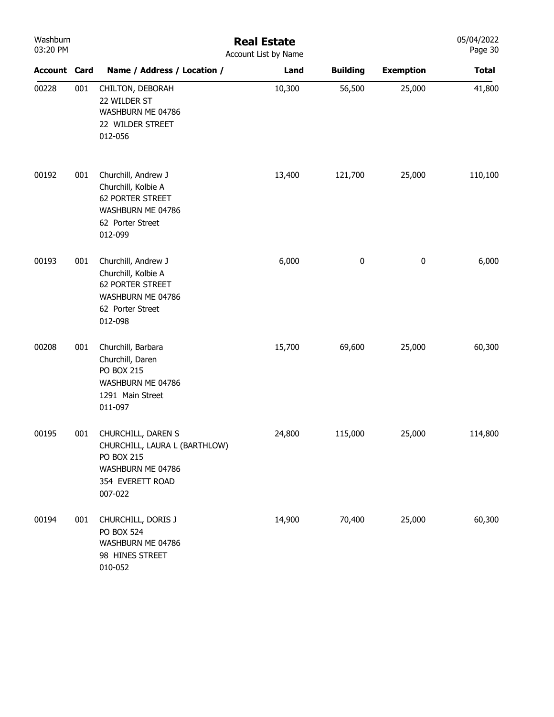| Washburn<br>03:20 PM |     | <b>Real Estate</b><br>Account List by Name                                                                                   |        |                 |                  |              |  |  |
|----------------------|-----|------------------------------------------------------------------------------------------------------------------------------|--------|-----------------|------------------|--------------|--|--|
| <b>Account Card</b>  |     | Name / Address / Location /                                                                                                  | Land   | <b>Building</b> | <b>Exemption</b> | <b>Total</b> |  |  |
| 00228                | 001 | CHILTON, DEBORAH<br>22 WILDER ST<br>WASHBURN ME 04786<br>22 WILDER STREET<br>012-056                                         | 10,300 | 56,500          | 25,000           | 41,800       |  |  |
| 00192                | 001 | Churchill, Andrew J<br>Churchill, Kolbie A<br>62 PORTER STREET<br>WASHBURN ME 04786<br>62 Porter Street<br>012-099           | 13,400 | 121,700         | 25,000           | 110,100      |  |  |
| 00193                | 001 | Churchill, Andrew J<br>Churchill, Kolbie A<br>62 PORTER STREET<br>WASHBURN ME 04786<br>62 Porter Street<br>012-098           | 6,000  | $\bf{0}$        | 0                | 6,000        |  |  |
| 00208                | 001 | Churchill, Barbara<br>Churchill, Daren<br><b>PO BOX 215</b><br>WASHBURN ME 04786<br>1291 Main Street<br>011-097              | 15,700 | 69,600          | 25,000           | 60,300       |  |  |
| 00195                | 001 | CHURCHILL, DAREN S<br>CHURCHILL, LAURA L (BARTHLOW)<br><b>PO BOX 215</b><br>WASHBURN ME 04786<br>354 EVERETT ROAD<br>007-022 | 24,800 | 115,000         | 25,000           | 114,800      |  |  |
| 00194                | 001 | CHURCHILL, DORIS J<br><b>PO BOX 524</b><br>WASHBURN ME 04786<br>98 HINES STREET<br>010-052                                   | 14,900 | 70,400          | 25,000           | 60,300       |  |  |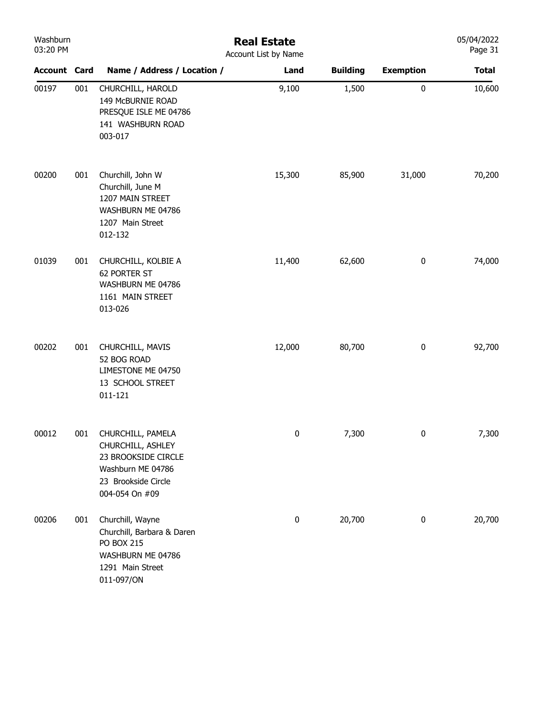| Washburn<br>03:20 PM |     | <b>Real Estate</b><br>Account List by Name                                                                                  |        |                 |                  |              |  |
|----------------------|-----|-----------------------------------------------------------------------------------------------------------------------------|--------|-----------------|------------------|--------------|--|
| <b>Account Card</b>  |     | Name / Address / Location /                                                                                                 | Land   | <b>Building</b> | <b>Exemption</b> | <b>Total</b> |  |
| 00197                | 001 | CHURCHILL, HAROLD<br>149 McBURNIE ROAD<br>PRESQUE ISLE ME 04786<br>141 WASHBURN ROAD<br>003-017                             | 9,100  | 1,500           | $\pmb{0}$        | 10,600       |  |
| 00200                | 001 | Churchill, John W<br>Churchill, June M<br>1207 MAIN STREET<br>WASHBURN ME 04786<br>1207 Main Street<br>012-132              | 15,300 | 85,900          | 31,000           | 70,200       |  |
| 01039                | 001 | CHURCHILL, KOLBIE A<br>62 PORTER ST<br>WASHBURN ME 04786<br>1161 MAIN STREET<br>013-026                                     | 11,400 | 62,600          | $\boldsymbol{0}$ | 74,000       |  |
| 00202                | 001 | CHURCHILL, MAVIS<br>52 BOG ROAD<br>LIMESTONE ME 04750<br>13 SCHOOL STREET<br>011-121                                        | 12,000 | 80,700          | $\pmb{0}$        | 92,700       |  |
| 00012                | 001 | CHURCHILL, PAMELA<br>CHURCHILL, ASHLEY<br>23 BROOKSIDE CIRCLE<br>Washburn ME 04786<br>23 Brookside Circle<br>004-054 On #09 | 0      | 7,300           | 0                | 7,300        |  |
| 00206                | 001 | Churchill, Wayne<br>Churchill, Barbara & Daren<br><b>PO BOX 215</b><br>WASHBURN ME 04786<br>1291 Main Street<br>011-097/ON  | 0      | 20,700          | $\bf{0}$         | 20,700       |  |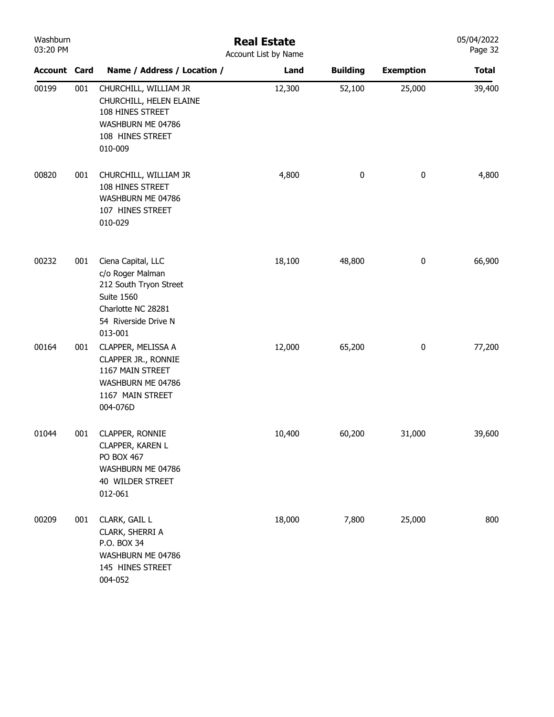| Washburn<br>03:20 PM |     | <b>Real Estate</b><br>Account List by Name                                                                                                     |        |                 |                  |              |
|----------------------|-----|------------------------------------------------------------------------------------------------------------------------------------------------|--------|-----------------|------------------|--------------|
| <b>Account Card</b>  |     | Name / Address / Location /                                                                                                                    | Land   | <b>Building</b> | <b>Exemption</b> | <b>Total</b> |
| 00199                | 001 | CHURCHILL, WILLIAM JR<br>CHURCHILL, HELEN ELAINE<br>108 HINES STREET<br>WASHBURN ME 04786<br>108 HINES STREET<br>010-009                       | 12,300 | 52,100          | 25,000           | 39,400       |
| 00820                | 001 | CHURCHILL, WILLIAM JR<br>108 HINES STREET<br>WASHBURN ME 04786<br>107 HINES STREET<br>010-029                                                  | 4,800  | $\pmb{0}$       | $\pmb{0}$        | 4,800        |
| 00232                | 001 | Ciena Capital, LLC<br>c/o Roger Malman<br>212 South Tryon Street<br><b>Suite 1560</b><br>Charlotte NC 28281<br>54 Riverside Drive N<br>013-001 | 18,100 | 48,800          | $\bf{0}$         | 66,900       |
| 00164                | 001 | CLAPPER, MELISSA A<br>CLAPPER JR., RONNIE<br>1167 MAIN STREET<br>WASHBURN ME 04786<br>1167 MAIN STREET<br>004-076D                             | 12,000 | 65,200          | $\bf{0}$         | 77,200       |
| 01044                | 001 | CLAPPER, RONNIE<br>CLAPPER, KAREN L<br>PO BOX 467<br>WASHBURN ME 04786<br>40 WILDER STREET<br>012-061                                          | 10,400 | 60,200          | 31,000           | 39,600       |
| 00209                | 001 | CLARK, GAIL L<br>CLARK, SHERRI A<br>P.O. BOX 34<br>WASHBURN ME 04786<br>145 HINES STREET<br>004-052                                            | 18,000 | 7,800           | 25,000           | 800          |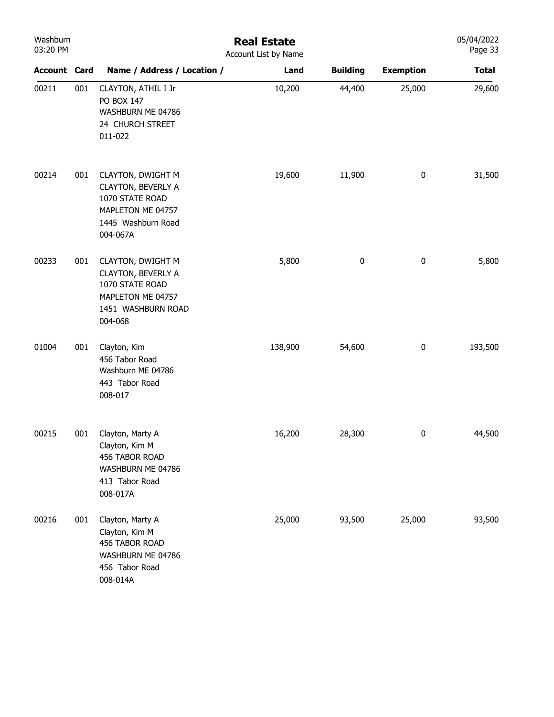| Washburn<br>03:20 PM |     | <b>Real Estate</b><br>Account List by Name                                                                        |         |                 |                  |              |  |  |
|----------------------|-----|-------------------------------------------------------------------------------------------------------------------|---------|-----------------|------------------|--------------|--|--|
| <b>Account Card</b>  |     | Name / Address / Location /                                                                                       | Land    | <b>Building</b> | <b>Exemption</b> | <b>Total</b> |  |  |
| 00211                | 001 | CLAYTON, ATHIL I Jr<br>PO BOX 147<br>WASHBURN ME 04786<br>24 CHURCH STREET<br>011-022                             | 10,200  | 44,400          | 25,000           | 29,600       |  |  |
| 00214                | 001 | CLAYTON, DWIGHT M<br>CLAYTON, BEVERLY A<br>1070 STATE ROAD<br>MAPLETON ME 04757<br>1445 Washburn Road<br>004-067A | 19,600  | 11,900          | $\boldsymbol{0}$ | 31,500       |  |  |
| 00233                | 001 | CLAYTON, DWIGHT M<br>CLAYTON, BEVERLY A<br>1070 STATE ROAD<br>MAPLETON ME 04757<br>1451 WASHBURN ROAD<br>004-068  | 5,800   | $\pmb{0}$       | $\bf{0}$         | 5,800        |  |  |
| 01004                | 001 | Clayton, Kim<br>456 Tabor Road<br>Washburn ME 04786<br>443 Tabor Road<br>008-017                                  | 138,900 | 54,600          | $\bf{0}$         | 193,500      |  |  |
| 00215                | 001 | Clayton, Marty A<br>Clayton, Kim M<br>456 TABOR ROAD<br>WASHBURN ME 04786<br>413 Tabor Road<br>008-017A           | 16,200  | 28,300          | $\bf{0}$         | 44,500       |  |  |
| 00216                | 001 | Clayton, Marty A<br>Clayton, Kim M<br>456 TABOR ROAD<br>WASHBURN ME 04786<br>456 Tabor Road<br>008-014A           | 25,000  | 93,500          | 25,000           | 93,500       |  |  |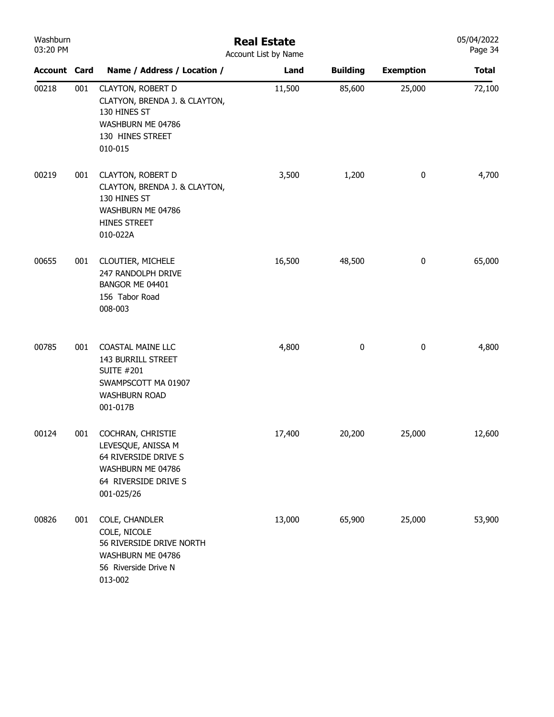| Washburn<br>03:20 PM |     |                                                                                                                                | <b>Real Estate</b><br>Account List by Name |                 |                  | 05/04/2022<br>Page 34 |
|----------------------|-----|--------------------------------------------------------------------------------------------------------------------------------|--------------------------------------------|-----------------|------------------|-----------------------|
| <b>Account Card</b>  |     | Name / Address / Location /                                                                                                    | Land                                       | <b>Building</b> | <b>Exemption</b> | <b>Total</b>          |
| 00218                | 001 | CLAYTON, ROBERT D<br>CLATYON, BRENDA J. & CLAYTON,<br>130 HINES ST<br>WASHBURN ME 04786<br>130 HINES STREET<br>010-015         | 11,500                                     | 85,600          | 25,000           | 72,100                |
| 00219                | 001 | <b>CLAYTON, ROBERT D</b><br>CLAYTON, BRENDA J. & CLAYTON,<br>130 HINES ST<br>WASHBURN ME 04786<br>HINES STREET<br>010-022A     | 3,500                                      | 1,200           | $\pmb{0}$        | 4,700                 |
| 00655                | 001 | CLOUTIER, MICHELE<br>247 RANDOLPH DRIVE<br>BANGOR ME 04401<br>156 Tabor Road<br>008-003                                        | 16,500                                     | 48,500          | $\boldsymbol{0}$ | 65,000                |
| 00785                | 001 | <b>COASTAL MAINE LLC</b><br>143 BURRILL STREET<br><b>SUITE #201</b><br>SWAMPSCOTT MA 01907<br><b>WASHBURN ROAD</b><br>001-017B | 4,800                                      | 0               | $\boldsymbol{0}$ | 4,800                 |
| 00124                | 001 | COCHRAN, CHRISTIE<br>LEVESQUE, ANISSA M<br>64 RIVERSIDE DRIVE S<br>WASHBURN ME 04786<br>64 RIVERSIDE DRIVE S<br>001-025/26     | 17,400                                     | 20,200          | 25,000           | 12,600                |
| 00826                | 001 | COLE, CHANDLER<br>COLE, NICOLE<br>56 RIVERSIDE DRIVE NORTH<br>WASHBURN ME 04786<br>56 Riverside Drive N<br>013-002             | 13,000                                     | 65,900          | 25,000           | 53,900                |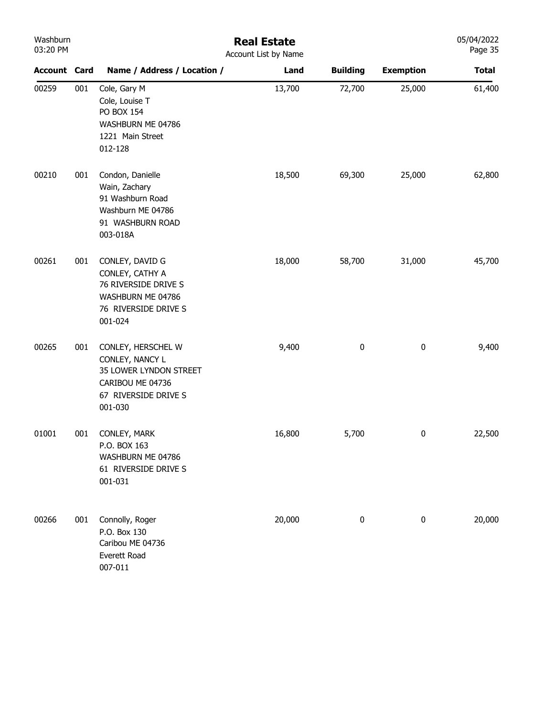| Washburn<br>03:20 PM |     | <b>Real Estate</b><br>Account List by Name                                                                             |        |                 |                  |              |
|----------------------|-----|------------------------------------------------------------------------------------------------------------------------|--------|-----------------|------------------|--------------|
| <b>Account Card</b>  |     | Name / Address / Location /                                                                                            | Land   | <b>Building</b> | <b>Exemption</b> | <b>Total</b> |
| 00259                | 001 | Cole, Gary M<br>Cole, Louise T<br><b>PO BOX 154</b><br>WASHBURN ME 04786<br>1221 Main Street<br>012-128                | 13,700 | 72,700          | 25,000           | 61,400       |
| 00210                | 001 | Condon, Danielle<br>Wain, Zachary<br>91 Washburn Road<br>Washburn ME 04786<br>91 WASHBURN ROAD<br>003-018A             | 18,500 | 69,300          | 25,000           | 62,800       |
| 00261                | 001 | CONLEY, DAVID G<br>CONLEY, CATHY A<br>76 RIVERSIDE DRIVE S<br>WASHBURN ME 04786<br>76 RIVERSIDE DRIVE S<br>001-024     | 18,000 | 58,700          | 31,000           | 45,700       |
| 00265                | 001 | CONLEY, HERSCHEL W<br>CONLEY, NANCY L<br>35 LOWER LYNDON STREET<br>CARIBOU ME 04736<br>67 RIVERSIDE DRIVE S<br>001-030 | 9,400  | 0               | 0                | 9,400        |
| 01001                | 001 | CONLEY, MARK<br>P.O. BOX 163<br>WASHBURN ME 04786<br>61 RIVERSIDE DRIVE S<br>001-031                                   | 16,800 | 5,700           | 0                | 22,500       |
| 00266                | 001 | Connolly, Roger<br>P.O. Box 130<br>Caribou ME 04736<br>Everett Road<br>007-011                                         | 20,000 | 0               | $\pmb{0}$        | 20,000       |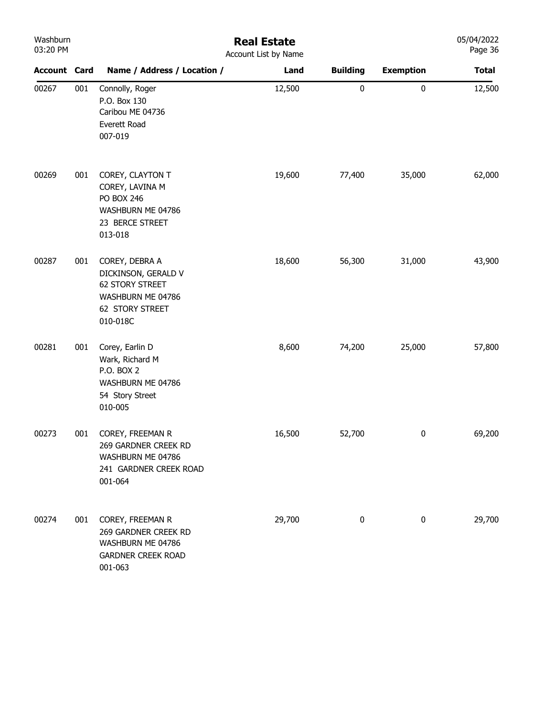| Washburn |  |  |  |  |  |  |  |
|----------|--|--|--|--|--|--|--|
| 03:20 PM |  |  |  |  |  |  |  |

## Real Estate Account List by Name

|                     |     | ACCOUNT LIST DY NAME                                                                                         |        |                 |                  |              |
|---------------------|-----|--------------------------------------------------------------------------------------------------------------|--------|-----------------|------------------|--------------|
| <b>Account Card</b> |     | Name / Address / Location /                                                                                  | Land   | <b>Building</b> | <b>Exemption</b> | <b>Total</b> |
| 00267               | 001 | Connolly, Roger<br>P.O. Box 130<br>Caribou ME 04736<br>Everett Road<br>007-019                               | 12,500 | $\pmb{0}$       | $\pmb{0}$        | 12,500       |
| 00269               | 001 | COREY, CLAYTON T<br>COREY, LAVINA M<br><b>PO BOX 246</b><br>WASHBURN ME 04786<br>23 BERCE STREET<br>013-018  | 19,600 | 77,400          | 35,000           | 62,000       |
| 00287               | 001 | COREY, DEBRA A<br>DICKINSON, GERALD V<br>62 STORY STREET<br>WASHBURN ME 04786<br>62 STORY STREET<br>010-018C | 18,600 | 56,300          | 31,000           | 43,900       |
| 00281               | 001 | Corey, Earlin D<br>Wark, Richard M<br>P.O. BOX 2<br>WASHBURN ME 04786<br>54 Story Street<br>010-005          | 8,600  | 74,200          | 25,000           | 57,800       |
| 00273               | 001 | COREY, FREEMAN R<br>269 GARDNER CREEK RD<br>WASHBURN ME 04786<br>241 GARDNER CREEK ROAD<br>001-064           | 16,500 | 52,700          | $\pmb{0}$        | 69,200       |
| 00274               | 001 | COREY, FREEMAN R<br>269 GARDNER CREEK RD<br>WASHBURN ME 04786<br><b>GARDNER CREEK ROAD</b><br>001-063        | 29,700 | $\pmb{0}$       | $\pmb{0}$        | 29,700       |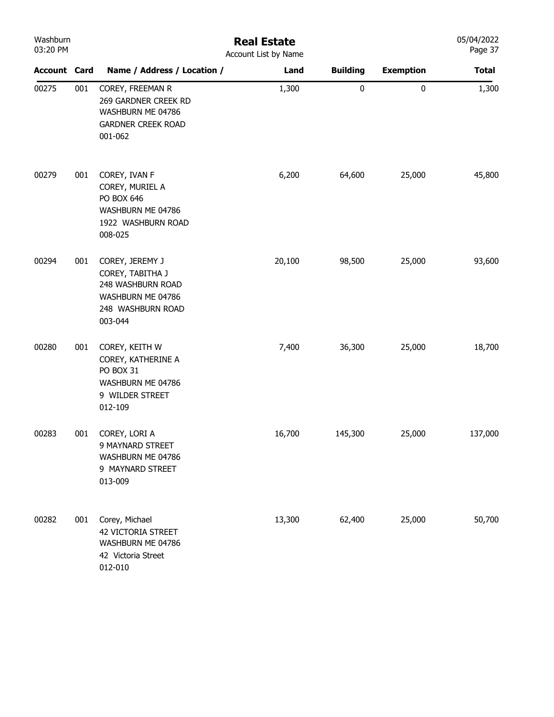| Washburn<br>03:20 PM |     | <b>Real Estate</b><br>Account List by Name                                                                    |        |                 |                  |              |  |  |
|----------------------|-----|---------------------------------------------------------------------------------------------------------------|--------|-----------------|------------------|--------------|--|--|
| <b>Account Card</b>  |     | Name / Address / Location /                                                                                   | Land   | <b>Building</b> | <b>Exemption</b> | <b>Total</b> |  |  |
| 00275                | 001 | COREY, FREEMAN R<br>269 GARDNER CREEK RD<br>WASHBURN ME 04786<br><b>GARDNER CREEK ROAD</b><br>001-062         | 1,300  | $\pmb{0}$       | $\pmb{0}$        | 1,300        |  |  |
| 00279                | 001 | COREY, IVAN F<br>COREY, MURIEL A<br>PO BOX 646<br>WASHBURN ME 04786<br>1922 WASHBURN ROAD<br>008-025          | 6,200  | 64,600          | 25,000           | 45,800       |  |  |
| 00294                | 001 | COREY, JEREMY J<br>COREY, TABITHA J<br>248 WASHBURN ROAD<br>WASHBURN ME 04786<br>248 WASHBURN ROAD<br>003-044 | 20,100 | 98,500          | 25,000           | 93,600       |  |  |
| 00280                | 001 | COREY, KEITH W<br>COREY, KATHERINE A<br>PO BOX 31<br>WASHBURN ME 04786<br>9 WILDER STREET<br>012-109          | 7,400  | 36,300          | 25,000           | 18,700       |  |  |
| 00283                | 001 | COREY, LORI A<br>9 MAYNARD STREET<br>WASHBURN ME 04786<br>9 MAYNARD STREET<br>013-009                         | 16,700 | 145,300         | 25,000           | 137,000      |  |  |
| 00282                | 001 | Corey, Michael<br><b>42 VICTORIA STREET</b><br>WASHBURN ME 04786<br>42 Victoria Street<br>012-010             | 13,300 | 62,400          | 25,000           | 50,700       |  |  |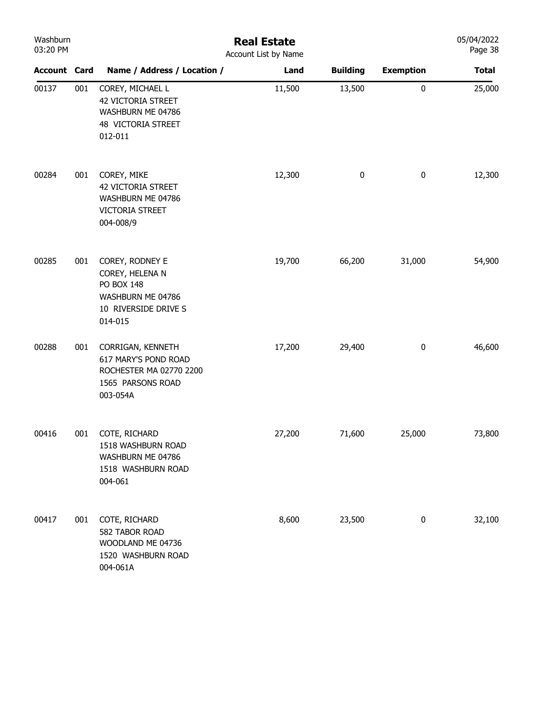| Washburn<br>03:20 PM |     | <b>Real Estate</b><br>Account List by Name                                                               |        |                 |                  |              |  |  |
|----------------------|-----|----------------------------------------------------------------------------------------------------------|--------|-----------------|------------------|--------------|--|--|
| <b>Account Card</b>  |     | Name / Address / Location /                                                                              | Land   | <b>Building</b> | <b>Exemption</b> | <b>Total</b> |  |  |
| 00137                | 001 | COREY, MICHAEL L<br><b>42 VICTORIA STREET</b><br>WASHBURN ME 04786<br>48 VICTORIA STREET<br>012-011      | 11,500 | 13,500          | $\pmb{0}$        | 25,000       |  |  |
| 00284                | 001 | COREY, MIKE<br><b>42 VICTORIA STREET</b><br>WASHBURN ME 04786<br>VICTORIA STREET<br>004-008/9            | 12,300 | 0               | $\bf{0}$         | 12,300       |  |  |
| 00285                | 001 | COREY, RODNEY E<br>COREY, HELENA N<br>PO BOX 148<br>WASHBURN ME 04786<br>10 RIVERSIDE DRIVE S<br>014-015 | 19,700 | 66,200          | 31,000           | 54,900       |  |  |
| 00288                | 001 | CORRIGAN, KENNETH<br>617 MARY'S POND ROAD<br>ROCHESTER MA 02770 2200<br>1565 PARSONS ROAD<br>003-054A    | 17,200 | 29,400          | $\pmb{0}$        | 46,600       |  |  |
| 00416                | 001 | COTE, RICHARD<br>1518 WASHBURN ROAD<br>WASHBURN ME 04786<br>1518 WASHBURN ROAD<br>004-061                | 27,200 | 71,600          | 25,000           | 73,800       |  |  |
| 00417                | 001 | COTE, RICHARD<br>582 TABOR ROAD<br>WOODLAND ME 04736<br>1520 WASHBURN ROAD<br>004-061A                   | 8,600  | 23,500          | $\bf{0}$         | 32,100       |  |  |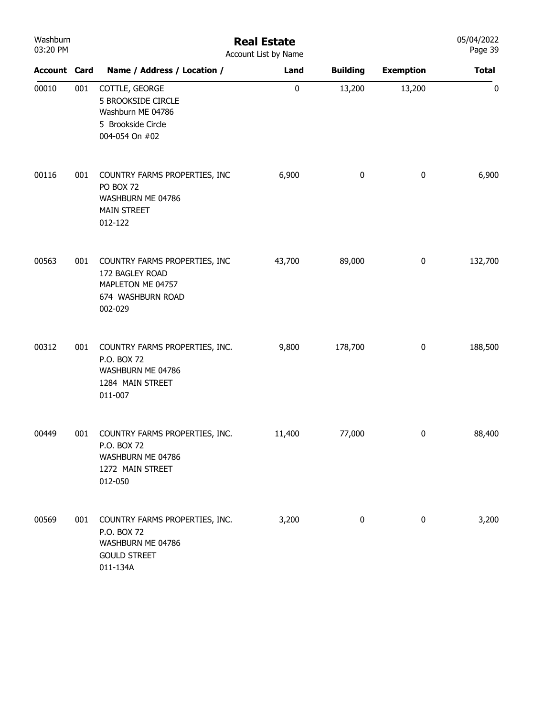| Washburn<br>03:20 PM |     | <b>Real Estate</b><br>Account List by Name                                                               | 05/04/2022<br>Page 39 |                 |                  |              |
|----------------------|-----|----------------------------------------------------------------------------------------------------------|-----------------------|-----------------|------------------|--------------|
| <b>Account Card</b>  |     | Name / Address / Location /                                                                              | Land                  | <b>Building</b> | <b>Exemption</b> | <b>Total</b> |
| 00010                | 001 | COTTLE, GEORGE<br><b>5 BROOKSIDE CIRCLE</b><br>Washburn ME 04786<br>5 Brookside Circle<br>004-054 On #02 | $\pmb{0}$             | 13,200          | 13,200           | 0            |
| 00116                | 001 | COUNTRY FARMS PROPERTIES, INC<br>PO BOX 72<br>WASHBURN ME 04786<br><b>MAIN STREET</b><br>012-122         | 6,900                 | 0               | $\boldsymbol{0}$ | 6,900        |
| 00563                | 001 | COUNTRY FARMS PROPERTIES, INC<br>172 BAGLEY ROAD<br>MAPLETON ME 04757<br>674 WASHBURN ROAD<br>002-029    | 43,700                | 89,000          | $\pmb{0}$        | 132,700      |
| 00312                | 001 | COUNTRY FARMS PROPERTIES, INC.<br>P.O. BOX 72<br>WASHBURN ME 04786<br>1284 MAIN STREET<br>011-007        | 9,800                 | 178,700         | 0                | 188,500      |
| 00449                | 001 | COUNTRY FARMS PROPERTIES, INC.<br>P.O. BOX 72<br>WASHBURN ME 04786<br>1272 MAIN STREET<br>012-050        | 11,400                | 77,000          | $\pmb{0}$        | 88,400       |
| 00569                | 001 | COUNTRY FARMS PROPERTIES, INC.<br>P.O. BOX 72<br>WASHBURN ME 04786<br><b>GOULD STREET</b><br>011-134A    | 3,200                 | 0               | $\bf{0}$         | 3,200        |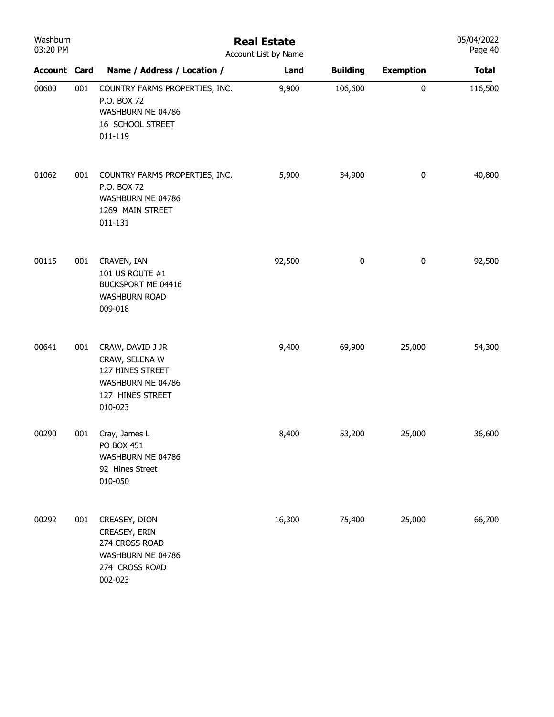| Washburn<br>03:20 PM |     | <b>Real Estate</b><br>Account List by Name                                                                 |        |                 |                  |              |  |
|----------------------|-----|------------------------------------------------------------------------------------------------------------|--------|-----------------|------------------|--------------|--|
| <b>Account Card</b>  |     | Name / Address / Location /                                                                                | Land   | <b>Building</b> | <b>Exemption</b> | <b>Total</b> |  |
| 00600                | 001 | COUNTRY FARMS PROPERTIES, INC.<br>P.O. BOX 72<br>WASHBURN ME 04786<br>16 SCHOOL STREET<br>011-119          | 9,900  | 106,600         | 0                | 116,500      |  |
| 01062                | 001 | COUNTRY FARMS PROPERTIES, INC.<br>P.O. BOX 72<br>WASHBURN ME 04786<br>1269 MAIN STREET<br>011-131          | 5,900  | 34,900          | 0                | 40,800       |  |
| 00115                | 001 | CRAVEN, IAN<br>101 US ROUTE #1<br>BUCKSPORT ME 04416<br><b>WASHBURN ROAD</b><br>009-018                    | 92,500 | 0               | 0                | 92,500       |  |
| 00641                | 001 | CRAW, DAVID J JR<br>CRAW, SELENA W<br>127 HINES STREET<br>WASHBURN ME 04786<br>127 HINES STREET<br>010-023 | 9,400  | 69,900          | 25,000           | 54,300       |  |
| 00290                | 001 | Cray, James L<br>PO BOX 451<br>WASHBURN ME 04786<br>92 Hines Street<br>010-050                             | 8,400  | 53,200          | 25,000           | 36,600       |  |
| 00292                | 001 | CREASEY, DION<br>CREASEY, ERIN<br>274 CROSS ROAD<br>WASHBURN ME 04786<br>274 CROSS ROAD<br>002-023         | 16,300 | 75,400          | 25,000           | 66,700       |  |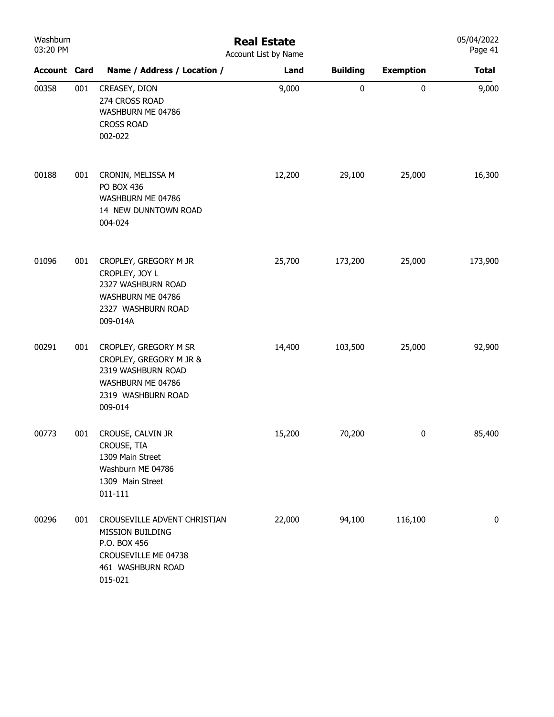| Washburn<br>03:20 PM |     | <b>Real Estate</b><br>Account List by Name                                                                                   |        |                 |                  |              |
|----------------------|-----|------------------------------------------------------------------------------------------------------------------------------|--------|-----------------|------------------|--------------|
| <b>Account Card</b>  |     | Name / Address / Location /                                                                                                  | Land   | <b>Building</b> | <b>Exemption</b> | <b>Total</b> |
| 00358                | 001 | CREASEY, DION<br>274 CROSS ROAD<br>WASHBURN ME 04786<br><b>CROSS ROAD</b><br>002-022                                         | 9,000  | 0               | $\pmb{0}$        | 9,000        |
| 00188                | 001 | CRONIN, MELISSA M<br>PO BOX 436<br>WASHBURN ME 04786<br>14 NEW DUNNTOWN ROAD<br>004-024                                      | 12,200 | 29,100          | 25,000           | 16,300       |
| 01096                | 001 | CROPLEY, GREGORY M JR<br>CROPLEY, JOY L<br>2327 WASHBURN ROAD<br>WASHBURN ME 04786<br>2327 WASHBURN ROAD<br>009-014A         | 25,700 | 173,200         | 25,000           | 173,900      |
| 00291                | 001 | CROPLEY, GREGORY M SR<br>CROPLEY, GREGORY M JR &<br>2319 WASHBURN ROAD<br>WASHBURN ME 04786<br>2319 WASHBURN ROAD<br>009-014 | 14,400 | 103,500         | 25,000           | 92,900       |
| 00773                | 001 | CROUSE, CALVIN JR<br>CROUSE, TIA<br>1309 Main Street<br>Washburn ME 04786<br>1309 Main Street<br>011-111                     | 15,200 | 70,200          | $\bf{0}$         | 85,400       |
| 00296                | 001 | CROUSEVILLE ADVENT CHRISTIAN<br>MISSION BUILDING<br>P.O. BOX 456<br>CROUSEVILLE ME 04738<br>461 WASHBURN ROAD<br>015-021     | 22,000 | 94,100          | 116,100          | 0            |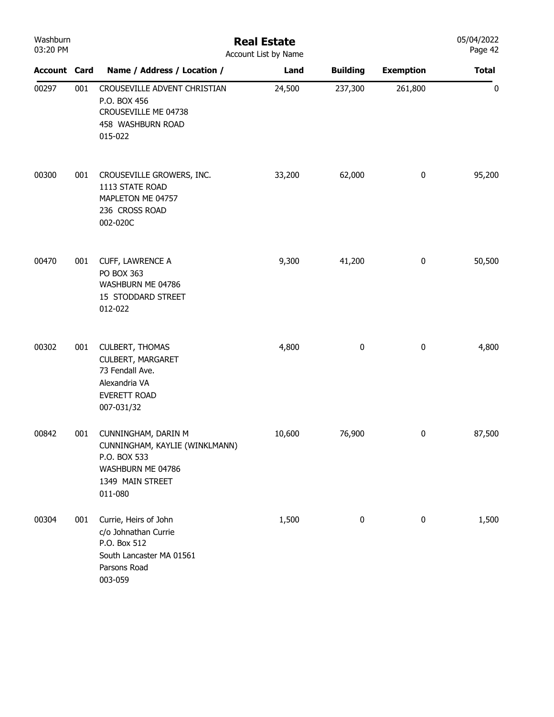| Washburn<br>03:20 PM |     | <b>Real Estate</b><br>Account List by Name                                                                                  | 05/04/2022<br>Page 42 |                 |                  |              |
|----------------------|-----|-----------------------------------------------------------------------------------------------------------------------------|-----------------------|-----------------|------------------|--------------|
| <b>Account Card</b>  |     | Name / Address / Location /                                                                                                 | Land                  | <b>Building</b> | <b>Exemption</b> | <b>Total</b> |
| 00297                | 001 | CROUSEVILLE ADVENT CHRISTIAN<br>P.O. BOX 456<br>CROUSEVILLE ME 04738<br>458 WASHBURN ROAD<br>015-022                        | 24,500                | 237,300         | 261,800          | $\pmb{0}$    |
| 00300                | 001 | CROUSEVILLE GROWERS, INC.<br>1113 STATE ROAD<br>MAPLETON ME 04757<br>236 CROSS ROAD<br>002-020C                             | 33,200                | 62,000          | $\pmb{0}$        | 95,200       |
| 00470                | 001 | CUFF, LAWRENCE A<br>PO BOX 363<br>WASHBURN ME 04786<br>15 STODDARD STREET<br>012-022                                        | 9,300                 | 41,200          | $\pmb{0}$        | 50,500       |
| 00302                | 001 | <b>CULBERT, THOMAS</b><br><b>CULBERT, MARGARET</b><br>73 Fendall Ave.<br>Alexandria VA<br><b>EVERETT ROAD</b><br>007-031/32 | 4,800                 | $\pmb{0}$       | $\pmb{0}$        | 4,800        |
| 00842                | 001 | CUNNINGHAM, DARIN M<br>CUNNINGHAM, KAYLIE (WINKLMANN)<br>P.O. BOX 533<br>WASHBURN ME 04786<br>1349 MAIN STREET<br>011-080   | 10,600                | 76,900          | 0                | 87,500       |
| 00304                | 001 | Currie, Heirs of John<br>c/o Johnathan Currie<br>P.O. Box 512<br>South Lancaster MA 01561<br>Parsons Road<br>003-059        | 1,500                 | $\pmb{0}$       | $\pmb{0}$        | 1,500        |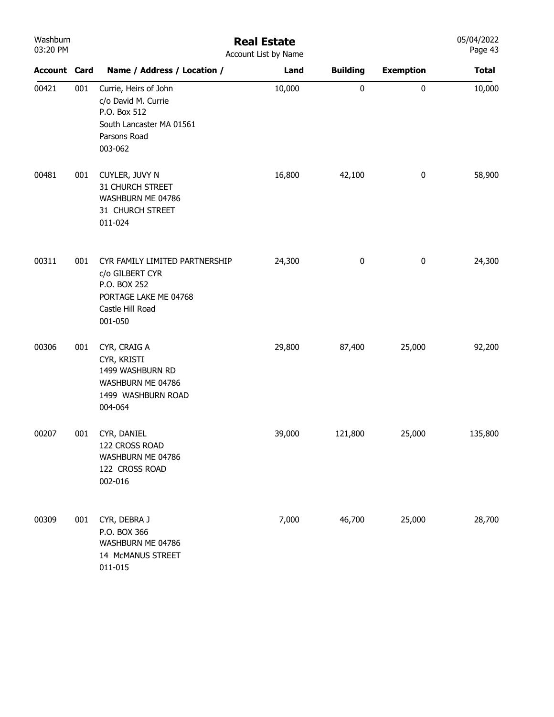| Washburn<br>03:20 PM |     | <b>Real Estate</b><br>Account List by Name                                                                                |        |                 |                  |              |  |  |  |
|----------------------|-----|---------------------------------------------------------------------------------------------------------------------------|--------|-----------------|------------------|--------------|--|--|--|
| <b>Account Card</b>  |     | Name / Address / Location /                                                                                               | Land   | <b>Building</b> | <b>Exemption</b> | <b>Total</b> |  |  |  |
| 00421                | 001 | Currie, Heirs of John<br>c/o David M. Currie<br>P.O. Box 512<br>South Lancaster MA 01561<br>Parsons Road<br>003-062       | 10,000 | 0               | $\pmb{0}$        | 10,000       |  |  |  |
| 00481                | 001 | CUYLER, JUVY N<br>31 CHURCH STREET<br>WASHBURN ME 04786<br>31 CHURCH STREET<br>011-024                                    | 16,800 | 42,100          | $\pmb{0}$        | 58,900       |  |  |  |
| 00311                | 001 | CYR FAMILY LIMITED PARTNERSHIP<br>c/o GILBERT CYR<br>P.O. BOX 252<br>PORTAGE LAKE ME 04768<br>Castle Hill Road<br>001-050 | 24,300 | $\pmb{0}$       | $\pmb{0}$        | 24,300       |  |  |  |
| 00306                | 001 | CYR, CRAIG A<br>CYR, KRISTI<br>1499 WASHBURN RD<br>WASHBURN ME 04786<br>1499 WASHBURN ROAD<br>004-064                     | 29,800 | 87,400          | 25,000           | 92,200       |  |  |  |
| 00207                | 001 | CYR, DANIEL<br>122 CROSS ROAD<br>WASHBURN ME 04786<br>122 CROSS ROAD<br>002-016                                           | 39,000 | 121,800         | 25,000           | 135,800      |  |  |  |
| 00309                | 001 | CYR, DEBRA J<br>P.O. BOX 366<br>WASHBURN ME 04786<br>14 McMANUS STREET<br>011-015                                         | 7,000  | 46,700          | 25,000           | 28,700       |  |  |  |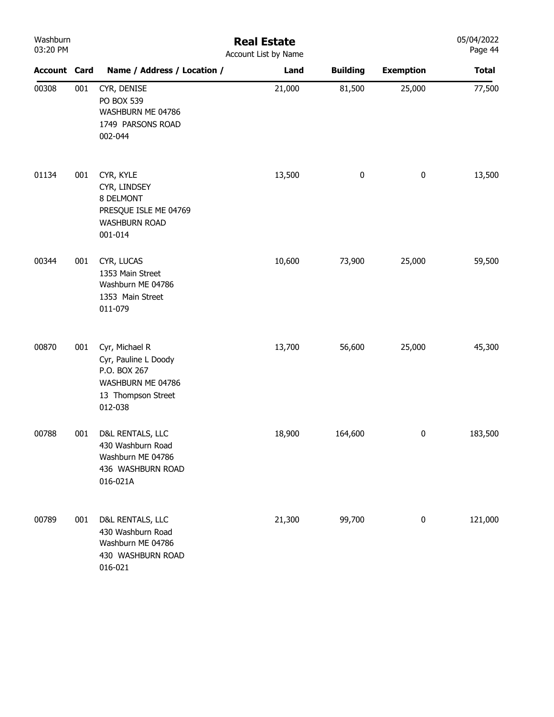| Washburn<br>03:20 PM |     |                                                                                                              | <b>Real Estate</b><br>Account List by Name |                 |                  | 05/04/2022<br>Page 44 |
|----------------------|-----|--------------------------------------------------------------------------------------------------------------|--------------------------------------------|-----------------|------------------|-----------------------|
| <b>Account Card</b>  |     | Name / Address / Location /                                                                                  | Land                                       | <b>Building</b> | <b>Exemption</b> | <b>Total</b>          |
| 00308                | 001 | CYR, DENISE<br>PO BOX 539<br>WASHBURN ME 04786<br>1749 PARSONS ROAD<br>002-044                               | 21,000                                     | 81,500          | 25,000           | 77,500                |
| 01134                | 001 | CYR, KYLE<br>CYR, LINDSEY<br>8 DELMONT<br>PRESQUE ISLE ME 04769<br><b>WASHBURN ROAD</b><br>001-014           | 13,500                                     | $\pmb{0}$       | $\bf{0}$         | 13,500                |
| 00344                | 001 | CYR, LUCAS<br>1353 Main Street<br>Washburn ME 04786<br>1353 Main Street<br>011-079                           | 10,600                                     | 73,900          | 25,000           | 59,500                |
| 00870                | 001 | Cyr, Michael R<br>Cyr, Pauline L Doody<br>P.O. BOX 267<br>WASHBURN ME 04786<br>13 Thompson Street<br>012-038 | 13,700                                     | 56,600          | 25,000           | 45,300                |
| 00788                | 001 | D&L RENTALS, LLC<br>430 Washburn Road<br>Washburn ME 04786<br>436 WASHBURN ROAD<br>016-021A                  | 18,900                                     | 164,600         | $\bf{0}$         | 183,500               |
| 00789                | 001 | D&L RENTALS, LLC<br>430 Washburn Road<br>Washburn ME 04786<br>430 WASHBURN ROAD<br>016-021                   | 21,300                                     | 99,700          | $\pmb{0}$        | 121,000               |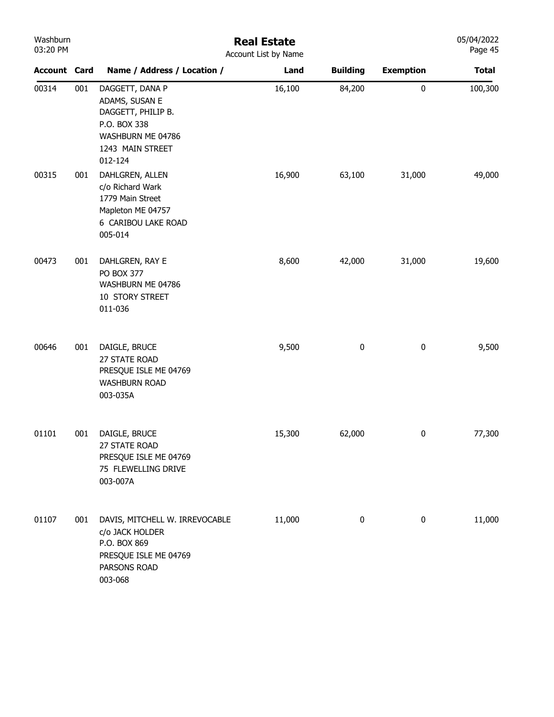| Washburn<br>03:20 PM |     | <b>Real Estate</b><br>Account List by Name                                                                                  |        |                 |                  |              |  |  |
|----------------------|-----|-----------------------------------------------------------------------------------------------------------------------------|--------|-----------------|------------------|--------------|--|--|
| <b>Account Card</b>  |     | Name / Address / Location /                                                                                                 | Land   | <b>Building</b> | <b>Exemption</b> | <b>Total</b> |  |  |
| 00314                | 001 | DAGGETT, DANA P<br>ADAMS, SUSAN E<br>DAGGETT, PHILIP B.<br>P.O. BOX 338<br>WASHBURN ME 04786<br>1243 MAIN STREET<br>012-124 | 16,100 | 84,200          | $\pmb{0}$        | 100,300      |  |  |
| 00315                | 001 | DAHLGREN, ALLEN<br>c/o Richard Wark<br>1779 Main Street<br>Mapleton ME 04757<br>6 CARIBOU LAKE ROAD<br>005-014              | 16,900 | 63,100          | 31,000           | 49,000       |  |  |
| 00473                | 001 | DAHLGREN, RAY E<br>PO BOX 377<br>WASHBURN ME 04786<br>10 STORY STREET<br>011-036                                            | 8,600  | 42,000          | 31,000           | 19,600       |  |  |
| 00646                | 001 | DAIGLE, BRUCE<br>27 STATE ROAD<br>PRESQUE ISLE ME 04769<br><b>WASHBURN ROAD</b><br>003-035A                                 | 9,500  | $\pmb{0}$       | $\pmb{0}$        | 9,500        |  |  |
| 01101                | 001 | DAIGLE, BRUCE<br>27 STATE ROAD<br>PRESQUE ISLE ME 04769<br>75 FLEWELLING DRIVE<br>003-007A                                  | 15,300 | 62,000          | 0                | 77,300       |  |  |
| 01107                | 001 | DAVIS, MITCHELL W. IRREVOCABLE<br>c/o JACK HOLDER<br>P.O. BOX 869<br>PRESQUE ISLE ME 04769<br>PARSONS ROAD<br>003-068       | 11,000 | 0               | $\pmb{0}$        | 11,000       |  |  |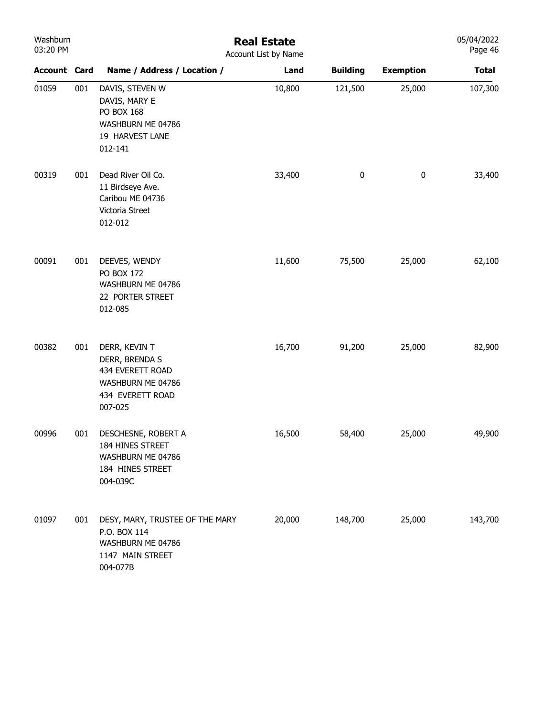| Washburn<br>03:20 PM |     | <b>Real Estate</b><br>Account List by Name                                                              |        |                  |                  |              |
|----------------------|-----|---------------------------------------------------------------------------------------------------------|--------|------------------|------------------|--------------|
| <b>Account Card</b>  |     | Name / Address / Location /                                                                             | Land   | <b>Building</b>  | <b>Exemption</b> | <b>Total</b> |
| 01059                | 001 | DAVIS, STEVEN W<br>DAVIS, MARY E<br>PO BOX 168<br>WASHBURN ME 04786<br>19 HARVEST LANE<br>012-141       | 10,800 | 121,500          | 25,000           | 107,300      |
| 00319                | 001 | Dead River Oil Co.<br>11 Birdseye Ave.<br>Caribou ME 04736<br>Victoria Street<br>012-012                | 33,400 | $\boldsymbol{0}$ | $\pmb{0}$        | 33,400       |
| 00091                | 001 | DEEVES, WENDY<br>PO BOX 172<br>WASHBURN ME 04786<br>22 PORTER STREET<br>012-085                         | 11,600 | 75,500           | 25,000           | 62,100       |
| 00382                | 001 | DERR, KEVIN T<br>DERR, BRENDA S<br>434 EVERETT ROAD<br>WASHBURN ME 04786<br>434 EVERETT ROAD<br>007-025 | 16,700 | 91,200           | 25,000           | 82,900       |
| 00996                | 001 | DESCHESNE, ROBERT A<br>184 HINES STREET<br>WASHBURN ME 04786<br>184 HINES STREET<br>004-039C            | 16,500 | 58,400           | 25,000           | 49,900       |
| 01097                | 001 | DESY, MARY, TRUSTEE OF THE MARY<br>P.O. BOX 114<br>WASHBURN ME 04786<br>1147 MAIN STREET<br>004-077B    | 20,000 | 148,700          | 25,000           | 143,700      |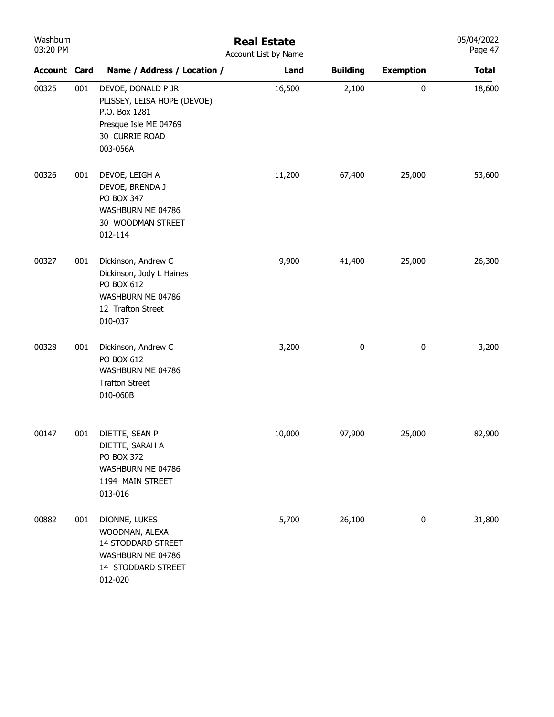| Washburn<br>03:20 PM |     | <b>Real Estate</b><br>Account List by Name                                                                                |        |                 |                  |              |  |
|----------------------|-----|---------------------------------------------------------------------------------------------------------------------------|--------|-----------------|------------------|--------------|--|
| <b>Account Card</b>  |     | Name / Address / Location /                                                                                               | Land   | <b>Building</b> | <b>Exemption</b> | <b>Total</b> |  |
| 00325                | 001 | DEVOE, DONALD P JR<br>PLISSEY, LEISA HOPE (DEVOE)<br>P.O. Box 1281<br>Presque Isle ME 04769<br>30 CURRIE ROAD<br>003-056A | 16,500 | 2,100           | $\bf{0}$         | 18,600       |  |
| 00326                | 001 | DEVOE, LEIGH A<br>DEVOE, BRENDA J<br>PO BOX 347<br>WASHBURN ME 04786<br>30 WOODMAN STREET<br>012-114                      | 11,200 | 67,400          | 25,000           | 53,600       |  |
| 00327                | 001 | Dickinson, Andrew C<br>Dickinson, Jody L Haines<br>PO BOX 612<br>WASHBURN ME 04786<br>12 Trafton Street<br>010-037        | 9,900  | 41,400          | 25,000           | 26,300       |  |
| 00328                | 001 | Dickinson, Andrew C<br>PO BOX 612<br>WASHBURN ME 04786<br><b>Trafton Street</b><br>010-060B                               | 3,200  | $\pmb{0}$       | $\bf{0}$         | 3,200        |  |
| 00147                | 001 | DIETTE, SEAN P<br>DIETTE, SARAH A<br><b>PO BOX 372</b><br>WASHBURN ME 04786<br>1194 MAIN STREET<br>013-016                | 10,000 | 97,900          | 25,000           | 82,900       |  |
| 00882                | 001 | DIONNE, LUKES<br>WOODMAN, ALEXA<br>14 STODDARD STREET<br>WASHBURN ME 04786<br>14 STODDARD STREET<br>012-020               | 5,700  | 26,100          | $\bf{0}$         | 31,800       |  |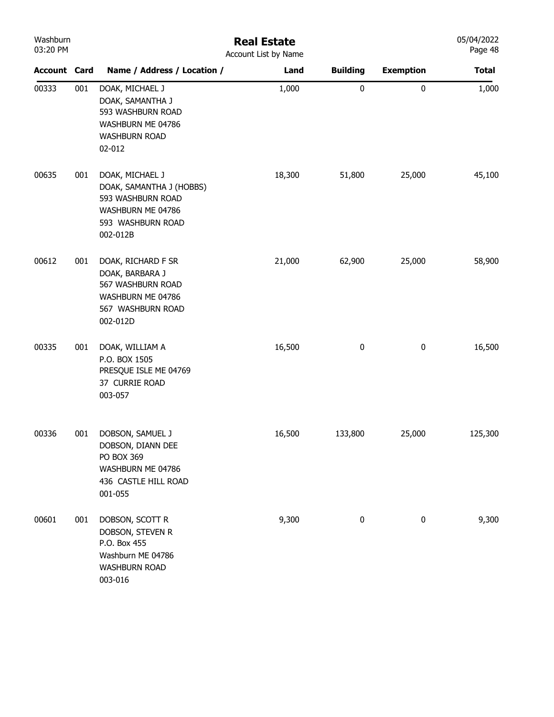| Washburn<br>03:20 PM |     |                                                                                                                        | <b>Real Estate</b><br>Account List by Name |                 |                  | 05/04/2022<br>Page 48 |
|----------------------|-----|------------------------------------------------------------------------------------------------------------------------|--------------------------------------------|-----------------|------------------|-----------------------|
| <b>Account Card</b>  |     | Name / Address / Location /                                                                                            | Land                                       | <b>Building</b> | <b>Exemption</b> | <b>Total</b>          |
| 00333                | 001 | DOAK, MICHAEL J<br>DOAK, SAMANTHA J<br>593 WASHBURN ROAD<br>WASHBURN ME 04786<br><b>WASHBURN ROAD</b><br>02-012        | 1,000                                      | $\pmb{0}$       | $\pmb{0}$        | 1,000                 |
| 00635                | 001 | DOAK, MICHAEL J<br>DOAK, SAMANTHA J (HOBBS)<br>593 WASHBURN ROAD<br>WASHBURN ME 04786<br>593 WASHBURN ROAD<br>002-012B | 18,300                                     | 51,800          | 25,000           | 45,100                |
| 00612                | 001 | DOAK, RICHARD F SR<br>DOAK, BARBARA J<br>567 WASHBURN ROAD<br>WASHBURN ME 04786<br>567 WASHBURN ROAD<br>002-012D       | 21,000                                     | 62,900          | 25,000           | 58,900                |
| 00335                | 001 | DOAK, WILLIAM A<br>P.O. BOX 1505<br>PRESQUE ISLE ME 04769<br>37 CURRIE ROAD<br>003-057                                 | 16,500                                     | 0               | $\boldsymbol{0}$ | 16,500                |
| 00336                | 001 | DOBSON, SAMUEL J<br>DOBSON, DIANN DEE<br>PO BOX 369<br>WASHBURN ME 04786<br>436 CASTLE HILL ROAD<br>001-055            | 16,500                                     | 133,800         | 25,000           | 125,300               |
| 00601                | 001 | DOBSON, SCOTT R<br>DOBSON, STEVEN R<br>P.O. Box 455<br>Washburn ME 04786<br><b>WASHBURN ROAD</b><br>003-016            | 9,300                                      | 0               | 0                | 9,300                 |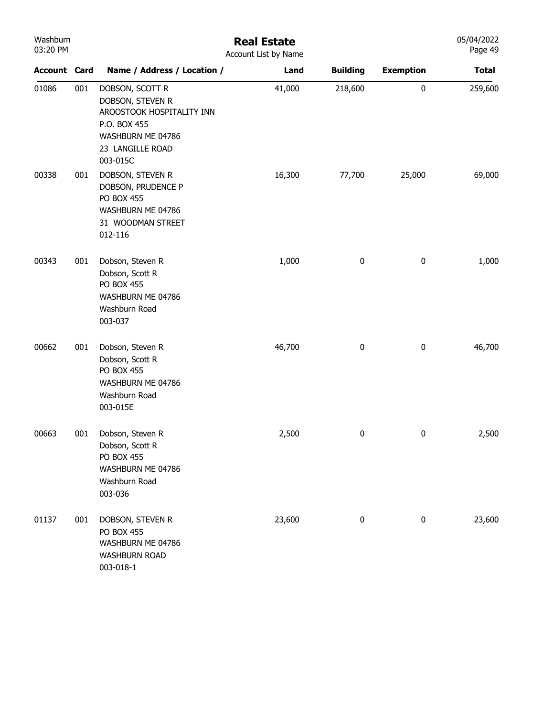| Washburn<br>03:20 PM |     |                                                                                                                                       | <b>Real Estate</b><br>Account List by Name |                 |                  | 05/04/2022<br>Page 49 |
|----------------------|-----|---------------------------------------------------------------------------------------------------------------------------------------|--------------------------------------------|-----------------|------------------|-----------------------|
| <b>Account Card</b>  |     | Name / Address / Location /                                                                                                           | Land                                       | <b>Building</b> | <b>Exemption</b> | <b>Total</b>          |
| 01086                | 001 | DOBSON, SCOTT R<br>DOBSON, STEVEN R<br>AROOSTOOK HOSPITALITY INN<br>P.O. BOX 455<br>WASHBURN ME 04786<br>23 LANGILLE ROAD<br>003-015C | 41,000                                     | 218,600         | 0                | 259,600               |
| 00338                | 001 | DOBSON, STEVEN R<br>DOBSON, PRUDENCE P<br>PO BOX 455<br>WASHBURN ME 04786<br>31 WOODMAN STREET<br>012-116                             | 16,300                                     | 77,700          | 25,000           | 69,000                |
| 00343                | 001 | Dobson, Steven R<br>Dobson, Scott R<br><b>PO BOX 455</b><br>WASHBURN ME 04786<br>Washburn Road<br>003-037                             | 1,000                                      | $\pmb{0}$       | 0                | 1,000                 |
| 00662                | 001 | Dobson, Steven R<br>Dobson, Scott R<br><b>PO BOX 455</b><br>WASHBURN ME 04786<br>Washburn Road<br>003-015E                            | 46,700                                     | 0               | 0                | 46,700                |
| 00663                | 001 | Dobson, Steven R<br>Dobson, Scott R<br><b>PO BOX 455</b><br>WASHBURN ME 04786<br>Washburn Road<br>003-036                             | 2,500                                      | 0               | 0                | 2,500                 |
| 01137                | 001 | DOBSON, STEVEN R<br><b>PO BOX 455</b><br>WASHBURN ME 04786<br><b>WASHBURN ROAD</b><br>003-018-1                                       | 23,600                                     | 0               | $\pmb{0}$        | 23,600                |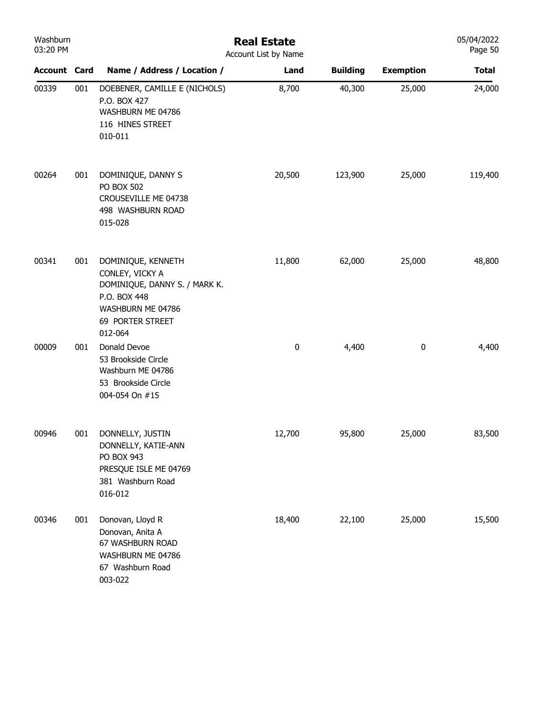| Washburn<br>03:20 PM |     | <b>Real Estate</b><br>Account List by Name                                                                                                 |        |                 |                  |              |  |
|----------------------|-----|--------------------------------------------------------------------------------------------------------------------------------------------|--------|-----------------|------------------|--------------|--|
| <b>Account Card</b>  |     | Name / Address / Location /                                                                                                                | Land   | <b>Building</b> | <b>Exemption</b> | <b>Total</b> |  |
| 00339                | 001 | DOEBENER, CAMILLE E (NICHOLS)<br>P.O. BOX 427<br>WASHBURN ME 04786<br>116 HINES STREET<br>010-011                                          | 8,700  | 40,300          | 25,000           | 24,000       |  |
| 00264                | 001 | DOMINIQUE, DANNY S<br><b>PO BOX 502</b><br>CROUSEVILLE ME 04738<br>498 WASHBURN ROAD<br>015-028                                            | 20,500 | 123,900         | 25,000           | 119,400      |  |
| 00341                | 001 | DOMINIQUE, KENNETH<br>CONLEY, VICKY A<br>DOMINIQUE, DANNY S. / MARK K.<br>P.O. BOX 448<br>WASHBURN ME 04786<br>69 PORTER STREET<br>012-064 | 11,800 | 62,000          | 25,000           | 48,800       |  |
| 00009                | 001 | Donald Devoe<br>53 Brookside Circle<br>Washburn ME 04786<br>53 Brookside Circle<br>004-054 On #15                                          | 0      | 4,400           | $\bf{0}$         | 4,400        |  |
| 00946                | 001 | DONNELLY, JUSTIN<br>DONNELLY, KATIE-ANN<br>PO BOX 943<br>PRESQUE ISLE ME 04769<br>381 Washburn Road<br>016-012                             | 12,700 | 95,800          | 25,000           | 83,500       |  |
| 00346                | 001 | Donovan, Lloyd R<br>Donovan, Anita A<br>67 WASHBURN ROAD<br>WASHBURN ME 04786<br>67 Washburn Road<br>003-022                               | 18,400 | 22,100          | 25,000           | 15,500       |  |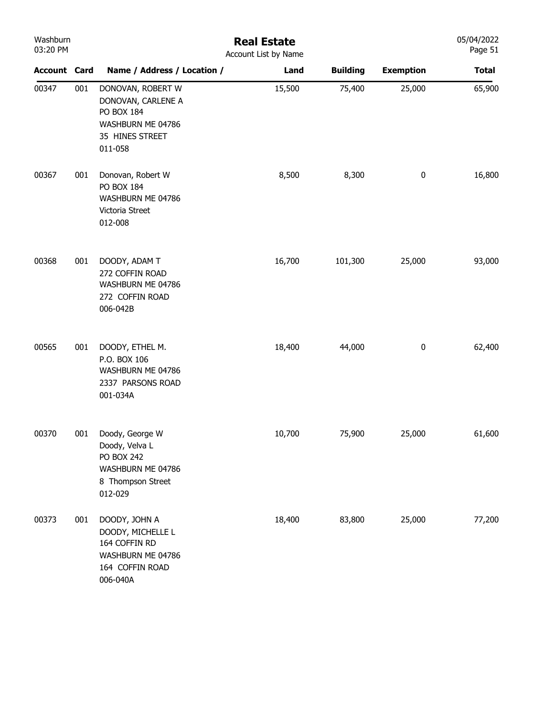| Washburn<br>03:20 PM |     | <b>Real Estate</b><br>Account List by Name                                                                  |        |                 |                  |              |  |  |
|----------------------|-----|-------------------------------------------------------------------------------------------------------------|--------|-----------------|------------------|--------------|--|--|
| <b>Account Card</b>  |     | Name / Address / Location /                                                                                 | Land   | <b>Building</b> | <b>Exemption</b> | <b>Total</b> |  |  |
| 00347                | 001 | DONOVAN, ROBERT W<br>DONOVAN, CARLENE A<br>PO BOX 184<br>WASHBURN ME 04786<br>35 HINES STREET<br>011-058    | 15,500 | 75,400          | 25,000           | 65,900       |  |  |
| 00367                | 001 | Donovan, Robert W<br>PO BOX 184<br>WASHBURN ME 04786<br>Victoria Street<br>012-008                          | 8,500  | 8,300           | $\pmb{0}$        | 16,800       |  |  |
| 00368                | 001 | DOODY, ADAM T<br>272 COFFIN ROAD<br>WASHBURN ME 04786<br>272 COFFIN ROAD<br>006-042B                        | 16,700 | 101,300         | 25,000           | 93,000       |  |  |
| 00565                | 001 | DOODY, ETHEL M.<br>P.O. BOX 106<br>WASHBURN ME 04786<br>2337 PARSONS ROAD<br>001-034A                       | 18,400 | 44,000          | $\pmb{0}$        | 62,400       |  |  |
| 00370                | 001 | Doody, George W<br>Doody, Velva L<br><b>PO BOX 242</b><br>WASHBURN ME 04786<br>8 Thompson Street<br>012-029 | 10,700 | 75,900          | 25,000           | 61,600       |  |  |
| 00373                | 001 | DOODY, JOHN A<br>DOODY, MICHELLE L<br>164 COFFIN RD<br>WASHBURN ME 04786<br>164 COFFIN ROAD<br>006-040A     | 18,400 | 83,800          | 25,000           | 77,200       |  |  |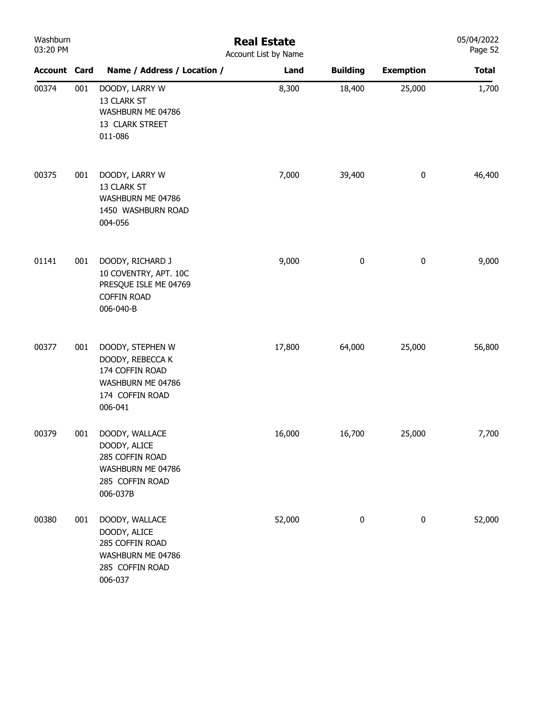| Washburn<br>03:20 PM |     | <b>Real Estate</b><br>Account List by Name                                                                 |        |                 |                  |              |  |  |  |
|----------------------|-----|------------------------------------------------------------------------------------------------------------|--------|-----------------|------------------|--------------|--|--|--|
| <b>Account Card</b>  |     | Name / Address / Location /                                                                                | Land   | <b>Building</b> | <b>Exemption</b> | <b>Total</b> |  |  |  |
| 00374                | 001 | DOODY, LARRY W<br>13 CLARK ST<br>WASHBURN ME 04786<br>13 CLARK STREET<br>011-086                           | 8,300  | 18,400          | 25,000           | 1,700        |  |  |  |
| 00375                | 001 | DOODY, LARRY W<br>13 CLARK ST<br>WASHBURN ME 04786<br>1450 WASHBURN ROAD<br>004-056                        | 7,000  | 39,400          | $\pmb{0}$        | 46,400       |  |  |  |
| 01141                | 001 | DOODY, RICHARD J<br>10 COVENTRY, APT. 10C<br>PRESQUE ISLE ME 04769<br><b>COFFIN ROAD</b><br>006-040-B      | 9,000  | $\pmb{0}$       | $\pmb{0}$        | 9,000        |  |  |  |
| 00377                | 001 | DOODY, STEPHEN W<br>DOODY, REBECCA K<br>174 COFFIN ROAD<br>WASHBURN ME 04786<br>174 COFFIN ROAD<br>006-041 | 17,800 | 64,000          | 25,000           | 56,800       |  |  |  |
| 00379                | 001 | DOODY, WALLACE<br>DOODY, ALICE<br>285 COFFIN ROAD<br>WASHBURN ME 04786<br>285 COFFIN ROAD<br>006-037B      | 16,000 | 16,700          | 25,000           | 7,700        |  |  |  |
| 00380                | 001 | DOODY, WALLACE<br>DOODY, ALICE<br>285 COFFIN ROAD<br>WASHBURN ME 04786<br>285 COFFIN ROAD<br>006-037       | 52,000 | 0               | 0                | 52,000       |  |  |  |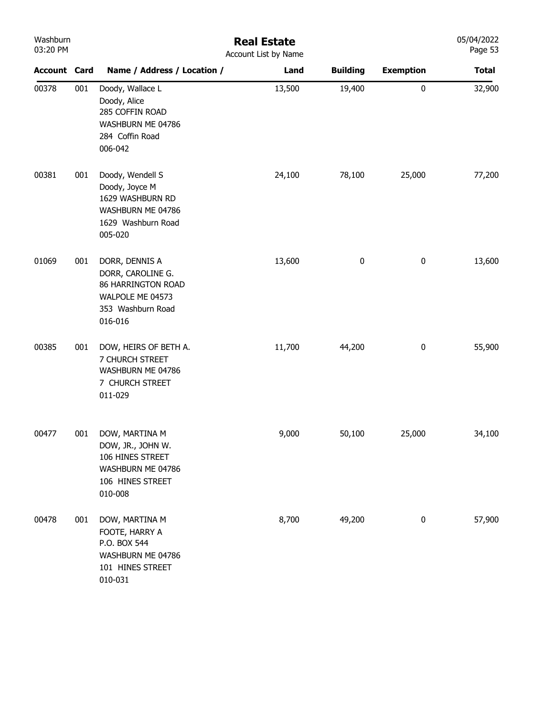| Washburn<br>03:20 PM |     |                                                                                                               | <b>Real Estate</b><br>Account List by Name |                 |                  | 05/04/2022<br>Page 53 |
|----------------------|-----|---------------------------------------------------------------------------------------------------------------|--------------------------------------------|-----------------|------------------|-----------------------|
| <b>Account Card</b>  |     | Name / Address / Location /                                                                                   | Land                                       | <b>Building</b> | <b>Exemption</b> | <b>Total</b>          |
| 00378                | 001 | Doody, Wallace L<br>Doody, Alice<br>285 COFFIN ROAD<br>WASHBURN ME 04786<br>284 Coffin Road<br>006-042        | 13,500                                     | 19,400          | $\pmb{0}$        | 32,900                |
| 00381                | 001 | Doody, Wendell S<br>Doody, Joyce M<br>1629 WASHBURN RD<br>WASHBURN ME 04786<br>1629 Washburn Road<br>005-020  | 24,100                                     | 78,100          | 25,000           | 77,200                |
| 01069                | 001 | DORR, DENNIS A<br>DORR, CAROLINE G.<br>86 HARRINGTON ROAD<br>WALPOLE ME 04573<br>353 Washburn Road<br>016-016 | 13,600                                     | 0               | $\pmb{0}$        | 13,600                |
| 00385                | 001 | DOW, HEIRS OF BETH A.<br>7 CHURCH STREET<br>WASHBURN ME 04786<br>7 CHURCH STREET<br>011-029                   | 11,700                                     | 44,200          | $\pmb{0}$        | 55,900                |
| 00477                | 001 | DOW, MARTINA M<br>DOW, JR., JOHN W.<br>106 HINES STREET<br>WASHBURN ME 04786<br>106 HINES STREET<br>010-008   | 9,000                                      | 50,100          | 25,000           | 34,100                |
| 00478                | 001 | DOW, MARTINA M<br>FOOTE, HARRY A<br>P.O. BOX 544<br>WASHBURN ME 04786<br>101 HINES STREET<br>010-031          | 8,700                                      | 49,200          | 0                | 57,900                |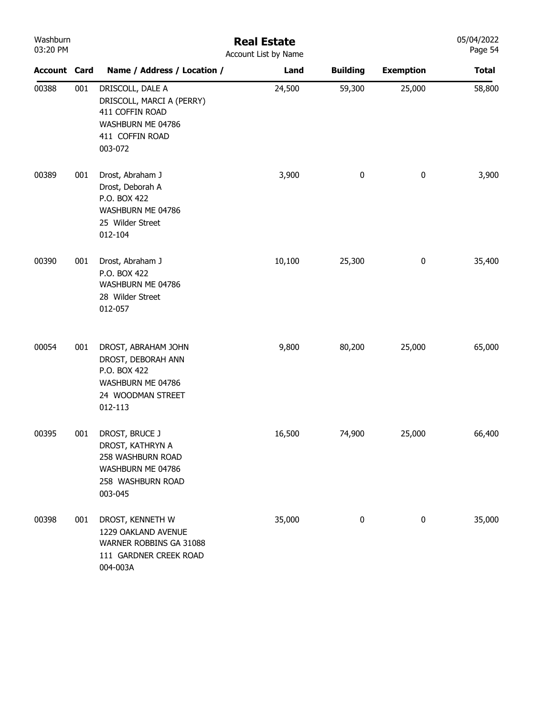| <b>VVGSIIDUIII</b><br>03:20 PM | <b>Real Estate</b><br>Account List by Name |                                                                                                                     |        |                 |                  |              |  |
|--------------------------------|--------------------------------------------|---------------------------------------------------------------------------------------------------------------------|--------|-----------------|------------------|--------------|--|
| <b>Account Card</b>            |                                            | Name / Address / Location /                                                                                         | Land   | <b>Building</b> | <b>Exemption</b> | <b>Total</b> |  |
| 00388                          | 001                                        | DRISCOLL, DALE A<br>DRISCOLL, MARCI A (PERRY)<br>411 COFFIN ROAD<br>WASHBURN ME 04786<br>411 COFFIN ROAD<br>003-072 | 24,500 | 59,300          | 25,000           | 58,800       |  |
| 00389                          | 001                                        | Drost, Abraham J<br>Drost, Deborah A<br>P.O. BOX 422<br>WASHBURN ME 04786<br>25 Wilder Street<br>012-104            | 3,900  | $\pmb{0}$       | $\pmb{0}$        | 3,900        |  |
| 00390                          | 001                                        | Drost, Abraham J<br>P.O. BOX 422<br>WASHBURN ME 04786<br>28 Wilder Street<br>012-057                                | 10,100 | 25,300          | 0                | 35,400       |  |
| 00054                          | 001                                        | DROST, ABRAHAM JOHN<br>DROST, DEBORAH ANN<br>P.O. BOX 422<br>WASHBURN ME 04786<br>24 WOODMAN STREET<br>012-113      | 9,800  | 80,200          | 25,000           | 65,000       |  |
| 00395                          | 001                                        | DROST, BRUCE J<br>DROST, KATHRYN A<br>258 WASHBURN ROAD<br>WASHBURN ME 04786<br>258 WASHBURN ROAD<br>003-045        | 16,500 | 74,900          | 25,000           | 66,400       |  |
| 00398                          | 001                                        | DROST, KENNETH W<br>1229 OAKLAND AVENUE<br>WARNER ROBBINS GA 31088<br>111 GARDNER CREEK ROAD<br>004-003A            | 35,000 | 0               | 0                | 35,000       |  |

05/04/2022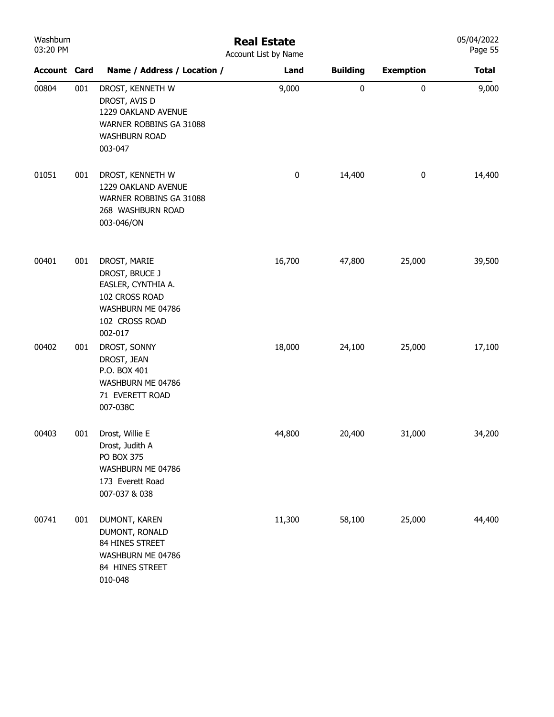| Washburn<br>03:20 PM |     | <b>Real Estate</b><br>Account List by Name                                                                               |          |                 |                  |              |  |  |  |
|----------------------|-----|--------------------------------------------------------------------------------------------------------------------------|----------|-----------------|------------------|--------------|--|--|--|
| <b>Account Card</b>  |     | Name / Address / Location /                                                                                              | Land     | <b>Building</b> | <b>Exemption</b> | <b>Total</b> |  |  |  |
| 00804                | 001 | DROST, KENNETH W<br>DROST, AVIS D<br>1229 OAKLAND AVENUE<br>WARNER ROBBINS GA 31088<br><b>WASHBURN ROAD</b><br>003-047   | 9,000    | 0               | $\pmb{0}$        | 9,000        |  |  |  |
| 01051                | 001 | DROST, KENNETH W<br>1229 OAKLAND AVENUE<br>WARNER ROBBINS GA 31088<br>268 WASHBURN ROAD<br>003-046/ON                    | $\bf{0}$ | 14,400          | 0                | 14,400       |  |  |  |
| 00401                | 001 | DROST, MARIE<br>DROST, BRUCE J<br>EASLER, CYNTHIA A.<br>102 CROSS ROAD<br>WASHBURN ME 04786<br>102 CROSS ROAD<br>002-017 | 16,700   | 47,800          | 25,000           | 39,500       |  |  |  |
| 00402                | 001 | DROST, SONNY<br>DROST, JEAN<br>P.O. BOX 401<br>WASHBURN ME 04786<br>71 EVERETT ROAD<br>007-038C                          | 18,000   | 24,100          | 25,000           | 17,100       |  |  |  |
| 00403                | 001 | Drost, Willie E<br>Drost, Judith A<br><b>PO BOX 375</b><br>WASHBURN ME 04786<br>173 Everett Road<br>007-037 & 038        | 44,800   | 20,400          | 31,000           | 34,200       |  |  |  |
| 00741                | 001 | DUMONT, KAREN<br>DUMONT, RONALD<br>84 HINES STREET<br>WASHBURN ME 04786<br>84 HINES STREET<br>010-048                    | 11,300   | 58,100          | 25,000           | 44,400       |  |  |  |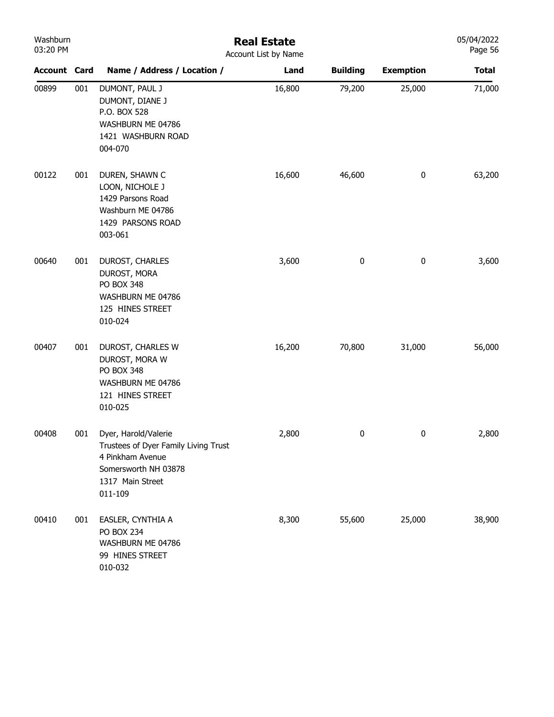| Washburn<br>03:20 PM |     | <b>Real Estate</b><br>Account List by Name                                                                                              |        |                 |                  |              |  |  |  |
|----------------------|-----|-----------------------------------------------------------------------------------------------------------------------------------------|--------|-----------------|------------------|--------------|--|--|--|
| <b>Account Card</b>  |     | Name / Address / Location /                                                                                                             | Land   | <b>Building</b> | <b>Exemption</b> | <b>Total</b> |  |  |  |
| 00899                | 001 | DUMONT, PAUL J<br>DUMONT, DIANE J<br>P.O. BOX 528<br>WASHBURN ME 04786<br>1421 WASHBURN ROAD<br>004-070                                 | 16,800 | 79,200          | 25,000           | 71,000       |  |  |  |
| 00122                | 001 | DUREN, SHAWN C<br>LOON, NICHOLE J<br>1429 Parsons Road<br>Washburn ME 04786<br>1429 PARSONS ROAD<br>003-061                             | 16,600 | 46,600          | 0                | 63,200       |  |  |  |
| 00640                | 001 | DUROST, CHARLES<br>DUROST, MORA<br>PO BOX 348<br>WASHBURN ME 04786<br>125 HINES STREET<br>010-024                                       | 3,600  | 0               | 0                | 3,600        |  |  |  |
| 00407                | 001 | DUROST, CHARLES W<br>DUROST, MORA W<br>PO BOX 348<br>WASHBURN ME 04786<br>121 HINES STREET<br>010-025                                   | 16,200 | 70,800          | 31,000           | 56,000       |  |  |  |
| 00408                | 001 | Dyer, Harold/Valerie<br>Trustees of Dyer Family Living Trust<br>4 Pinkham Avenue<br>Somersworth NH 03878<br>1317 Main Street<br>011-109 | 2,800  | 0               | 0                | 2,800        |  |  |  |
| 00410                | 001 | EASLER, CYNTHIA A<br><b>PO BOX 234</b><br>WASHBURN ME 04786<br>99 HINES STREET<br>010-032                                               | 8,300  | 55,600          | 25,000           | 38,900       |  |  |  |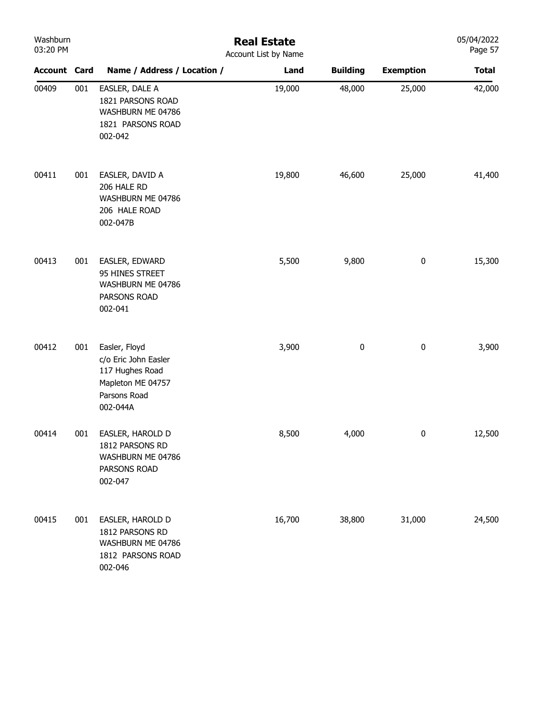| Washburn<br>03:20 PM |     | <b>Real Estate</b><br>Account List by Name                                                                |        |                 |                  |              |  |  |
|----------------------|-----|-----------------------------------------------------------------------------------------------------------|--------|-----------------|------------------|--------------|--|--|
| <b>Account Card</b>  |     | Name / Address / Location /                                                                               | Land   | <b>Building</b> | <b>Exemption</b> | <b>Total</b> |  |  |
| 00409                | 001 | EASLER, DALE A<br>1821 PARSONS ROAD<br>WASHBURN ME 04786<br>1821 PARSONS ROAD<br>002-042                  | 19,000 | 48,000          | 25,000           | 42,000       |  |  |
| 00411                | 001 | EASLER, DAVID A<br>206 HALE RD<br>WASHBURN ME 04786<br>206 HALE ROAD<br>002-047B                          | 19,800 | 46,600          | 25,000           | 41,400       |  |  |
| 00413                | 001 | EASLER, EDWARD<br>95 HINES STREET<br>WASHBURN ME 04786<br>PARSONS ROAD<br>002-041                         | 5,500  | 9,800           | $\pmb{0}$        | 15,300       |  |  |
| 00412                | 001 | Easler, Floyd<br>c/o Eric John Easler<br>117 Hughes Road<br>Mapleton ME 04757<br>Parsons Road<br>002-044A | 3,900  | $\pmb{0}$       | $\pmb{0}$        | 3,900        |  |  |
| 00414                | 001 | EASLER, HAROLD D<br>1812 PARSONS RD<br>WASHBURN ME 04786<br>PARSONS ROAD<br>002-047                       | 8,500  | 4,000           | 0                | 12,500       |  |  |
| 00415                | 001 | EASLER, HAROLD D<br>1812 PARSONS RD<br>WASHBURN ME 04786<br>1812 PARSONS ROAD<br>002-046                  | 16,700 | 38,800          | 31,000           | 24,500       |  |  |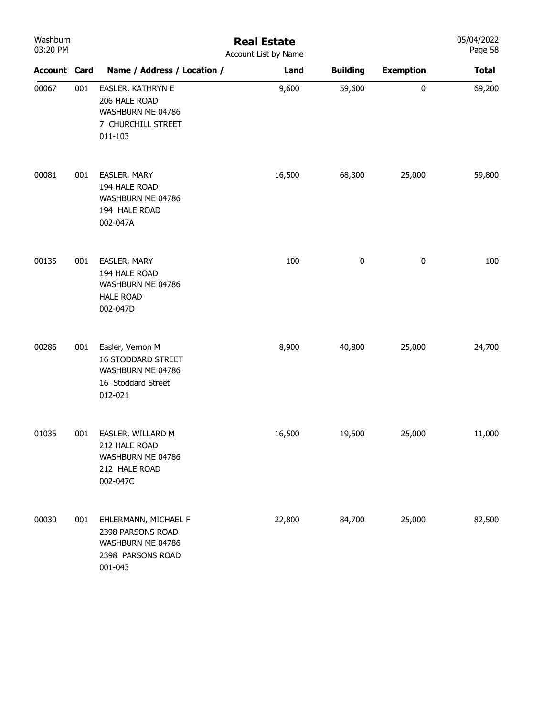| Washburn<br>03:20 PM |     | <b>Real Estate</b><br>Account List by Name                                                          |        |                 |                  |              |  |  |
|----------------------|-----|-----------------------------------------------------------------------------------------------------|--------|-----------------|------------------|--------------|--|--|
| <b>Account Card</b>  |     | Name / Address / Location /                                                                         | Land   | <b>Building</b> | <b>Exemption</b> | <b>Total</b> |  |  |
| 00067                | 001 | EASLER, KATHRYN E<br>206 HALE ROAD<br>WASHBURN ME 04786<br>7 CHURCHILL STREET<br>011-103            | 9,600  | 59,600          | $\pmb{0}$        | 69,200       |  |  |
| 00081                | 001 | EASLER, MARY<br>194 HALE ROAD<br>WASHBURN ME 04786<br>194 HALE ROAD<br>002-047A                     | 16,500 | 68,300          | 25,000           | 59,800       |  |  |
| 00135                | 001 | EASLER, MARY<br>194 HALE ROAD<br>WASHBURN ME 04786<br><b>HALE ROAD</b><br>002-047D                  | 100    | $\pmb{0}$       | $\bf{0}$         | 100          |  |  |
| 00286                | 001 | Easler, Vernon M<br><b>16 STODDARD STREET</b><br>WASHBURN ME 04786<br>16 Stoddard Street<br>012-021 | 8,900  | 40,800          | 25,000           | 24,700       |  |  |
| 01035                | 001 | EASLER, WILLARD M<br>212 HALE ROAD<br>WASHBURN ME 04786<br>212 HALE ROAD<br>002-047C                | 16,500 | 19,500          | 25,000           | 11,000       |  |  |
| 00030                | 001 | EHLERMANN, MICHAEL F<br>2398 PARSONS ROAD<br>WASHBURN ME 04786<br>2398 PARSONS ROAD<br>001-043      | 22,800 | 84,700          | 25,000           | 82,500       |  |  |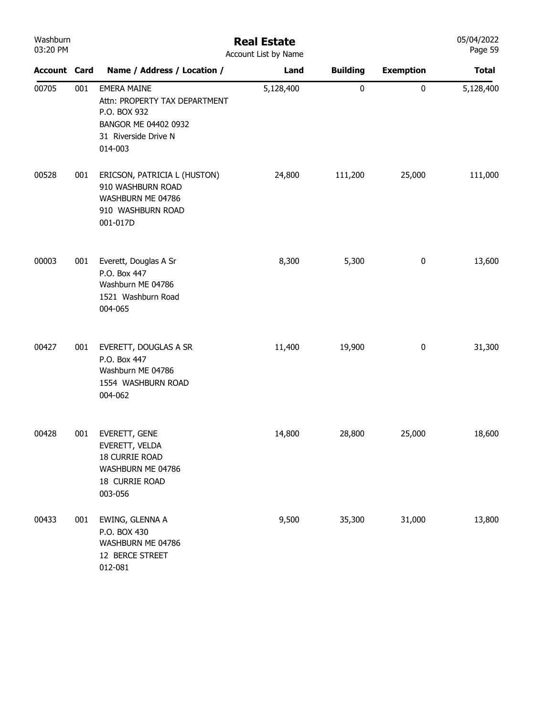| Washburn<br>03:20 PM |     | <b>Real Estate</b><br>Account List by Name                                                                                     |           |                 |                  |              |
|----------------------|-----|--------------------------------------------------------------------------------------------------------------------------------|-----------|-----------------|------------------|--------------|
| <b>Account Card</b>  |     | Name / Address / Location /                                                                                                    | Land      | <b>Building</b> | <b>Exemption</b> | <b>Total</b> |
| 00705                | 001 | <b>EMERA MAINE</b><br>Attn: PROPERTY TAX DEPARTMENT<br>P.O. BOX 932<br>BANGOR ME 04402 0932<br>31 Riverside Drive N<br>014-003 | 5,128,400 | 0               | $\pmb{0}$        | 5,128,400    |
| 00528                | 001 | ERICSON, PATRICIA L (HUSTON)<br>910 WASHBURN ROAD<br>WASHBURN ME 04786<br>910 WASHBURN ROAD<br>001-017D                        | 24,800    | 111,200         | 25,000           | 111,000      |
| 00003                | 001 | Everett, Douglas A Sr<br>P.O. Box 447<br>Washburn ME 04786<br>1521 Washburn Road<br>004-065                                    | 8,300     | 5,300           | $\bf{0}$         | 13,600       |
| 00427                | 001 | EVERETT, DOUGLAS A SR<br>P.O. Box 447<br>Washburn ME 04786<br>1554 WASHBURN ROAD<br>004-062                                    | 11,400    | 19,900          | $\bf{0}$         | 31,300       |
| 00428                | 001 | EVERETT, GENE<br>EVERETT, VELDA<br>18 CURRIE ROAD<br>WASHBURN ME 04786<br>18 CURRIE ROAD<br>003-056                            | 14,800    | 28,800          | 25,000           | 18,600       |
| 00433                | 001 | EWING, GLENNA A<br>P.O. BOX 430<br>WASHBURN ME 04786<br>12 BERCE STREET<br>012-081                                             | 9,500     | 35,300          | 31,000           | 13,800       |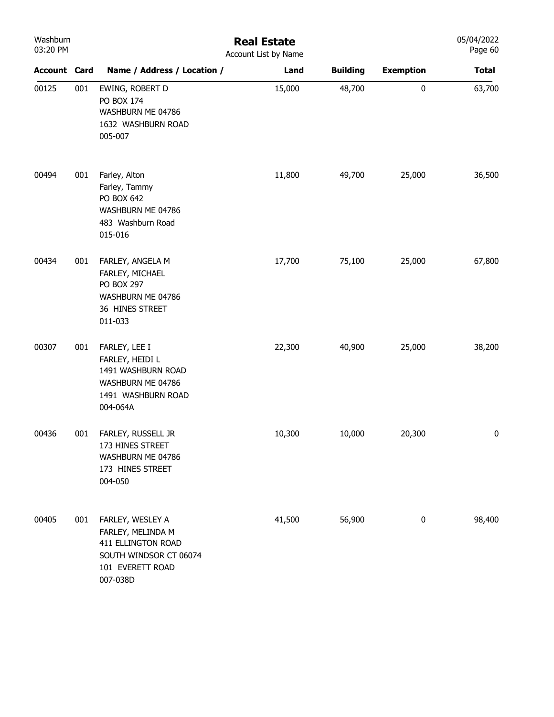| Washburn<br>03:20 PM |     | <b>Real Estate</b><br>Account List by Name                                                                            |        |                 |                  |              |  |
|----------------------|-----|-----------------------------------------------------------------------------------------------------------------------|--------|-----------------|------------------|--------------|--|
| <b>Account Card</b>  |     | Name / Address / Location /                                                                                           | Land   | <b>Building</b> | <b>Exemption</b> | <b>Total</b> |  |
| 00125                | 001 | EWING, ROBERT D<br>PO BOX 174<br>WASHBURN ME 04786<br>1632 WASHBURN ROAD<br>005-007                                   | 15,000 | 48,700          | 0                | 63,700       |  |
| 00494                | 001 | Farley, Alton<br>Farley, Tammy<br>PO BOX 642<br>WASHBURN ME 04786<br>483 Washburn Road<br>015-016                     | 11,800 | 49,700          | 25,000           | 36,500       |  |
| 00434                | 001 | FARLEY, ANGELA M<br>FARLEY, MICHAEL<br>PO BOX 297<br>WASHBURN ME 04786<br>36 HINES STREET<br>011-033                  | 17,700 | 75,100          | 25,000           | 67,800       |  |
| 00307                | 001 | FARLEY, LEE I<br>FARLEY, HEIDI L<br>1491 WASHBURN ROAD<br>WASHBURN ME 04786<br>1491 WASHBURN ROAD<br>004-064A         | 22,300 | 40,900          | 25,000           | 38,200       |  |
| 00436                | 001 | FARLEY, RUSSELL JR<br>173 HINES STREET<br>WASHBURN ME 04786<br>173 HINES STREET<br>004-050                            | 10,300 | 10,000          | 20,300           | $\bf{0}$     |  |
| 00405                | 001 | FARLEY, WESLEY A<br>FARLEY, MELINDA M<br>411 ELLINGTON ROAD<br>SOUTH WINDSOR CT 06074<br>101 EVERETT ROAD<br>007-038D | 41,500 | 56,900          | $\pmb{0}$        | 98,400       |  |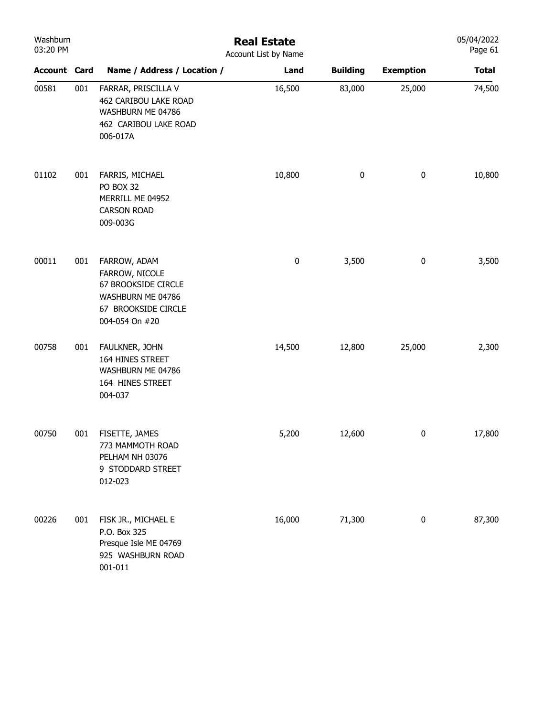| Washburn<br>03:20 PM |     | <b>Real Estate</b><br>Account List by Name                                                                          |           |                 |                  |              |  |  |  |
|----------------------|-----|---------------------------------------------------------------------------------------------------------------------|-----------|-----------------|------------------|--------------|--|--|--|
| <b>Account Card</b>  |     | Name / Address / Location /                                                                                         | Land      | <b>Building</b> | <b>Exemption</b> | <b>Total</b> |  |  |  |
| 00581                | 001 | FARRAR, PRISCILLA V<br>462 CARIBOU LAKE ROAD<br>WASHBURN ME 04786<br>462 CARIBOU LAKE ROAD<br>006-017A              | 16,500    | 83,000          | 25,000           | 74,500       |  |  |  |
| 01102                | 001 | FARRIS, MICHAEL<br>PO BOX 32<br>MERRILL ME 04952<br><b>CARSON ROAD</b><br>009-003G                                  | 10,800    | $\bf{0}$        | $\pmb{0}$        | 10,800       |  |  |  |
| 00011                | 001 | FARROW, ADAM<br>FARROW, NICOLE<br>67 BROOKSIDE CIRCLE<br>WASHBURN ME 04786<br>67 BROOKSIDE CIRCLE<br>004-054 On #20 | $\pmb{0}$ | 3,500           | $\pmb{0}$        | 3,500        |  |  |  |
| 00758                | 001 | FAULKNER, JOHN<br>164 HINES STREET<br>WASHBURN ME 04786<br>164 HINES STREET<br>004-037                              | 14,500    | 12,800          | 25,000           | 2,300        |  |  |  |
| 00750                | 001 | FISETTE, JAMES<br>773 MAMMOTH ROAD<br>PELHAM NH 03076<br>9 STODDARD STREET<br>012-023                               | 5,200     | 12,600          | $\pmb{0}$        | 17,800       |  |  |  |
| 00226                | 001 | FISK JR., MICHAEL E<br>P.O. Box 325<br>Presque Isle ME 04769<br>925 WASHBURN ROAD<br>001-011                        | 16,000    | 71,300          | $\pmb{0}$        | 87,300       |  |  |  |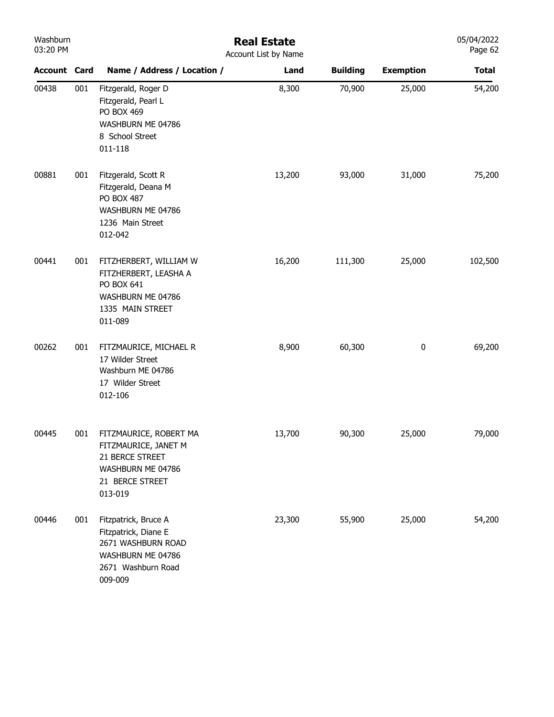| Washburn<br>03:20 PM |     | <b>Real Estate</b><br>Account List by Name                                                                               |        |                 |                  |              |  |  |  |
|----------------------|-----|--------------------------------------------------------------------------------------------------------------------------|--------|-----------------|------------------|--------------|--|--|--|
| <b>Account Card</b>  |     | Name / Address / Location /                                                                                              | Land   | <b>Building</b> | <b>Exemption</b> | <b>Total</b> |  |  |  |
| 00438                | 001 | Fitzgerald, Roger D<br>Fitzgerald, Pearl L<br>PO BOX 469<br>WASHBURN ME 04786<br>8 School Street<br>011-118              | 8,300  | 70,900          | 25,000           | 54,200       |  |  |  |
| 00881                | 001 | Fitzgerald, Scott R<br>Fitzgerald, Deana M<br>PO BOX 487<br>WASHBURN ME 04786<br>1236 Main Street<br>012-042             | 13,200 | 93,000          | 31,000           | 75,200       |  |  |  |
| 00441                | 001 | FITZHERBERT, WILLIAM W<br>FITZHERBERT, LEASHA A<br>PO BOX 641<br>WASHBURN ME 04786<br>1335 MAIN STREET<br>011-089        | 16,200 | 111,300         | 25,000           | 102,500      |  |  |  |
| 00262                | 001 | FITZMAURICE, MICHAEL R<br>17 Wilder Street<br>Washburn ME 04786<br>17 Wilder Street<br>012-106                           | 8,900  | 60,300          | 0                | 69,200       |  |  |  |
| 00445                | 001 | FITZMAURICE, ROBERT MA<br>FITZMAURICE, JANET M<br>21 BERCE STREET<br>WASHBURN ME 04786<br>21 BERCE STREET<br>013-019     | 13,700 | 90,300          | 25,000           | 79,000       |  |  |  |
| 00446                | 001 | Fitzpatrick, Bruce A<br>Fitzpatrick, Diane E<br>2671 WASHBURN ROAD<br>WASHBURN ME 04786<br>2671 Washburn Road<br>009-009 | 23,300 | 55,900          | 25,000           | 54,200       |  |  |  |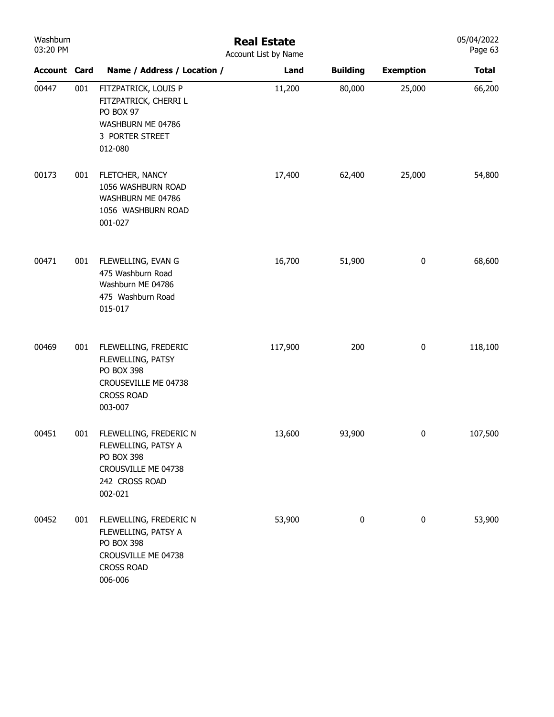| Washburn<br>03:20 PM |     |                                                                                                                        | <b>Real Estate</b><br>Account List by Name |                 |                  | 05/04/2022<br>Page 63 |
|----------------------|-----|------------------------------------------------------------------------------------------------------------------------|--------------------------------------------|-----------------|------------------|-----------------------|
| <b>Account Card</b>  |     | Name / Address / Location /                                                                                            | Land                                       | <b>Building</b> | <b>Exemption</b> | <b>Total</b>          |
| 00447                | 001 | FITZPATRICK, LOUIS P<br>FITZPATRICK, CHERRI L<br>PO BOX 97<br>WASHBURN ME 04786<br>3 PORTER STREET<br>012-080          | 11,200                                     | 80,000          | 25,000           | 66,200                |
| 00173                | 001 | FLETCHER, NANCY<br>1056 WASHBURN ROAD<br>WASHBURN ME 04786<br>1056 WASHBURN ROAD<br>001-027                            | 17,400                                     | 62,400          | 25,000           | 54,800                |
| 00471                | 001 | FLEWELLING, EVAN G<br>475 Washburn Road<br>Washburn ME 04786<br>475 Washburn Road<br>015-017                           | 16,700                                     | 51,900          | $\bf{0}$         | 68,600                |
| 00469                | 001 | FLEWELLING, FREDERIC<br>FLEWELLING, PATSY<br>PO BOX 398<br>CROUSEVILLE ME 04738<br><b>CROSS ROAD</b><br>003-007        | 117,900                                    | 200             | $\bf{0}$         | 118,100               |
| 00451                | 001 | FLEWELLING, FREDERIC N<br>FLEWELLING, PATSY A<br><b>PO BOX 398</b><br>CROUSVILLE ME 04738<br>242 CROSS ROAD<br>002-021 | 13,600                                     | 93,900          | $\bf{0}$         | 107,500               |
| 00452                | 001 | FLEWELLING, FREDERIC N<br>FLEWELLING, PATSY A<br>PO BOX 398<br>CROUSVILLE ME 04738<br><b>CROSS ROAD</b><br>006-006     | 53,900                                     | 0               | $\bf{0}$         | 53,900                |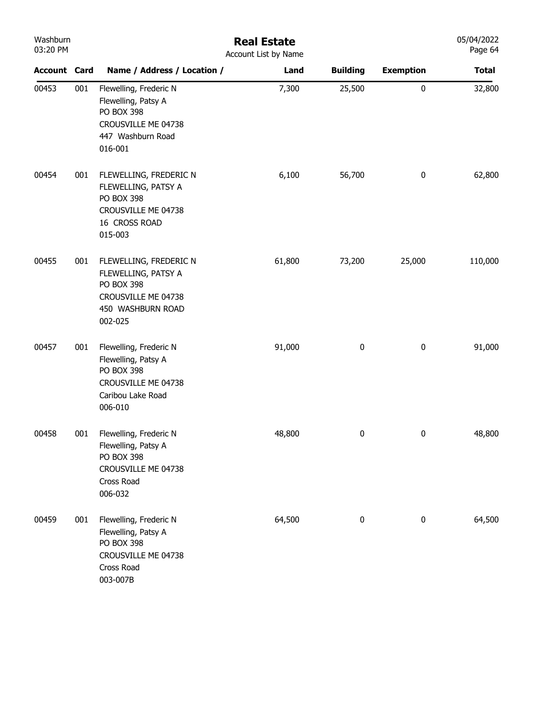| Washburn<br>03:20 PM |     | <b>Real Estate</b><br>Account List by Name                                                                                |        |                 |                  |              |  |  |  |
|----------------------|-----|---------------------------------------------------------------------------------------------------------------------------|--------|-----------------|------------------|--------------|--|--|--|
| <b>Account Card</b>  |     | Name / Address / Location /                                                                                               | Land   | <b>Building</b> | <b>Exemption</b> | <b>Total</b> |  |  |  |
| 00453                | 001 | Flewelling, Frederic N<br>Flewelling, Patsy A<br>PO BOX 398<br>CROUSVILLE ME 04738<br>447 Washburn Road<br>016-001        | 7,300  | 25,500          | $\pmb{0}$        | 32,800       |  |  |  |
| 00454                | 001 | FLEWELLING, FREDERIC N<br>FLEWELLING, PATSY A<br>PO BOX 398<br>CROUSVILLE ME 04738<br>16 CROSS ROAD<br>015-003            | 6,100  | 56,700          | $\pmb{0}$        | 62,800       |  |  |  |
| 00455                | 001 | FLEWELLING, FREDERIC N<br>FLEWELLING, PATSY A<br>PO BOX 398<br>CROUSVILLE ME 04738<br>450 WASHBURN ROAD<br>002-025        | 61,800 | 73,200          | 25,000           | 110,000      |  |  |  |
| 00457                | 001 | Flewelling, Frederic N<br>Flewelling, Patsy A<br><b>PO BOX 398</b><br>CROUSVILLE ME 04738<br>Caribou Lake Road<br>006-010 | 91,000 | 0               | $\pmb{0}$        | 91,000       |  |  |  |
| 00458                | 001 | Flewelling, Frederic N<br>Flewelling, Patsy A<br>PO BOX 398<br>CROUSVILLE ME 04738<br>Cross Road<br>006-032               | 48,800 | 0               | 0                | 48,800       |  |  |  |
| 00459                | 001 | Flewelling, Frederic N<br>Flewelling, Patsy A<br><b>PO BOX 398</b><br>CROUSVILLE ME 04738<br>Cross Road<br>003-007B       | 64,500 | $\pmb{0}$       | $\pmb{0}$        | 64,500       |  |  |  |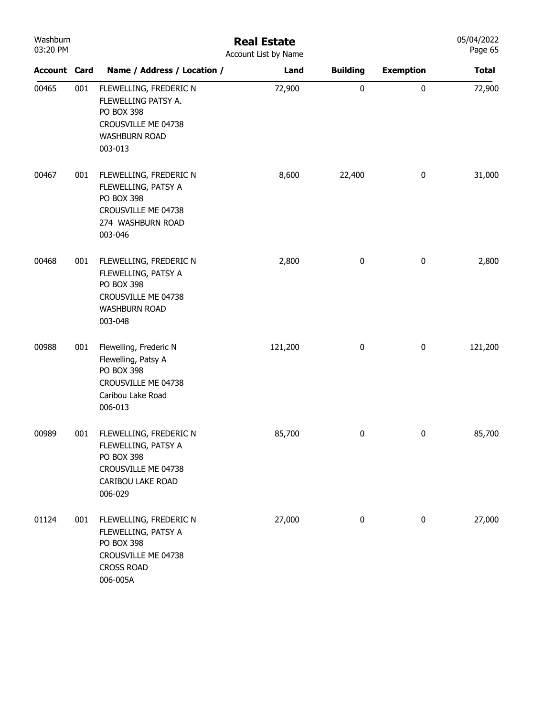| Washburn<br>03:20 PM |     | <b>Real Estate</b><br>Account List by Name                                                                            |         |                 |                  |              |  |  |
|----------------------|-----|-----------------------------------------------------------------------------------------------------------------------|---------|-----------------|------------------|--------------|--|--|
| <b>Account Card</b>  |     | Name / Address / Location /                                                                                           | Land    | <b>Building</b> | <b>Exemption</b> | <b>Total</b> |  |  |
| 00465                | 001 | FLEWELLING, FREDERIC N<br>FLEWELLING PATSY A.<br>PO BOX 398<br>CROUSVILLE ME 04738<br><b>WASHBURN ROAD</b><br>003-013 | 72,900  | 0               | 0                | 72,900       |  |  |
| 00467                | 001 | FLEWELLING, FREDERIC N<br>FLEWELLING, PATSY A<br>PO BOX 398<br>CROUSVILLE ME 04738<br>274 WASHBURN ROAD<br>003-046    | 8,600   | 22,400          | $\pmb{0}$        | 31,000       |  |  |
| 00468                | 001 | FLEWELLING, FREDERIC N<br>FLEWELLING, PATSY A<br>PO BOX 398<br>CROUSVILLE ME 04738<br><b>WASHBURN ROAD</b><br>003-048 | 2,800   | 0               | 0                | 2,800        |  |  |
| 00988                | 001 | Flewelling, Frederic N<br>Flewelling, Patsy A<br>PO BOX 398<br>CROUSVILLE ME 04738<br>Caribou Lake Road<br>006-013    | 121,200 | 0               | $\pmb{0}$        | 121,200      |  |  |
| 00989                | 001 | FLEWELLING, FREDERIC N<br>FLEWELLING, PATSY A<br>PO BOX 398<br>CROUSVILLE ME 04738<br>CARIBOU LAKE ROAD<br>006-029    | 85,700  | 0               | 0                | 85,700       |  |  |
| 01124                | 001 | FLEWELLING, FREDERIC N<br>FLEWELLING, PATSY A<br>PO BOX 398<br>CROUSVILLE ME 04738<br><b>CROSS ROAD</b><br>006-005A   | 27,000  | 0               | $\pmb{0}$        | 27,000       |  |  |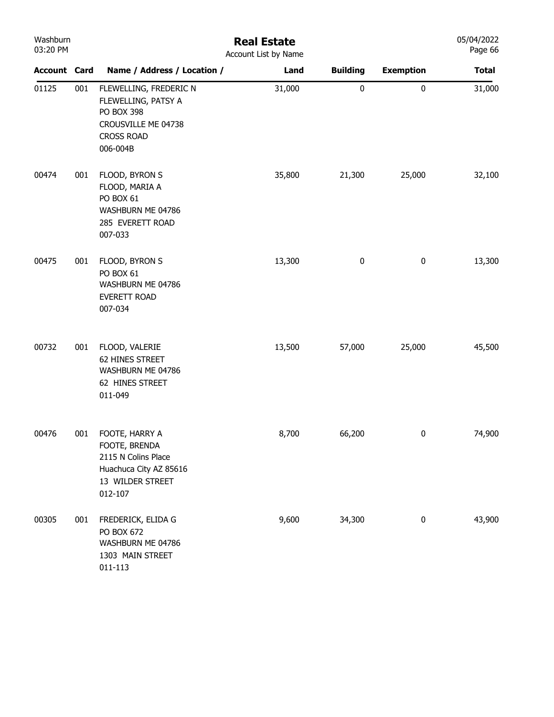| Washburn<br>03:20 PM |     |                                                                                                                     | <b>Real Estate</b><br>Account List by Name |                 |                  | 05/04/2022<br>Page 66 |
|----------------------|-----|---------------------------------------------------------------------------------------------------------------------|--------------------------------------------|-----------------|------------------|-----------------------|
| <b>Account Card</b>  |     | Name / Address / Location /                                                                                         | Land                                       | <b>Building</b> | <b>Exemption</b> | <b>Total</b>          |
| 01125                | 001 | FLEWELLING, FREDERIC N<br>FLEWELLING, PATSY A<br>PO BOX 398<br>CROUSVILLE ME 04738<br><b>CROSS ROAD</b><br>006-004B | 31,000                                     | $\pmb{0}$       | $\pmb{0}$        | 31,000                |
| 00474                | 001 | FLOOD, BYRON S<br>FLOOD, MARIA A<br>PO BOX 61<br>WASHBURN ME 04786<br>285 EVERETT ROAD<br>007-033                   | 35,800                                     | 21,300          | 25,000           | 32,100                |
| 00475                | 001 | FLOOD, BYRON S<br>PO BOX 61<br>WASHBURN ME 04786<br>EVERETT ROAD<br>007-034                                         | 13,300                                     | $\pmb{0}$       | $\bf{0}$         | 13,300                |
| 00732                | 001 | FLOOD, VALERIE<br>62 HINES STREET<br>WASHBURN ME 04786<br>62 HINES STREET<br>011-049                                | 13,500                                     | 57,000          | 25,000           | 45,500                |
| 00476                | 001 | FOOTE, HARRY A<br>FOOTE, BRENDA<br>2115 N Colins Place<br>Huachuca City AZ 85616<br>13 WILDER STREET<br>012-107     | 8,700                                      | 66,200          | $\bf{0}$         | 74,900                |
| 00305                | 001 | FREDERICK, ELIDA G<br>PO BOX 672<br>WASHBURN ME 04786<br>1303 MAIN STREET<br>$011 - 113$                            | 9,600                                      | 34,300          | $\pmb{0}$        | 43,900                |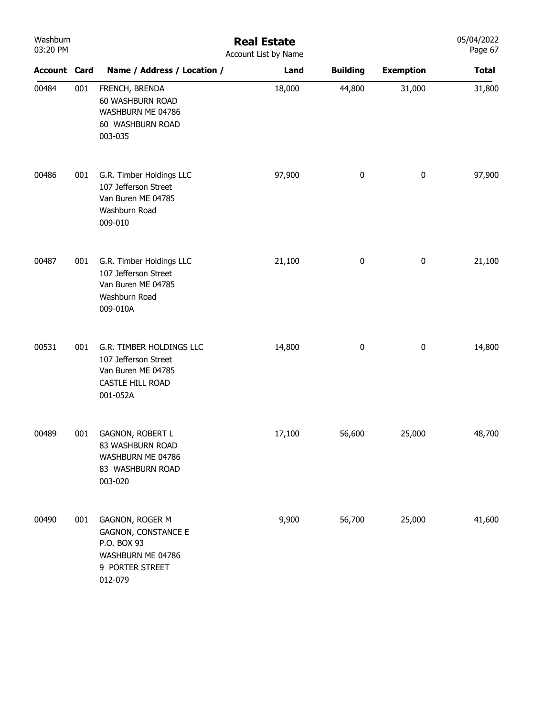| Washburn<br>03:20 PM |     | <b>Real Estate</b><br>Account List by Name                                                                      |        |                  |                  |              |
|----------------------|-----|-----------------------------------------------------------------------------------------------------------------|--------|------------------|------------------|--------------|
| <b>Account Card</b>  |     | Name / Address / Location /                                                                                     | Land   | <b>Building</b>  | <b>Exemption</b> | <b>Total</b> |
| 00484                | 001 | FRENCH, BRENDA<br>60 WASHBURN ROAD<br>WASHBURN ME 04786<br>60 WASHBURN ROAD<br>003-035                          | 18,000 | 44,800           | 31,000           | 31,800       |
| 00486                | 001 | G.R. Timber Holdings LLC<br>107 Jefferson Street<br>Van Buren ME 04785<br>Washburn Road<br>009-010              | 97,900 | $\pmb{0}$        | $\pmb{0}$        | 97,900       |
| 00487                | 001 | G.R. Timber Holdings LLC<br>107 Jefferson Street<br>Van Buren ME 04785<br>Washburn Road<br>009-010A             | 21,100 | $\bf{0}$         | 0                | 21,100       |
| 00531                | 001 | G.R. TIMBER HOLDINGS LLC<br>107 Jefferson Street<br>Van Buren ME 04785<br>CASTLE HILL ROAD<br>001-052A          | 14,800 | $\boldsymbol{0}$ | 0                | 14,800       |
| 00489                | 001 | <b>GAGNON, ROBERT L</b><br>83 WASHBURN ROAD<br>WASHBURN ME 04786<br>83 WASHBURN ROAD<br>003-020                 | 17,100 | 56,600           | 25,000           | 48,700       |
| 00490                | 001 | GAGNON, ROGER M<br><b>GAGNON, CONSTANCE E</b><br>P.O. BOX 93<br>WASHBURN ME 04786<br>9 PORTER STREET<br>012-079 | 9,900  | 56,700           | 25,000           | 41,600       |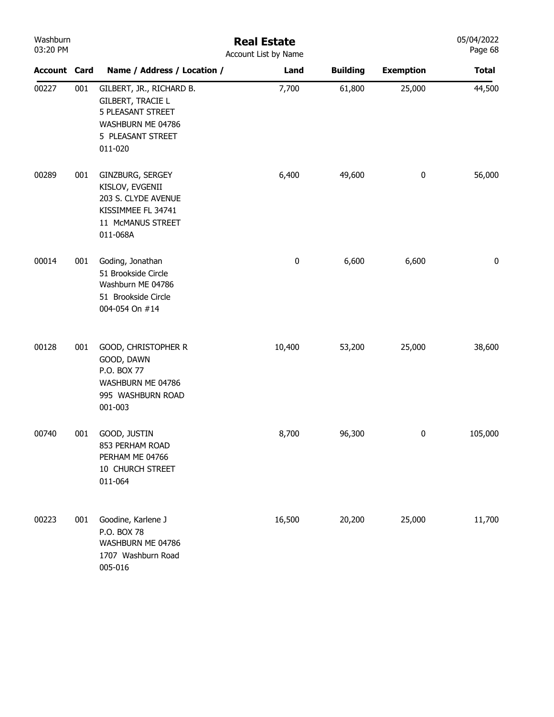| Washburn<br>03:20 PM |     |                                                                                                                                       | <b>Real Estate</b><br>Account List by Name |                 |                  | 05/04/2022<br>Page 68 |
|----------------------|-----|---------------------------------------------------------------------------------------------------------------------------------------|--------------------------------------------|-----------------|------------------|-----------------------|
| <b>Account Card</b>  |     | Name / Address / Location /                                                                                                           | Land                                       | <b>Building</b> | <b>Exemption</b> | <b>Total</b>          |
| 00227                | 001 | GILBERT, JR., RICHARD B.<br><b>GILBERT, TRACIE L</b><br><b>5 PLEASANT STREET</b><br>WASHBURN ME 04786<br>5 PLEASANT STREET<br>011-020 | 7,700                                      | 61,800          | 25,000           | 44,500                |
| 00289                | 001 | GINZBURG, SERGEY<br>KISLOV, EVGENII<br>203 S. CLYDE AVENUE<br>KISSIMMEE FL 34741<br>11 McMANUS STREET<br>011-068A                     | 6,400                                      | 49,600          | $\pmb{0}$        | 56,000                |
| 00014                | 001 | Goding, Jonathan<br>51 Brookside Circle<br>Washburn ME 04786<br>51 Brookside Circle<br>004-054 On #14                                 | 0                                          | 6,600           | 6,600            | 0                     |
| 00128                | 001 | GOOD, CHRISTOPHER R<br>GOOD, DAWN<br>P.O. BOX 77<br>WASHBURN ME 04786<br>995 WASHBURN ROAD<br>001-003                                 | 10,400                                     | 53,200          | 25,000           | 38,600                |
| 00740                | 001 | GOOD, JUSTIN<br>853 PERHAM ROAD<br>PERHAM ME 04766<br>10 CHURCH STREET<br>011-064                                                     | 8,700                                      | 96,300          | $\mathbf{0}$     | 105,000               |
| 00223                | 001 | Goodine, Karlene J<br>P.O. BOX 78<br>WASHBURN ME 04786<br>1707 Washburn Road<br>005-016                                               | 16,500                                     | 20,200          | 25,000           | 11,700                |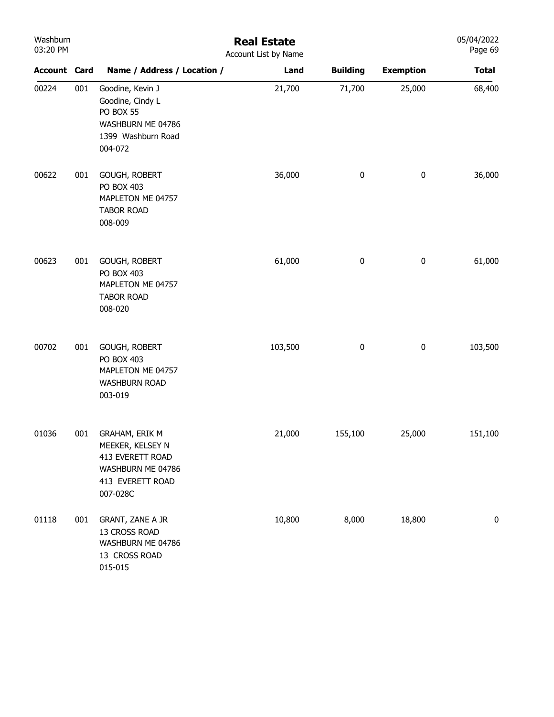| Washburn<br>03:20 PM |     |                                                                                                                    | <b>Real Estate</b><br>Account List by Name |                 |                  | 05/04/2022<br>Page 69 |
|----------------------|-----|--------------------------------------------------------------------------------------------------------------------|--------------------------------------------|-----------------|------------------|-----------------------|
| <b>Account Card</b>  |     | Name / Address / Location /                                                                                        | Land                                       | <b>Building</b> | <b>Exemption</b> | <b>Total</b>          |
| 00224                | 001 | Goodine, Kevin J<br>Goodine, Cindy L<br>PO BOX 55<br>WASHBURN ME 04786<br>1399 Washburn Road<br>004-072            | 21,700                                     | 71,700          | 25,000           | 68,400                |
| 00622                | 001 | GOUGH, ROBERT<br>PO BOX 403<br>MAPLETON ME 04757<br><b>TABOR ROAD</b><br>008-009                                   | 36,000                                     | 0               | 0                | 36,000                |
| 00623                | 001 | GOUGH, ROBERT<br>PO BOX 403<br>MAPLETON ME 04757<br><b>TABOR ROAD</b><br>008-020                                   | 61,000                                     | 0               | 0                | 61,000                |
| 00702                | 001 | GOUGH, ROBERT<br>PO BOX 403<br>MAPLETON ME 04757<br><b>WASHBURN ROAD</b><br>003-019                                | 103,500                                    | 0               | 0                | 103,500               |
| 01036                | 001 | <b>GRAHAM, ERIK M</b><br>MEEKER, KELSEY N<br>413 EVERETT ROAD<br>WASHBURN ME 04786<br>413 EVERETT ROAD<br>007-028C | 21,000                                     | 155,100         | 25,000           | 151,100               |
| 01118                | 001 | GRANT, ZANE A JR<br>13 CROSS ROAD<br>WASHBURN ME 04786<br>13 CROSS ROAD<br>015-015                                 | 10,800                                     | 8,000           | 18,800           | 0                     |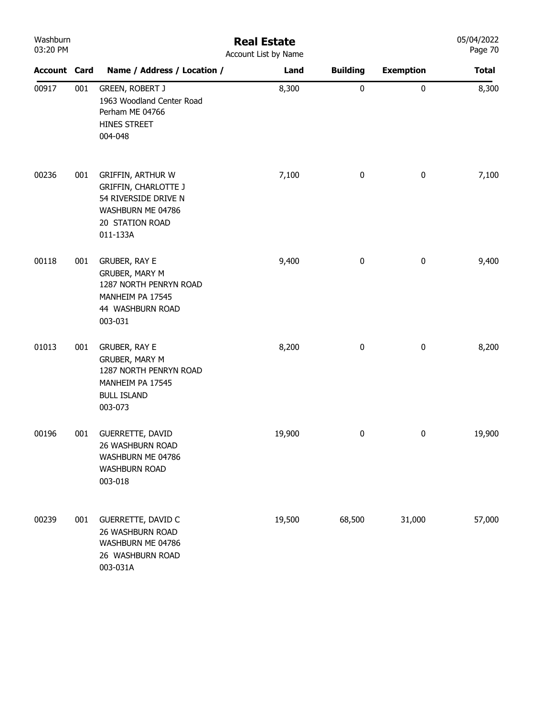| Washburn<br>03:20 PM |     | <b>Real Estate</b><br>Account List by Name                                                                                          |        |                 |                  |              |  |  |  |
|----------------------|-----|-------------------------------------------------------------------------------------------------------------------------------------|--------|-----------------|------------------|--------------|--|--|--|
| <b>Account Card</b>  |     | Name / Address / Location /                                                                                                         | Land   | <b>Building</b> | <b>Exemption</b> | <b>Total</b> |  |  |  |
| 00917                | 001 | <b>GREEN, ROBERT J</b><br>1963 Woodland Center Road<br>Perham ME 04766<br>HINES STREET<br>004-048                                   | 8,300  | 0               | $\pmb{0}$        | 8,300        |  |  |  |
| 00236                | 001 | <b>GRIFFIN, ARTHUR W</b><br><b>GRIFFIN, CHARLOTTE J</b><br>54 RIVERSIDE DRIVE N<br>WASHBURN ME 04786<br>20 STATION ROAD<br>011-133A | 7,100  | $\bf{0}$        | $\pmb{0}$        | 7,100        |  |  |  |
| 00118                | 001 | <b>GRUBER, RAY E</b><br>GRUBER, MARY M<br>1287 NORTH PENRYN ROAD<br>MANHEIM PA 17545<br>44 WASHBURN ROAD<br>003-031                 | 9,400  | 0               | 0                | 9,400        |  |  |  |
| 01013                | 001 | GRUBER, RAY E<br><b>GRUBER, MARY M</b><br>1287 NORTH PENRYN ROAD<br>MANHEIM PA 17545<br><b>BULL ISLAND</b><br>003-073               | 8,200  | 0               | $\pmb{0}$        | 8,200        |  |  |  |
| 00196                | 001 | <b>GUERRETTE, DAVID</b><br>26 WASHBURN ROAD<br>WASHBURN ME 04786<br><b>WASHBURN ROAD</b><br>003-018                                 | 19,900 | 0               | $\pmb{0}$        | 19,900       |  |  |  |
| 00239                | 001 | GUERRETTE, DAVID C<br>26 WASHBURN ROAD<br>WASHBURN ME 04786<br>26 WASHBURN ROAD<br>003-031A                                         | 19,500 | 68,500          | 31,000           | 57,000       |  |  |  |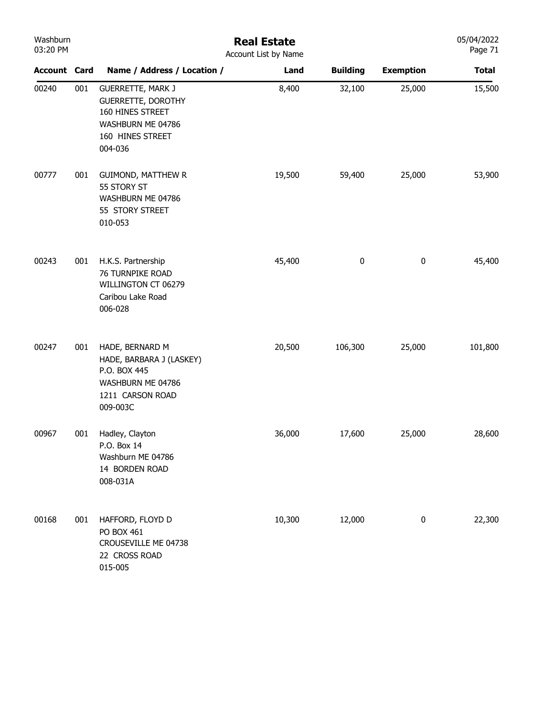| Washburn<br>03:20 PM |     | <b>Real Estate</b><br>Account List by Name                                                                                    |        |                 |                  |              |  |  |  |
|----------------------|-----|-------------------------------------------------------------------------------------------------------------------------------|--------|-----------------|------------------|--------------|--|--|--|
| <b>Account Card</b>  |     | Name / Address / Location /                                                                                                   | Land   | <b>Building</b> | <b>Exemption</b> | <b>Total</b> |  |  |  |
| 00240                | 001 | <b>GUERRETTE, MARK J</b><br><b>GUERRETTE, DOROTHY</b><br>160 HINES STREET<br>WASHBURN ME 04786<br>160 HINES STREET<br>004-036 | 8,400  | 32,100          | 25,000           | 15,500       |  |  |  |
| 00777                | 001 | <b>GUIMOND, MATTHEW R</b><br>55 STORY ST<br>WASHBURN ME 04786<br>55 STORY STREET<br>010-053                                   | 19,500 | 59,400          | 25,000           | 53,900       |  |  |  |
| 00243                | 001 | H.K.S. Partnership<br>76 TURNPIKE ROAD<br>WILLINGTON CT 06279<br>Caribou Lake Road<br>006-028                                 | 45,400 | 0               | $\pmb{0}$        | 45,400       |  |  |  |
| 00247                | 001 | HADE, BERNARD M<br>HADE, BARBARA J (LASKEY)<br>P.O. BOX 445<br>WASHBURN ME 04786<br>1211 CARSON ROAD<br>009-003C              | 20,500 | 106,300         | 25,000           | 101,800      |  |  |  |
| 00967                | 001 | Hadley, Clayton<br>P.O. Box 14<br>Washburn ME 04786<br>14 BORDEN ROAD<br>008-031A                                             | 36,000 | 17,600          | 25,000           | 28,600       |  |  |  |
| 00168                | 001 | HAFFORD, FLOYD D<br>PO BOX 461<br>CROUSEVILLE ME 04738<br>22 CROSS ROAD<br>015-005                                            | 10,300 | 12,000          | $\bf{0}$         | 22,300       |  |  |  |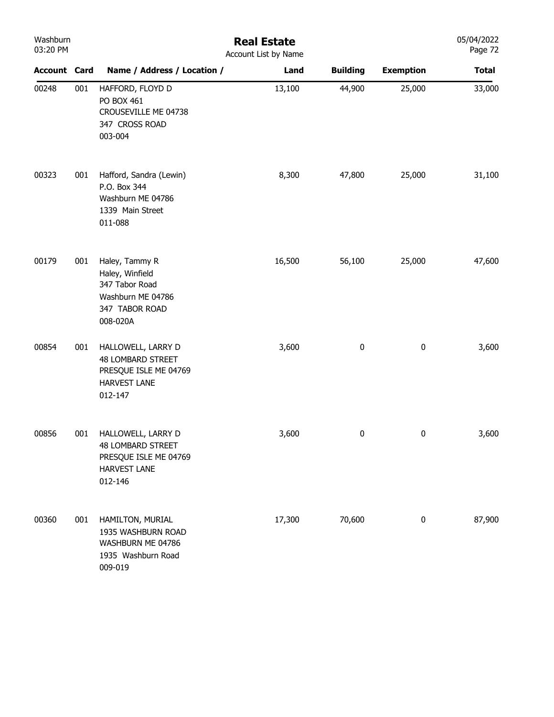| Washburn<br>03:20 PM |     | <b>Real Estate</b><br>Account List by Name                                                                |        |                 |                  |              |  |  |
|----------------------|-----|-----------------------------------------------------------------------------------------------------------|--------|-----------------|------------------|--------------|--|--|
| <b>Account Card</b>  |     | Name / Address / Location /                                                                               | Land   | <b>Building</b> | <b>Exemption</b> | <b>Total</b> |  |  |
| 00248                | 001 | HAFFORD, FLOYD D<br>PO BOX 461<br>CROUSEVILLE ME 04738<br>347 CROSS ROAD<br>003-004                       | 13,100 | 44,900          | 25,000           | 33,000       |  |  |
| 00323                | 001 | Hafford, Sandra (Lewin)<br>P.O. Box 344<br>Washburn ME 04786<br>1339 Main Street<br>011-088               | 8,300  | 47,800          | 25,000           | 31,100       |  |  |
| 00179                | 001 | Haley, Tammy R<br>Haley, Winfield<br>347 Tabor Road<br>Washburn ME 04786<br>347 TABOR ROAD<br>008-020A    | 16,500 | 56,100          | 25,000           | 47,600       |  |  |
| 00854                | 001 | HALLOWELL, LARRY D<br><b>48 LOMBARD STREET</b><br>PRESQUE ISLE ME 04769<br><b>HARVEST LANE</b><br>012-147 | 3,600  | $\pmb{0}$       | $\pmb{0}$        | 3,600        |  |  |
| 00856                | 001 | HALLOWELL, LARRY D<br><b>48 LOMBARD STREET</b><br>PRESQUE ISLE ME 04769<br><b>HARVEST LANE</b><br>012-146 | 3,600  | $\bf{0}$        | 0                | 3,600        |  |  |
| 00360                | 001 | HAMILTON, MURIAL<br>1935 WASHBURN ROAD<br>WASHBURN ME 04786<br>1935 Washburn Road<br>009-019              | 17,300 | 70,600          | $\pmb{0}$        | 87,900       |  |  |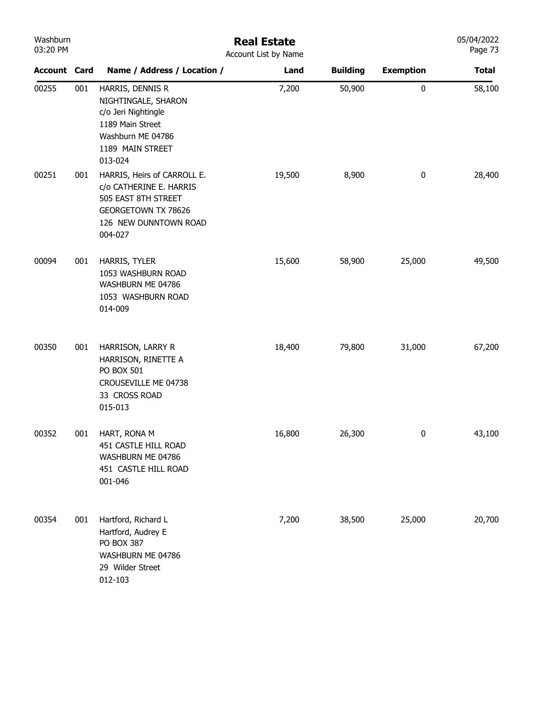| Washburn<br>03:20 PM |     | <b>Real Estate</b><br>Account List by Name                                                                                                      |        |                 |                  |              |
|----------------------|-----|-------------------------------------------------------------------------------------------------------------------------------------------------|--------|-----------------|------------------|--------------|
| <b>Account Card</b>  |     | Name / Address / Location /                                                                                                                     | Land   | <b>Building</b> | <b>Exemption</b> | <b>Total</b> |
| 00255                | 001 | HARRIS, DENNIS R<br>NIGHTINGALE, SHARON<br>c/o Jeri Nightingle<br>1189 Main Street<br>Washburn ME 04786<br>1189 MAIN STREET<br>013-024          | 7,200  | 50,900          | $\pmb{0}$        | 58,100       |
| 00251                | 001 | HARRIS, Heirs of CARROLL E.<br>c/o CATHERINE E. HARRIS<br>505 EAST 8TH STREET<br><b>GEORGETOWN TX 78626</b><br>126 NEW DUNNTOWN ROAD<br>004-027 | 19,500 | 8,900           | 0                | 28,400       |
| 00094                | 001 | HARRIS, TYLER<br>1053 WASHBURN ROAD<br>WASHBURN ME 04786<br>1053 WASHBURN ROAD<br>014-009                                                       | 15,600 | 58,900          | 25,000           | 49,500       |
| 00350                | 001 | HARRISON, LARRY R<br>HARRISON, RINETTE A<br>PO BOX 501<br>CROUSEVILLE ME 04738<br>33 CROSS ROAD<br>015-013                                      | 18,400 | 79,800          | 31,000           | 67,200       |
| 00352                | 001 | HART, RONA M<br>451 CASTLE HILL ROAD<br>WASHBURN ME 04786<br>451 CASTLE HILL ROAD<br>001-046                                                    | 16,800 | 26,300          | 0                | 43,100       |
| 00354                | 001 | Hartford, Richard L<br>Hartford, Audrey E<br>PO BOX 387<br>WASHBURN ME 04786<br>29 Wilder Street<br>012-103                                     | 7,200  | 38,500          | 25,000           | 20,700       |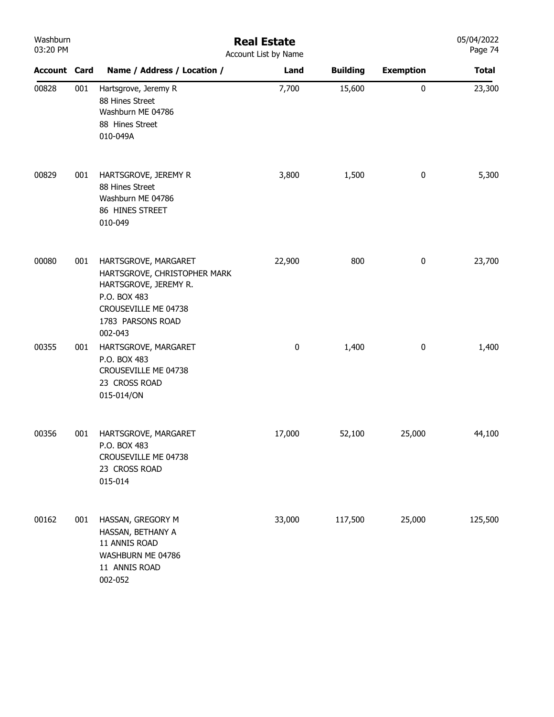| Washburn<br>03:20 PM |     | <b>Real Estate</b><br>Account List by Name                                                                                                            | 05/04/2022<br>Page 74 |                 |                  |              |
|----------------------|-----|-------------------------------------------------------------------------------------------------------------------------------------------------------|-----------------------|-----------------|------------------|--------------|
| <b>Account Card</b>  |     | Name / Address / Location /                                                                                                                           | Land                  | <b>Building</b> | <b>Exemption</b> | <b>Total</b> |
| 00828                | 001 | Hartsgrove, Jeremy R<br>88 Hines Street<br>Washburn ME 04786<br>88 Hines Street<br>010-049A                                                           | 7,700                 | 15,600          | $\pmb{0}$        | 23,300       |
| 00829                | 001 | HARTSGROVE, JEREMY R<br>88 Hines Street<br>Washburn ME 04786<br>86 HINES STREET<br>010-049                                                            | 3,800                 | 1,500           | $\pmb{0}$        | 5,300        |
| 00080                | 001 | HARTSGROVE, MARGARET<br>HARTSGROVE, CHRISTOPHER MARK<br>HARTSGROVE, JEREMY R.<br>P.O. BOX 483<br>CROUSEVILLE ME 04738<br>1783 PARSONS ROAD<br>002-043 | 22,900                | 800             | $\bf{0}$         | 23,700       |
| 00355                | 001 | HARTSGROVE, MARGARET<br>P.O. BOX 483<br>CROUSEVILLE ME 04738<br>23 CROSS ROAD<br>015-014/ON                                                           | 0                     | 1,400           | $\bf{0}$         | 1,400        |
| 00356                | 001 | HARTSGROVE, MARGARET<br>P.O. BOX 483<br>CROUSEVILLE ME 04738<br>23 CROSS ROAD<br>015-014                                                              | 17,000                | 52,100          | 25,000           | 44,100       |
| 00162                | 001 | HASSAN, GREGORY M<br>HASSAN, BETHANY A<br>11 ANNIS ROAD<br>WASHBURN ME 04786<br>11 ANNIS ROAD<br>002-052                                              | 33,000                | 117,500         | 25,000           | 125,500      |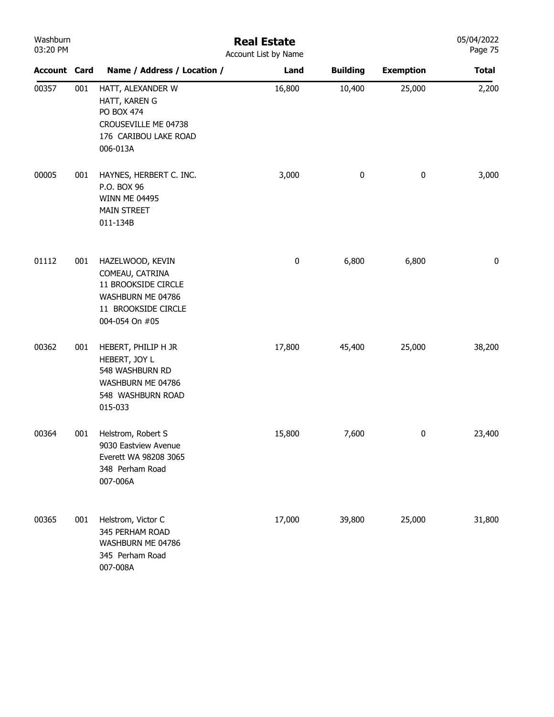| Washburn<br>03:20 PM |     |                                                                                                                          | <b>Real Estate</b><br>Account List by Name |                 |                  | 05/04/2022<br>Page 75 |
|----------------------|-----|--------------------------------------------------------------------------------------------------------------------------|--------------------------------------------|-----------------|------------------|-----------------------|
| <b>Account Card</b>  |     | Name / Address / Location /                                                                                              | Land                                       | <b>Building</b> | <b>Exemption</b> | <b>Total</b>          |
| 00357                | 001 | HATT, ALEXANDER W<br>HATT, KAREN G<br>PO BOX 474<br>CROUSEVILLE ME 04738<br>176 CARIBOU LAKE ROAD<br>006-013A            | 16,800                                     | 10,400          | 25,000           | 2,200                 |
| 00005                | 001 | HAYNES, HERBERT C. INC.<br>P.O. BOX 96<br><b>WINN ME 04495</b><br><b>MAIN STREET</b><br>011-134B                         | 3,000                                      | $\bf{0}$        | $\boldsymbol{0}$ | 3,000                 |
| 01112                | 001 | HAZELWOOD, KEVIN<br>COMEAU, CATRINA<br>11 BROOKSIDE CIRCLE<br>WASHBURN ME 04786<br>11 BROOKSIDE CIRCLE<br>004-054 On #05 | $\pmb{0}$                                  | 6,800           | 6,800            | 0                     |
| 00362                | 001 | HEBERT, PHILIP H JR<br>HEBERT, JOY L<br>548 WASHBURN RD<br>WASHBURN ME 04786<br>548 WASHBURN ROAD<br>015-033             | 17,800                                     | 45,400          | 25,000           | 38,200                |
| 00364                | 001 | Helstrom, Robert S<br>9030 Eastview Avenue<br>Everett WA 98208 3065<br>348 Perham Road<br>007-006A                       | 15,800                                     | 7,600           | $\boldsymbol{0}$ | 23,400                |
| 00365                | 001 | Helstrom, Victor C<br>345 PERHAM ROAD<br>WASHBURN ME 04786<br>345 Perham Road<br>007-008A                                | 17,000                                     | 39,800          | 25,000           | 31,800                |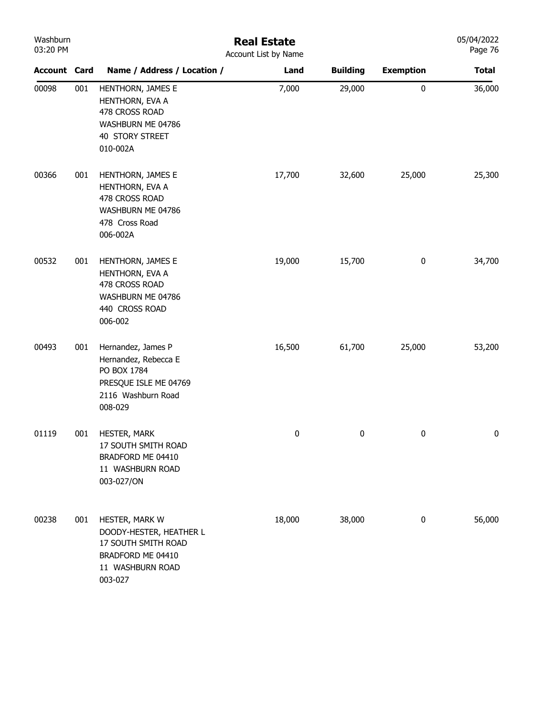| Washburn<br>03:20 PM |     |                                                                                                                      | <b>Real Estate</b><br>Account List by Name |                 |                  | 05/04/2022<br>Page 76 |
|----------------------|-----|----------------------------------------------------------------------------------------------------------------------|--------------------------------------------|-----------------|------------------|-----------------------|
| <b>Account Card</b>  |     | Name / Address / Location /                                                                                          | Land                                       | <b>Building</b> | <b>Exemption</b> | <b>Total</b>          |
| 00098                | 001 | HENTHORN, JAMES E<br>HENTHORN, EVA A<br>478 CROSS ROAD<br>WASHBURN ME 04786<br>40 STORY STREET<br>010-002A           | 7,000                                      | 29,000          | $\pmb{0}$        | 36,000                |
| 00366                | 001 | HENTHORN, JAMES E<br>HENTHORN, EVA A<br>478 CROSS ROAD<br>WASHBURN ME 04786<br>478 Cross Road<br>006-002A            | 17,700                                     | 32,600          | 25,000           | 25,300                |
| 00532                | 001 | HENTHORN, JAMES E<br>HENTHORN, EVA A<br>478 CROSS ROAD<br>WASHBURN ME 04786<br>440 CROSS ROAD<br>006-002             | 19,000                                     | 15,700          | $\pmb{0}$        | 34,700                |
| 00493                | 001 | Hernandez, James P<br>Hernandez, Rebecca E<br>PO BOX 1784<br>PRESQUE ISLE ME 04769<br>2116 Washburn Road<br>008-029  | 16,500                                     | 61,700          | 25,000           | 53,200                |
| 01119                | 001 | HESTER, MARK<br>17 SOUTH SMITH ROAD<br>BRADFORD ME 04410<br>11 WASHBURN ROAD<br>003-027/ON                           | 0                                          | 0               | 0                | 0                     |
| 00238                | 001 | HESTER, MARK W<br>DOODY-HESTER, HEATHER L<br>17 SOUTH SMITH ROAD<br>BRADFORD ME 04410<br>11 WASHBURN ROAD<br>003-027 | 18,000                                     | 38,000          | $\pmb{0}$        | 56,000                |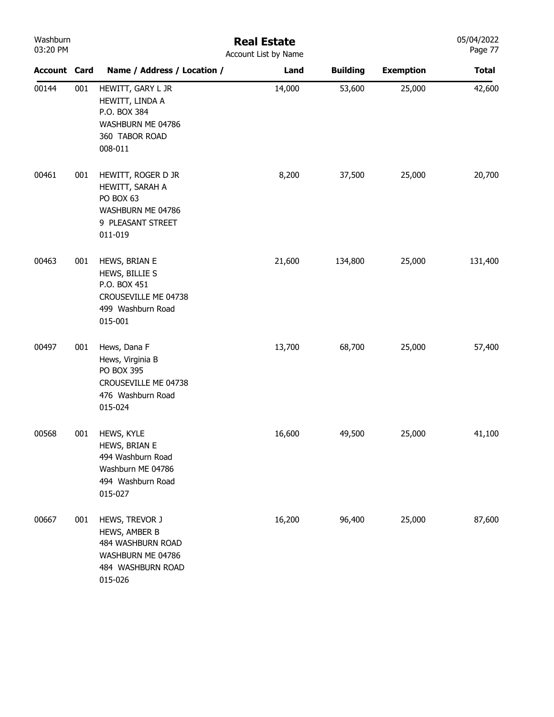| Washburn<br>03:20 PM |     |                                                                                                           | <b>Real Estate</b><br>Account List by Name |                 |                  | 05/04/2022<br>Page 77 |
|----------------------|-----|-----------------------------------------------------------------------------------------------------------|--------------------------------------------|-----------------|------------------|-----------------------|
| Account Card         |     | Name / Address / Location /                                                                               | Land                                       | <b>Building</b> | <b>Exemption</b> | <b>Total</b>          |
| 00144                | 001 | HEWITT, GARY L JR<br>HEWITT, LINDA A<br>P.O. BOX 384<br>WASHBURN ME 04786<br>360 TABOR ROAD<br>008-011    | 14,000                                     | 53,600          | 25,000           | 42,600                |
| 00461                | 001 | HEWITT, ROGER D JR<br>HEWITT, SARAH A<br>PO BOX 63<br>WASHBURN ME 04786<br>9 PLEASANT STREET<br>011-019   | 8,200                                      | 37,500          | 25,000           | 20,700                |
| 00463                | 001 | HEWS, BRIAN E<br>HEWS, BILLIE S<br>P.O. BOX 451<br>CROUSEVILLE ME 04738<br>499 Washburn Road<br>015-001   | 21,600                                     | 134,800         | 25,000           | 131,400               |
| 00497                | 001 | Hews, Dana F<br>Hews, Virginia B<br>PO BOX 395<br>CROUSEVILLE ME 04738<br>476 Washburn Road<br>015-024    | 13,700                                     | 68,700          | 25,000           | 57,400                |
| 00568                | 001 | HEWS, KYLE<br>HEWS, BRIAN E<br>494 Washburn Road<br>Washburn ME 04786<br>494 Washburn Road<br>015-027     | 16,600                                     | 49,500          | 25,000           | 41,100                |
| 00667                | 001 | HEWS, TREVOR J<br>HEWS, AMBER B<br>484 WASHBURN ROAD<br>WASHBURN ME 04786<br>484 WASHBURN ROAD<br>015-026 | 16,200                                     | 96,400          | 25,000           | 87,600                |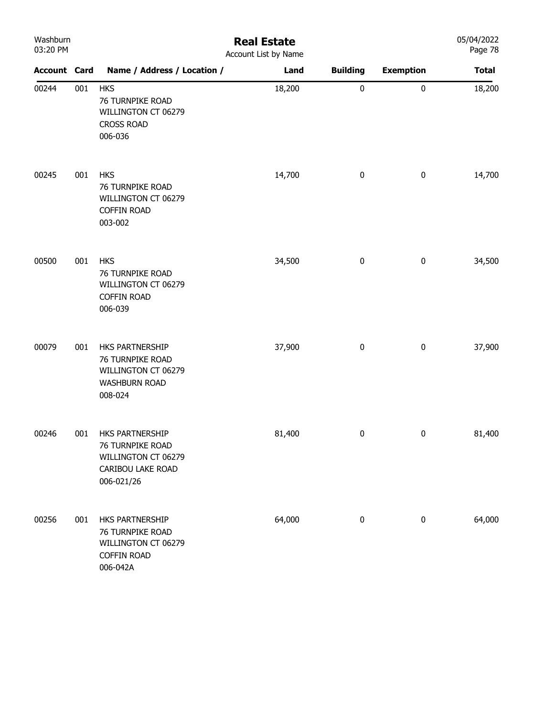| Washburn |  |
|----------|--|
| 03:20 PM |  |

## Real Estate

| 03:20 PM            |     | Account List by Name                                                                          |        |                 |                  |              |
|---------------------|-----|-----------------------------------------------------------------------------------------------|--------|-----------------|------------------|--------------|
| <b>Account Card</b> |     | Name / Address / Location /                                                                   | Land   | <b>Building</b> | <b>Exemption</b> | <b>Total</b> |
| 00244               | 001 | <b>HKS</b><br>76 TURNPIKE ROAD<br>WILLINGTON CT 06279<br><b>CROSS ROAD</b><br>006-036         | 18,200 | $\pmb{0}$       | $\pmb{0}$        | 18,200       |
| 00245               | 001 | <b>HKS</b><br>76 TURNPIKE ROAD<br>WILLINGTON CT 06279<br><b>COFFIN ROAD</b><br>003-002        | 14,700 | 0               | $\pmb{0}$        | 14,700       |
| 00500               | 001 | <b>HKS</b><br>76 TURNPIKE ROAD<br>WILLINGTON CT 06279<br><b>COFFIN ROAD</b><br>006-039        | 34,500 | 0               | $\pmb{0}$        | 34,500       |
| 00079               | 001 | HKS PARTNERSHIP<br>76 TURNPIKE ROAD<br>WILLINGTON CT 06279<br><b>WASHBURN ROAD</b><br>008-024 | 37,900 | $\pmb{0}$       | $\pmb{0}$        | 37,900       |
| 00246               | 001 | HKS PARTNERSHIP<br>76 TURNPIKE ROAD<br>WILLINGTON CT 06279<br>CARIBOU LAKE ROAD<br>006-021/26 | 81,400 | $\pmb{0}$       | $\pmb{0}$        | 81,400       |
| 00256               | 001 | HKS PARTNERSHIP<br>76 TURNPIKE ROAD<br>WILLINGTON CT 06279<br><b>COFFIN ROAD</b><br>006-042A  | 64,000 | 0               | $\pmb{0}$        | 64,000       |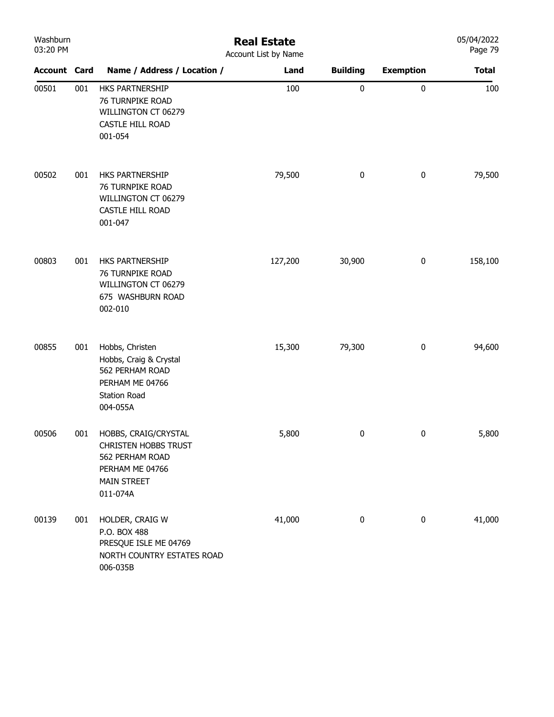| Washburn<br>03:20 PM |     |                                                                                                                             | <b>Real Estate</b><br>Account List by Name |                 |                  | 05/04/2022<br>Page 79 |
|----------------------|-----|-----------------------------------------------------------------------------------------------------------------------------|--------------------------------------------|-----------------|------------------|-----------------------|
| <b>Account Card</b>  |     | Name / Address / Location /                                                                                                 | Land                                       | <b>Building</b> | <b>Exemption</b> | <b>Total</b>          |
| 00501                | 001 | HKS PARTNERSHIP<br>76 TURNPIKE ROAD<br>WILLINGTON CT 06279<br>CASTLE HILL ROAD<br>001-054                                   | 100                                        | $\pmb{0}$       | $\pmb{0}$        | 100                   |
| 00502                | 001 | HKS PARTNERSHIP<br>76 TURNPIKE ROAD<br>WILLINGTON CT 06279<br>CASTLE HILL ROAD<br>001-047                                   | 79,500                                     | 0               | $\pmb{0}$        | 79,500                |
| 00803                | 001 | HKS PARTNERSHIP<br>76 TURNPIKE ROAD<br>WILLINGTON CT 06279<br>675 WASHBURN ROAD<br>002-010                                  | 127,200                                    | 30,900          | $\pmb{0}$        | 158,100               |
| 00855                | 001 | Hobbs, Christen<br>Hobbs, Craig & Crystal<br>562 PERHAM ROAD<br>PERHAM ME 04766<br><b>Station Road</b><br>004-055A          | 15,300                                     | 79,300          | $\pmb{0}$        | 94,600                |
| 00506                | 001 | HOBBS, CRAIG/CRYSTAL<br><b>CHRISTEN HOBBS TRUST</b><br>562 PERHAM ROAD<br>PERHAM ME 04766<br><b>MAIN STREET</b><br>011-074A | 5,800                                      | 0               | 0                | 5,800                 |
| 00139                | 001 | HOLDER, CRAIG W<br>P.O. BOX 488<br>PRESQUE ISLE ME 04769<br>NORTH COUNTRY ESTATES ROAD<br>006-035B                          | 41,000                                     | 0               | $\pmb{0}$        | 41,000                |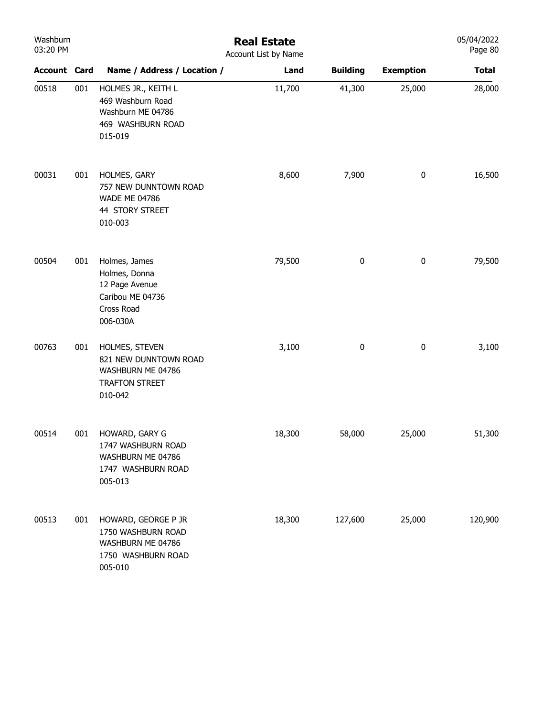| Washburn<br>03:20 PM |     | <b>Real Estate</b><br>Account List by Name                                                       |        |                 |                  |              |  |
|----------------------|-----|--------------------------------------------------------------------------------------------------|--------|-----------------|------------------|--------------|--|
| <b>Account Card</b>  |     | Name / Address / Location /                                                                      | Land   | <b>Building</b> | <b>Exemption</b> | <b>Total</b> |  |
| 00518                | 001 | HOLMES JR., KEITH L<br>469 Washburn Road<br>Washburn ME 04786<br>469 WASHBURN ROAD<br>015-019    | 11,700 | 41,300          | 25,000           | 28,000       |  |
| 00031                | 001 | HOLMES, GARY<br>757 NEW DUNNTOWN ROAD<br><b>WADE ME 04786</b><br>44 STORY STREET<br>010-003      | 8,600  | 7,900           | $\pmb{0}$        | 16,500       |  |
| 00504                | 001 | Holmes, James<br>Holmes, Donna<br>12 Page Avenue<br>Caribou ME 04736<br>Cross Road<br>006-030A   | 79,500 | 0               | $\pmb{0}$        | 79,500       |  |
| 00763                | 001 | HOLMES, STEVEN<br>821 NEW DUNNTOWN ROAD<br>WASHBURN ME 04786<br><b>TRAFTON STREET</b><br>010-042 | 3,100  | $\pmb{0}$       | $\pmb{0}$        | 3,100        |  |
| 00514                | 001 | HOWARD, GARY G<br>1747 WASHBURN ROAD<br>WASHBURN ME 04786<br>1747 WASHBURN ROAD<br>005-013       | 18,300 | 58,000          | 25,000           | 51,300       |  |
| 00513                | 001 | HOWARD, GEORGE P JR<br>1750 WASHBURN ROAD<br>WASHBURN ME 04786<br>1750 WASHBURN ROAD<br>005-010  | 18,300 | 127,600         | 25,000           | 120,900      |  |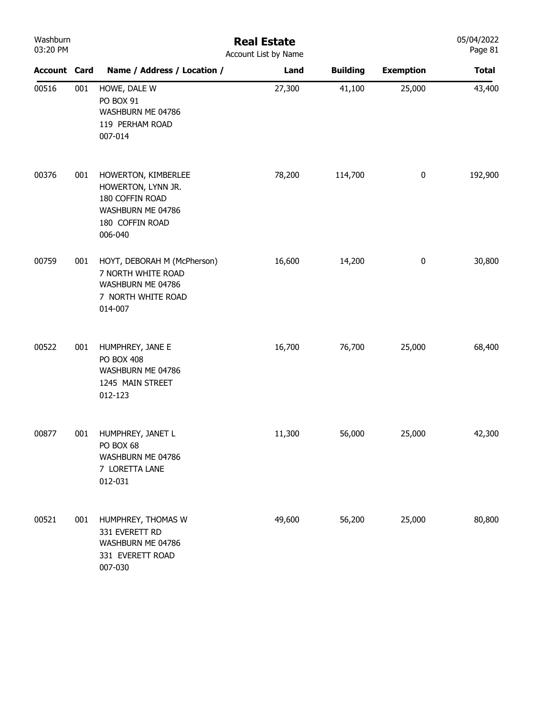| Washburn<br>03:20 PM |     | <b>Real Estate</b><br>Account List by Name                                                                      |        |                 |                  |              |  |
|----------------------|-----|-----------------------------------------------------------------------------------------------------------------|--------|-----------------|------------------|--------------|--|
| <b>Account Card</b>  |     | Name / Address / Location /                                                                                     | Land   | <b>Building</b> | <b>Exemption</b> | <b>Total</b> |  |
| 00516                | 001 | HOWE, DALE W<br>PO BOX 91<br>WASHBURN ME 04786<br>119 PERHAM ROAD<br>007-014                                    | 27,300 | 41,100          | 25,000           | 43,400       |  |
| 00376                | 001 | HOWERTON, KIMBERLEE<br>HOWERTON, LYNN JR.<br>180 COFFIN ROAD<br>WASHBURN ME 04786<br>180 COFFIN ROAD<br>006-040 | 78,200 | 114,700         | $\pmb{0}$        | 192,900      |  |
| 00759                | 001 | HOYT, DEBORAH M (McPherson)<br>7 NORTH WHITE ROAD<br>WASHBURN ME 04786<br>7 NORTH WHITE ROAD<br>014-007         | 16,600 | 14,200          | $\pmb{0}$        | 30,800       |  |
| 00522                | 001 | HUMPHREY, JANE E<br><b>PO BOX 408</b><br>WASHBURN ME 04786<br>1245 MAIN STREET<br>012-123                       | 16,700 | 76,700          | 25,000           | 68,400       |  |
| 00877                | 001 | HUMPHREY, JANET L<br>PO BOX 68<br>WASHBURN ME 04786<br>7 LORETTA LANE<br>012-031                                | 11,300 | 56,000          | 25,000           | 42,300       |  |
| 00521                | 001 | HUMPHREY, THOMAS W<br>331 EVERETT RD<br>WASHBURN ME 04786<br>331 EVERETT ROAD<br>007-030                        | 49,600 | 56,200          | 25,000           | 80,800       |  |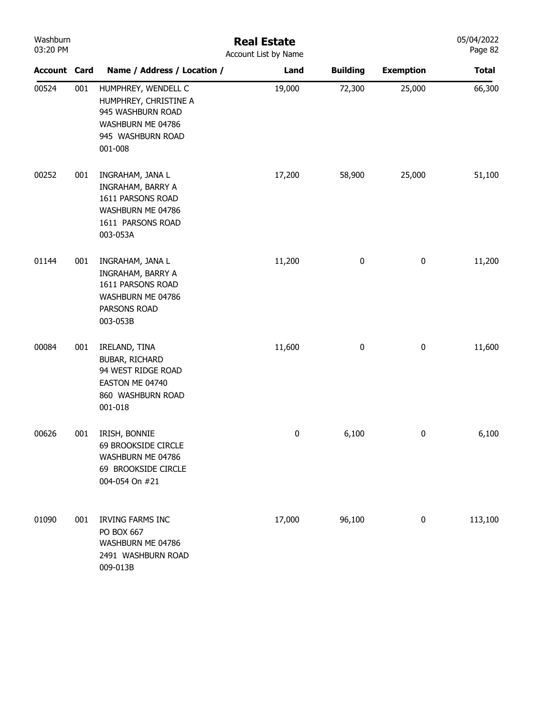| Washburn<br>03:20 PM |     |                                                                                                                        | <b>Real Estate</b><br>Account List by Name |                 |                  | 05/04/2022<br>Page 82 |
|----------------------|-----|------------------------------------------------------------------------------------------------------------------------|--------------------------------------------|-----------------|------------------|-----------------------|
| <b>Account Card</b>  |     | Name / Address / Location /                                                                                            | Land                                       | <b>Building</b> | <b>Exemption</b> | <b>Total</b>          |
| 00524                | 001 | HUMPHREY, WENDELL C<br>HUMPHREY, CHRISTINE A<br>945 WASHBURN ROAD<br>WASHBURN ME 04786<br>945 WASHBURN ROAD<br>001-008 | 19,000                                     | 72,300          | 25,000           | 66,300                |
| 00252                | 001 | INGRAHAM, JANA L<br>INGRAHAM, BARRY A<br>1611 PARSONS ROAD<br>WASHBURN ME 04786<br>1611 PARSONS ROAD<br>003-053A       | 17,200                                     | 58,900          | 25,000           | 51,100                |
| 01144                | 001 | INGRAHAM, JANA L<br>INGRAHAM, BARRY A<br>1611 PARSONS ROAD<br>WASHBURN ME 04786<br>PARSONS ROAD<br>003-053B            | 11,200                                     | $\pmb{0}$       | $\pmb{0}$        | 11,200                |
| 00084                | 001 | IRELAND, TINA<br>BUBAR, RICHARD<br>94 WEST RIDGE ROAD<br>EASTON ME 04740<br>860 WASHBURN ROAD<br>001-018               | 11,600                                     | $\pmb{0}$       | 0                | 11,600                |
| 00626                | 001 | IRISH, BONNIE<br>69 BROOKSIDE CIRCLE<br>WASHBURN ME 04786<br>69 BROOKSIDE CIRCLE<br>004-054 On #21                     | 0                                          | 6,100           | 0                | 6,100                 |
| 01090                | 001 | <b>IRVING FARMS INC</b><br>PO BOX 667<br>WASHBURN ME 04786<br>2491 WASHBURN ROAD<br>009-013B                           | 17,000                                     | 96,100          | 0                | 113,100               |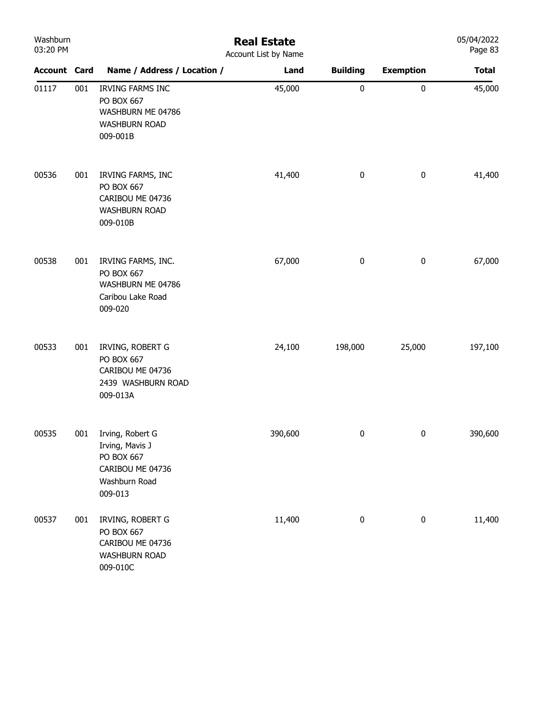| Washburn<br>03:20 PM |     | <b>Real Estate</b><br>Account List by Name                                                        |         |                 |                  |              |  |
|----------------------|-----|---------------------------------------------------------------------------------------------------|---------|-----------------|------------------|--------------|--|
| <b>Account Card</b>  |     | Name / Address / Location /                                                                       | Land    | <b>Building</b> | <b>Exemption</b> | <b>Total</b> |  |
| 01117                | 001 | <b>IRVING FARMS INC</b><br>PO BOX 667<br>WASHBURN ME 04786<br><b>WASHBURN ROAD</b><br>009-001B    | 45,000  | $\pmb{0}$       | $\pmb{0}$        | 45,000       |  |
| 00536                | 001 | IRVING FARMS, INC<br>PO BOX 667<br>CARIBOU ME 04736<br><b>WASHBURN ROAD</b><br>009-010B           | 41,400  | $\pmb{0}$       | $\pmb{0}$        | 41,400       |  |
| 00538                | 001 | IRVING FARMS, INC.<br>PO BOX 667<br>WASHBURN ME 04786<br>Caribou Lake Road<br>009-020             | 67,000  | $\pmb{0}$       | $\pmb{0}$        | 67,000       |  |
| 00533                | 001 | IRVING, ROBERT G<br>PO BOX 667<br>CARIBOU ME 04736<br>2439 WASHBURN ROAD<br>009-013A              | 24,100  | 198,000         | 25,000           | 197,100      |  |
| 00535                | 001 | Irving, Robert G<br>Irving, Mavis J<br>PO BOX 667<br>CARIBOU ME 04736<br>Washburn Road<br>009-013 | 390,600 | 0               | $\bf{0}$         | 390,600      |  |
| 00537                | 001 | IRVING, ROBERT G<br>PO BOX 667<br>CARIBOU ME 04736<br><b>WASHBURN ROAD</b><br>009-010C            | 11,400  | $\pmb{0}$       | $\pmb{0}$        | 11,400       |  |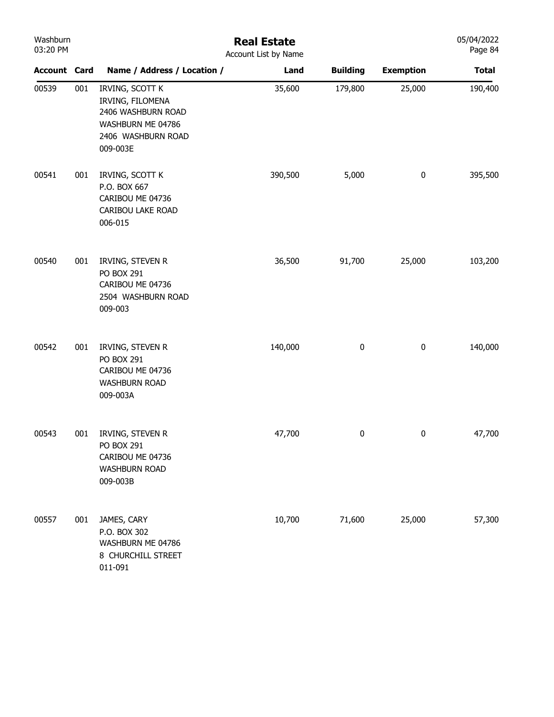| Washburn<br>03:20 PM |     |                                                                                                                  | <b>Real Estate</b><br>Account List by Name |                 |                  | 05/04/2022<br>Page 84 |
|----------------------|-----|------------------------------------------------------------------------------------------------------------------|--------------------------------------------|-----------------|------------------|-----------------------|
| <b>Account Card</b>  |     | Name / Address / Location /                                                                                      | Land                                       | <b>Building</b> | <b>Exemption</b> | <b>Total</b>          |
| 00539                | 001 | IRVING, SCOTT K<br>IRVING, FILOMENA<br>2406 WASHBURN ROAD<br>WASHBURN ME 04786<br>2406 WASHBURN ROAD<br>009-003E | 35,600                                     | 179,800         | 25,000           | 190,400               |
| 00541                | 001 | IRVING, SCOTT K<br>P.O. BOX 667<br>CARIBOU ME 04736<br>CARIBOU LAKE ROAD<br>006-015                              | 390,500                                    | 5,000           | $\pmb{0}$        | 395,500               |
| 00540                | 001 | IRVING, STEVEN R<br>PO BOX 291<br>CARIBOU ME 04736<br>2504 WASHBURN ROAD<br>009-003                              | 36,500                                     | 91,700          | 25,000           | 103,200               |
| 00542                | 001 | IRVING, STEVEN R<br>PO BOX 291<br>CARIBOU ME 04736<br><b>WASHBURN ROAD</b><br>009-003A                           | 140,000                                    | $\pmb{0}$       | $\pmb{0}$        | 140,000               |
| 00543                | 001 | IRVING, STEVEN R<br>PO BOX 291<br>CARIBOU ME 04736<br><b>WASHBURN ROAD</b><br>009-003B                           | 47,700                                     | 0               | $\mathbf{0}$     | 47,700                |
| 00557                | 001 | JAMES, CARY<br>P.O. BOX 302<br>WASHBURN ME 04786<br>8 CHURCHILL STREET<br>011-091                                | 10,700                                     | 71,600          | 25,000           | 57,300                |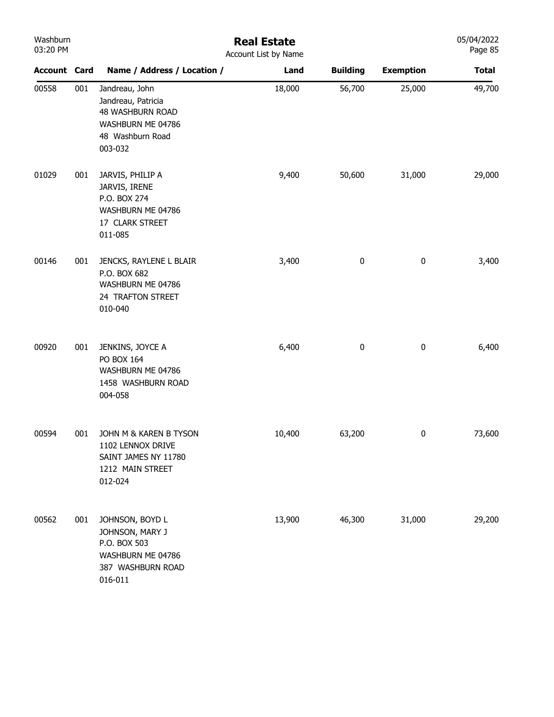| Washburn<br>03:20 PM |     | <b>Real Estate</b><br>Account List by Name                                                                   |        |                 |                  |              |  |
|----------------------|-----|--------------------------------------------------------------------------------------------------------------|--------|-----------------|------------------|--------------|--|
| <b>Account Card</b>  |     | Name / Address / Location /                                                                                  | Land   | <b>Building</b> | <b>Exemption</b> | <b>Total</b> |  |
| 00558                | 001 | Jandreau, John<br>Jandreau, Patricia<br>48 WASHBURN ROAD<br>WASHBURN ME 04786<br>48 Washburn Road<br>003-032 | 18,000 | 56,700          | 25,000           | 49,700       |  |
| 01029                | 001 | JARVIS, PHILIP A<br>JARVIS, IRENE<br>P.O. BOX 274<br>WASHBURN ME 04786<br>17 CLARK STREET<br>011-085         | 9,400  | 50,600          | 31,000           | 29,000       |  |
| 00146                | 001 | JENCKS, RAYLENE L BLAIR<br>P.O. BOX 682<br>WASHBURN ME 04786<br>24 TRAFTON STREET<br>010-040                 | 3,400  | 0               | $\pmb{0}$        | 3,400        |  |
| 00920                | 001 | JENKINS, JOYCE A<br>PO BOX 164<br>WASHBURN ME 04786<br>1458 WASHBURN ROAD<br>004-058                         | 6,400  | 0               | $\pmb{0}$        | 6,400        |  |
| 00594                | 001 | JOHN M & KAREN B TYSON<br>1102 LENNOX DRIVE<br>SAINT JAMES NY 11780<br>1212 MAIN STREET<br>012-024           | 10,400 | 63,200          | 0                | 73,600       |  |
| 00562                | 001 | JOHNSON, BOYD L<br>JOHNSON, MARY J<br>P.O. BOX 503<br>WASHBURN ME 04786<br>387 WASHBURN ROAD<br>016-011      | 13,900 | 46,300          | 31,000           | 29,200       |  |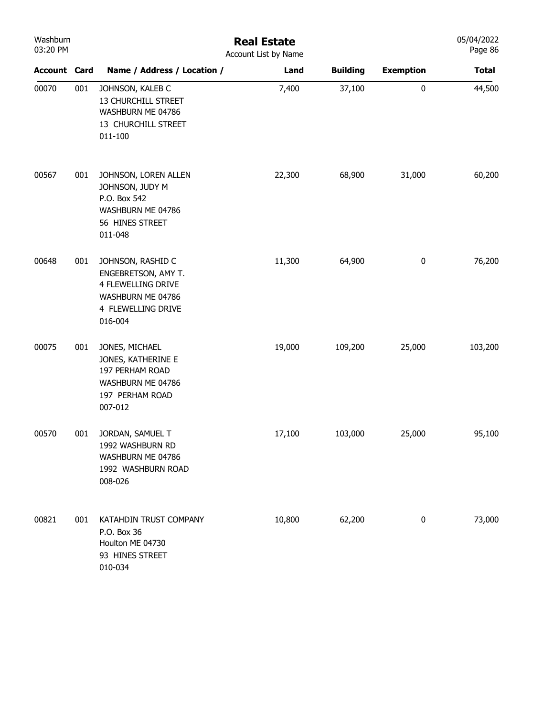| Washburn<br>03:20 PM |     | <b>Real Estate</b><br>Account List by Name                                                                                  |        |                 |                  |              |  |  |
|----------------------|-----|-----------------------------------------------------------------------------------------------------------------------------|--------|-----------------|------------------|--------------|--|--|
| <b>Account Card</b>  |     | Name / Address / Location /                                                                                                 | Land   | <b>Building</b> | <b>Exemption</b> | <b>Total</b> |  |  |
| 00070                | 001 | JOHNSON, KALEB C<br>13 CHURCHILL STREET<br>WASHBURN ME 04786<br>13 CHURCHILL STREET<br>011-100                              | 7,400  | 37,100          | $\pmb{0}$        | 44,500       |  |  |
| 00567                | 001 | JOHNSON, LOREN ALLEN<br>JOHNSON, JUDY M<br>P.O. Box 542<br>WASHBURN ME 04786<br>56 HINES STREET<br>011-048                  | 22,300 | 68,900          | 31,000           | 60,200       |  |  |
| 00648                | 001 | JOHNSON, RASHID C<br>ENGEBRETSON, AMY T.<br><b>4 FLEWELLING DRIVE</b><br>WASHBURN ME 04786<br>4 FLEWELLING DRIVE<br>016-004 | 11,300 | 64,900          | $\pmb{0}$        | 76,200       |  |  |
| 00075                | 001 | JONES, MICHAEL<br>JONES, KATHERINE E<br>197 PERHAM ROAD<br>WASHBURN ME 04786<br>197 PERHAM ROAD<br>007-012                  | 19,000 | 109,200         | 25,000           | 103,200      |  |  |
| 00570                | 001 | JORDAN, SAMUEL T<br>1992 WASHBURN RD<br>WASHBURN ME 04786<br>1992 WASHBURN ROAD<br>008-026                                  | 17,100 | 103,000         | 25,000           | 95,100       |  |  |
| 00821                | 001 | KATAHDIN TRUST COMPANY<br>P.O. Box 36<br>Houlton ME 04730<br>93 HINES STREET<br>010-034                                     | 10,800 | 62,200          | $\pmb{0}$        | 73,000       |  |  |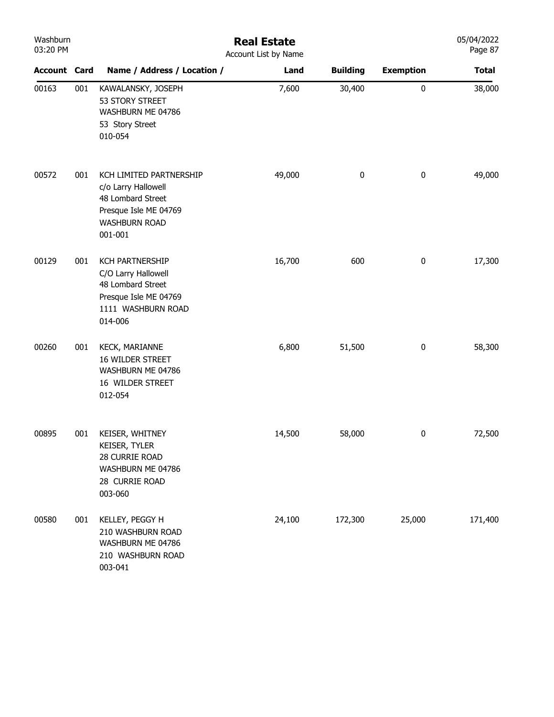| Washburn<br>03:20 PM |     |                                                                                                                                 | <b>Real Estate</b><br>Account List by Name |                 |                  | 05/04/2022<br>Page 87 |
|----------------------|-----|---------------------------------------------------------------------------------------------------------------------------------|--------------------------------------------|-----------------|------------------|-----------------------|
| <b>Account Card</b>  |     | Name / Address / Location /                                                                                                     | Land                                       | <b>Building</b> | <b>Exemption</b> | <b>Total</b>          |
| 00163                | 001 | KAWALANSKY, JOSEPH<br>53 STORY STREET<br>WASHBURN ME 04786<br>53 Story Street<br>010-054                                        | 7,600                                      | 30,400          | 0                | 38,000                |
| 00572                | 001 | KCH LIMITED PARTNERSHIP<br>c/o Larry Hallowell<br>48 Lombard Street<br>Presque Isle ME 04769<br><b>WASHBURN ROAD</b><br>001-001 | 49,000                                     | $\pmb{0}$       | $\pmb{0}$        | 49,000                |
| 00129                | 001 | <b>KCH PARTNERSHIP</b><br>C/O Larry Hallowell<br>48 Lombard Street<br>Presque Isle ME 04769<br>1111 WASHBURN ROAD<br>014-006    | 16,700                                     | 600             | $\pmb{0}$        | 17,300                |
| 00260                | 001 | <b>KECK, MARIANNE</b><br>16 WILDER STREET<br>WASHBURN ME 04786<br>16 WILDER STREET<br>012-054                                   | 6,800                                      | 51,500          | $\bf{0}$         | 58,300                |
| 00895                | 001 | KEISER, WHITNEY<br>KEISER, TYLER<br>28 CURRIE ROAD<br>WASHBURN ME 04786<br>28 CURRIE ROAD<br>003-060                            | 14,500                                     | 58,000          | 0                | 72,500                |
| 00580                | 001 | KELLEY, PEGGY H<br>210 WASHBURN ROAD<br>WASHBURN ME 04786<br>210 WASHBURN ROAD<br>003-041                                       | 24,100                                     | 172,300         | 25,000           | 171,400               |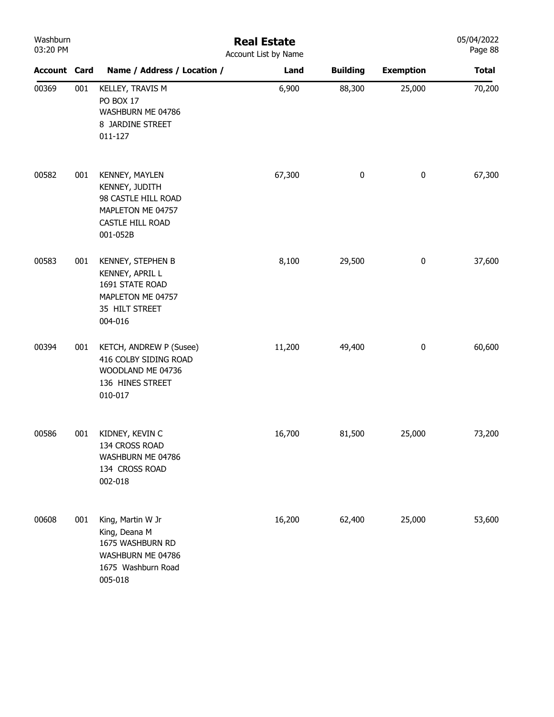| Washburn<br>03:20 PM |     |                                                                                                              | <b>Real Estate</b><br>Account List by Name |                 |                  | 05/04/2022<br>Page 88 |
|----------------------|-----|--------------------------------------------------------------------------------------------------------------|--------------------------------------------|-----------------|------------------|-----------------------|
| <b>Account Card</b>  |     | Name / Address / Location /                                                                                  | Land                                       | <b>Building</b> | <b>Exemption</b> | <b>Total</b>          |
| 00369                | 001 | KELLEY, TRAVIS M<br>PO BOX 17<br>WASHBURN ME 04786<br>8 JARDINE STREET<br>011-127                            | 6,900                                      | 88,300          | 25,000           | 70,200                |
| 00582                | 001 | KENNEY, MAYLEN<br>KENNEY, JUDITH<br>98 CASTLE HILL ROAD<br>MAPLETON ME 04757<br>CASTLE HILL ROAD<br>001-052B | 67,300                                     | 0               | 0                | 67,300                |
| 00583                | 001 | KENNEY, STEPHEN B<br>KENNEY, APRIL L<br>1691 STATE ROAD<br>MAPLETON ME 04757<br>35 HILT STREET<br>004-016    | 8,100                                      | 29,500          | 0                | 37,600                |
| 00394                | 001 | KETCH, ANDREW P (Susee)<br>416 COLBY SIDING ROAD<br>WOODLAND ME 04736<br>136 HINES STREET<br>010-017         | 11,200                                     | 49,400          | $\pmb{0}$        | 60,600                |
| 00586                | 001 | KIDNEY, KEVIN C<br>134 CROSS ROAD<br>WASHBURN ME 04786<br>134 CROSS ROAD<br>002-018                          | 16,700                                     | 81,500          | 25,000           | 73,200                |
| 00608                | 001 | King, Martin W Jr<br>King, Deana M<br>1675 WASHBURN RD<br>WASHBURN ME 04786<br>1675 Washburn Road<br>005-018 | 16,200                                     | 62,400          | 25,000           | 53,600                |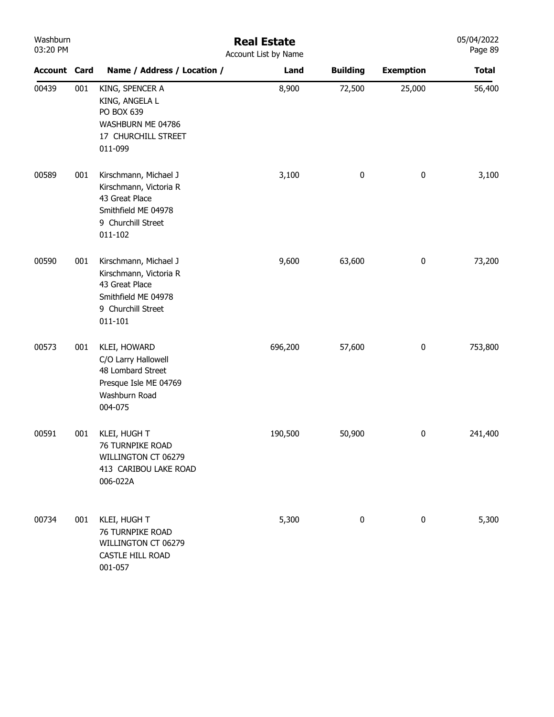| Washburn |
|----------|
| 03:20 PM |

## Real Estate

| 03:20 PM            |     |                                                                                                                           | Account List by Name |                 |                  | Page 89      |
|---------------------|-----|---------------------------------------------------------------------------------------------------------------------------|----------------------|-----------------|------------------|--------------|
| <b>Account Card</b> |     | Name / Address / Location /                                                                                               | Land                 | <b>Building</b> | <b>Exemption</b> | <b>Total</b> |
| 00439               | 001 | KING, SPENCER A<br>KING, ANGELA L<br>PO BOX 639<br>WASHBURN ME 04786<br>17 CHURCHILL STREET<br>011-099                    | 8,900                | 72,500          | 25,000           | 56,400       |
| 00589               | 001 | Kirschmann, Michael J<br>Kirschmann, Victoria R<br>43 Great Place<br>Smithfield ME 04978<br>9 Churchill Street<br>011-102 | 3,100                | $\pmb{0}$       | $\pmb{0}$        | 3,100        |
| 00590               | 001 | Kirschmann, Michael J<br>Kirschmann, Victoria R<br>43 Great Place<br>Smithfield ME 04978<br>9 Churchill Street<br>011-101 | 9,600                | 63,600          | $\pmb{0}$        | 73,200       |
| 00573               | 001 | KLEI, HOWARD<br>C/O Larry Hallowell<br>48 Lombard Street<br>Presque Isle ME 04769<br>Washburn Road<br>004-075             | 696,200              | 57,600          | $\pmb{0}$        | 753,800      |
| 00591               | 001 | KLEI, HUGH T<br>76 TURNPIKE ROAD<br>WILLINGTON CT 06279<br>413 CARIBOU LAKE ROAD<br>006-022A                              | 190,500              | 50,900          | $\pmb{0}$        | 241,400      |
| 00734               | 001 | KLEI, HUGH T<br>76 TURNPIKE ROAD<br>WILLINGTON CT 06279<br>CASTLE HILL ROAD<br>001-057                                    | 5,300                | 0               | $\pmb{0}$        | 5,300        |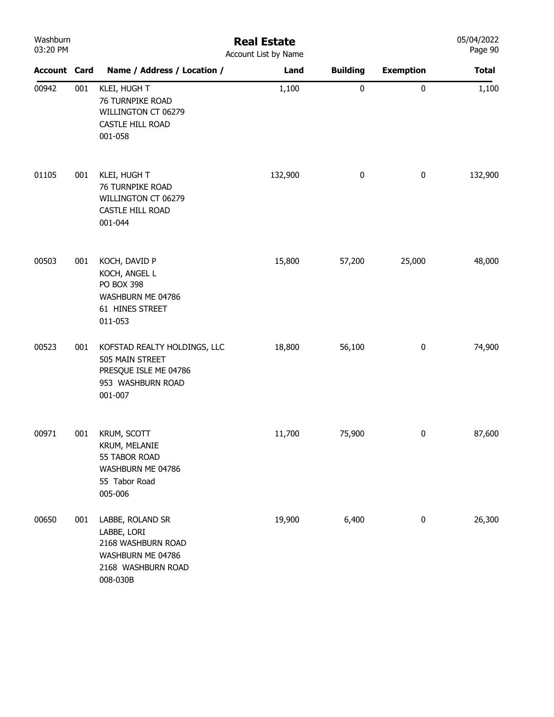| Washburn<br>03:20 PM |     |                                                                                                              | <b>Real Estate</b><br>Account List by Name |                 |                  | 05/04/2022<br>Page 90 |
|----------------------|-----|--------------------------------------------------------------------------------------------------------------|--------------------------------------------|-----------------|------------------|-----------------------|
| <b>Account Card</b>  |     | Name / Address / Location /                                                                                  | Land                                       | <b>Building</b> | <b>Exemption</b> | <b>Total</b>          |
| 00942                | 001 | KLEI, HUGH T<br>76 TURNPIKE ROAD<br>WILLINGTON CT 06279<br>CASTLE HILL ROAD<br>001-058                       | 1,100                                      | $\pmb{0}$       | 0                | 1,100                 |
| 01105                | 001 | KLEI, HUGH T<br>76 TURNPIKE ROAD<br>WILLINGTON CT 06279<br>CASTLE HILL ROAD<br>001-044                       | 132,900                                    | $\bf{0}$        | 0                | 132,900               |
| 00503                | 001 | KOCH, DAVID P<br>KOCH, ANGEL L<br><b>PO BOX 398</b><br>WASHBURN ME 04786<br>61 HINES STREET<br>011-053       | 15,800                                     | 57,200          | 25,000           | 48,000                |
| 00523                | 001 | KOFSTAD REALTY HOLDINGS, LLC<br>505 MAIN STREET<br>PRESQUE ISLE ME 04786<br>953 WASHBURN ROAD<br>001-007     | 18,800                                     | 56,100          | $\bf{0}$         | 74,900                |
| 00971                | 001 | <b>KRUM, SCOTT</b><br>KRUM, MELANIE<br>55 TABOR ROAD<br>WASHBURN ME 04786<br>55 Tabor Road<br>005-006        | 11,700                                     | 75,900          | 0                | 87,600                |
| 00650                | 001 | LABBE, ROLAND SR<br>LABBE, LORI<br>2168 WASHBURN ROAD<br>WASHBURN ME 04786<br>2168 WASHBURN ROAD<br>008-030B | 19,900                                     | 6,400           | $\pmb{0}$        | 26,300                |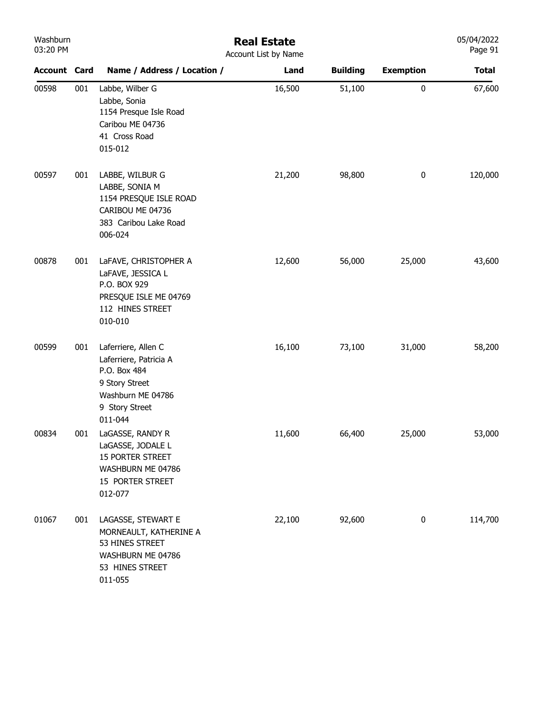| Washburn |  |
|----------|--|
| 03:20 PM |  |

## Real Estate Account List by Name

| <b>Account Card</b> |     | Name / Address / Location /                                                                                                       | Land   | <b>Building</b> | <b>Exemption</b> | <b>Total</b> |
|---------------------|-----|-----------------------------------------------------------------------------------------------------------------------------------|--------|-----------------|------------------|--------------|
| 00598               | 001 | Labbe, Wilber G<br>Labbe, Sonia<br>1154 Presque Isle Road<br>Caribou ME 04736<br>41 Cross Road<br>015-012                         | 16,500 | 51,100          | $\pmb{0}$        | 67,600       |
| 00597               | 001 | LABBE, WILBUR G<br>LABBE, SONIA M<br>1154 PRESQUE ISLE ROAD<br>CARIBOU ME 04736<br>383 Caribou Lake Road<br>006-024               | 21,200 | 98,800          | $\bf{0}$         | 120,000      |
| 00878               | 001 | LaFAVE, CHRISTOPHER A<br>LaFAVE, JESSICA L<br>P.O. BOX 929<br>PRESQUE ISLE ME 04769<br>112 HINES STREET<br>010-010                | 12,600 | 56,000          | 25,000           | 43,600       |
| 00599               | 001 | Laferriere, Allen C<br>Laferriere, Patricia A<br>P.O. Box 484<br>9 Story Street<br>Washburn ME 04786<br>9 Story Street<br>011-044 | 16,100 | 73,100          | 31,000           | 58,200       |
| 00834               | 001 | LaGASSE, RANDY R<br>LaGASSE, JODALE L<br>15 PORTER STREET<br>WASHBURN ME 04786<br>15 PORTER STREET<br>012-077                     | 11,600 | 66,400          | 25,000           | 53,000       |
| 01067               | 001 | LAGASSE, STEWART E<br>MORNEAULT, KATHERINE A<br>53 HINES STREET<br>WASHBURN ME 04786<br>53 HINES STREET<br>011-055                | 22,100 | 92,600          | 0                | 114,700      |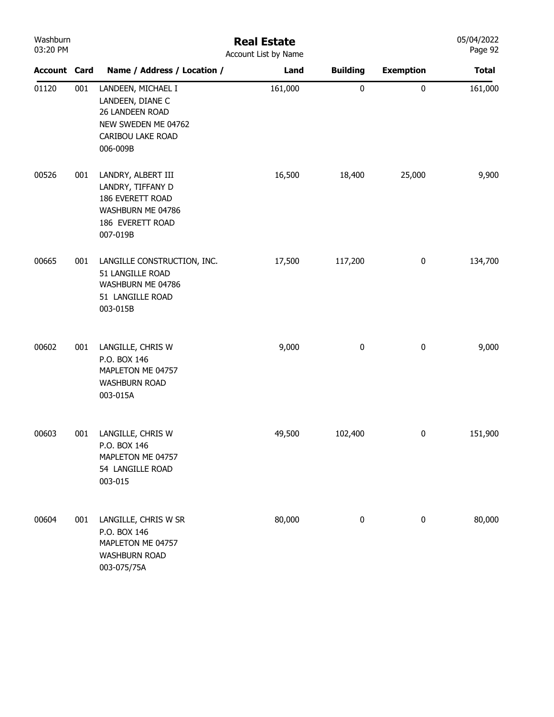| Washburn<br>03:20 PM |     |                                                                                                                   | <b>Real Estate</b><br>Account List by Name |                  |                  | 05/04/2022<br>Page 92 |
|----------------------|-----|-------------------------------------------------------------------------------------------------------------------|--------------------------------------------|------------------|------------------|-----------------------|
| <b>Account Card</b>  |     | Name / Address / Location /                                                                                       | Land                                       | <b>Building</b>  | <b>Exemption</b> | <b>Total</b>          |
| 01120                | 001 | LANDEEN, MICHAEL I<br>LANDEEN, DIANE C<br>26 LANDEEN ROAD<br>NEW SWEDEN ME 04762<br>CARIBOU LAKE ROAD<br>006-009B | 161,000                                    | $\pmb{0}$        | 0                | 161,000               |
| 00526                | 001 | LANDRY, ALBERT III<br>LANDRY, TIFFANY D<br>186 EVERETT ROAD<br>WASHBURN ME 04786<br>186 EVERETT ROAD<br>007-019B  | 16,500                                     | 18,400           | 25,000           | 9,900                 |
| 00665                | 001 | LANGILLE CONSTRUCTION, INC.<br>51 LANGILLE ROAD<br>WASHBURN ME 04786<br>51 LANGILLE ROAD<br>003-015B              | 17,500                                     | 117,200          | $\bf{0}$         | 134,700               |
| 00602                | 001 | LANGILLE, CHRIS W<br>P.O. BOX 146<br>MAPLETON ME 04757<br><b>WASHBURN ROAD</b><br>003-015A                        | 9,000                                      | $\boldsymbol{0}$ | $\boldsymbol{0}$ | 9,000                 |
| 00603                | 001 | LANGILLE, CHRIS W<br>P.O. BOX 146<br>MAPLETON ME 04757<br>54 LANGILLE ROAD<br>003-015                             | 49,500                                     | 102,400          | $\bf{0}$         | 151,900               |
| 00604                | 001 | LANGILLE, CHRIS W SR<br>P.O. BOX 146<br>MAPLETON ME 04757<br><b>WASHBURN ROAD</b><br>003-075/75A                  | 80,000                                     | $\pmb{0}$        | $\pmb{0}$        | 80,000                |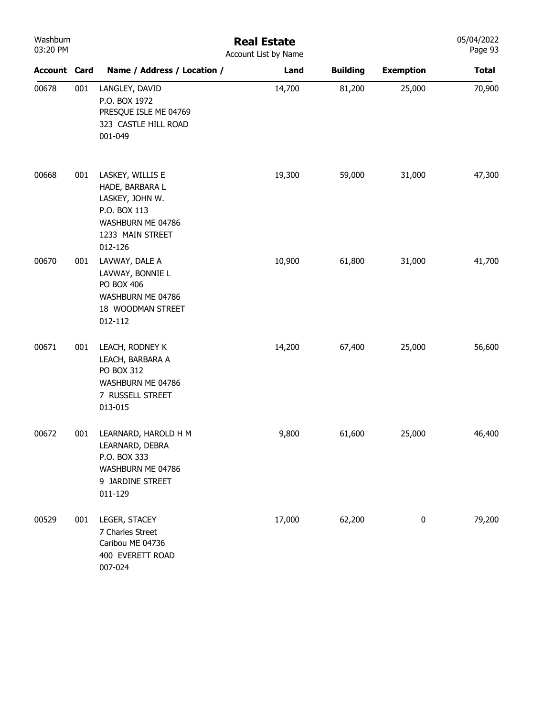| Washburn<br>03:20 PM |     | <b>Real Estate</b><br>Account List by Name                                                                                 |        |                 |                  |              |
|----------------------|-----|----------------------------------------------------------------------------------------------------------------------------|--------|-----------------|------------------|--------------|
| <b>Account Card</b>  |     | Name / Address / Location /                                                                                                | Land   | <b>Building</b> | <b>Exemption</b> | <b>Total</b> |
| 00678                | 001 | LANGLEY, DAVID<br>P.O. BOX 1972<br>PRESQUE ISLE ME 04769<br>323 CASTLE HILL ROAD<br>001-049                                | 14,700 | 81,200          | 25,000           | 70,900       |
| 00668                | 001 | LASKEY, WILLIS E<br>HADE, BARBARA L<br>LASKEY, JOHN W.<br>P.O. BOX 113<br>WASHBURN ME 04786<br>1233 MAIN STREET<br>012-126 | 19,300 | 59,000          | 31,000           | 47,300       |
| 00670                | 001 | LAVWAY, DALE A<br>LAVWAY, BONNIE L<br>PO BOX 406<br>WASHBURN ME 04786<br>18 WOODMAN STREET<br>012-112                      | 10,900 | 61,800          | 31,000           | 41,700       |
| 00671                | 001 | LEACH, RODNEY K<br>LEACH, BARBARA A<br>PO BOX 312<br>WASHBURN ME 04786<br>7 RUSSELL STREET<br>013-015                      | 14,200 | 67,400          | 25,000           | 56,600       |
| 00672                | 001 | LEARNARD, HAROLD H M<br>LEARNARD, DEBRA<br>P.O. BOX 333<br>WASHBURN ME 04786<br>9 JARDINE STREET<br>011-129                | 9,800  | 61,600          | 25,000           | 46,400       |
| 00529                | 001 | LEGER, STACEY<br>7 Charles Street<br>Caribou ME 04736<br>400 EVERETT ROAD<br>007-024                                       | 17,000 | 62,200          | $\bf{0}$         | 79,200       |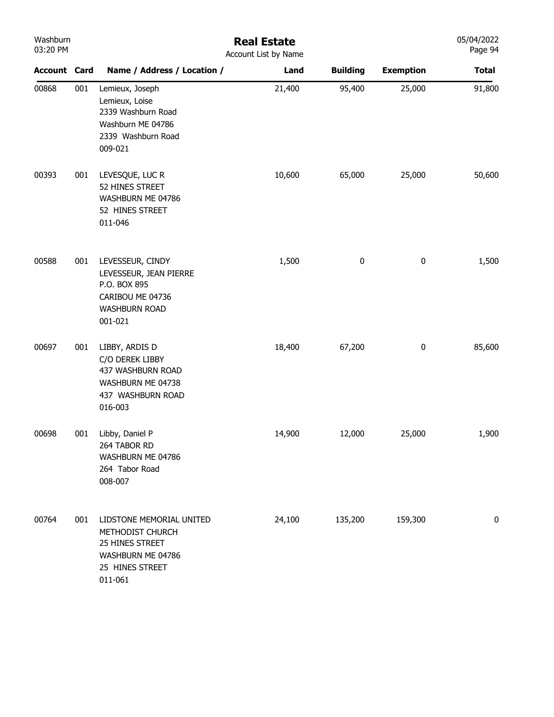| Washburn<br>03:20 PM |     | <b>Real Estate</b><br>Account List by Name                                                                         |        |                 |                  |              |
|----------------------|-----|--------------------------------------------------------------------------------------------------------------------|--------|-----------------|------------------|--------------|
| <b>Account Card</b>  |     | Name / Address / Location /                                                                                        | Land   | <b>Building</b> | <b>Exemption</b> | <b>Total</b> |
| 00868                | 001 | Lemieux, Joseph<br>Lemieux, Loise<br>2339 Washburn Road<br>Washburn ME 04786<br>2339 Washburn Road<br>009-021      | 21,400 | 95,400          | 25,000           | 91,800       |
| 00393                | 001 | LEVESQUE, LUC R<br>52 HINES STREET<br>WASHBURN ME 04786<br>52 HINES STREET<br>011-046                              | 10,600 | 65,000          | 25,000           | 50,600       |
| 00588                | 001 | LEVESSEUR, CINDY<br>LEVESSEUR, JEAN PIERRE<br>P.O. BOX 895<br>CARIBOU ME 04736<br><b>WASHBURN ROAD</b><br>001-021  | 1,500  | $\pmb{0}$       | 0                | 1,500        |
| 00697                | 001 | LIBBY, ARDIS D<br>C/O DEREK LIBBY<br>437 WASHBURN ROAD<br>WASHBURN ME 04738<br>437 WASHBURN ROAD<br>016-003        | 18,400 | 67,200          | 0                | 85,600       |
| 00698                | 001 | Libby, Daniel P<br>264 TABOR RD<br>WASHBURN ME 04786<br>264 Tabor Road<br>008-007                                  | 14,900 | 12,000          | 25,000           | 1,900        |
| 00764                | 001 | LIDSTONE MEMORIAL UNITED<br>METHODIST CHURCH<br>25 HINES STREET<br>WASHBURN ME 04786<br>25 HINES STREET<br>011-061 | 24,100 | 135,200         | 159,300          | 0            |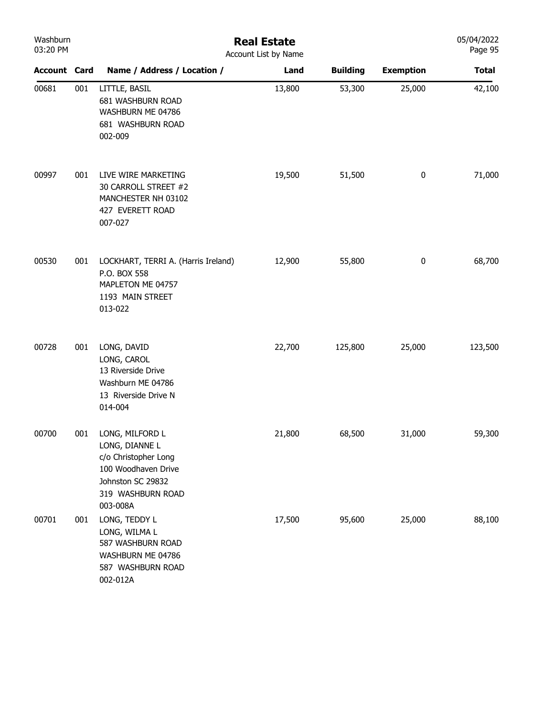| Washburn<br>03:20 PM |     | <b>Real Estate</b><br>Account List by Name                                                                                             |        |                 |                  |              |  |
|----------------------|-----|----------------------------------------------------------------------------------------------------------------------------------------|--------|-----------------|------------------|--------------|--|
| <b>Account Card</b>  |     | Name / Address / Location /                                                                                                            | Land   | <b>Building</b> | <b>Exemption</b> | <b>Total</b> |  |
| 00681                | 001 | LITTLE, BASIL<br>681 WASHBURN ROAD<br>WASHBURN ME 04786<br>681 WASHBURN ROAD<br>002-009                                                | 13,800 | 53,300          | 25,000           | 42,100       |  |
| 00997                | 001 | LIVE WIRE MARKETING<br>30 CARROLL STREET #2<br>MANCHESTER NH 03102<br>427 EVERETT ROAD<br>007-027                                      | 19,500 | 51,500          | $\pmb{0}$        | 71,000       |  |
| 00530                | 001 | LOCKHART, TERRI A. (Harris Ireland)<br>P.O. BOX 558<br>MAPLETON ME 04757<br>1193 MAIN STREET<br>013-022                                | 12,900 | 55,800          | $\pmb{0}$        | 68,700       |  |
| 00728                | 001 | LONG, DAVID<br>LONG, CAROL<br>13 Riverside Drive<br>Washburn ME 04786<br>13 Riverside Drive N<br>014-004                               | 22,700 | 125,800         | 25,000           | 123,500      |  |
| 00700                | 001 | LONG, MILFORD L<br>LONG, DIANNE L<br>c/o Christopher Long<br>100 Woodhaven Drive<br>Johnston SC 29832<br>319 WASHBURN ROAD<br>003-008A | 21,800 | 68,500          | 31,000           | 59,300       |  |
| 00701                | 001 | LONG, TEDDY L<br>LONG, WILMA L<br>587 WASHBURN ROAD<br>WASHBURN ME 04786<br>587 WASHBURN ROAD<br>002-012A                              | 17,500 | 95,600          | 25,000           | 88,100       |  |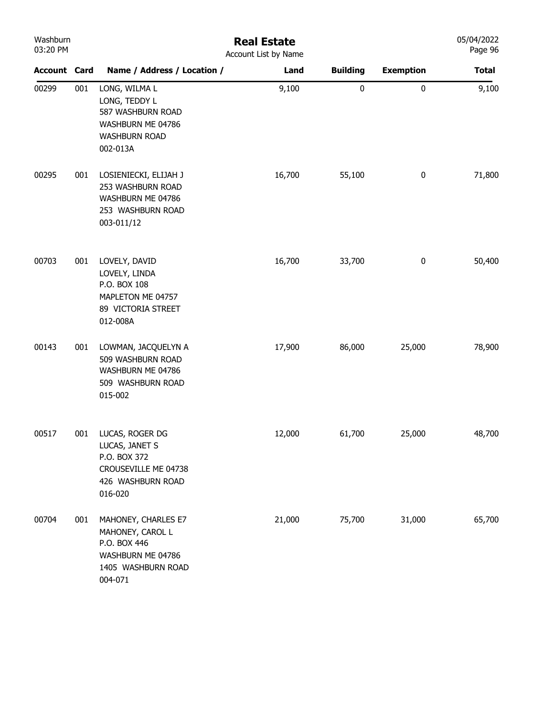| Washburn<br>03:20 PM |     |                                                                                                               | <b>Real Estate</b><br>Account List by Name |                 |                  | 05/04/2022<br>Page 96 |
|----------------------|-----|---------------------------------------------------------------------------------------------------------------|--------------------------------------------|-----------------|------------------|-----------------------|
| <b>Account Card</b>  |     | Name / Address / Location /                                                                                   | Land                                       | <b>Building</b> | <b>Exemption</b> | <b>Total</b>          |
| 00299                | 001 | LONG, WILMA L<br>LONG, TEDDY L<br>587 WASHBURN ROAD<br>WASHBURN ME 04786<br>WASHBURN ROAD<br>002-013A         | 9,100                                      | 0               | $\mathbf 0$      | 9,100                 |
| 00295                | 001 | LOSIENIECKI, ELIJAH J<br>253 WASHBURN ROAD<br>WASHBURN ME 04786<br>253 WASHBURN ROAD<br>003-011/12            | 16,700                                     | 55,100          | $\pmb{0}$        | 71,800                |
| 00703                | 001 | LOVELY, DAVID<br>LOVELY, LINDA<br>P.O. BOX 108<br>MAPLETON ME 04757<br>89 VICTORIA STREET<br>012-008A         | 16,700                                     | 33,700          | $\pmb{0}$        | 50,400                |
| 00143                | 001 | LOWMAN, JACQUELYN A<br>509 WASHBURN ROAD<br>WASHBURN ME 04786<br>509 WASHBURN ROAD<br>015-002                 | 17,900                                     | 86,000          | 25,000           | 78,900                |
| 00517                |     | 001 LUCAS, ROGER DG<br>LUCAS, JANET S<br>P.O. BOX 372<br>CROUSEVILLE ME 04738<br>426 WASHBURN ROAD<br>016-020 | 12,000                                     | 61,700          | 25,000           | 48,700                |
| 00704                | 001 | MAHONEY, CHARLES E7<br>MAHONEY, CAROL L<br>P.O. BOX 446<br>WASHBURN ME 04786<br>1405 WASHBURN ROAD<br>004-071 | 21,000                                     | 75,700          | 31,000           | 65,700                |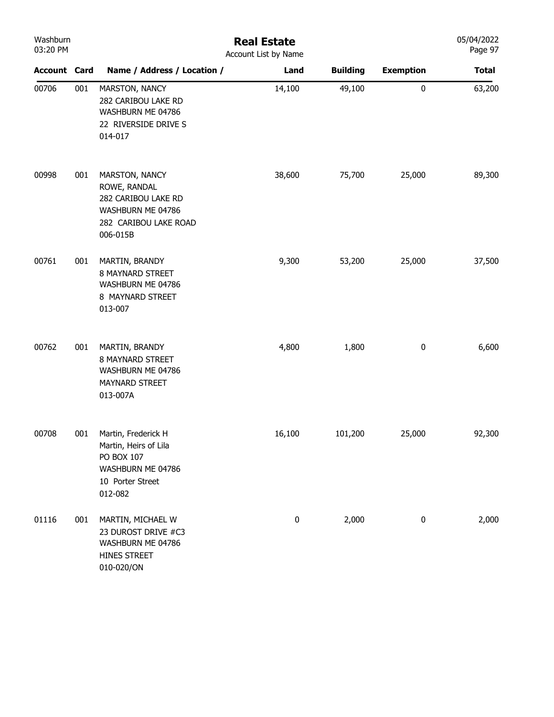| Washburn<br>03:20 PM |     | <b>Real Estate</b><br>Account List by Name                                                                      |           |                 |                  |              |
|----------------------|-----|-----------------------------------------------------------------------------------------------------------------|-----------|-----------------|------------------|--------------|
| <b>Account Card</b>  |     | Name / Address / Location /                                                                                     | Land      | <b>Building</b> | <b>Exemption</b> | <b>Total</b> |
| 00706                | 001 | MARSTON, NANCY<br>282 CARIBOU LAKE RD<br>WASHBURN ME 04786<br>22 RIVERSIDE DRIVE S<br>014-017                   | 14,100    | 49,100          | $\pmb{0}$        | 63,200       |
| 00998                | 001 | MARSTON, NANCY<br>ROWE, RANDAL<br>282 CARIBOU LAKE RD<br>WASHBURN ME 04786<br>282 CARIBOU LAKE ROAD<br>006-015B | 38,600    | 75,700          | 25,000           | 89,300       |
| 00761                | 001 | MARTIN, BRANDY<br>8 MAYNARD STREET<br>WASHBURN ME 04786<br>8 MAYNARD STREET<br>013-007                          | 9,300     | 53,200          | 25,000           | 37,500       |
| 00762                | 001 | MARTIN, BRANDY<br>8 MAYNARD STREET<br>WASHBURN ME 04786<br>MAYNARD STREET<br>013-007A                           | 4,800     | 1,800           | $\bf{0}$         | 6,600        |
| 00708                | 001 | Martin, Frederick H<br>Martin, Heirs of Lila<br>PO BOX 107<br>WASHBURN ME 04786<br>10 Porter Street<br>012-082  | 16,100    | 101,200         | 25,000           | 92,300       |
| 01116                | 001 | MARTIN, MICHAEL W<br>23 DUROST DRIVE #C3<br>WASHBURN ME 04786<br>HINES STREET<br>010-020/ON                     | $\pmb{0}$ | 2,000           | $\pmb{0}$        | 2,000        |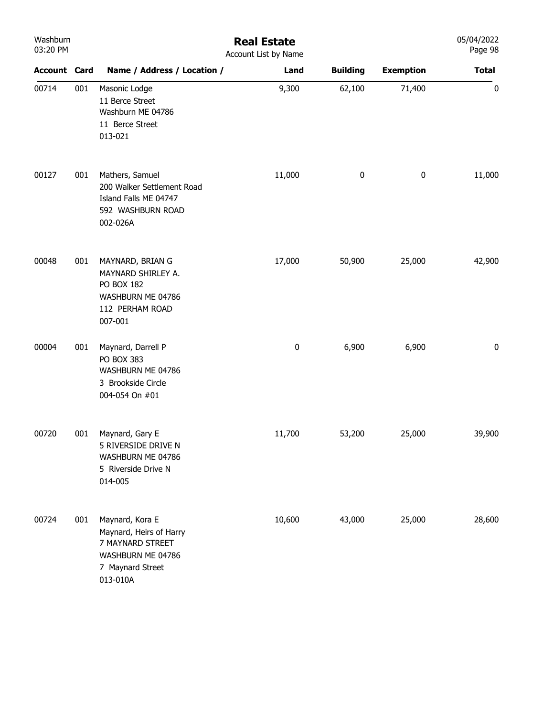| Washburn<br>03:20 PM |     |                                                                                                                     | <b>Real Estate</b><br>Account List by Name |                 |                  | 05/04/2022<br>Page 98 |
|----------------------|-----|---------------------------------------------------------------------------------------------------------------------|--------------------------------------------|-----------------|------------------|-----------------------|
| <b>Account Card</b>  |     | Name / Address / Location /                                                                                         | Land                                       | <b>Building</b> | <b>Exemption</b> | <b>Total</b>          |
| 00714                | 001 | Masonic Lodge<br>11 Berce Street<br>Washburn ME 04786<br>11 Berce Street<br>013-021                                 | 9,300                                      | 62,100          | 71,400           | 0                     |
| 00127                | 001 | Mathers, Samuel<br>200 Walker Settlement Road<br>Island Falls ME 04747<br>592 WASHBURN ROAD<br>002-026A             | 11,000                                     | 0               | $\pmb{0}$        | 11,000                |
| 00048                | 001 | MAYNARD, BRIAN G<br>MAYNARD SHIRLEY A.<br>PO BOX 182<br>WASHBURN ME 04786<br>112 PERHAM ROAD<br>007-001             | 17,000                                     | 50,900          | 25,000           | 42,900                |
| 00004                | 001 | Maynard, Darrell P<br>PO BOX 383<br>WASHBURN ME 04786<br>3 Brookside Circle<br>004-054 On #01                       | $\pmb{0}$                                  | 6,900           | 6,900            | 0                     |
| 00720                | 001 | Maynard, Gary E<br>5 RIVERSIDE DRIVE N<br>WASHBURN ME 04786<br>5 Riverside Drive N<br>014-005                       | 11,700                                     | 53,200          | 25,000           | 39,900                |
| 00724                | 001 | Maynard, Kora E<br>Maynard, Heirs of Harry<br>7 MAYNARD STREET<br>WASHBURN ME 04786<br>7 Maynard Street<br>013-010A | 10,600                                     | 43,000          | 25,000           | 28,600                |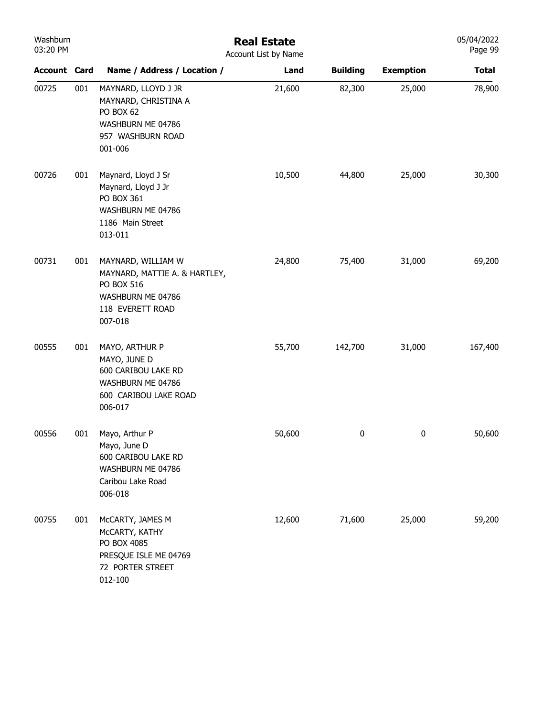| Washburn<br>03:20 PM |     | <b>Real Estate</b><br>Account List by Name                                                                            |        |                 |                  |              |  |
|----------------------|-----|-----------------------------------------------------------------------------------------------------------------------|--------|-----------------|------------------|--------------|--|
| <b>Account Card</b>  |     | Name / Address / Location /                                                                                           | Land   | <b>Building</b> | <b>Exemption</b> | <b>Total</b> |  |
| 00725                | 001 | MAYNARD, LLOYD J JR<br>MAYNARD, CHRISTINA A<br>PO BOX 62<br>WASHBURN ME 04786<br>957 WASHBURN ROAD<br>001-006         | 21,600 | 82,300          | 25,000           | 78,900       |  |
| 00726                | 001 | Maynard, Lloyd J Sr<br>Maynard, Lloyd J Jr<br>PO BOX 361<br>WASHBURN ME 04786<br>1186 Main Street<br>013-011          | 10,500 | 44,800          | 25,000           | 30,300       |  |
| 00731                | 001 | MAYNARD, WILLIAM W<br>MAYNARD, MATTIE A. & HARTLEY,<br>PO BOX 516<br>WASHBURN ME 04786<br>118 EVERETT ROAD<br>007-018 | 24,800 | 75,400          | 31,000           | 69,200       |  |
| 00555                | 001 | MAYO, ARTHUR P<br>MAYO, JUNE D<br>600 CARIBOU LAKE RD<br>WASHBURN ME 04786<br>600 CARIBOU LAKE ROAD<br>006-017        | 55,700 | 142,700         | 31,000           | 167,400      |  |
| 00556                | 001 | Mayo, Arthur P<br>Mayo, June D<br>600 CARIBOU LAKE RD<br>WASHBURN ME 04786<br>Caribou Lake Road<br>006-018            | 50,600 | 0               | 0                | 50,600       |  |
| 00755                | 001 | McCARTY, JAMES M<br>McCARTY, KATHY<br>PO BOX 4085<br>PRESQUE ISLE ME 04769<br>72 PORTER STREET<br>012-100             | 12,600 | 71,600          | 25,000           | 59,200       |  |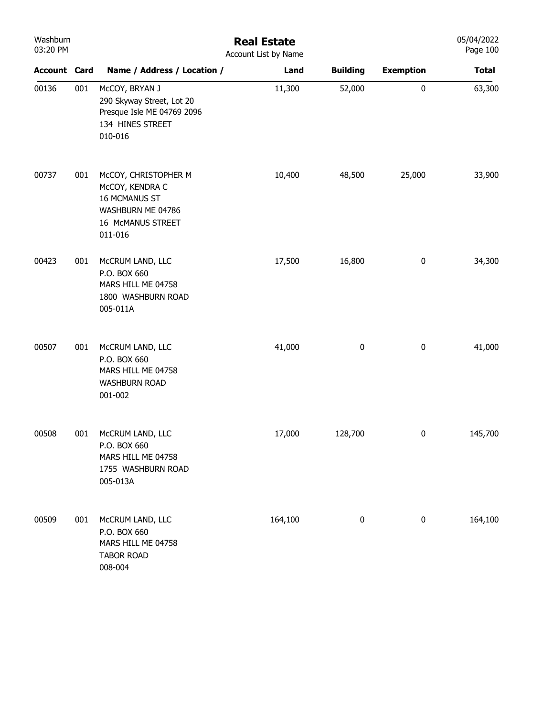| Washburn<br>03:20 PM |     | <b>Real Estate</b><br>Account List by Name                                                                    |         |                 |                  |              |  |
|----------------------|-----|---------------------------------------------------------------------------------------------------------------|---------|-----------------|------------------|--------------|--|
| <b>Account Card</b>  |     | Name / Address / Location /                                                                                   | Land    | <b>Building</b> | <b>Exemption</b> | <b>Total</b> |  |
| 00136                | 001 | McCOY, BRYAN J<br>290 Skyway Street, Lot 20<br>Presque Isle ME 04769 2096<br>134 HINES STREET<br>010-016      | 11,300  | 52,000          | $\pmb{0}$        | 63,300       |  |
| 00737                | 001 | McCOY, CHRISTOPHER M<br>McCOY, KENDRA C<br>16 MCMANUS ST<br>WASHBURN ME 04786<br>16 McMANUS STREET<br>011-016 | 10,400  | 48,500          | 25,000           | 33,900       |  |
| 00423                | 001 | McCRUM LAND, LLC<br>P.O. BOX 660<br>MARS HILL ME 04758<br>1800 WASHBURN ROAD<br>005-011A                      | 17,500  | 16,800          | $\pmb{0}$        | 34,300       |  |
| 00507                | 001 | McCRUM LAND, LLC<br>P.O. BOX 660<br>MARS HILL ME 04758<br><b>WASHBURN ROAD</b><br>001-002                     | 41,000  | $\pmb{0}$       | $\pmb{0}$        | 41,000       |  |
| 00508                | 001 | McCRUM LAND, LLC<br>P.O. BOX 660<br>MARS HILL ME 04758<br>1755 WASHBURN ROAD<br>005-013A                      | 17,000  | 128,700         | $\pmb{0}$        | 145,700      |  |
| 00509                | 001 | McCRUM LAND, LLC<br>P.O. BOX 660<br>MARS HILL ME 04758<br><b>TABOR ROAD</b><br>008-004                        | 164,100 | 0               | $\pmb{0}$        | 164,100      |  |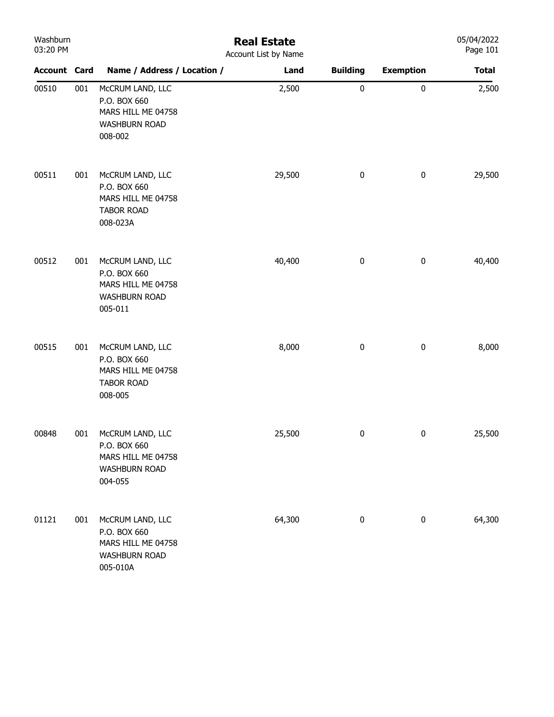| Washburn<br>03:20 PM |     |                                                                                            | <b>Real Estate</b><br>Account List by Name |                  |                  | 05/04/2022<br>Page 101 |
|----------------------|-----|--------------------------------------------------------------------------------------------|--------------------------------------------|------------------|------------------|------------------------|
| <b>Account Card</b>  |     | Name / Address / Location /                                                                | Land                                       | <b>Building</b>  | <b>Exemption</b> | <b>Total</b>           |
| 00510                | 001 | McCRUM LAND, LLC<br>P.O. BOX 660<br>MARS HILL ME 04758<br><b>WASHBURN ROAD</b><br>008-002  | 2,500                                      | $\bf{0}$         | $\pmb{0}$        | 2,500                  |
| 00511                | 001 | McCRUM LAND, LLC<br>P.O. BOX 660<br>MARS HILL ME 04758<br><b>TABOR ROAD</b><br>008-023A    | 29,500                                     | $\pmb{0}$        | $\pmb{0}$        | 29,500                 |
| 00512                | 001 | McCRUM LAND, LLC<br>P.O. BOX 660<br>MARS HILL ME 04758<br><b>WASHBURN ROAD</b><br>005-011  | 40,400                                     | $\boldsymbol{0}$ | $\pmb{0}$        | 40,400                 |
| 00515                | 001 | McCRUM LAND, LLC<br>P.O. BOX 660<br>MARS HILL ME 04758<br><b>TABOR ROAD</b><br>008-005     | 8,000                                      | $\pmb{0}$        | $\pmb{0}$        | 8,000                  |
| 00848                | 001 | McCRUM LAND, LLC<br>P.O. BOX 660<br>MARS HILL ME 04758<br><b>WASHBURN ROAD</b><br>004-055  | 25,500                                     | 0                | $\pmb{0}$        | 25,500                 |
| 01121                | 001 | McCRUM LAND, LLC<br>P.O. BOX 660<br>MARS HILL ME 04758<br><b>WASHBURN ROAD</b><br>005-010A | 64,300                                     | $\pmb{0}$        | $\pmb{0}$        | 64,300                 |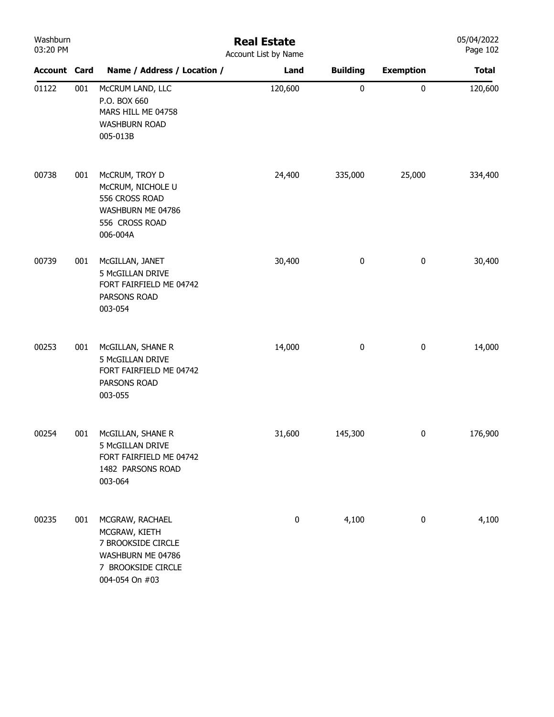| Washburn<br>03:20 PM |     | <b>Real Estate</b><br>Account List by Name                                                                          |           |                 |                  |              |  |  |
|----------------------|-----|---------------------------------------------------------------------------------------------------------------------|-----------|-----------------|------------------|--------------|--|--|
| <b>Account Card</b>  |     | Name / Address / Location /                                                                                         | Land      | <b>Building</b> | <b>Exemption</b> | <b>Total</b> |  |  |
| 01122                | 001 | McCRUM LAND, LLC<br>P.O. BOX 660<br>MARS HILL ME 04758<br><b>WASHBURN ROAD</b><br>005-013B                          | 120,600   | $\pmb{0}$       | $\pmb{0}$        | 120,600      |  |  |
| 00738                | 001 | McCRUM, TROY D<br>McCRUM, NICHOLE U<br>556 CROSS ROAD<br>WASHBURN ME 04786<br>556 CROSS ROAD<br>006-004A            | 24,400    | 335,000         | 25,000           | 334,400      |  |  |
| 00739                | 001 | McGILLAN, JANET<br>5 McGILLAN DRIVE<br>FORT FAIRFIELD ME 04742<br>PARSONS ROAD<br>003-054                           | 30,400    | 0               | $\bf{0}$         | 30,400       |  |  |
| 00253                | 001 | McGILLAN, SHANE R<br>5 McGILLAN DRIVE<br>FORT FAIRFIELD ME 04742<br>PARSONS ROAD<br>003-055                         | 14,000    | 0               | $\pmb{0}$        | 14,000       |  |  |
| 00254                | 001 | McGILLAN, SHANE R<br>5 McGILLAN DRIVE<br>FORT FAIRFIELD ME 04742<br>1482 PARSONS ROAD<br>003-064                    | 31,600    | 145,300         | $\bf{0}$         | 176,900      |  |  |
| 00235                | 001 | MCGRAW, RACHAEL<br>MCGRAW, KIETH<br>7 BROOKSIDE CIRCLE<br>WASHBURN ME 04786<br>7 BROOKSIDE CIRCLE<br>004-054 On #03 | $\pmb{0}$ | 4,100           | $\pmb{0}$        | 4,100        |  |  |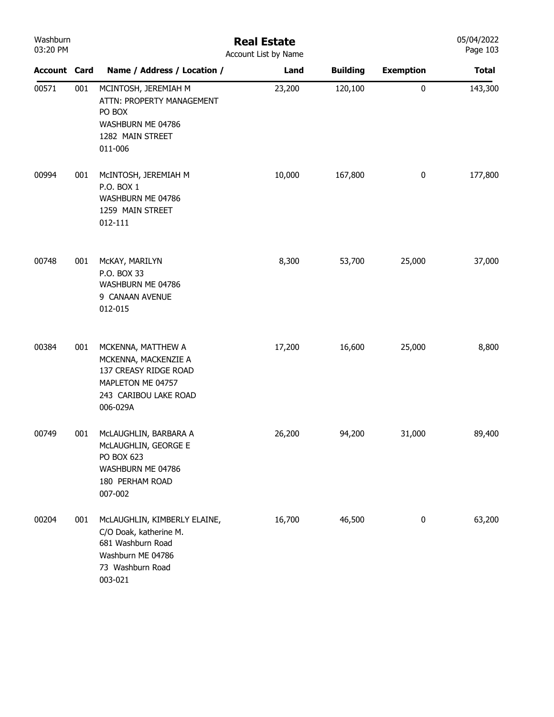| Washburn<br>03:20 PM |     | <b>Real Estate</b><br>Account List by Name                                                                                      | 05/04/2022<br>Page 103 |                 |                  |              |
|----------------------|-----|---------------------------------------------------------------------------------------------------------------------------------|------------------------|-----------------|------------------|--------------|
| <b>Account Card</b>  |     | Name / Address / Location /                                                                                                     | Land                   | <b>Building</b> | <b>Exemption</b> | <b>Total</b> |
| 00571                | 001 | MCINTOSH, JEREMIAH M<br>ATTN: PROPERTY MANAGEMENT<br>PO BOX<br>WASHBURN ME 04786<br>1282 MAIN STREET<br>011-006                 | 23,200                 | 120,100         | $\pmb{0}$        | 143,300      |
| 00994                | 001 | MCINTOSH, JEREMIAH M<br>P.O. BOX 1<br>WASHBURN ME 04786<br>1259 MAIN STREET<br>012-111                                          | 10,000                 | 167,800         | $\pmb{0}$        | 177,800      |
| 00748                | 001 | McKAY, MARILYN<br>P.O. BOX 33<br>WASHBURN ME 04786<br>9 CANAAN AVENUE<br>012-015                                                | 8,300                  | 53,700          | 25,000           | 37,000       |
| 00384                | 001 | MCKENNA, MATTHEW A<br>MCKENNA, MACKENZIE A<br>137 CREASY RIDGE ROAD<br>MAPLETON ME 04757<br>243 CARIBOU LAKE ROAD<br>006-029A   | 17,200                 | 16,600          | 25,000           | 8,800        |
| 00749                | 001 | McLAUGHLIN, BARBARA A<br>McLAUGHLIN, GEORGE E<br>PO BOX 623<br>WASHBURN ME 04786<br>180 PERHAM ROAD<br>007-002                  | 26,200                 | 94,200          | 31,000           | 89,400       |
| 00204                | 001 | McLAUGHLIN, KIMBERLY ELAINE,<br>C/O Doak, katherine M.<br>681 Washburn Road<br>Washburn ME 04786<br>73 Washburn Road<br>003-021 | 16,700                 | 46,500          | $\pmb{0}$        | 63,200       |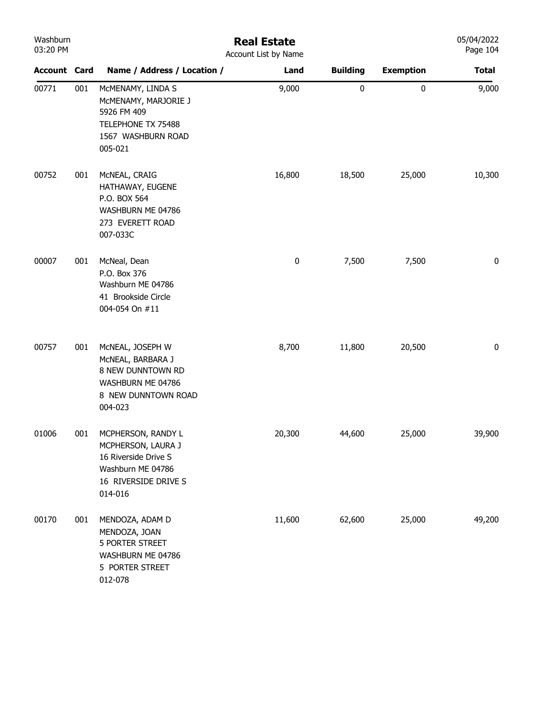| Washburn<br>03:20 PM |     |                                                                                                                          | <b>Real Estate</b><br>Account List by Name |                 |                  | 05/04/2022<br>Page 104 |
|----------------------|-----|--------------------------------------------------------------------------------------------------------------------------|--------------------------------------------|-----------------|------------------|------------------------|
| <b>Account Card</b>  |     | Name / Address / Location /                                                                                              | Land                                       | <b>Building</b> | <b>Exemption</b> | <b>Total</b>           |
| 00771                | 001 | MCMENAMY, LINDA S<br>MCMENAMY, MARJORIE J<br>5926 FM 409<br>TELEPHONE TX 75488<br>1567 WASHBURN ROAD<br>005-021          | 9,000                                      | $\bf{0}$        | 0                | 9,000                  |
| 00752                | 001 | McNEAL, CRAIG<br>HATHAWAY, EUGENE<br>P.O. BOX 564<br>WASHBURN ME 04786<br>273 EVERETT ROAD<br>007-033C                   | 16,800                                     | 18,500          | 25,000           | 10,300                 |
| 00007                | 001 | McNeal, Dean<br>P.O. Box 376<br>Washburn ME 04786<br>41 Brookside Circle<br>004-054 On #11                               | 0                                          | 7,500           | 7,500            | 0                      |
| 00757                | 001 | MCNEAL, JOSEPH W<br>MCNEAL, BARBARA J<br>8 NEW DUNNTOWN RD<br>WASHBURN ME 04786<br>8 NEW DUNNTOWN ROAD<br>004-023        | 8,700                                      | 11,800          | 20,500           | 0                      |
| 01006                | 001 | MCPHERSON, RANDY L<br>MCPHERSON, LAURA J<br>16 Riverside Drive S<br>Washburn ME 04786<br>16 RIVERSIDE DRIVE S<br>014-016 | 20,300                                     | 44,600          | 25,000           | 39,900                 |
| 00170                | 001 | MENDOZA, ADAM D<br>MENDOZA, JOAN<br><b>5 PORTER STREET</b><br>WASHBURN ME 04786<br>5 PORTER STREET<br>012-078            | 11,600                                     | 62,600          | 25,000           | 49,200                 |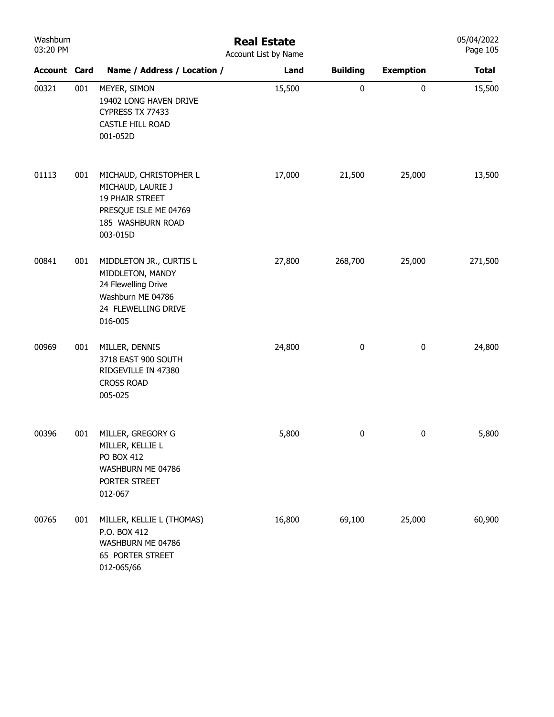| Washburn<br>03:20 PM |     |                                                                                                                           | <b>Real Estate</b><br>Account List by Name |                 |                  | 05/04/2022<br>Page 105 |
|----------------------|-----|---------------------------------------------------------------------------------------------------------------------------|--------------------------------------------|-----------------|------------------|------------------------|
| <b>Account Card</b>  |     | Name / Address / Location /                                                                                               | Land                                       | <b>Building</b> | <b>Exemption</b> | <b>Total</b>           |
| 00321                | 001 | MEYER, SIMON<br>19402 LONG HAVEN DRIVE<br>CYPRESS TX 77433<br>CASTLE HILL ROAD<br>001-052D                                | 15,500                                     | $\pmb{0}$       | $\pmb{0}$        | 15,500                 |
| 01113                | 001 | MICHAUD, CHRISTOPHER L<br>MICHAUD, LAURIE J<br>19 PHAIR STREET<br>PRESQUE ISLE ME 04769<br>185 WASHBURN ROAD<br>003-015D  | 17,000                                     | 21,500          | 25,000           | 13,500                 |
| 00841                | 001 | MIDDLETON JR., CURTIS L<br>MIDDLETON, MANDY<br>24 Flewelling Drive<br>Washburn ME 04786<br>24 FLEWELLING DRIVE<br>016-005 | 27,800                                     | 268,700         | 25,000           | 271,500                |
| 00969                | 001 | MILLER, DENNIS<br>3718 EAST 900 SOUTH<br>RIDGEVILLE IN 47380<br><b>CROSS ROAD</b><br>005-025                              | 24,800                                     | $\pmb{0}$       | $\bf{0}$         | 24,800                 |
| 00396                | 001 | MILLER, GREGORY G<br>MILLER, KELLIE L<br>PO BOX 412<br>WASHBURN ME 04786<br>PORTER STREET<br>012-067                      | 5,800                                      | 0               | $\bf{0}$         | 5,800                  |
| 00765                | 001 | MILLER, KELLIE L (THOMAS)<br>P.O. BOX 412<br>WASHBURN ME 04786<br><b>65 PORTER STREET</b><br>012-065/66                   | 16,800                                     | 69,100          | 25,000           | 60,900                 |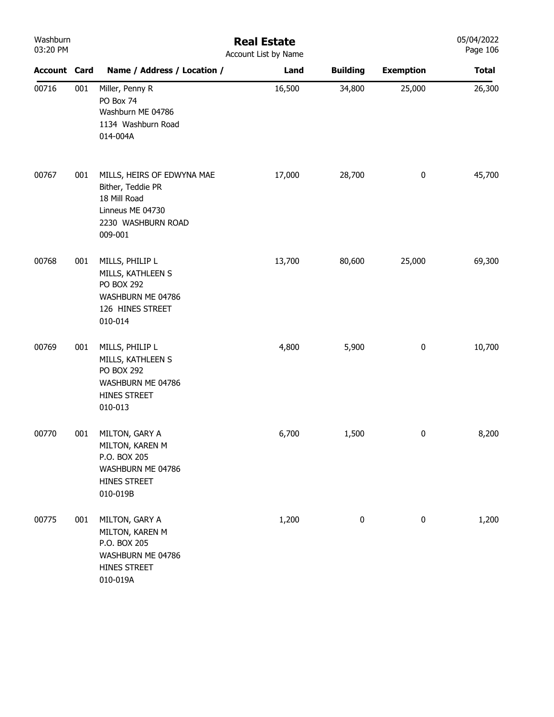| Washburn<br>03:20 PM | <b>Real Estate</b><br>Account List by Name |                                                                                                                      |        |                  |                  |              |
|----------------------|--------------------------------------------|----------------------------------------------------------------------------------------------------------------------|--------|------------------|------------------|--------------|
| <b>Account Card</b>  |                                            | Name / Address / Location /                                                                                          | Land   | <b>Building</b>  | <b>Exemption</b> | <b>Total</b> |
| 00716                | 001                                        | Miller, Penny R<br>PO Box 74<br>Washburn ME 04786<br>1134 Washburn Road<br>014-004A                                  | 16,500 | 34,800           | 25,000           | 26,300       |
| 00767                | 001                                        | MILLS, HEIRS OF EDWYNA MAE<br>Bither, Teddie PR<br>18 Mill Road<br>Linneus ME 04730<br>2230 WASHBURN ROAD<br>009-001 | 17,000 | 28,700           | $\pmb{0}$        | 45,700       |
| 00768                | 001                                        | MILLS, PHILIP L<br>MILLS, KATHLEEN S<br><b>PO BOX 292</b><br>WASHBURN ME 04786<br>126 HINES STREET<br>010-014        | 13,700 | 80,600           | 25,000           | 69,300       |
| 00769                | 001                                        | MILLS, PHILIP L<br>MILLS, KATHLEEN S<br><b>PO BOX 292</b><br>WASHBURN ME 04786<br>HINES STREET<br>010-013            | 4,800  | 5,900            | $\pmb{0}$        | 10,700       |
| 00770                | 001                                        | MILTON, GARY A<br>MILTON, KAREN M<br>P.O. BOX 205<br>WASHBURN ME 04786<br>HINES STREET<br>010-019B                   | 6,700  | 1,500            | $\mathbf{0}$     | 8,200        |
| 00775                | 001                                        | MILTON, GARY A<br>MILTON, KAREN M<br>P.O. BOX 205<br>WASHBURN ME 04786<br>HINES STREET<br>010-019A                   | 1,200  | $\boldsymbol{0}$ | $\pmb{0}$        | 1,200        |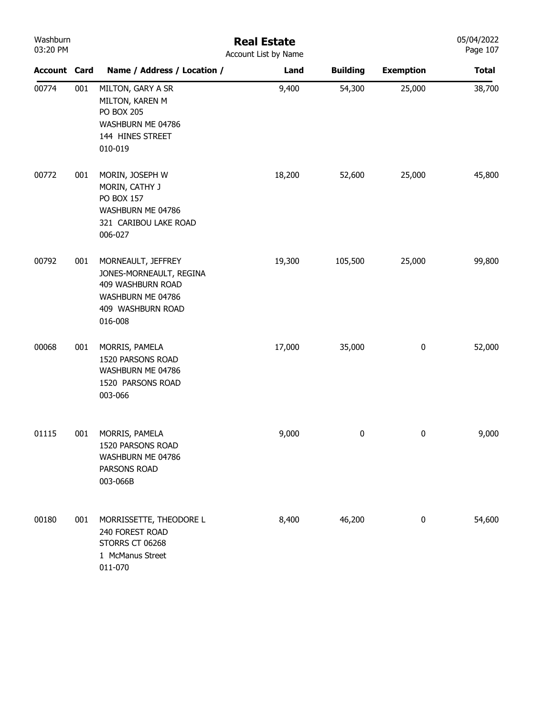| Washburn<br>03:20 PM |     |                                                                                                                         | <b>Real Estate</b><br>Account List by Name |                 |                  | 05/04/2022<br>Page 107 |
|----------------------|-----|-------------------------------------------------------------------------------------------------------------------------|--------------------------------------------|-----------------|------------------|------------------------|
| <b>Account Card</b>  |     | Name / Address / Location /                                                                                             | Land                                       | <b>Building</b> | <b>Exemption</b> | <b>Total</b>           |
| 00774                | 001 | MILTON, GARY A SR<br>MILTON, KAREN M<br><b>PO BOX 205</b><br>WASHBURN ME 04786<br>144 HINES STREET<br>010-019           | 9,400                                      | 54,300          | 25,000           | 38,700                 |
| 00772                | 001 | MORIN, JOSEPH W<br>MORIN, CATHY J<br>PO BOX 157<br>WASHBURN ME 04786<br>321 CARIBOU LAKE ROAD<br>006-027                | 18,200                                     | 52,600          | 25,000           | 45,800                 |
| 00792                | 001 | MORNEAULT, JEFFREY<br>JONES-MORNEAULT, REGINA<br>409 WASHBURN ROAD<br>WASHBURN ME 04786<br>409 WASHBURN ROAD<br>016-008 | 19,300                                     | 105,500         | 25,000           | 99,800                 |
| 00068                | 001 | MORRIS, PAMELA<br>1520 PARSONS ROAD<br>WASHBURN ME 04786<br>1520 PARSONS ROAD<br>003-066                                | 17,000                                     | 35,000          | $\bf{0}$         | 52,000                 |
| 01115                | 001 | MORRIS, PAMELA<br>1520 PARSONS ROAD<br>WASHBURN ME 04786<br>PARSONS ROAD<br>003-066B                                    | 9,000                                      | 0               | $\bf{0}$         | 9,000                  |
| 00180                | 001 | MORRISSETTE, THEODORE L<br>240 FOREST ROAD<br>STORRS CT 06268<br>1 McManus Street<br>011-070                            | 8,400                                      | 46,200          | $\pmb{0}$        | 54,600                 |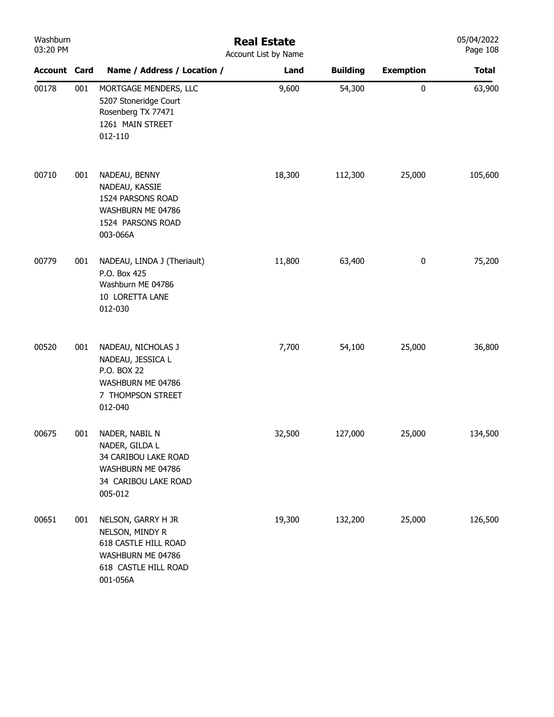| Washburn<br>03:20 PM |     | <b>Real Estate</b><br>Account List by Name                                                                             |        |                 |                  |              |
|----------------------|-----|------------------------------------------------------------------------------------------------------------------------|--------|-----------------|------------------|--------------|
| <b>Account Card</b>  |     | Name / Address / Location /                                                                                            | Land   | <b>Building</b> | <b>Exemption</b> | <b>Total</b> |
| 00178                | 001 | MORTGAGE MENDERS, LLC<br>5207 Stoneridge Court<br>Rosenberg TX 77471<br>1261 MAIN STREET<br>012-110                    | 9,600  | 54,300          | $\bf{0}$         | 63,900       |
| 00710                | 001 | NADEAU, BENNY<br>NADEAU, KASSIE<br>1524 PARSONS ROAD<br>WASHBURN ME 04786<br>1524 PARSONS ROAD<br>003-066A             | 18,300 | 112,300         | 25,000           | 105,600      |
| 00779                | 001 | NADEAU, LINDA J (Theriault)<br>P.O. Box 425<br>Washburn ME 04786<br>10 LORETTA LANE<br>012-030                         | 11,800 | 63,400          | $\bf{0}$         | 75,200       |
| 00520                | 001 | NADEAU, NICHOLAS J<br>NADEAU, JESSICA L<br>P.O. BOX 22<br>WASHBURN ME 04786<br>7 THOMPSON STREET<br>012-040            | 7,700  | 54,100          | 25,000           | 36,800       |
| 00675                | 001 | NADER, NABIL N<br>NADER, GILDA L<br>34 CARIBOU LAKE ROAD<br>WASHBURN ME 04786<br>34 CARIBOU LAKE ROAD<br>005-012       | 32,500 | 127,000         | 25,000           | 134,500      |
| 00651                | 001 | NELSON, GARRY H JR<br>NELSON, MINDY R<br>618 CASTLE HILL ROAD<br>WASHBURN ME 04786<br>618 CASTLE HILL ROAD<br>001-056A | 19,300 | 132,200         | 25,000           | 126,500      |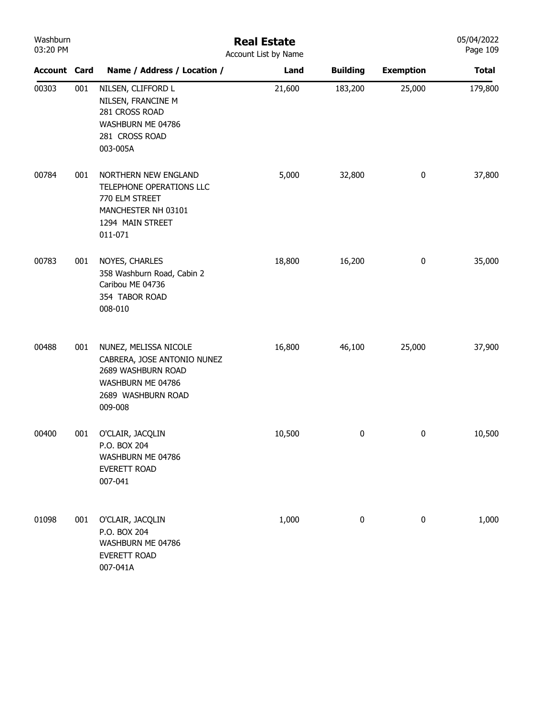| Washburn<br>03:20 PM |     |                                                                                                                                  | <b>Real Estate</b><br>Account List by Name |                 |                  | 05/04/2022<br>Page 109 |
|----------------------|-----|----------------------------------------------------------------------------------------------------------------------------------|--------------------------------------------|-----------------|------------------|------------------------|
| <b>Account Card</b>  |     | Name / Address / Location /                                                                                                      | Land                                       | <b>Building</b> | <b>Exemption</b> | <b>Total</b>           |
| 00303                | 001 | NILSEN, CLIFFORD L<br>NILSEN, FRANCINE M<br>281 CROSS ROAD<br>WASHBURN ME 04786<br>281 CROSS ROAD<br>003-005A                    | 21,600                                     | 183,200         | 25,000           | 179,800                |
| 00784                | 001 | NORTHERN NEW ENGLAND<br>TELEPHONE OPERATIONS LLC<br>770 ELM STREET<br>MANCHESTER NH 03101<br>1294 MAIN STREET<br>011-071         | 5,000                                      | 32,800          | 0                | 37,800                 |
| 00783                | 001 | NOYES, CHARLES<br>358 Washburn Road, Cabin 2<br>Caribou ME 04736<br>354 TABOR ROAD<br>008-010                                    | 18,800                                     | 16,200          | $\bf{0}$         | 35,000                 |
| 00488                | 001 | NUNEZ, MELISSA NICOLE<br>CABRERA, JOSE ANTONIO NUNEZ<br>2689 WASHBURN ROAD<br>WASHBURN ME 04786<br>2689 WASHBURN ROAD<br>009-008 | 16,800                                     | 46,100          | 25,000           | 37,900                 |
| 00400                | 001 | O'CLAIR, JACQLIN<br>P.O. BOX 204<br>WASHBURN ME 04786<br><b>EVERETT ROAD</b><br>007-041                                          | 10,500                                     | 0               | $\bf{0}$         | 10,500                 |
| 01098                | 001 | O'CLAIR, JACQLIN<br>P.O. BOX 204<br>WASHBURN ME 04786<br><b>EVERETT ROAD</b><br>007-041A                                         | 1,000                                      | $\pmb{0}$       | $\pmb{0}$        | 1,000                  |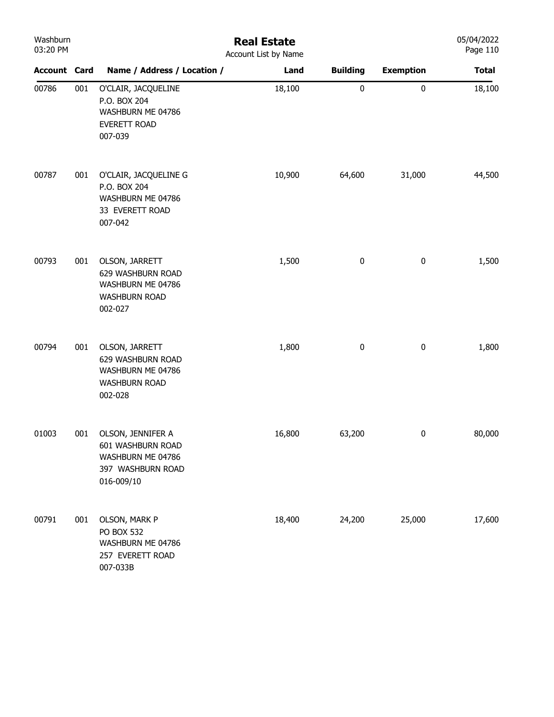| Washburn<br>03:20 PM |     | <b>Real Estate</b><br>Account List by Name                                                     |        |                 |                  |              |  |  |  |
|----------------------|-----|------------------------------------------------------------------------------------------------|--------|-----------------|------------------|--------------|--|--|--|
| <b>Account Card</b>  |     | Name / Address / Location /                                                                    | Land   | <b>Building</b> | <b>Exemption</b> | <b>Total</b> |  |  |  |
| 00786                | 001 | O'CLAIR, JACQUELINE<br>P.O. BOX 204<br>WASHBURN ME 04786<br>EVERETT ROAD<br>007-039            | 18,100 | $\pmb{0}$       | $\pmb{0}$        | 18,100       |  |  |  |
| 00787                | 001 | O'CLAIR, JACQUELINE G<br>P.O. BOX 204<br>WASHBURN ME 04786<br>33 EVERETT ROAD<br>007-042       | 10,900 | 64,600          | 31,000           | 44,500       |  |  |  |
| 00793                | 001 | OLSON, JARRETT<br>629 WASHBURN ROAD<br>WASHBURN ME 04786<br><b>WASHBURN ROAD</b><br>002-027    | 1,500  | $\pmb{0}$       | $\pmb{0}$        | 1,500        |  |  |  |
| 00794                | 001 | OLSON, JARRETT<br>629 WASHBURN ROAD<br>WASHBURN ME 04786<br><b>WASHBURN ROAD</b><br>002-028    | 1,800  | $\pmb{0}$       | $\pmb{0}$        | 1,800        |  |  |  |
| 01003                | 001 | OLSON, JENNIFER A<br>601 WASHBURN ROAD<br>WASHBURN ME 04786<br>397 WASHBURN ROAD<br>016-009/10 | 16,800 | 63,200          | $\pmb{0}$        | 80,000       |  |  |  |
| 00791                | 001 | OLSON, MARK P<br><b>PO BOX 532</b><br>WASHBURN ME 04786<br>257 EVERETT ROAD<br>007-033B        | 18,400 | 24,200          | 25,000           | 17,600       |  |  |  |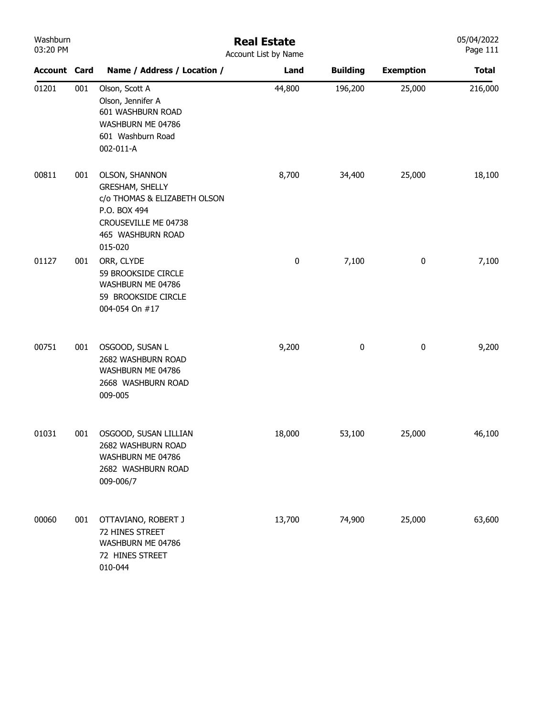| Washburn<br>03:20 PM |     | <b>Real Estate</b><br>Account List by Name                                                                                                              |        |                 |                  |              |
|----------------------|-----|---------------------------------------------------------------------------------------------------------------------------------------------------------|--------|-----------------|------------------|--------------|
| Account Card         |     | Name / Address / Location /                                                                                                                             | Land   | <b>Building</b> | <b>Exemption</b> | <b>Total</b> |
| 01201                | 001 | Olson, Scott A<br>Olson, Jennifer A<br>601 WASHBURN ROAD<br>WASHBURN ME 04786<br>601 Washburn Road<br>002-011-A                                         | 44,800 | 196,200         | 25,000           | 216,000      |
| 00811                | 001 | <b>OLSON, SHANNON</b><br><b>GRESHAM, SHELLY</b><br>c/o THOMAS & ELIZABETH OLSON<br>P.O. BOX 494<br>CROUSEVILLE ME 04738<br>465 WASHBURN ROAD<br>015-020 | 8,700  | 34,400          | 25,000           | 18,100       |
| 01127                | 001 | ORR, CLYDE<br>59 BROOKSIDE CIRCLE<br>WASHBURN ME 04786<br>59 BROOKSIDE CIRCLE<br>004-054 On #17                                                         | 0      | 7,100           | $\pmb{0}$        | 7,100        |
| 00751                | 001 | OSGOOD, SUSAN L<br>2682 WASHBURN ROAD<br>WASHBURN ME 04786<br>2668 WASHBURN ROAD<br>009-005                                                             | 9,200  | 0               | $\pmb{0}$        | 9,200        |
| 01031                | 001 | OSGOOD, SUSAN LILLIAN<br>2682 WASHBURN ROAD<br>WASHBURN ME 04786<br>2682 WASHBURN ROAD<br>009-006/7                                                     | 18,000 | 53,100          | 25,000           | 46,100       |
| 00060                | 001 | OTTAVIANO, ROBERT J<br>72 HINES STREET<br>WASHBURN ME 04786<br>72 HINES STREET<br>010-044                                                               | 13,700 | 74,900          | 25,000           | 63,600       |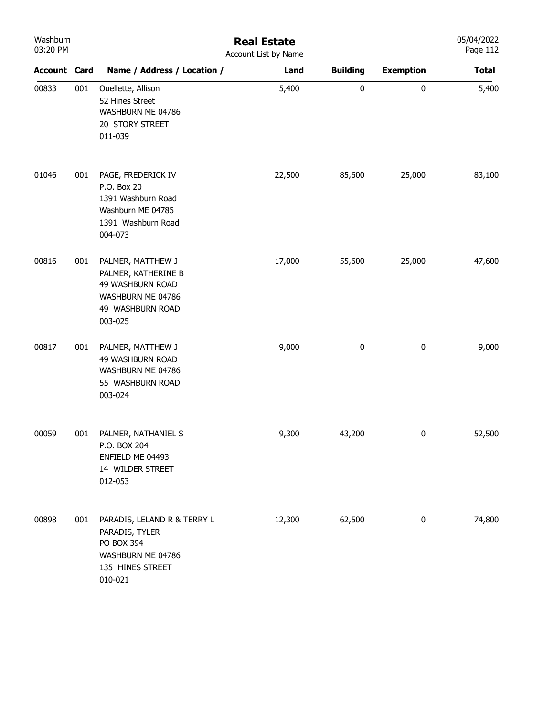| Washburn<br>03:20 PM |     | <b>Real Estate</b><br>Account List by Name                                                                       |        |                 |                  |              |  |
|----------------------|-----|------------------------------------------------------------------------------------------------------------------|--------|-----------------|------------------|--------------|--|
| <b>Account Card</b>  |     | Name / Address / Location /                                                                                      | Land   | <b>Building</b> | <b>Exemption</b> | <b>Total</b> |  |
| 00833                | 001 | Ouellette, Allison<br>52 Hines Street<br>WASHBURN ME 04786<br>20 STORY STREET<br>011-039                         | 5,400  | $\pmb{0}$       | $\pmb{0}$        | 5,400        |  |
| 01046                | 001 | PAGE, FREDERICK IV<br>P.O. Box 20<br>1391 Washburn Road<br>Washburn ME 04786<br>1391 Washburn Road<br>004-073    | 22,500 | 85,600          | 25,000           | 83,100       |  |
| 00816                | 001 | PALMER, MATTHEW J<br>PALMER, KATHERINE B<br>49 WASHBURN ROAD<br>WASHBURN ME 04786<br>49 WASHBURN ROAD<br>003-025 | 17,000 | 55,600          | 25,000           | 47,600       |  |
| 00817                | 001 | PALMER, MATTHEW J<br>49 WASHBURN ROAD<br>WASHBURN ME 04786<br>55 WASHBURN ROAD<br>003-024                        | 9,000  | 0               | $\bf{0}$         | 9,000        |  |
| 00059                | 001 | PALMER, NATHANIEL S<br>P.O. BOX 204<br>ENFIELD ME 04493<br>14 WILDER STREET<br>012-053                           | 9,300  | 43,200          | $\bf{0}$         | 52,500       |  |
| 00898                | 001 | PARADIS, LELAND R & TERRY L<br>PARADIS, TYLER<br>PO BOX 394<br>WASHBURN ME 04786<br>135 HINES STREET<br>010-021  | 12,300 | 62,500          | 0                | 74,800       |  |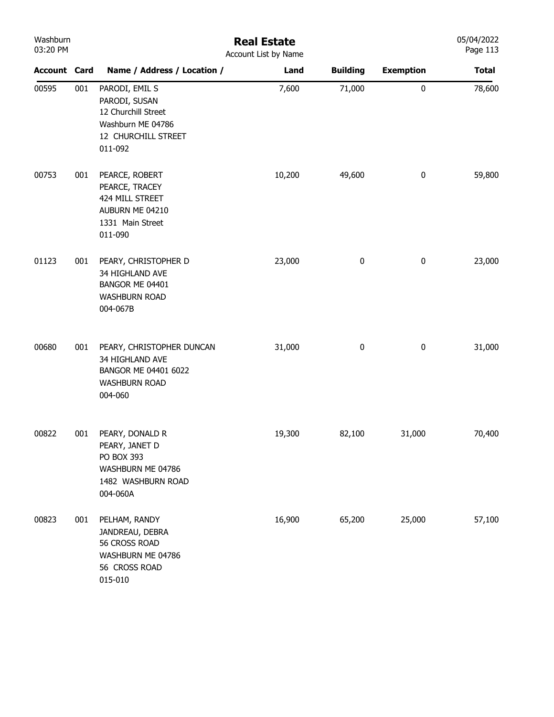| Washburn<br>03:20 PM |     | <b>Real Estate</b><br>Account List by Name                                                                    |        |                 |                  |              |  |  |  |
|----------------------|-----|---------------------------------------------------------------------------------------------------------------|--------|-----------------|------------------|--------------|--|--|--|
| <b>Account Card</b>  |     | Name / Address / Location /                                                                                   | Land   | <b>Building</b> | <b>Exemption</b> | <b>Total</b> |  |  |  |
| 00595                | 001 | PARODI, EMIL S<br>PARODI, SUSAN<br>12 Churchill Street<br>Washburn ME 04786<br>12 CHURCHILL STREET<br>011-092 | 7,600  | 71,000          | $\mathbf 0$      | 78,600       |  |  |  |
| 00753                | 001 | PEARCE, ROBERT<br>PEARCE, TRACEY<br>424 MILL STREET<br>AUBURN ME 04210<br>1331 Main Street<br>011-090         | 10,200 | 49,600          | 0                | 59,800       |  |  |  |
| 01123                | 001 | PEARY, CHRISTOPHER D<br>34 HIGHLAND AVE<br>BANGOR ME 04401<br><b>WASHBURN ROAD</b><br>004-067B                | 23,000 | 0               | $\pmb{0}$        | 23,000       |  |  |  |
| 00680                | 001 | PEARY, CHRISTOPHER DUNCAN<br>34 HIGHLAND AVE<br>BANGOR ME 04401 6022<br><b>WASHBURN ROAD</b><br>004-060       | 31,000 | 0               | $\pmb{0}$        | 31,000       |  |  |  |
| 00822                | 001 | PEARY, DONALD R<br>PEARY, JANET D<br>PO BOX 393<br>WASHBURN ME 04786<br>1482 WASHBURN ROAD<br>004-060A        | 19,300 | 82,100          | 31,000           | 70,400       |  |  |  |
| 00823                | 001 | PELHAM, RANDY<br>JANDREAU, DEBRA<br>56 CROSS ROAD<br>WASHBURN ME 04786<br>56 CROSS ROAD<br>015-010            | 16,900 | 65,200          | 25,000           | 57,100       |  |  |  |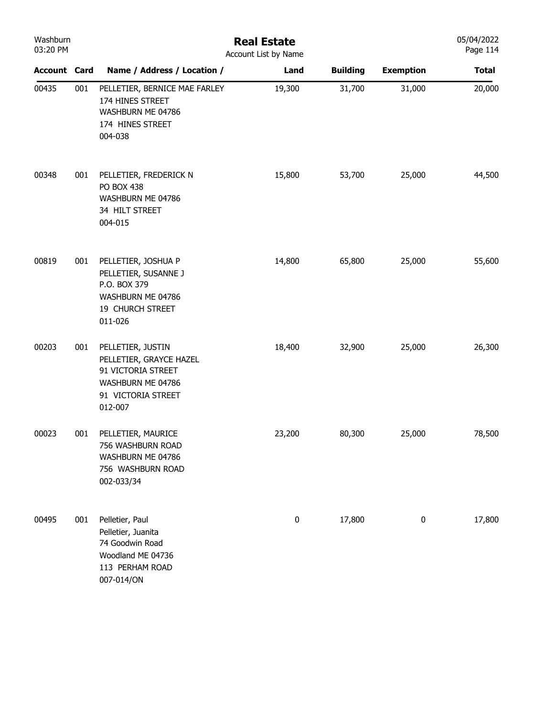| Washburn<br>03:20 PM |     | <b>Real Estate</b><br>Account List by Name                                                                               |        |                 |                  |              |  |
|----------------------|-----|--------------------------------------------------------------------------------------------------------------------------|--------|-----------------|------------------|--------------|--|
| <b>Account Card</b>  |     | Name / Address / Location /                                                                                              | Land   | <b>Building</b> | <b>Exemption</b> | <b>Total</b> |  |
| 00435                | 001 | PELLETIER, BERNICE MAE FARLEY<br>174 HINES STREET<br>WASHBURN ME 04786<br>174 HINES STREET<br>004-038                    | 19,300 | 31,700          | 31,000           | 20,000       |  |
| 00348                | 001 | PELLETIER, FREDERICK N<br><b>PO BOX 438</b><br>WASHBURN ME 04786<br>34 HILT STREET<br>004-015                            | 15,800 | 53,700          | 25,000           | 44,500       |  |
| 00819                | 001 | PELLETIER, JOSHUA P<br>PELLETIER, SUSANNE J<br>P.O. BOX 379<br>WASHBURN ME 04786<br>19 CHURCH STREET<br>011-026          | 14,800 | 65,800          | 25,000           | 55,600       |  |
| 00203                | 001 | PELLETIER, JUSTIN<br>PELLETIER, GRAYCE HAZEL<br>91 VICTORIA STREET<br>WASHBURN ME 04786<br>91 VICTORIA STREET<br>012-007 | 18,400 | 32,900          | 25,000           | 26,300       |  |
| 00023                | 001 | PELLETIER, MAURICE<br>756 WASHBURN ROAD<br>WASHBURN ME 04786<br>756 WASHBURN ROAD<br>002-033/34                          | 23,200 | 80,300          | 25,000           | 78,500       |  |
| 00495                | 001 | Pelletier, Paul<br>Pelletier, Juanita<br>74 Goodwin Road<br>Woodland ME 04736<br>113 PERHAM ROAD<br>007-014/ON           | 0      | 17,800          | $\pmb{0}$        | 17,800       |  |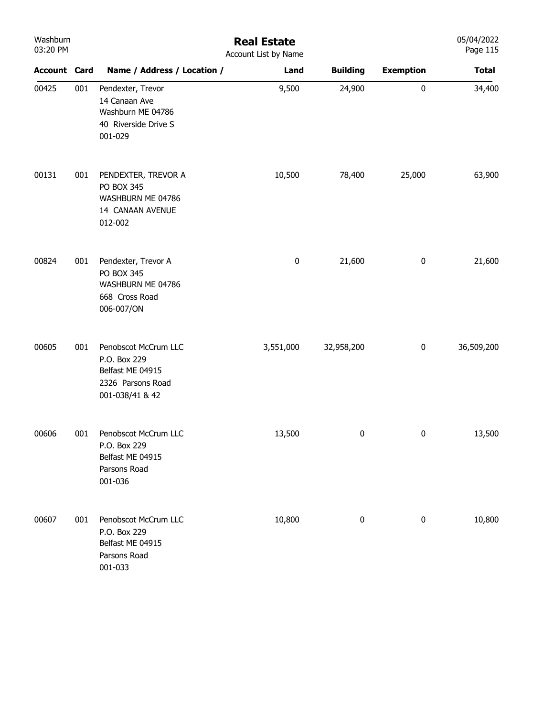| Washburn<br>03:20 PM |     |                                                                                                  | <b>Real Estate</b><br>Account List by Name |                 |                  | 05/04/2022<br>Page 115 |
|----------------------|-----|--------------------------------------------------------------------------------------------------|--------------------------------------------|-----------------|------------------|------------------------|
| <b>Account Card</b>  |     | Name / Address / Location /                                                                      | Land                                       | <b>Building</b> | <b>Exemption</b> | <b>Total</b>           |
| 00425                | 001 | Pendexter, Trevor<br>14 Canaan Ave<br>Washburn ME 04786<br>40 Riverside Drive S<br>001-029       | 9,500                                      | 24,900          | $\pmb{0}$        | 34,400                 |
| 00131                | 001 | PENDEXTER, TREVOR A<br>PO BOX 345<br>WASHBURN ME 04786<br>14 CANAAN AVENUE<br>012-002            | 10,500                                     | 78,400          | 25,000           | 63,900                 |
| 00824                | 001 | Pendexter, Trevor A<br>PO BOX 345<br>WASHBURN ME 04786<br>668 Cross Road<br>006-007/ON           | $\pmb{0}$                                  | 21,600          | $\boldsymbol{0}$ | 21,600                 |
| 00605                | 001 | Penobscot McCrum LLC<br>P.O. Box 229<br>Belfast ME 04915<br>2326 Parsons Road<br>001-038/41 & 42 | 3,551,000                                  | 32,958,200      | $\boldsymbol{0}$ | 36,509,200             |
| 00606                | 001 | Penobscot McCrum LLC<br>P.O. Box 229<br>Belfast ME 04915<br>Parsons Road<br>001-036              | 13,500                                     | 0               | $\bf{0}$         | 13,500                 |
| 00607                | 001 | Penobscot McCrum LLC<br>P.O. Box 229<br>Belfast ME 04915<br>Parsons Road<br>001-033              | 10,800                                     | $\pmb{0}$       | $\boldsymbol{0}$ | 10,800                 |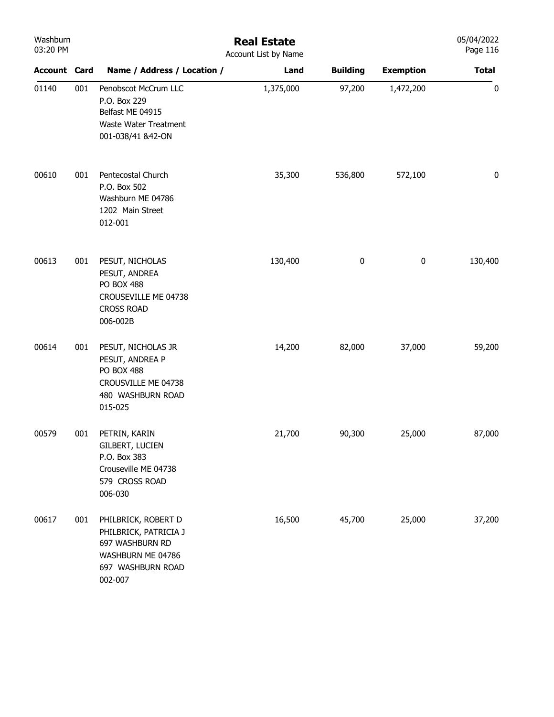| Washburn<br>03:20 PM |     |                                                                                                                      | <b>Real Estate</b><br>Account List by Name |                 |                  | 05/04/2022<br>Page 116 |
|----------------------|-----|----------------------------------------------------------------------------------------------------------------------|--------------------------------------------|-----------------|------------------|------------------------|
| <b>Account Card</b>  |     | Name / Address / Location /                                                                                          | Land                                       | <b>Building</b> | <b>Exemption</b> | <b>Total</b>           |
| 01140                | 001 | Penobscot McCrum LLC<br>P.O. Box 229<br>Belfast ME 04915<br>Waste Water Treatment<br>001-038/41 &42-ON               | 1,375,000                                  | 97,200          | 1,472,200        | $\pmb{0}$              |
| 00610                | 001 | Pentecostal Church<br>P.O. Box 502<br>Washburn ME 04786<br>1202 Main Street<br>012-001                               | 35,300                                     | 536,800         | 572,100          | $\pmb{0}$              |
| 00613                | 001 | PESUT, NICHOLAS<br>PESUT, ANDREA<br><b>PO BOX 488</b><br>CROUSEVILLE ME 04738<br><b>CROSS ROAD</b><br>006-002B       | 130,400                                    | 0               | $\pmb{0}$        | 130,400                |
| 00614                | 001 | PESUT, NICHOLAS JR<br>PESUT, ANDREA P<br><b>PO BOX 488</b><br>CROUSVILLE ME 04738<br>480 WASHBURN ROAD<br>015-025    | 14,200                                     | 82,000          | 37,000           | 59,200                 |
| 00579                | 001 | PETRIN, KARIN<br><b>GILBERT, LUCIEN</b><br>P.O. Box 383<br>Crouseville ME 04738<br>579 CROSS ROAD<br>006-030         | 21,700                                     | 90,300          | 25,000           | 87,000                 |
| 00617                | 001 | PHILBRICK, ROBERT D<br>PHILBRICK, PATRICIA J<br>697 WASHBURN RD<br>WASHBURN ME 04786<br>697 WASHBURN ROAD<br>002-007 | 16,500                                     | 45,700          | 25,000           | 37,200                 |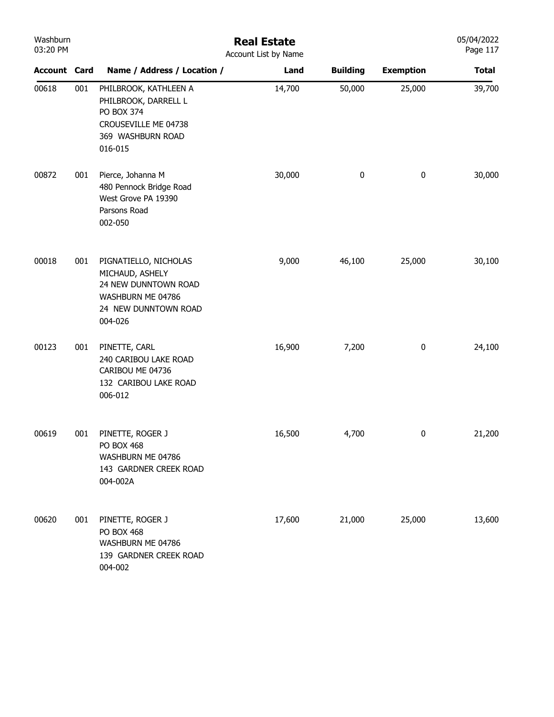| Washburn<br>03:20 PM |     |                                                                                                                          | <b>Real Estate</b><br>Account List by Name |                 |                  | 05/04/2022<br>Page 117 |
|----------------------|-----|--------------------------------------------------------------------------------------------------------------------------|--------------------------------------------|-----------------|------------------|------------------------|
| <b>Account Card</b>  |     | Name / Address / Location /                                                                                              | Land                                       | <b>Building</b> | <b>Exemption</b> | <b>Total</b>           |
| 00618                | 001 | PHILBROOK, KATHLEEN A<br>PHILBROOK, DARRELL L<br>PO BOX 374<br>CROUSEVILLE ME 04738<br>369 WASHBURN ROAD<br>016-015      | 14,700                                     | 50,000          | 25,000           | 39,700                 |
| 00872                | 001 | Pierce, Johanna M<br>480 Pennock Bridge Road<br>West Grove PA 19390<br>Parsons Road<br>002-050                           | 30,000                                     | 0               | $\pmb{0}$        | 30,000                 |
| 00018                | 001 | PIGNATIELLO, NICHOLAS<br>MICHAUD, ASHELY<br>24 NEW DUNNTOWN ROAD<br>WASHBURN ME 04786<br>24 NEW DUNNTOWN ROAD<br>004-026 | 9,000                                      | 46,100          | 25,000           | 30,100                 |
| 00123                | 001 | PINETTE, CARL<br>240 CARIBOU LAKE ROAD<br>CARIBOU ME 04736<br>132 CARIBOU LAKE ROAD<br>006-012                           | 16,900                                     | 7,200           | $\pmb{0}$        | 24,100                 |
| 00619                | 001 | PINETTE, ROGER J<br><b>PO BOX 468</b><br>WASHBURN ME 04786<br>143 GARDNER CREEK ROAD<br>004-002A                         | 16,500                                     | 4,700           | 0                | 21,200                 |
| 00620                | 001 | PINETTE, ROGER J<br>PO BOX 468<br>WASHBURN ME 04786<br>139 GARDNER CREEK ROAD<br>004-002                                 | 17,600                                     | 21,000          | 25,000           | 13,600                 |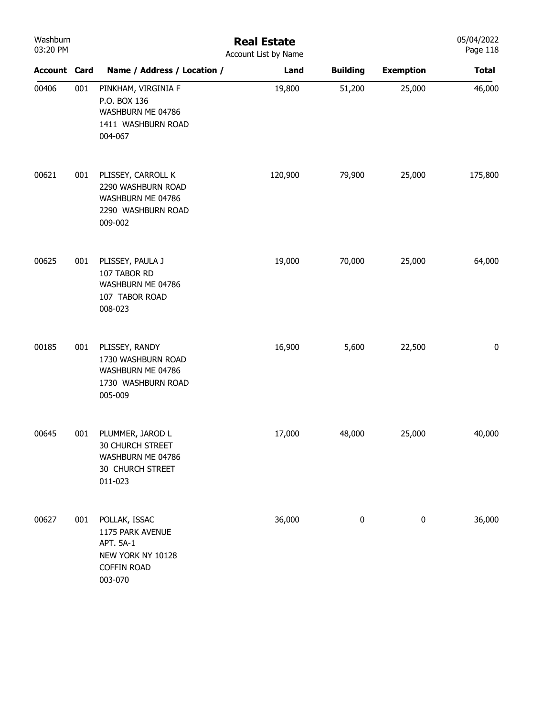| Washburn<br>03:20 PM |     | <b>Real Estate</b><br>Account List by Name                                                           |         |                 |                  |              |  |  |
|----------------------|-----|------------------------------------------------------------------------------------------------------|---------|-----------------|------------------|--------------|--|--|
| <b>Account Card</b>  |     | Name / Address / Location /                                                                          | Land    | <b>Building</b> | <b>Exemption</b> | <b>Total</b> |  |  |
| 00406                | 001 | PINKHAM, VIRGINIA F<br>P.O. BOX 136<br>WASHBURN ME 04786<br>1411 WASHBURN ROAD<br>004-067            | 19,800  | 51,200          | 25,000           | 46,000       |  |  |
| 00621                | 001 | PLISSEY, CARROLL K<br>2290 WASHBURN ROAD<br>WASHBURN ME 04786<br>2290 WASHBURN ROAD<br>009-002       | 120,900 | 79,900          | 25,000           | 175,800      |  |  |
| 00625                | 001 | PLISSEY, PAULA J<br>107 TABOR RD<br>WASHBURN ME 04786<br>107 TABOR ROAD<br>008-023                   | 19,000  | 70,000          | 25,000           | 64,000       |  |  |
| 00185                | 001 | PLISSEY, RANDY<br>1730 WASHBURN ROAD<br>WASHBURN ME 04786<br>1730 WASHBURN ROAD<br>005-009           | 16,900  | 5,600           | 22,500           | $\pmb{0}$    |  |  |
| 00645                | 001 | PLUMMER, JAROD L<br><b>30 CHURCH STREET</b><br>WASHBURN ME 04786<br>30 CHURCH STREET<br>011-023      | 17,000  | 48,000          | 25,000           | 40,000       |  |  |
| 00627                | 001 | POLLAK, ISSAC<br>1175 PARK AVENUE<br>APT. 5A-1<br>NEW YORK NY 10128<br><b>COFFIN ROAD</b><br>003-070 | 36,000  | $\pmb{0}$       | $\pmb{0}$        | 36,000       |  |  |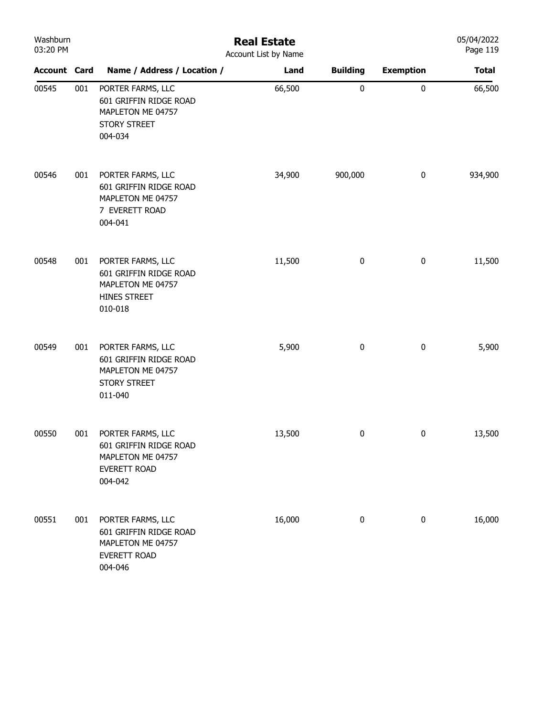| Washburn<br>03:20 PM |     | <b>Real Estate</b><br>Account List by Name                                                         |        |                 |                  |              |  |
|----------------------|-----|----------------------------------------------------------------------------------------------------|--------|-----------------|------------------|--------------|--|
| <b>Account Card</b>  |     | Name / Address / Location /                                                                        | Land   | <b>Building</b> | <b>Exemption</b> | <b>Total</b> |  |
| 00545                | 001 | PORTER FARMS, LLC<br>601 GRIFFIN RIDGE ROAD<br>MAPLETON ME 04757<br><b>STORY STREET</b><br>004-034 | 66,500 | $\pmb{0}$       | $\pmb{0}$        | 66,500       |  |
| 00546                | 001 | PORTER FARMS, LLC<br>601 GRIFFIN RIDGE ROAD<br>MAPLETON ME 04757<br>7 EVERETT ROAD<br>004-041      | 34,900 | 900,000         | $\pmb{0}$        | 934,900      |  |
| 00548                | 001 | PORTER FARMS, LLC<br>601 GRIFFIN RIDGE ROAD<br>MAPLETON ME 04757<br>HINES STREET<br>010-018        | 11,500 | $\pmb{0}$       | $\pmb{0}$        | 11,500       |  |
| 00549                | 001 | PORTER FARMS, LLC<br>601 GRIFFIN RIDGE ROAD<br>MAPLETON ME 04757<br><b>STORY STREET</b><br>011-040 | 5,900  | 0               | $\bf{0}$         | 5,900        |  |
| 00550                | 001 | PORTER FARMS, LLC<br>601 GRIFFIN RIDGE ROAD<br>MAPLETON ME 04757<br>EVERETT ROAD<br>004-042        | 13,500 | 0               | $\bf{0}$         | 13,500       |  |
| 00551                | 001 | PORTER FARMS, LLC<br>601 GRIFFIN RIDGE ROAD<br>MAPLETON ME 04757<br>EVERETT ROAD<br>004-046        | 16,000 | 0               | $\pmb{0}$        | 16,000       |  |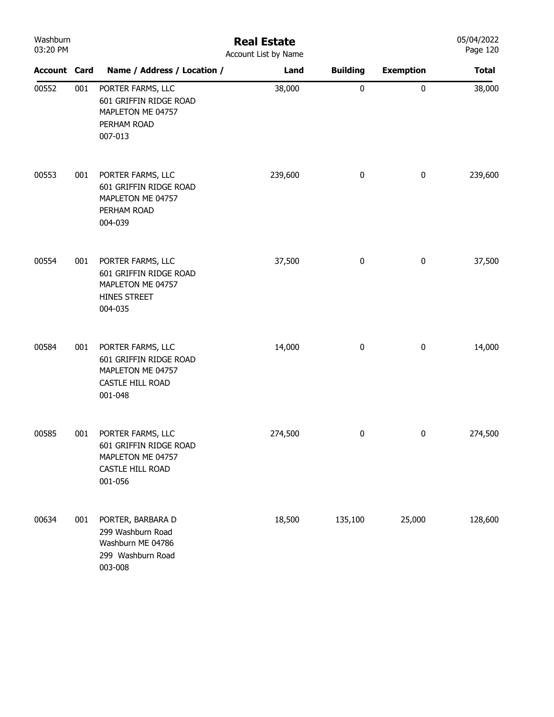| Washburn<br>03:20 PM |     | <b>Real Estate</b><br>Account List by Name                                                      |         |                 |                  |              |  |  |  |
|----------------------|-----|-------------------------------------------------------------------------------------------------|---------|-----------------|------------------|--------------|--|--|--|
| <b>Account Card</b>  |     | Name / Address / Location /                                                                     | Land    | <b>Building</b> | <b>Exemption</b> | <b>Total</b> |  |  |  |
| 00552                | 001 | PORTER FARMS, LLC<br>601 GRIFFIN RIDGE ROAD<br>MAPLETON ME 04757<br>PERHAM ROAD<br>007-013      | 38,000  | 0               | 0                | 38,000       |  |  |  |
| 00553                | 001 | PORTER FARMS, LLC<br>601 GRIFFIN RIDGE ROAD<br>MAPLETON ME 04757<br>PERHAM ROAD<br>004-039      | 239,600 | 0               | $\pmb{0}$        | 239,600      |  |  |  |
| 00554                | 001 | PORTER FARMS, LLC<br>601 GRIFFIN RIDGE ROAD<br>MAPLETON ME 04757<br>HINES STREET<br>004-035     | 37,500  | 0               | $\pmb{0}$        | 37,500       |  |  |  |
| 00584                | 001 | PORTER FARMS, LLC<br>601 GRIFFIN RIDGE ROAD<br>MAPLETON ME 04757<br>CASTLE HILL ROAD<br>001-048 | 14,000  | 0               | $\pmb{0}$        | 14,000       |  |  |  |
| 00585                | 001 | PORTER FARMS, LLC<br>601 GRIFFIN RIDGE ROAD<br>MAPLETON ME 04757<br>CASTLE HILL ROAD<br>001-056 | 274,500 | 0               | 0                | 274,500      |  |  |  |
| 00634                | 001 | PORTER, BARBARA D<br>299 Washburn Road<br>Washburn ME 04786<br>299 Washburn Road<br>003-008     | 18,500  | 135,100         | 25,000           | 128,600      |  |  |  |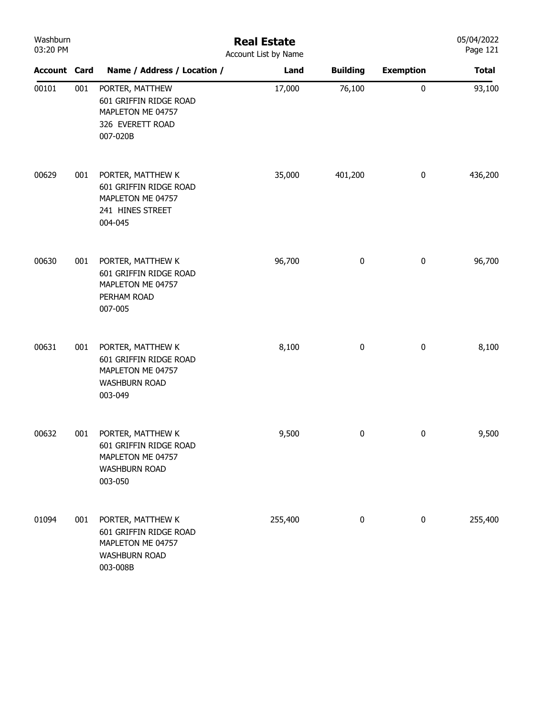| Washburn<br>03:20 PM |     | <b>Real Estate</b><br>Account List by Name                                                           |         |                 |                  |              |  |
|----------------------|-----|------------------------------------------------------------------------------------------------------|---------|-----------------|------------------|--------------|--|
| <b>Account Card</b>  |     | Name / Address / Location /                                                                          | Land    | <b>Building</b> | <b>Exemption</b> | <b>Total</b> |  |
| 00101                | 001 | PORTER, MATTHEW<br>601 GRIFFIN RIDGE ROAD<br>MAPLETON ME 04757<br>326 EVERETT ROAD<br>007-020B       | 17,000  | 76,100          | $\pmb{0}$        | 93,100       |  |
| 00629                | 001 | PORTER, MATTHEW K<br>601 GRIFFIN RIDGE ROAD<br>MAPLETON ME 04757<br>241 HINES STREET<br>004-045      | 35,000  | 401,200         | $\bf{0}$         | 436,200      |  |
| 00630                | 001 | PORTER, MATTHEW K<br>601 GRIFFIN RIDGE ROAD<br>MAPLETON ME 04757<br>PERHAM ROAD<br>007-005           | 96,700  | $\pmb{0}$       | $\pmb{0}$        | 96,700       |  |
| 00631                | 001 | PORTER, MATTHEW K<br>601 GRIFFIN RIDGE ROAD<br>MAPLETON ME 04757<br><b>WASHBURN ROAD</b><br>003-049  | 8,100   | 0               | $\pmb{0}$        | 8,100        |  |
| 00632                | 001 | PORTER, MATTHEW K<br>601 GRIFFIN RIDGE ROAD<br>MAPLETON ME 04757<br><b>WASHBURN ROAD</b><br>003-050  | 9,500   | 0               | 0                | 9,500        |  |
| 01094                | 001 | PORTER, MATTHEW K<br>601 GRIFFIN RIDGE ROAD<br>MAPLETON ME 04757<br><b>WASHBURN ROAD</b><br>003-008B | 255,400 | 0               | $\bf{0}$         | 255,400      |  |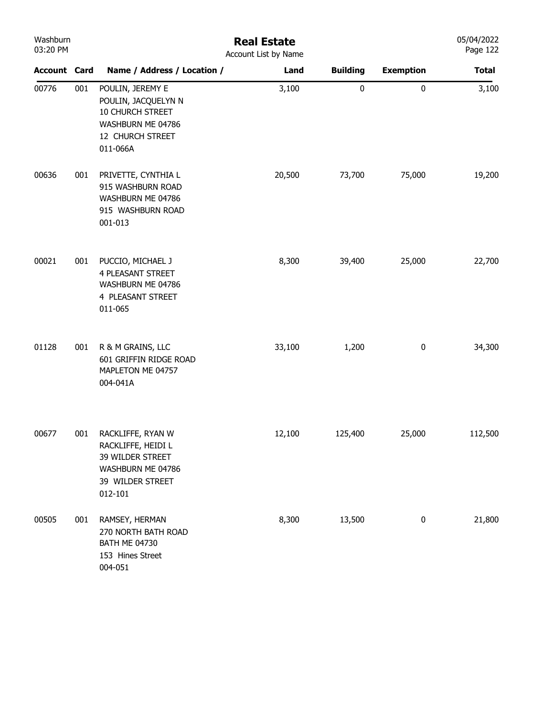| Washburn<br>03:20 PM |     | <b>Real Estate</b><br>Account List by Name                                                                       |        |                 |                  |              |
|----------------------|-----|------------------------------------------------------------------------------------------------------------------|--------|-----------------|------------------|--------------|
| <b>Account Card</b>  |     | Name / Address / Location /                                                                                      | Land   | <b>Building</b> | <b>Exemption</b> | <b>Total</b> |
| 00776                | 001 | POULIN, JEREMY E<br>POULIN, JACQUELYN N<br>10 CHURCH STREET<br>WASHBURN ME 04786<br>12 CHURCH STREET<br>011-066A | 3,100  | $\pmb{0}$       | $\pmb{0}$        | 3,100        |
| 00636                | 001 | PRIVETTE, CYNTHIA L<br>915 WASHBURN ROAD<br>WASHBURN ME 04786<br>915 WASHBURN ROAD<br>001-013                    | 20,500 | 73,700          | 75,000           | 19,200       |
| 00021                | 001 | PUCCIO, MICHAEL J<br><b>4 PLEASANT STREET</b><br>WASHBURN ME 04786<br>4 PLEASANT STREET<br>011-065               | 8,300  | 39,400          | 25,000           | 22,700       |
| 01128                | 001 | R & M GRAINS, LLC<br>601 GRIFFIN RIDGE ROAD<br>MAPLETON ME 04757<br>004-041A                                     | 33,100 | 1,200           | $\boldsymbol{0}$ | 34,300       |
| 00677                | 001 | RACKLIFFE, RYAN W<br>RACKLIFFE, HEIDI L<br>39 WILDER STREET<br>WASHBURN ME 04786<br>39 WILDER STREET<br>012-101  | 12,100 | 125,400         | 25,000           | 112,500      |
| 00505                | 001 | RAMSEY, HERMAN<br>270 NORTH BATH ROAD<br><b>BATH ME 04730</b><br>153 Hines Street<br>004-051                     | 8,300  | 13,500          | $\bf{0}$         | 21,800       |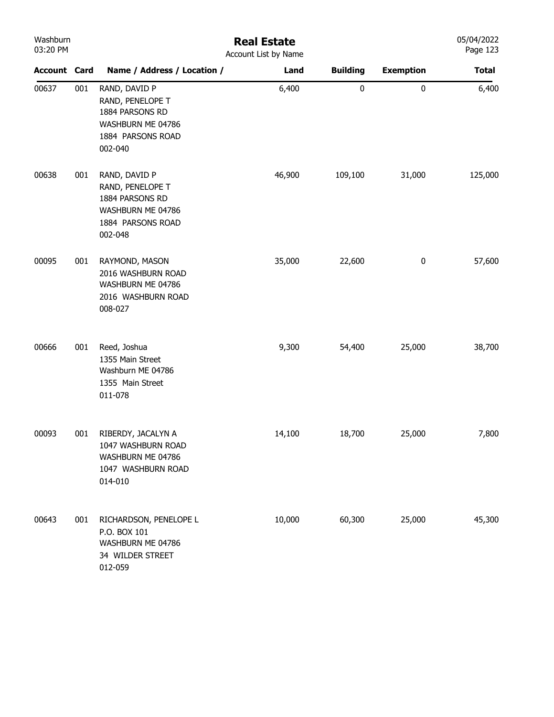| Washburn<br>03:20 PM |     |                                                                                                           | <b>Real Estate</b><br>Account List by Name |                 |                  | 05/04/2022<br>Page 123 |
|----------------------|-----|-----------------------------------------------------------------------------------------------------------|--------------------------------------------|-----------------|------------------|------------------------|
| <b>Account Card</b>  |     | Name / Address / Location /                                                                               | Land                                       | <b>Building</b> | <b>Exemption</b> | <b>Total</b>           |
| 00637                | 001 | RAND, DAVID P<br>RAND, PENELOPE T<br>1884 PARSONS RD<br>WASHBURN ME 04786<br>1884 PARSONS ROAD<br>002-040 | 6,400                                      | 0               | 0                | 6,400                  |
| 00638                | 001 | RAND, DAVID P<br>RAND, PENELOPE T<br>1884 PARSONS RD<br>WASHBURN ME 04786<br>1884 PARSONS ROAD<br>002-048 | 46,900                                     | 109,100         | 31,000           | 125,000                |
| 00095                | 001 | RAYMOND, MASON<br>2016 WASHBURN ROAD<br>WASHBURN ME 04786<br>2016 WASHBURN ROAD<br>008-027                | 35,000                                     | 22,600          | $\pmb{0}$        | 57,600                 |
| 00666                | 001 | Reed, Joshua<br>1355 Main Street<br>Washburn ME 04786<br>1355 Main Street<br>011-078                      | 9,300                                      | 54,400          | 25,000           | 38,700                 |
| 00093                | 001 | RIBERDY, JACALYN A<br>1047 WASHBURN ROAD<br>WASHBURN ME 04786<br>1047 WASHBURN ROAD<br>014-010            | 14,100                                     | 18,700          | 25,000           | 7,800                  |
| 00643                | 001 | RICHARDSON, PENELOPE L<br>P.O. BOX 101<br>WASHBURN ME 04786<br>34 WILDER STREET<br>012-059                | 10,000                                     | 60,300          | 25,000           | 45,300                 |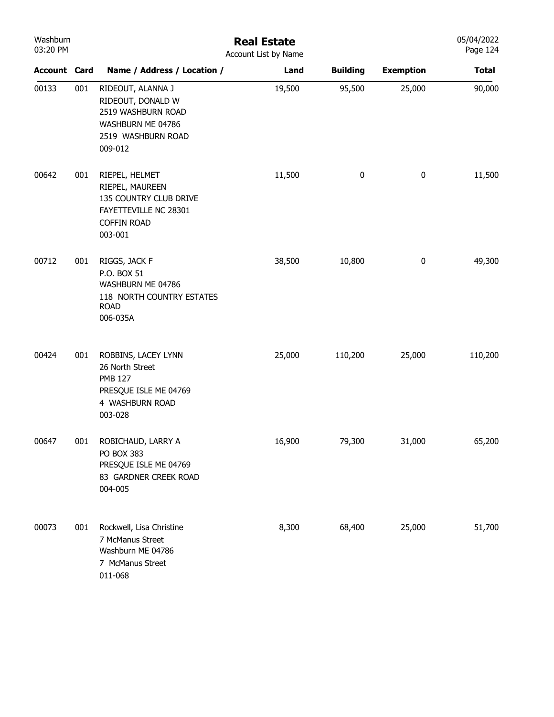| Washburn<br>03:20 PM |     |                                                                                                                       | <b>Real Estate</b><br>Account List by Name |                 |                  | 05/04/2022<br>Page 124 |
|----------------------|-----|-----------------------------------------------------------------------------------------------------------------------|--------------------------------------------|-----------------|------------------|------------------------|
| <b>Account Card</b>  |     | Name / Address / Location /                                                                                           | Land                                       | <b>Building</b> | <b>Exemption</b> | <b>Total</b>           |
| 00133                | 001 | RIDEOUT, ALANNA J<br>RIDEOUT, DONALD W<br>2519 WASHBURN ROAD<br>WASHBURN ME 04786<br>2519 WASHBURN ROAD<br>009-012    | 19,500                                     | 95,500          | 25,000           | 90,000                 |
| 00642                | 001 | RIEPEL, HELMET<br>RIEPEL, MAUREEN<br>135 COUNTRY CLUB DRIVE<br>FAYETTEVILLE NC 28301<br><b>COFFIN ROAD</b><br>003-001 | 11,500                                     | $\pmb{0}$       | 0                | 11,500                 |
| 00712                | 001 | RIGGS, JACK F<br>P.O. BOX 51<br>WASHBURN ME 04786<br>118 NORTH COUNTRY ESTATES<br><b>ROAD</b><br>006-035A             | 38,500                                     | 10,800          | 0                | 49,300                 |
| 00424                | 001 | ROBBINS, LACEY LYNN<br>26 North Street<br><b>PMB 127</b><br>PRESQUE ISLE ME 04769<br>4 WASHBURN ROAD<br>003-028       | 25,000                                     | 110,200         | 25,000           | 110,200                |
| 00647                | 001 | ROBICHAUD, LARRY A<br>PO BOX 383<br>PRESQUE ISLE ME 04769<br>83 GARDNER CREEK ROAD<br>004-005                         | 16,900                                     | 79,300          | 31,000           | 65,200                 |
| 00073                | 001 | Rockwell, Lisa Christine<br>7 McManus Street<br>Washburn ME 04786<br>7 McManus Street<br>011-068                      | 8,300                                      | 68,400          | 25,000           | 51,700                 |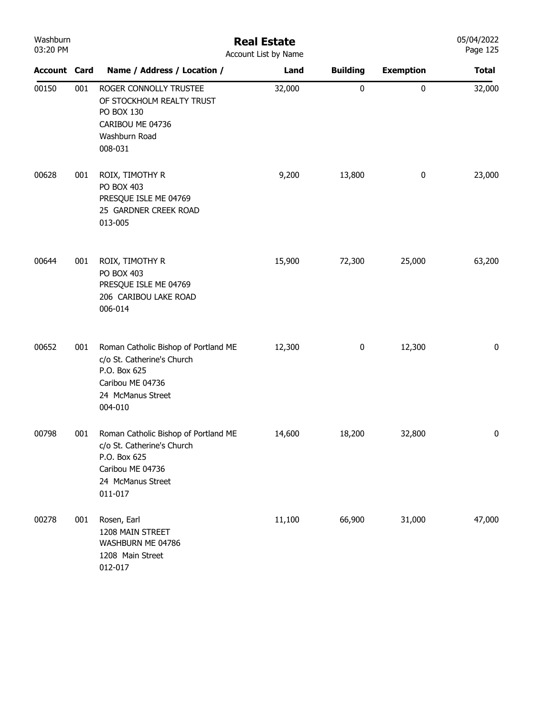| Washburn<br>03:20 PM |     | <b>Real Estate</b><br>Account List by Name                                                                                             |        |                 |                  |              |  |
|----------------------|-----|----------------------------------------------------------------------------------------------------------------------------------------|--------|-----------------|------------------|--------------|--|
| <b>Account Card</b>  |     | Name / Address / Location /                                                                                                            | Land   | <b>Building</b> | <b>Exemption</b> | <b>Total</b> |  |
| 00150                | 001 | ROGER CONNOLLY TRUSTEE<br>OF STOCKHOLM REALTY TRUST<br>PO BOX 130<br>CARIBOU ME 04736<br>Washburn Road<br>008-031                      | 32,000 | 0               | 0                | 32,000       |  |
| 00628                | 001 | ROIX, TIMOTHY R<br>PO BOX 403<br>PRESQUE ISLE ME 04769<br>25 GARDNER CREEK ROAD<br>013-005                                             | 9,200  | 13,800          | $\pmb{0}$        | 23,000       |  |
| 00644                | 001 | ROIX, TIMOTHY R<br>PO BOX 403<br>PRESQUE ISLE ME 04769<br>206 CARIBOU LAKE ROAD<br>006-014                                             | 15,900 | 72,300          | 25,000           | 63,200       |  |
| 00652                | 001 | Roman Catholic Bishop of Portland ME<br>c/o St. Catherine's Church<br>P.O. Box 625<br>Caribou ME 04736<br>24 McManus Street<br>004-010 | 12,300 | 0               | 12,300           | 0            |  |
| 00798                | 001 | Roman Catholic Bishop of Portland ME<br>c/o St. Catherine's Church<br>P.O. Box 625<br>Caribou ME 04736<br>24 McManus Street<br>011-017 | 14,600 | 18,200          | 32,800           | 0            |  |
| 00278                | 001 | Rosen, Earl<br>1208 MAIN STREET<br>WASHBURN ME 04786<br>1208 Main Street<br>012-017                                                    | 11,100 | 66,900          | 31,000           | 47,000       |  |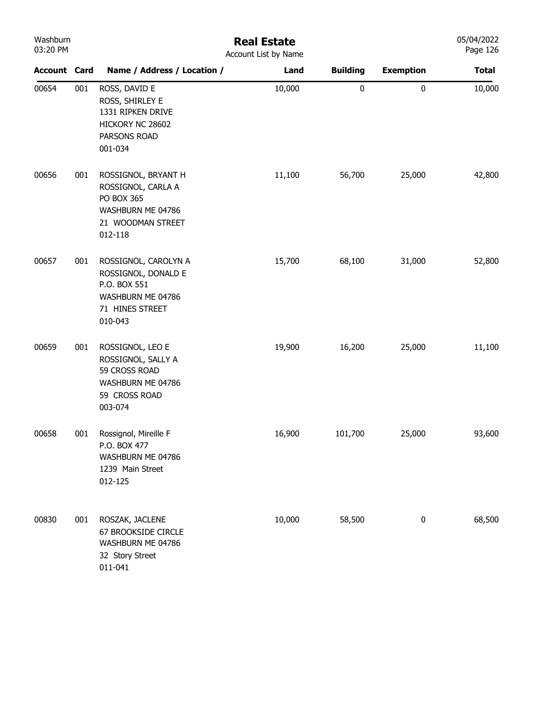| Washburn |
|----------|
| 03:20 PM |

## Real Estate

| 03:20 PM            |     | Account List by Name                                                                                           |        |                 |                  |              |
|---------------------|-----|----------------------------------------------------------------------------------------------------------------|--------|-----------------|------------------|--------------|
| <b>Account Card</b> |     | Name / Address / Location /                                                                                    | Land   | <b>Building</b> | <b>Exemption</b> | <b>Total</b> |
| 00654               | 001 | ROSS, DAVID E<br>ROSS, SHIRLEY E<br>1331 RIPKEN DRIVE<br>HICKORY NC 28602<br>PARSONS ROAD<br>001-034           | 10,000 | $\pmb{0}$       | $\pmb{0}$        | 10,000       |
| 00656               | 001 | ROSSIGNOL, BRYANT H<br>ROSSIGNOL, CARLA A<br>PO BOX 365<br>WASHBURN ME 04786<br>21 WOODMAN STREET<br>012-118   | 11,100 | 56,700          | 25,000           | 42,800       |
| 00657               | 001 | ROSSIGNOL, CAROLYN A<br>ROSSIGNOL, DONALD E<br>P.O. BOX 551<br>WASHBURN ME 04786<br>71 HINES STREET<br>010-043 | 15,700 | 68,100          | 31,000           | 52,800       |
| 00659               | 001 | ROSSIGNOL, LEO E<br>ROSSIGNOL, SALLY A<br>59 CROSS ROAD<br>WASHBURN ME 04786<br>59 CROSS ROAD<br>003-074       | 19,900 | 16,200          | 25,000           | 11,100       |
| 00658               | 001 | Rossignol, Mireille F<br>P.O. BOX 477<br>WASHBURN ME 04786<br>1239 Main Street<br>012-125                      | 16,900 | 101,700         | 25,000           | 93,600       |
| 00830               | 001 | ROSZAK, JACLENE<br>67 BROOKSIDE CIRCLE<br>WASHBURN ME 04786<br>32 Story Street<br>011-041                      | 10,000 | 58,500          | $\boldsymbol{0}$ | 68,500       |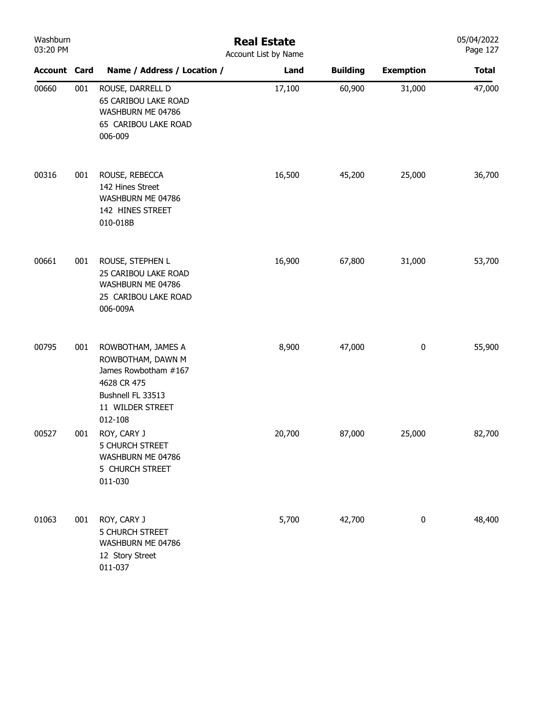| Washburn<br>03:20 PM |     | <b>Real Estate</b><br>Account List by Name                                                                                         |        |                 |                  |              |  |  |
|----------------------|-----|------------------------------------------------------------------------------------------------------------------------------------|--------|-----------------|------------------|--------------|--|--|
| <b>Account Card</b>  |     | Name / Address / Location /                                                                                                        | Land   | <b>Building</b> | <b>Exemption</b> | <b>Total</b> |  |  |
| 00660                | 001 | ROUSE, DARRELL D<br>65 CARIBOU LAKE ROAD<br>WASHBURN ME 04786<br>65 CARIBOU LAKE ROAD<br>006-009                                   | 17,100 | 60,900          | 31,000           | 47,000       |  |  |
| 00316                | 001 | ROUSE, REBECCA<br>142 Hines Street<br>WASHBURN ME 04786<br>142 HINES STREET<br>010-018B                                            | 16,500 | 45,200          | 25,000           | 36,700       |  |  |
| 00661                | 001 | ROUSE, STEPHEN L<br>25 CARIBOU LAKE ROAD<br>WASHBURN ME 04786<br>25 CARIBOU LAKE ROAD<br>006-009A                                  | 16,900 | 67,800          | 31,000           | 53,700       |  |  |
| 00795                | 001 | ROWBOTHAM, JAMES A<br>ROWBOTHAM, DAWN M<br>James Rowbotham #167<br>4628 CR 475<br>Bushnell FL 33513<br>11 WILDER STREET<br>012-108 | 8,900  | 47,000          | $\pmb{0}$        | 55,900       |  |  |
| 00527                | 001 | ROY, CARY J<br>5 CHURCH STREET<br>WASHBURN ME 04786<br>5 CHURCH STREET<br>011-030                                                  | 20,700 | 87,000          | 25,000           | 82,700       |  |  |
| 01063                | 001 | ROY, CARY J<br>5 CHURCH STREET<br>WASHBURN ME 04786<br>12 Story Street<br>011-037                                                  | 5,700  | 42,700          | $\pmb{0}$        | 48,400       |  |  |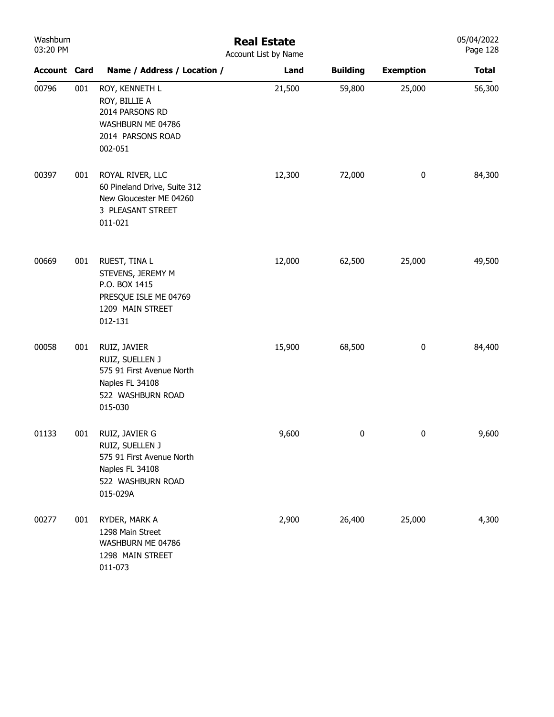| Washburn<br>$03:20$ PM |     |                                                                                                         |
|------------------------|-----|---------------------------------------------------------------------------------------------------------|
| <b>Account Card</b>    |     | Name / Address / Locatio                                                                                |
| 00796                  | 001 | ROY, KENNETH L<br>ROY, BILLIE A<br>2014 PARSONS RD<br>WASHRURN MF 04786<br>2014 PARSONS ROAD<br>002-051 |

## Real Estate Account List by Name

| <b>Account Card</b> |     | Name / Address / Location /                                                                                        | Land   | <b>Building</b> | <b>Exemption</b> | <b>Total</b> |
|---------------------|-----|--------------------------------------------------------------------------------------------------------------------|--------|-----------------|------------------|--------------|
| 00796               | 001 | ROY, KENNETH L<br>ROY, BILLIE A<br>2014 PARSONS RD<br>WASHBURN ME 04786<br>2014 PARSONS ROAD<br>002-051            | 21,500 | 59,800          | 25,000           | 56,300       |
| 00397               | 001 | ROYAL RIVER, LLC<br>60 Pineland Drive, Suite 312<br>New Gloucester ME 04260<br>3 PLEASANT STREET<br>011-021        | 12,300 | 72,000          | 0                | 84,300       |
| 00669               | 001 | RUEST, TINA L<br>STEVENS, JEREMY M<br>P.O. BOX 1415<br>PRESQUE ISLE ME 04769<br>1209 MAIN STREET<br>012-131        | 12,000 | 62,500          | 25,000           | 49,500       |
| 00058               | 001 | RUIZ, JAVIER<br>RUIZ, SUELLEN J<br>575 91 First Avenue North<br>Naples FL 34108<br>522 WASHBURN ROAD<br>015-030    | 15,900 | 68,500          | $\bf{0}$         | 84,400       |
| 01133               | 001 | RUIZ, JAVIER G<br>RUIZ, SUELLEN J<br>575 91 First Avenue North<br>Naples FL 34108<br>522 WASHBURN ROAD<br>015-029A | 9,600  | 0               | $\bf{0}$         | 9,600        |
| 00277               | 001 | RYDER, MARK A<br>1298 Main Street<br>WASHBURN ME 04786<br>1298 MAIN STREET<br>011-073                              | 2,900  | 26,400          | 25,000           | 4,300        |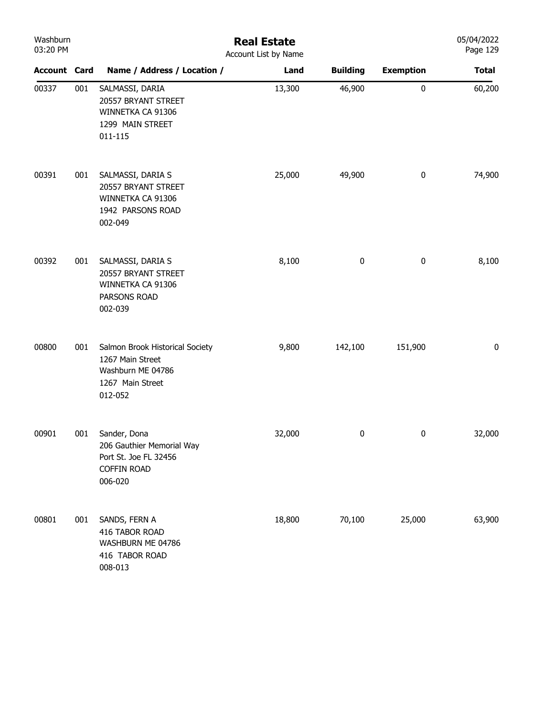| Washburn<br>03:20 PM |     | <b>Real Estate</b><br>Account List by Name                                                              | 05/04/2022<br>Page 129 |                 |                  |              |
|----------------------|-----|---------------------------------------------------------------------------------------------------------|------------------------|-----------------|------------------|--------------|
| <b>Account Card</b>  |     | Name / Address / Location /                                                                             | Land                   | <b>Building</b> | <b>Exemption</b> | <b>Total</b> |
| 00337                | 001 | SALMASSI, DARIA<br>20557 BRYANT STREET<br>WINNETKA CA 91306<br>1299 MAIN STREET<br>011-115              | 13,300                 | 46,900          | 0                | 60,200       |
| 00391                | 001 | SALMASSI, DARIA S<br>20557 BRYANT STREET<br>WINNETKA CA 91306<br>1942 PARSONS ROAD<br>002-049           | 25,000                 | 49,900          | 0                | 74,900       |
| 00392                | 001 | SALMASSI, DARIA S<br>20557 BRYANT STREET<br>WINNETKA CA 91306<br>PARSONS ROAD<br>002-039                | 8,100                  | 0               | $\pmb{0}$        | 8,100        |
| 00800                | 001 | Salmon Brook Historical Society<br>1267 Main Street<br>Washburn ME 04786<br>1267 Main Street<br>012-052 | 9,800                  | 142,100         | 151,900          | 0            |
| 00901                | 001 | Sander, Dona<br>206 Gauthier Memorial Way<br>Port St. Joe FL 32456<br><b>COFFIN ROAD</b><br>006-020     | 32,000                 | $\pmb{0}$       | 0                | 32,000       |
| 00801                | 001 | SANDS, FERN A<br>416 TABOR ROAD<br>WASHBURN ME 04786<br>416 TABOR ROAD<br>008-013                       | 18,800                 | 70,100          | 25,000           | 63,900       |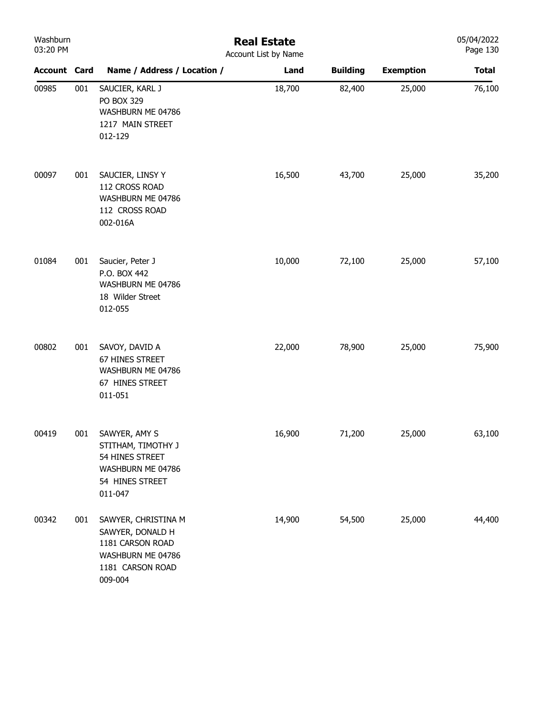| Washburn<br>03:20 PM |     |                                                                                                                 | <b>Real Estate</b><br>Account List by Name |                 | 05/04/2022<br>Page 130 |              |
|----------------------|-----|-----------------------------------------------------------------------------------------------------------------|--------------------------------------------|-----------------|------------------------|--------------|
| <b>Account Card</b>  |     | Name / Address / Location /                                                                                     | Land                                       | <b>Building</b> | <b>Exemption</b>       | <b>Total</b> |
| 00985                | 001 | SAUCIER, KARL J<br>PO BOX 329<br>WASHBURN ME 04786<br>1217 MAIN STREET<br>012-129                               | 18,700                                     | 82,400          | 25,000                 | 76,100       |
| 00097                | 001 | SAUCIER, LINSY Y<br>112 CROSS ROAD<br>WASHBURN ME 04786<br>112 CROSS ROAD<br>002-016A                           | 16,500                                     | 43,700          | 25,000                 | 35,200       |
| 01084                | 001 | Saucier, Peter J<br>P.O. BOX 442<br>WASHBURN ME 04786<br>18 Wilder Street<br>012-055                            | 10,000                                     | 72,100          | 25,000                 | 57,100       |
| 00802                | 001 | SAVOY, DAVID A<br>67 HINES STREET<br>WASHBURN ME 04786<br>67 HINES STREET<br>011-051                            | 22,000                                     | 78,900          | 25,000                 | 75,900       |
| 00419                | 001 | SAWYER, AMY S<br>STITHAM, TIMOTHY J<br>54 HINES STREET<br>WASHBURN ME 04786<br>54 HINES STREET<br>011-047       | 16,900                                     | 71,200          | 25,000                 | 63,100       |
| 00342                | 001 | SAWYER, CHRISTINA M<br>SAWYER, DONALD H<br>1181 CARSON ROAD<br>WASHBURN ME 04786<br>1181 CARSON ROAD<br>009-004 | 14,900                                     | 54,500          | 25,000                 | 44,400       |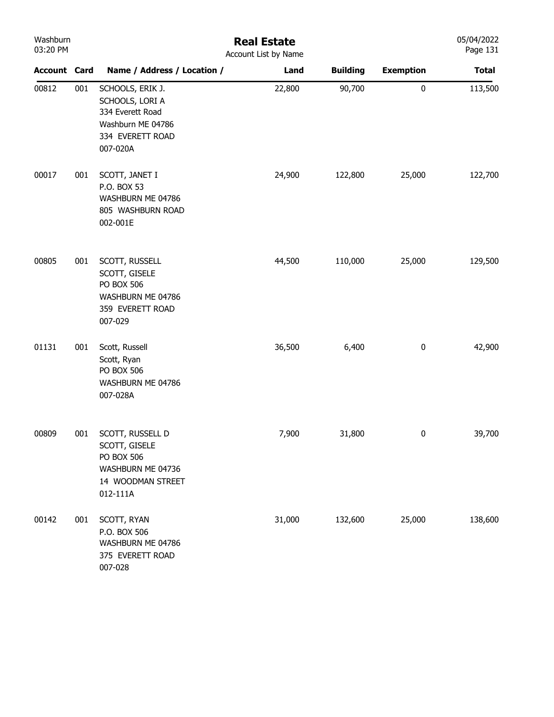| Washburn<br>03:20 PM |     |                                                                                                              | <b>Real Estate</b><br>Account List by Name |                 |                  | 05/04/2022<br>Page 131 |
|----------------------|-----|--------------------------------------------------------------------------------------------------------------|--------------------------------------------|-----------------|------------------|------------------------|
| <b>Account Card</b>  |     | Name / Address / Location /                                                                                  | Land                                       | <b>Building</b> | <b>Exemption</b> | <b>Total</b>           |
| 00812                | 001 | SCHOOLS, ERIK J.<br>SCHOOLS, LORI A<br>334 Everett Road<br>Washburn ME 04786<br>334 EVERETT ROAD<br>007-020A | 22,800                                     | 90,700          | 0                | 113,500                |
| 00017                | 001 | SCOTT, JANET I<br>P.O. BOX 53<br>WASHBURN ME 04786<br>805 WASHBURN ROAD<br>002-001E                          | 24,900                                     | 122,800         | 25,000           | 122,700                |
| 00805                | 001 | SCOTT, RUSSELL<br>SCOTT, GISELE<br>PO BOX 506<br>WASHBURN ME 04786<br>359 EVERETT ROAD<br>007-029            | 44,500                                     | 110,000         | 25,000           | 129,500                |
| 01131                | 001 | Scott, Russell<br>Scott, Ryan<br><b>PO BOX 506</b><br>WASHBURN ME 04786<br>007-028A                          | 36,500                                     | 6,400           | $\pmb{0}$        | 42,900                 |
| 00809                | 001 | SCOTT, RUSSELL D<br>SCOTT, GISELE<br>PO BOX 506<br>WASHBURN ME 04736<br>14 WOODMAN STREET<br>012-111A        | 7,900                                      | 31,800          | 0                | 39,700                 |
| 00142                | 001 | SCOTT, RYAN<br>P.O. BOX 506<br>WASHBURN ME 04786<br>375 EVERETT ROAD<br>007-028                              | 31,000                                     | 132,600         | 25,000           | 138,600                |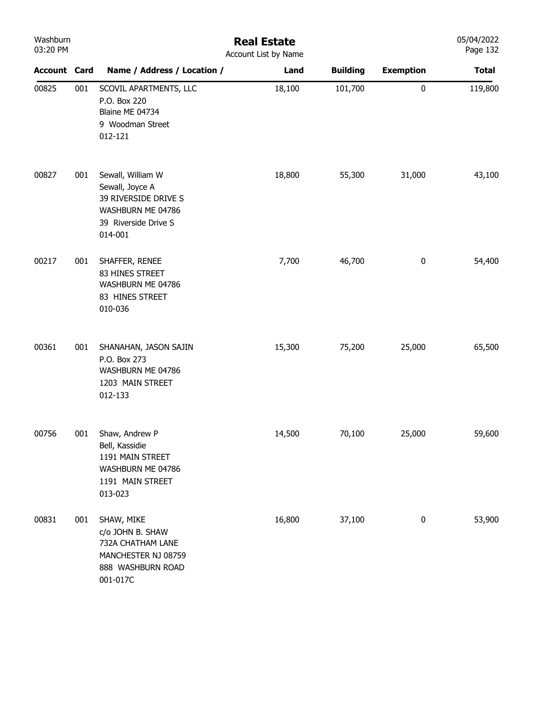| Washburn<br>03:20 PM |     | <b>Real Estate</b><br>Account List by Name                                                                           |        | 05/04/2022<br>Page 132 |                  |              |
|----------------------|-----|----------------------------------------------------------------------------------------------------------------------|--------|------------------------|------------------|--------------|
| <b>Account Card</b>  |     | Name / Address / Location /                                                                                          | Land   | <b>Building</b>        | <b>Exemption</b> | <b>Total</b> |
| 00825                | 001 | SCOVIL APARTMENTS, LLC<br>P.O. Box 220<br>Blaine ME 04734<br>9 Woodman Street<br>012-121                             | 18,100 | 101,700                | $\pmb{0}$        | 119,800      |
| 00827                | 001 | Sewall, William W<br>Sewall, Joyce A<br>39 RIVERSIDE DRIVE S<br>WASHBURN ME 04786<br>39 Riverside Drive S<br>014-001 | 18,800 | 55,300                 | 31,000           | 43,100       |
| 00217                | 001 | SHAFFER, RENEE<br>83 HINES STREET<br>WASHBURN ME 04786<br>83 HINES STREET<br>010-036                                 | 7,700  | 46,700                 | $\pmb{0}$        | 54,400       |
| 00361                | 001 | SHANAHAN, JASON SAJIN<br>P.O. Box 273<br>WASHBURN ME 04786<br>1203 MAIN STREET<br>012-133                            | 15,300 | 75,200                 | 25,000           | 65,500       |
| 00756                | 001 | Shaw, Andrew P<br>Bell, Kassidie<br>1191 MAIN STREET<br>WASHBURN ME 04786<br>1191 MAIN STREET<br>013-023             | 14,500 | 70,100                 | 25,000           | 59,600       |
| 00831                | 001 | SHAW, MIKE<br>c/o JOHN B. SHAW<br>732A CHATHAM LANE<br>MANCHESTER NJ 08759<br>888 WASHBURN ROAD<br>001-017C          | 16,800 | 37,100                 | $\bf{0}$         | 53,900       |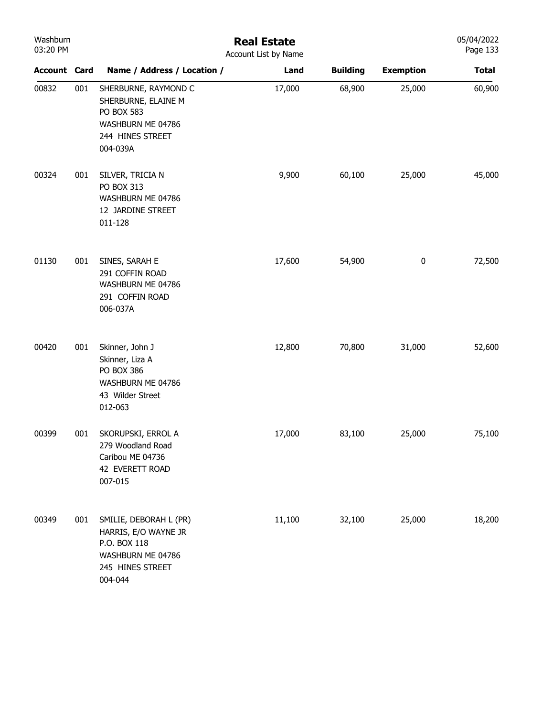| Washburn<br>03:20 PM |     |                                                                                                                    | <b>Real Estate</b><br>Account List by Name |                 |                  | 05/04/2022<br>Page 133 |
|----------------------|-----|--------------------------------------------------------------------------------------------------------------------|--------------------------------------------|-----------------|------------------|------------------------|
| <b>Account Card</b>  |     | Name / Address / Location /                                                                                        | Land                                       | <b>Building</b> | <b>Exemption</b> | <b>Total</b>           |
| 00832                | 001 | SHERBURNE, RAYMOND C<br>SHERBURNE, ELAINE M<br>PO BOX 583<br>WASHBURN ME 04786<br>244 HINES STREET<br>004-039A     | 17,000                                     | 68,900          | 25,000           | 60,900                 |
| 00324                | 001 | SILVER, TRICIA N<br>PO BOX 313<br>WASHBURN ME 04786<br>12 JARDINE STREET<br>011-128                                | 9,900                                      | 60,100          | 25,000           | 45,000                 |
| 01130                | 001 | SINES, SARAH E<br>291 COFFIN ROAD<br>WASHBURN ME 04786<br>291 COFFIN ROAD<br>006-037A                              | 17,600                                     | 54,900          | $\bf{0}$         | 72,500                 |
| 00420                | 001 | Skinner, John J<br>Skinner, Liza A<br>PO BOX 386<br>WASHBURN ME 04786<br>43 Wilder Street<br>012-063               | 12,800                                     | 70,800          | 31,000           | 52,600                 |
| 00399                | 001 | SKORUPSKI, ERROL A<br>279 Woodland Road<br>Caribou ME 04736<br>42 EVERETT ROAD<br>007-015                          | 17,000                                     | 83,100          | 25,000           | 75,100                 |
| 00349                | 001 | SMILIE, DEBORAH L (PR)<br>HARRIS, E/O WAYNE JR<br>P.O. BOX 118<br>WASHBURN ME 04786<br>245 HINES STREET<br>004-044 | 11,100                                     | 32,100          | 25,000           | 18,200                 |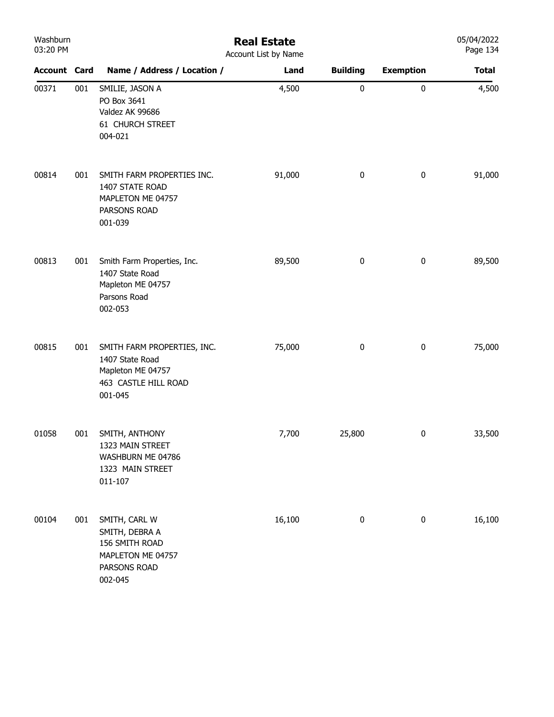| Washburn<br>03:20 PM |     |                                                                                                        | <b>Real Estate</b><br>Account List by Name |                 |                  | 05/04/2022<br>Page 134 |
|----------------------|-----|--------------------------------------------------------------------------------------------------------|--------------------------------------------|-----------------|------------------|------------------------|
| <b>Account Card</b>  |     | Name / Address / Location /                                                                            | Land                                       | <b>Building</b> | <b>Exemption</b> | <b>Total</b>           |
| 00371                | 001 | SMILIE, JASON A<br>PO Box 3641<br>Valdez AK 99686<br>61 CHURCH STREET<br>004-021                       | 4,500                                      | $\pmb{0}$       | $\pmb{0}$        | 4,500                  |
| 00814                | 001 | SMITH FARM PROPERTIES INC.<br>1407 STATE ROAD<br>MAPLETON ME 04757<br>PARSONS ROAD<br>001-039          | 91,000                                     | $\pmb{0}$       | $\pmb{0}$        | 91,000                 |
| 00813                | 001 | Smith Farm Properties, Inc.<br>1407 State Road<br>Mapleton ME 04757<br>Parsons Road<br>002-053         | 89,500                                     | $\pmb{0}$       | $\bf{0}$         | 89,500                 |
| 00815                | 001 | SMITH FARM PROPERTIES, INC.<br>1407 State Road<br>Mapleton ME 04757<br>463 CASTLE HILL ROAD<br>001-045 | 75,000                                     | $\pmb{0}$       | $\pmb{0}$        | 75,000                 |
| 01058                | 001 | SMITH, ANTHONY<br>1323 MAIN STREET<br>WASHBURN ME 04786<br>1323 MAIN STREET<br>011-107                 | 7,700                                      | 25,800          | $\boldsymbol{0}$ | 33,500                 |
| 00104                | 001 | SMITH, CARL W<br>SMITH, DEBRA A<br>156 SMITH ROAD<br>MAPLETON ME 04757<br>PARSONS ROAD<br>002-045      | 16,100                                     | $\pmb{0}$       | $\pmb{0}$        | 16,100                 |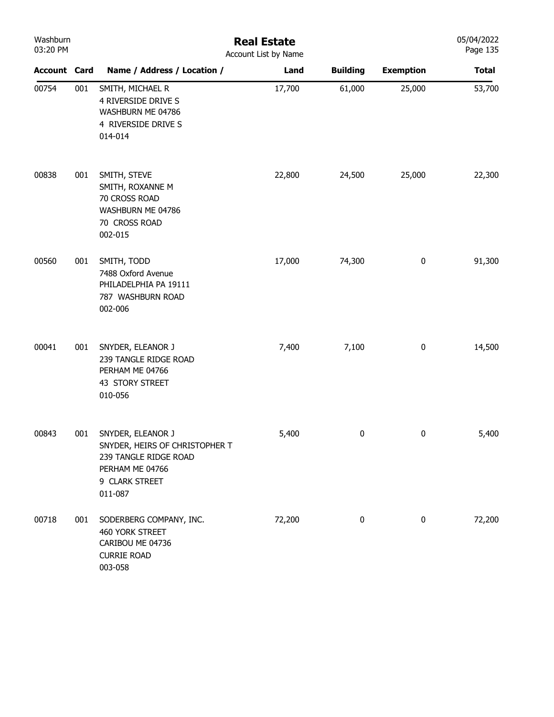| Washburn<br>03:20 PM |     | <b>Real Estate</b><br>Account List by Name                                                                                   |        |                 |                  |              |  |  |
|----------------------|-----|------------------------------------------------------------------------------------------------------------------------------|--------|-----------------|------------------|--------------|--|--|
| <b>Account Card</b>  |     | Name / Address / Location /                                                                                                  | Land   | <b>Building</b> | <b>Exemption</b> | <b>Total</b> |  |  |
| 00754                | 001 | SMITH, MICHAEL R<br>4 RIVERSIDE DRIVE S<br>WASHBURN ME 04786<br>4 RIVERSIDE DRIVE S<br>014-014                               | 17,700 | 61,000          | 25,000           | 53,700       |  |  |
| 00838                | 001 | SMITH, STEVE<br>SMITH, ROXANNE M<br>70 CROSS ROAD<br>WASHBURN ME 04786<br>70 CROSS ROAD<br>002-015                           | 22,800 | 24,500          | 25,000           | 22,300       |  |  |
| 00560                | 001 | SMITH, TODD<br>7488 Oxford Avenue<br>PHILADELPHIA PA 19111<br>787 WASHBURN ROAD<br>002-006                                   | 17,000 | 74,300          | $\pmb{0}$        | 91,300       |  |  |
| 00041                | 001 | SNYDER, ELEANOR J<br>239 TANGLE RIDGE ROAD<br>PERHAM ME 04766<br>43 STORY STREET<br>010-056                                  | 7,400  | 7,100           | $\pmb{0}$        | 14,500       |  |  |
| 00843                | 001 | SNYDER, ELEANOR J<br>SNYDER, HEIRS OF CHRISTOPHER T<br>239 TANGLE RIDGE ROAD<br>PERHAM ME 04766<br>9 CLARK STREET<br>011-087 | 5,400  | $\pmb{0}$       | 0                | 5,400        |  |  |
| 00718                | 001 | SODERBERG COMPANY, INC.<br>460 YORK STREET<br>CARIBOU ME 04736<br><b>CURRIE ROAD</b><br>003-058                              | 72,200 | 0               | $\pmb{0}$        | 72,200       |  |  |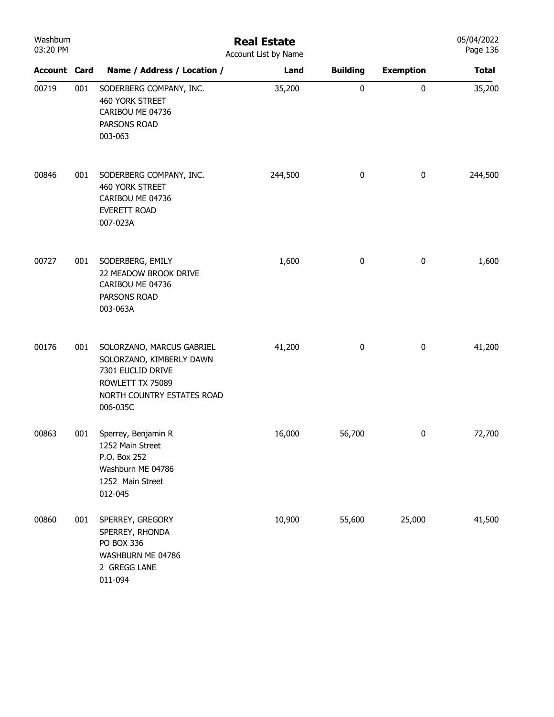| Washburn<br>03:20 PM |     | <b>Real Estate</b><br>Account List by Name                                                                                               |         |                 |                  |              |  |
|----------------------|-----|------------------------------------------------------------------------------------------------------------------------------------------|---------|-----------------|------------------|--------------|--|
| <b>Account Card</b>  |     | Name / Address / Location /                                                                                                              | Land    | <b>Building</b> | <b>Exemption</b> | <b>Total</b> |  |
| 00719                | 001 | SODERBERG COMPANY, INC.<br>460 YORK STREET<br>CARIBOU ME 04736<br>PARSONS ROAD<br>003-063                                                | 35,200  | 0               | $\pmb{0}$        | 35,200       |  |
| 00846                | 001 | SODERBERG COMPANY, INC.<br>460 YORK STREET<br>CARIBOU ME 04736<br>EVERETT ROAD<br>007-023A                                               | 244,500 | 0               | $\bf{0}$         | 244,500      |  |
| 00727                | 001 | SODERBERG, EMILY<br>22 MEADOW BROOK DRIVE<br>CARIBOU ME 04736<br>PARSONS ROAD<br>003-063A                                                | 1,600   | 0               | $\bf{0}$         | 1,600        |  |
| 00176                | 001 | SOLORZANO, MARCUS GABRIEL<br>SOLORZANO, KIMBERLY DAWN<br>7301 EUCLID DRIVE<br>ROWLETT TX 75089<br>NORTH COUNTRY ESTATES ROAD<br>006-035C | 41,200  | 0               | $\boldsymbol{0}$ | 41,200       |  |
| 00863                | 001 | Sperrey, Benjamin R<br>1252 Main Street<br>P.O. Box 252<br>Washburn ME 04786<br>1252 Main Street<br>012-045                              | 16,000  | 56,700          | $\bf{0}$         | 72,700       |  |
| 00860                | 001 | SPERREY, GREGORY<br>SPERREY, RHONDA<br>PO BOX 336<br>WASHBURN ME 04786<br>2 GREGG LANE<br>011-094                                        | 10,900  | 55,600          | 25,000           | 41,500       |  |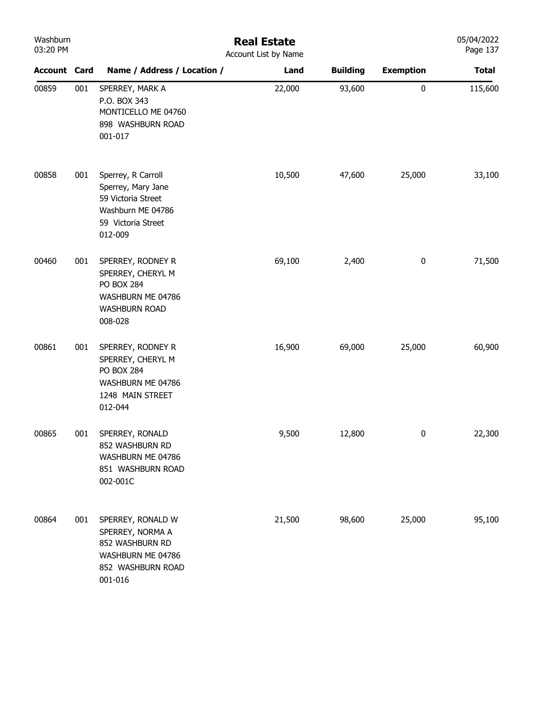| Washburn<br>03:20 PM |     | <b>Real Estate</b><br>Account List by Name                                                                           |        |                 |                  |              |  |
|----------------------|-----|----------------------------------------------------------------------------------------------------------------------|--------|-----------------|------------------|--------------|--|
| <b>Account Card</b>  |     | Name / Address / Location /                                                                                          | Land   | <b>Building</b> | <b>Exemption</b> | <b>Total</b> |  |
| 00859                | 001 | SPERREY, MARK A<br>P.O. BOX 343<br>MONTICELLO ME 04760<br>898 WASHBURN ROAD<br>001-017                               | 22,000 | 93,600          | $\pmb{0}$        | 115,600      |  |
| 00858                | 001 | Sperrey, R Carroll<br>Sperrey, Mary Jane<br>59 Victoria Street<br>Washburn ME 04786<br>59 Victoria Street<br>012-009 | 10,500 | 47,600          | 25,000           | 33,100       |  |
| 00460                | 001 | SPERREY, RODNEY R<br>SPERREY, CHERYL M<br><b>PO BOX 284</b><br>WASHBURN ME 04786<br><b>WASHBURN ROAD</b><br>008-028  | 69,100 | 2,400           | $\bf{0}$         | 71,500       |  |
| 00861                | 001 | SPERREY, RODNEY R<br>SPERREY, CHERYL M<br>PO BOX 284<br>WASHBURN ME 04786<br>1248 MAIN STREET<br>012-044             | 16,900 | 69,000          | 25,000           | 60,900       |  |
| 00865                | 001 | SPERREY, RONALD<br>852 WASHBURN RD<br>WASHBURN ME 04786<br>851 WASHBURN ROAD<br>002-001C                             | 9,500  | 12,800          | $\bf{0}$         | 22,300       |  |
| 00864                | 001 | SPERREY, RONALD W<br>SPERREY, NORMA A<br>852 WASHBURN RD<br>WASHBURN ME 04786<br>852 WASHBURN ROAD<br>001-016        | 21,500 | 98,600          | 25,000           | 95,100       |  |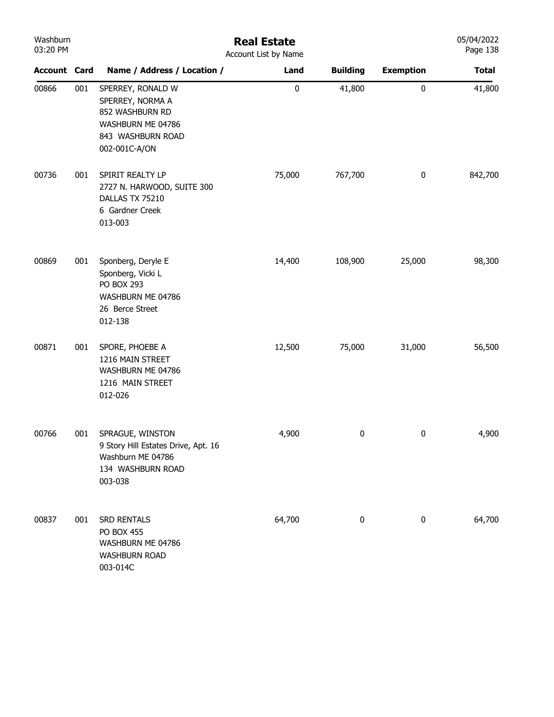| Washburn<br>03:20 PM |     | <b>Real Estate</b><br>Account List by Name                                                                          |           |                 |                  |              |  |  |  |
|----------------------|-----|---------------------------------------------------------------------------------------------------------------------|-----------|-----------------|------------------|--------------|--|--|--|
| <b>Account Card</b>  |     | Name / Address / Location /                                                                                         | Land      | <b>Building</b> | <b>Exemption</b> | <b>Total</b> |  |  |  |
| 00866                | 001 | SPERREY, RONALD W<br>SPERREY, NORMA A<br>852 WASHBURN RD<br>WASHBURN ME 04786<br>843 WASHBURN ROAD<br>002-001C-A/ON | $\pmb{0}$ | 41,800          | $\pmb{0}$        | 41,800       |  |  |  |
| 00736                | 001 | SPIRIT REALTY LP<br>2727 N. HARWOOD, SUITE 300<br>DALLAS TX 75210<br>6 Gardner Creek<br>013-003                     | 75,000    | 767,700         | $\pmb{0}$        | 842,700      |  |  |  |
| 00869                | 001 | Sponberg, Deryle E<br>Sponberg, Vicki L<br>PO BOX 293<br>WASHBURN ME 04786<br>26 Berce Street<br>012-138            | 14,400    | 108,900         | 25,000           | 98,300       |  |  |  |
| 00871                | 001 | SPORE, PHOEBE A<br>1216 MAIN STREET<br>WASHBURN ME 04786<br>1216 MAIN STREET<br>012-026                             | 12,500    | 75,000          | 31,000           | 56,500       |  |  |  |
| 00766                | 001 | SPRAGUE, WINSTON<br>9 Story Hill Estates Drive, Apt. 16<br>Washburn ME 04786<br>134 WASHBURN ROAD<br>003-038        | 4,900     | 0               | $\pmb{0}$        | 4,900        |  |  |  |
| 00837                | 001 | SRD RENTALS<br><b>PO BOX 455</b><br>WASHBURN ME 04786<br><b>WASHBURN ROAD</b><br>003-014C                           | 64,700    | 0               | 0                | 64,700       |  |  |  |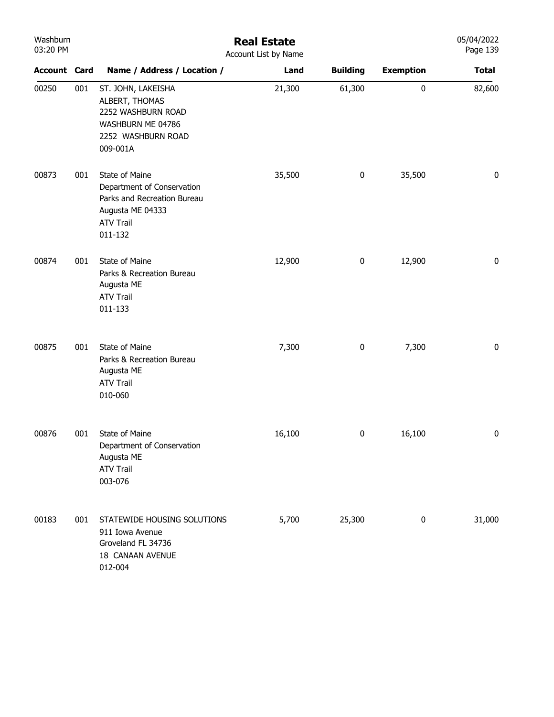| Washburn<br>03:20 PM |     |                                                                                                                                | <b>Real Estate</b><br>Account List by Name |                 |                  | 05/04/2022<br>Page 139 |
|----------------------|-----|--------------------------------------------------------------------------------------------------------------------------------|--------------------------------------------|-----------------|------------------|------------------------|
| <b>Account Card</b>  |     | Name / Address / Location /                                                                                                    | Land                                       | <b>Building</b> | <b>Exemption</b> | <b>Total</b>           |
| 00250                | 001 | ST. JOHN, LAKEISHA<br>ALBERT, THOMAS<br>2252 WASHBURN ROAD<br>WASHBURN ME 04786<br>2252 WASHBURN ROAD<br>009-001A              | 21,300                                     | 61,300          | 0                | 82,600                 |
| 00873                | 001 | State of Maine<br>Department of Conservation<br>Parks and Recreation Bureau<br>Augusta ME 04333<br><b>ATV Trail</b><br>011-132 | 35,500                                     | $\pmb{0}$       | 35,500           | 0                      |
| 00874                | 001 | State of Maine<br>Parks & Recreation Bureau<br>Augusta ME<br><b>ATV Trail</b><br>011-133                                       | 12,900                                     | $\bf{0}$        | 12,900           | 0                      |
| 00875                | 001 | State of Maine<br>Parks & Recreation Bureau<br>Augusta ME<br><b>ATV Trail</b><br>010-060                                       | 7,300                                      | $\bf{0}$        | 7,300            | 0                      |
| 00876                | 001 | State of Maine<br>Department of Conservation<br>Augusta ME<br><b>ATV Trail</b><br>003-076                                      | 16,100                                     | 0               | 16,100           | 0                      |
| 00183                | 001 | STATEWIDE HOUSING SOLUTIONS<br>911 Iowa Avenue<br>Groveland FL 34736<br>18 CANAAN AVENUE<br>012-004                            | 5,700                                      | 25,300          | 0                | 31,000                 |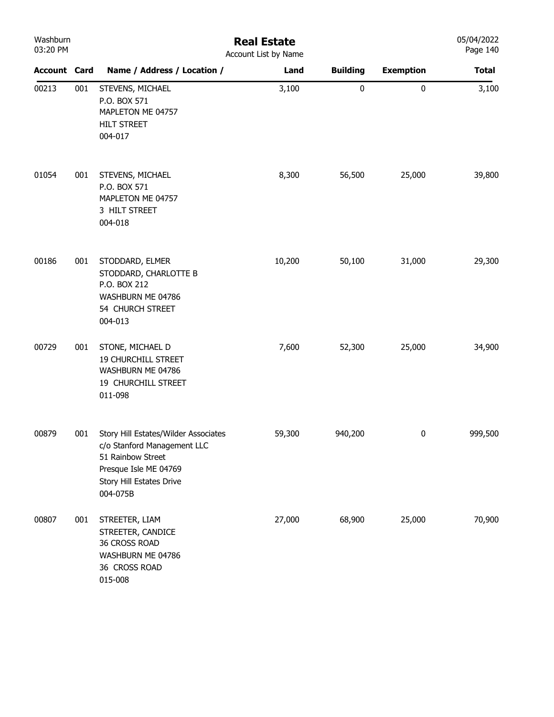| Washburn<br>03:20 PM |     | <b>Real Estate</b><br>Account List by Name                                                                                                                |        |                 |                  |              |  |
|----------------------|-----|-----------------------------------------------------------------------------------------------------------------------------------------------------------|--------|-----------------|------------------|--------------|--|
| <b>Account Card</b>  |     | Name / Address / Location /                                                                                                                               | Land   | <b>Building</b> | <b>Exemption</b> | <b>Total</b> |  |
| 00213                | 001 | STEVENS, MICHAEL<br>P.O. BOX 571<br>MAPLETON ME 04757<br><b>HILT STREET</b><br>004-017                                                                    | 3,100  | $\pmb{0}$       | $\pmb{0}$        | 3,100        |  |
| 01054                | 001 | STEVENS, MICHAEL<br>P.O. BOX 571<br>MAPLETON ME 04757<br>3 HILT STREET<br>004-018                                                                         | 8,300  | 56,500          | 25,000           | 39,800       |  |
| 00186                | 001 | STODDARD, ELMER<br>STODDARD, CHARLOTTE B<br>P.O. BOX 212<br>WASHBURN ME 04786<br>54 CHURCH STREET<br>004-013                                              | 10,200 | 50,100          | 31,000           | 29,300       |  |
| 00729                | 001 | STONE, MICHAEL D<br><b>19 CHURCHILL STREET</b><br>WASHBURN ME 04786<br>19 CHURCHILL STREET<br>011-098                                                     | 7,600  | 52,300          | 25,000           | 34,900       |  |
| 00879                | 001 | Story Hill Estates/Wilder Associates<br>c/o Stanford Management LLC<br>51 Rainbow Street<br>Presque Isle ME 04769<br>Story Hill Estates Drive<br>004-075B | 59,300 | 940,200         | $\pmb{0}$        | 999,500      |  |
| 00807                | 001 | STREETER, LIAM<br>STREETER, CANDICE<br>36 CROSS ROAD<br>WASHBURN ME 04786<br>36 CROSS ROAD<br>015-008                                                     | 27,000 | 68,900          | 25,000           | 70,900       |  |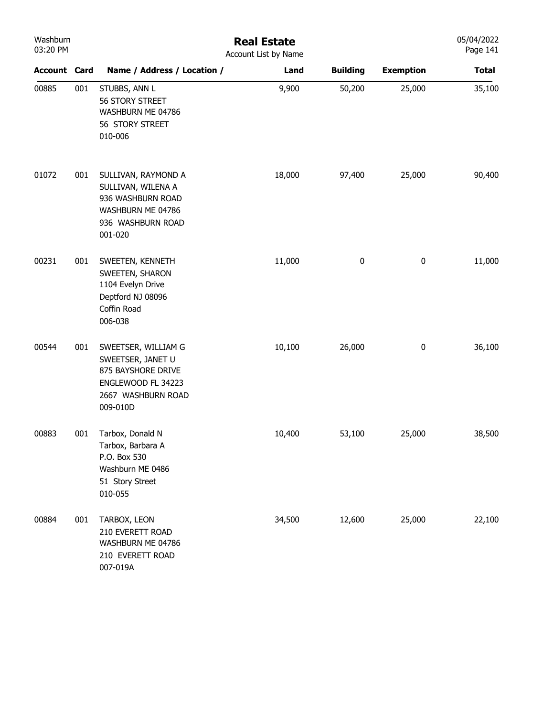| Washburn<br>03:20 PM |     |                                                                                                                        | <b>Real Estate</b><br>Account List by Name |                 |                  | 05/04/2022<br>Page 141 |
|----------------------|-----|------------------------------------------------------------------------------------------------------------------------|--------------------------------------------|-----------------|------------------|------------------------|
| <b>Account Card</b>  |     | Name / Address / Location /                                                                                            | Land                                       | <b>Building</b> | <b>Exemption</b> | <b>Total</b>           |
| 00885                | 001 | STUBBS, ANN L<br>56 STORY STREET<br>WASHBURN ME 04786<br>56 STORY STREET<br>010-006                                    | 9,900                                      | 50,200          | 25,000           | 35,100                 |
| 01072                | 001 | SULLIVAN, RAYMOND A<br>SULLIVAN, WILENA A<br>936 WASHBURN ROAD<br>WASHBURN ME 04786<br>936 WASHBURN ROAD<br>001-020    | 18,000                                     | 97,400          | 25,000           | 90,400                 |
| 00231                | 001 | SWEETEN, KENNETH<br>SWEETEN, SHARON<br>1104 Evelyn Drive<br>Deptford NJ 08096<br>Coffin Road<br>006-038                | 11,000                                     | $\bf{0}$        | $\bf{0}$         | 11,000                 |
| 00544                | 001 | SWEETSER, WILLIAM G<br>SWEETSER, JANET U<br>875 BAYSHORE DRIVE<br>ENGLEWOOD FL 34223<br>2667 WASHBURN ROAD<br>009-010D | 10,100                                     | 26,000          | $\bf{0}$         | 36,100                 |
| 00883                | 001 | Tarbox, Donald N<br>Tarbox, Barbara A<br>P.O. Box 530<br>Washburn ME 0486<br>51 Story Street<br>010-055                | 10,400                                     | 53,100          | 25,000           | 38,500                 |
| 00884                | 001 | TARBOX, LEON<br>210 EVERETT ROAD<br>WASHBURN ME 04786<br>210 EVERETT ROAD<br>007-019A                                  | 34,500                                     | 12,600          | 25,000           | 22,100                 |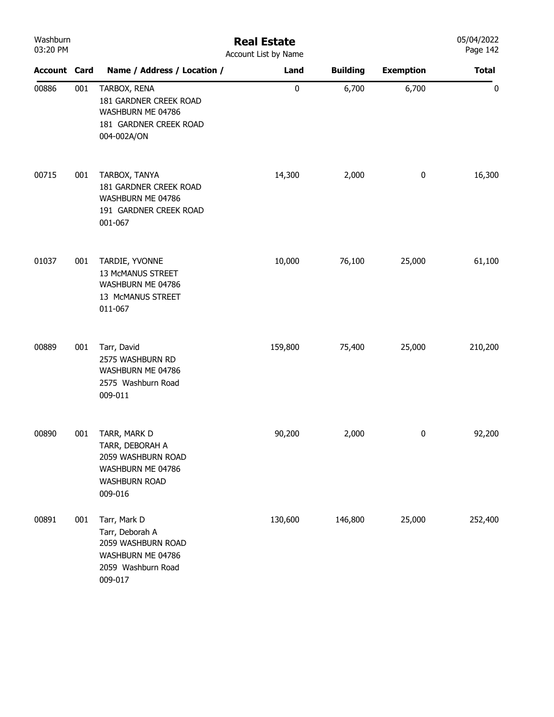| Washburn<br>03:20 PM |     | <b>Real Estate</b><br>Account List by Name                                                                    |           |                 |                  |              |  |  |
|----------------------|-----|---------------------------------------------------------------------------------------------------------------|-----------|-----------------|------------------|--------------|--|--|
| <b>Account Card</b>  |     | Name / Address / Location /                                                                                   | Land      | <b>Building</b> | <b>Exemption</b> | <b>Total</b> |  |  |
| 00886                | 001 | TARBOX, RENA<br>181 GARDNER CREEK ROAD<br>WASHBURN ME 04786<br>181 GARDNER CREEK ROAD<br>004-002A/ON          | $\pmb{0}$ | 6,700           | 6,700            | $\pmb{0}$    |  |  |
| 00715                | 001 | TARBOX, TANYA<br>181 GARDNER CREEK ROAD<br>WASHBURN ME 04786<br>191 GARDNER CREEK ROAD<br>001-067             | 14,300    | 2,000           | $\pmb{0}$        | 16,300       |  |  |
| 01037                | 001 | TARDIE, YVONNE<br>13 McMANUS STREET<br>WASHBURN ME 04786<br>13 McMANUS STREET<br>011-067                      | 10,000    | 76,100          | 25,000           | 61,100       |  |  |
| 00889                | 001 | Tarr, David<br>2575 WASHBURN RD<br>WASHBURN ME 04786<br>2575 Washburn Road<br>009-011                         | 159,800   | 75,400          | 25,000           | 210,200      |  |  |
| 00890                | 001 | TARR, MARK D<br>TARR, DEBORAH A<br>2059 WASHBURN ROAD<br>WASHBURN ME 04786<br><b>WASHBURN ROAD</b><br>009-016 | 90,200    | 2,000           | 0                | 92,200       |  |  |
| 00891                | 001 | Tarr, Mark D<br>Tarr, Deborah A<br>2059 WASHBURN ROAD<br>WASHBURN ME 04786<br>2059 Washburn Road<br>009-017   | 130,600   | 146,800         | 25,000           | 252,400      |  |  |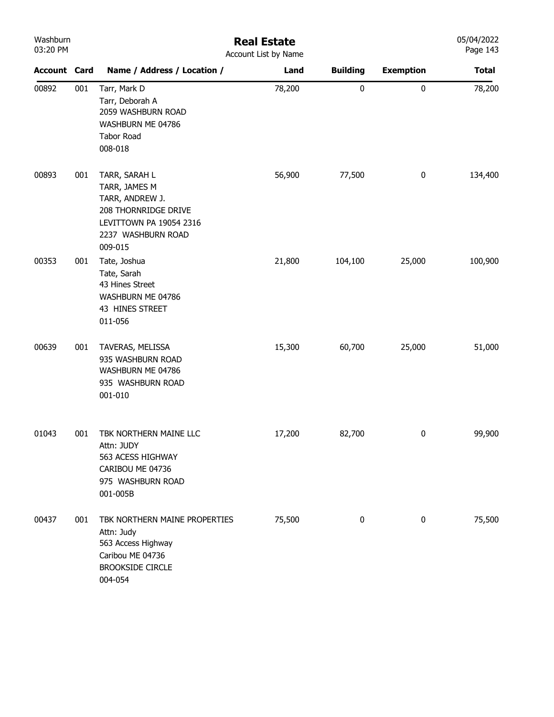| Washburn |  |  |  |  |  |
|----------|--|--|--|--|--|
| 03:20 PM |  |  |  |  |  |

## Real Estate Account List by Name

| <b>Account Card</b> |     | Name / Address / Location /                                                                                                           | <b>ACCOUTE LIST DY IVALLIC</b><br>Land | <b>Building</b> | <b>Exemption</b> | <b>Total</b> |
|---------------------|-----|---------------------------------------------------------------------------------------------------------------------------------------|----------------------------------------|-----------------|------------------|--------------|
| 00892               | 001 | Tarr, Mark D<br>Tarr, Deborah A<br>2059 WASHBURN ROAD<br>WASHBURN ME 04786<br><b>Tabor Road</b><br>008-018                            | 78,200                                 | $\pmb{0}$       | $\pmb{0}$        | 78,200       |
| 00893               | 001 | TARR, SARAH L<br>TARR, JAMES M<br>TARR, ANDREW J.<br>208 THORNRIDGE DRIVE<br>LEVITTOWN PA 19054 2316<br>2237 WASHBURN ROAD<br>009-015 | 56,900                                 | 77,500          | $\pmb{0}$        | 134,400      |
| 00353               | 001 | Tate, Joshua<br>Tate, Sarah<br>43 Hines Street<br>WASHBURN ME 04786<br>43 HINES STREET<br>011-056                                     | 21,800                                 | 104,100         | 25,000           | 100,900      |
| 00639               | 001 | TAVERAS, MELISSA<br>935 WASHBURN ROAD<br>WASHBURN ME 04786<br>935 WASHBURN ROAD<br>001-010                                            | 15,300                                 | 60,700          | 25,000           | 51,000       |
| 01043               | 001 | TBK NORTHERN MAINE LLC<br>Attn: JUDY<br>563 ACESS HIGHWAY<br>CARIBOU ME 04736<br>975 WASHBURN ROAD<br>001-005B                        | 17,200                                 | 82,700          | 0                | 99,900       |
| 00437               | 001 | TBK NORTHERN MAINE PROPERTIES<br>Attn: Judy<br>563 Access Highway<br>Caribou ME 04736<br><b>BROOKSIDE CIRCLE</b><br>004-054           | 75,500                                 | 0               | 0                | 75,500       |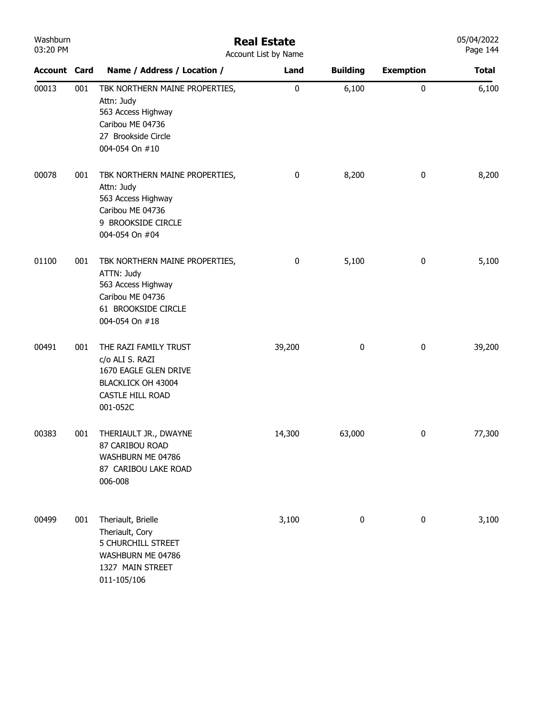| Washburn<br>03:20 PM | <b>Real Estate</b><br>Account List by Name |                                                                                                                                 |        |                 |                  |              |
|----------------------|--------------------------------------------|---------------------------------------------------------------------------------------------------------------------------------|--------|-----------------|------------------|--------------|
| <b>Account Card</b>  |                                            | Name / Address / Location /                                                                                                     | Land   | <b>Building</b> | <b>Exemption</b> | <b>Total</b> |
| 00013                | 001                                        | TBK NORTHERN MAINE PROPERTIES,<br>Attn: Judy<br>563 Access Highway<br>Caribou ME 04736<br>27 Brookside Circle<br>004-054 On #10 | 0      | 6,100           | 0                | 6,100        |
| 00078                | 001                                        | TBK NORTHERN MAINE PROPERTIES,<br>Attn: Judy<br>563 Access Highway<br>Caribou ME 04736<br>9 BROOKSIDE CIRCLE<br>004-054 On #04  | 0      | 8,200           | $\pmb{0}$        | 8,200        |
| 01100                | 001                                        | TBK NORTHERN MAINE PROPERTIES,<br>ATTN: Judy<br>563 Access Highway<br>Caribou ME 04736<br>61 BROOKSIDE CIRCLE<br>004-054 On #18 | 0      | 5,100           | $\pmb{0}$        | 5,100        |
| 00491                | 001                                        | THE RAZI FAMILY TRUST<br>c/o ALI S. RAZI<br>1670 EAGLE GLEN DRIVE<br>BLACKLICK OH 43004<br>CASTLE HILL ROAD<br>001-052C         | 39,200 | $\pmb{0}$       | $\pmb{0}$        | 39,200       |
| 00383                | 001                                        | THERIAULT JR., DWAYNE<br>87 CARIBOU ROAD<br>WASHBURN ME 04786<br>87 CARIBOU LAKE ROAD<br>006-008                                | 14,300 | 63,000          | 0                | 77,300       |
| 00499                | 001                                        | Theriault, Brielle<br>Theriault, Cory<br>5 CHURCHILL STREET<br>WASHBURN ME 04786<br>1327 MAIN STREET<br>011-105/106             | 3,100  | 0               | $\pmb{0}$        | 3,100        |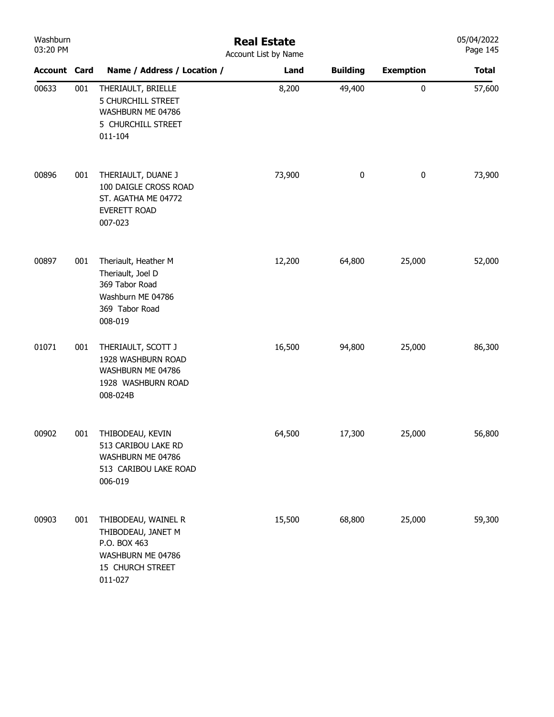| Washburn<br>03:20 PM |     |                                                                                                               | <b>Real Estate</b><br>Account List by Name |                 |                  | 05/04/2022<br>Page 145 |
|----------------------|-----|---------------------------------------------------------------------------------------------------------------|--------------------------------------------|-----------------|------------------|------------------------|
| <b>Account Card</b>  |     | Name / Address / Location /                                                                                   | Land                                       | <b>Building</b> | <b>Exemption</b> | <b>Total</b>           |
| 00633                | 001 | THERIAULT, BRIELLE<br><b>5 CHURCHILL STREET</b><br>WASHBURN ME 04786<br>5 CHURCHILL STREET<br>011-104         | 8,200                                      | 49,400          | $\pmb{0}$        | 57,600                 |
| 00896                | 001 | THERIAULT, DUANE J<br>100 DAIGLE CROSS ROAD<br>ST. AGATHA ME 04772<br>EVERETT ROAD<br>007-023                 | 73,900                                     | 0               | 0                | 73,900                 |
| 00897                | 001 | Theriault, Heather M<br>Theriault, Joel D<br>369 Tabor Road<br>Washburn ME 04786<br>369 Tabor Road<br>008-019 | 12,200                                     | 64,800          | 25,000           | 52,000                 |
| 01071                | 001 | THERIAULT, SCOTT J<br>1928 WASHBURN ROAD<br>WASHBURN ME 04786<br>1928 WASHBURN ROAD<br>008-024B               | 16,500                                     | 94,800          | 25,000           | 86,300                 |
| 00902                | 001 | THIBODEAU, KEVIN<br>513 CARIBOU LAKE RD<br>WASHBURN ME 04786<br>513 CARIBOU LAKE ROAD<br>006-019              | 64,500                                     | 17,300          | 25,000           | 56,800                 |
| 00903                | 001 | THIBODEAU, WAINEL R<br>THIBODEAU, JANET M<br>P.O. BOX 463<br>WASHBURN ME 04786<br>15 CHURCH STREET<br>011-027 | 15,500                                     | 68,800          | 25,000           | 59,300                 |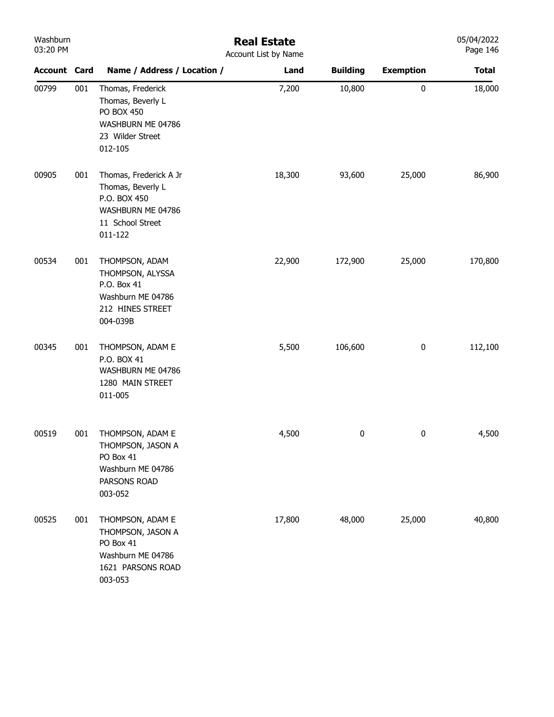| Washburn<br>03:20 PM |     |                                                                                                                 | <b>Real Estate</b><br>Account List by Name |                 |                  | 05/04/2022<br>Page 146 |
|----------------------|-----|-----------------------------------------------------------------------------------------------------------------|--------------------------------------------|-----------------|------------------|------------------------|
| <b>Account Card</b>  |     | Name / Address / Location /                                                                                     | Land                                       | <b>Building</b> | <b>Exemption</b> | <b>Total</b>           |
| 00799                | 001 | Thomas, Frederick<br>Thomas, Beverly L<br><b>PO BOX 450</b><br>WASHBURN ME 04786<br>23 Wilder Street<br>012-105 | 7,200                                      | 10,800          | $\pmb{0}$        | 18,000                 |
| 00905                | 001 | Thomas, Frederick A Jr<br>Thomas, Beverly L<br>P.O. BOX 450<br>WASHBURN ME 04786<br>11 School Street<br>011-122 | 18,300                                     | 93,600          | 25,000           | 86,900                 |
| 00534                | 001 | THOMPSON, ADAM<br>THOMPSON, ALYSSA<br>P.O. Box 41<br>Washburn ME 04786<br>212 HINES STREET<br>004-039B          | 22,900                                     | 172,900         | 25,000           | 170,800                |
| 00345                | 001 | THOMPSON, ADAM E<br>P.O. BOX 41<br>WASHBURN ME 04786<br>1280 MAIN STREET<br>011-005                             | 5,500                                      | 106,600         | $\pmb{0}$        | 112,100                |
| 00519                | 001 | THOMPSON, ADAM E<br>THOMPSON, JASON A<br>PO Box 41<br>Washburn ME 04786<br>PARSONS ROAD<br>003-052              | 4,500                                      | 0               | 0                | 4,500                  |
| 00525                | 001 | THOMPSON, ADAM E<br>THOMPSON, JASON A<br>PO Box 41<br>Washburn ME 04786<br>1621 PARSONS ROAD<br>003-053         | 17,800                                     | 48,000          | 25,000           | 40,800                 |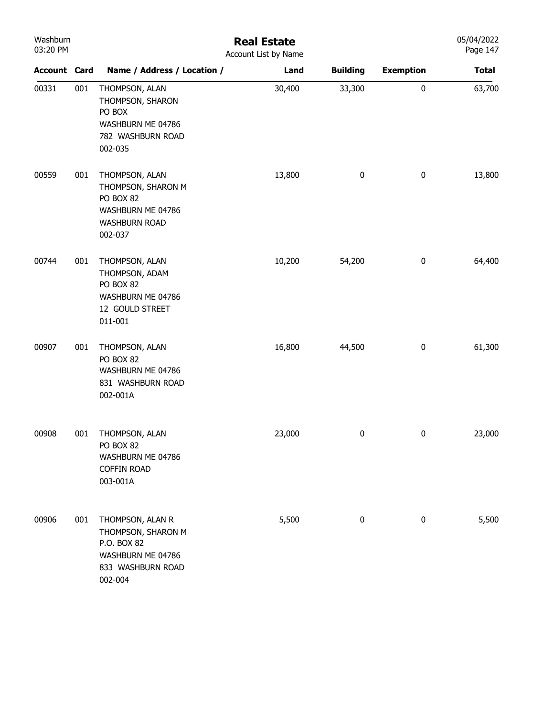| Washburn |  |
|----------|--|
| 03:20 PM |  |

## Real Estate

| 03:20 PM            |     |                                                                                                            | Account List by Name |                 |                  | Page 147     |
|---------------------|-----|------------------------------------------------------------------------------------------------------------|----------------------|-----------------|------------------|--------------|
| <b>Account Card</b> |     | Name / Address / Location /                                                                                | Land                 | <b>Building</b> | <b>Exemption</b> | <b>Total</b> |
| 00331               | 001 | THOMPSON, ALAN<br>THOMPSON, SHARON<br>PO BOX<br>WASHBURN ME 04786<br>782 WASHBURN ROAD<br>002-035          | 30,400               | 33,300          | 0                | 63,700       |
| 00559               | 001 | THOMPSON, ALAN<br>THOMPSON, SHARON M<br>PO BOX 82<br>WASHBURN ME 04786<br><b>WASHBURN ROAD</b><br>002-037  | 13,800               | 0               | $\pmb{0}$        | 13,800       |
| 00744               | 001 | THOMPSON, ALAN<br>THOMPSON, ADAM<br>PO BOX 82<br>WASHBURN ME 04786<br>12 GOULD STREET<br>011-001           | 10,200               | 54,200          | $\pmb{0}$        | 64,400       |
| 00907               | 001 | THOMPSON, ALAN<br>PO BOX 82<br>WASHBURN ME 04786<br>831 WASHBURN ROAD<br>002-001A                          | 16,800               | 44,500          | $\pmb{0}$        | 61,300       |
| 00908               | 001 | THOMPSON, ALAN<br>PO BOX 82<br>WASHBURN ME 04786<br><b>COFFIN ROAD</b><br>003-001A                         | 23,000               | $\pmb{0}$       | $\pmb{0}$        | 23,000       |
| 00906               | 001 | THOMPSON, ALAN R<br>THOMPSON, SHARON M<br>P.O. BOX 82<br>WASHBURN ME 04786<br>833 WASHBURN ROAD<br>002-004 | 5,500                | 0               | $\pmb{0}$        | 5,500        |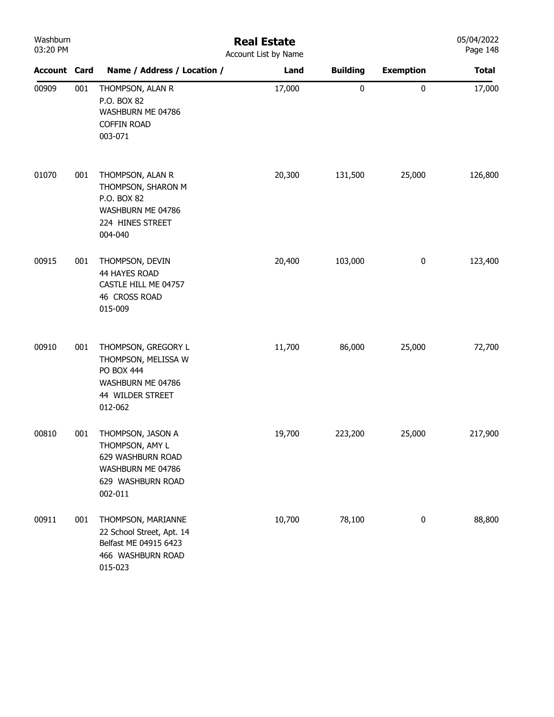| Washburn<br>03:20 PM |     |                                                                                                                | <b>Real Estate</b><br>Account List by Name |                 |                  | 05/04/2022<br>Page 148 |
|----------------------|-----|----------------------------------------------------------------------------------------------------------------|--------------------------------------------|-----------------|------------------|------------------------|
| <b>Account Card</b>  |     | Name / Address / Location /                                                                                    | Land                                       | <b>Building</b> | <b>Exemption</b> | <b>Total</b>           |
| 00909                | 001 | THOMPSON, ALAN R<br>P.O. BOX 82<br>WASHBURN ME 04786<br><b>COFFIN ROAD</b><br>003-071                          | 17,000                                     | $\pmb{0}$       | $\pmb{0}$        | 17,000                 |
| 01070                | 001 | THOMPSON, ALAN R<br>THOMPSON, SHARON M<br>P.O. BOX 82<br>WASHBURN ME 04786<br>224 HINES STREET<br>004-040      | 20,300                                     | 131,500         | 25,000           | 126,800                |
| 00915                | 001 | THOMPSON, DEVIN<br>44 HAYES ROAD<br>CASTLE HILL ME 04757<br>46 CROSS ROAD<br>015-009                           | 20,400                                     | 103,000         | $\bf{0}$         | 123,400                |
| 00910                | 001 | THOMPSON, GREGORY L<br>THOMPSON, MELISSA W<br>PO BOX 444<br>WASHBURN ME 04786<br>44 WILDER STREET<br>012-062   | 11,700                                     | 86,000          | 25,000           | 72,700                 |
| 00810                | 001 | THOMPSON, JASON A<br>THOMPSON, AMY L<br>629 WASHBURN ROAD<br>WASHBURN ME 04786<br>629 WASHBURN ROAD<br>002-011 | 19,700                                     | 223,200         | 25,000           | 217,900                |
| 00911                | 001 | THOMPSON, MARIANNE<br>22 School Street, Apt. 14<br>Belfast ME 04915 6423<br>466 WASHBURN ROAD<br>015-023       | 10,700                                     | 78,100          | $\bf{0}$         | 88,800                 |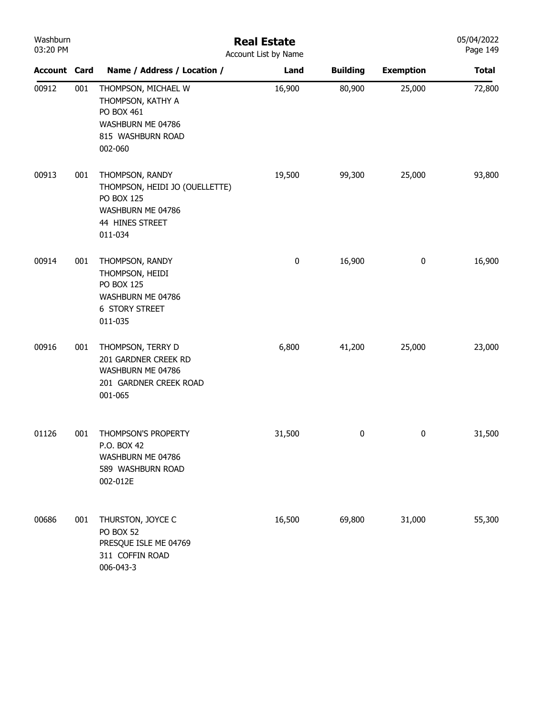| Washburn<br>03:20 PM |     |                                                                                                                           | <b>Real Estate</b><br>Account List by Name |                  |                  | 05/04/2022<br>Page 149 |
|----------------------|-----|---------------------------------------------------------------------------------------------------------------------------|--------------------------------------------|------------------|------------------|------------------------|
| <b>Account Card</b>  |     | Name / Address / Location /                                                                                               | Land                                       | <b>Building</b>  | <b>Exemption</b> | <b>Total</b>           |
| 00912                | 001 | THOMPSON, MICHAEL W<br>THOMPSON, KATHY A<br>PO BOX 461<br>WASHBURN ME 04786<br>815 WASHBURN ROAD<br>002-060               | 16,900                                     | 80,900           | 25,000           | 72,800                 |
| 00913                | 001 | THOMPSON, RANDY<br>THOMPSON, HEIDI JO (OUELLETTE)<br><b>PO BOX 125</b><br>WASHBURN ME 04786<br>44 HINES STREET<br>011-034 | 19,500                                     | 99,300           | 25,000           | 93,800                 |
| 00914                | 001 | THOMPSON, RANDY<br>THOMPSON, HEIDI<br><b>PO BOX 125</b><br>WASHBURN ME 04786<br><b>6 STORY STREET</b><br>011-035          | $\pmb{0}$                                  | 16,900           | $\pmb{0}$        | 16,900                 |
| 00916                | 001 | THOMPSON, TERRY D<br>201 GARDNER CREEK RD<br>WASHBURN ME 04786<br>201 GARDNER CREEK ROAD<br>001-065                       | 6,800                                      | 41,200           | 25,000           | 23,000                 |
| 01126                | 001 | THOMPSON'S PROPERTY<br>P.O. BOX 42<br>WASHBURN ME 04786<br>589 WASHBURN ROAD<br>002-012E                                  | 31,500                                     | $\boldsymbol{0}$ | 0                | 31,500                 |
| 00686                | 001 | THURSTON, JOYCE C<br>PO BOX 52<br>PRESQUE ISLE ME 04769<br>311 COFFIN ROAD<br>006-043-3                                   | 16,500                                     | 69,800           | 31,000           | 55,300                 |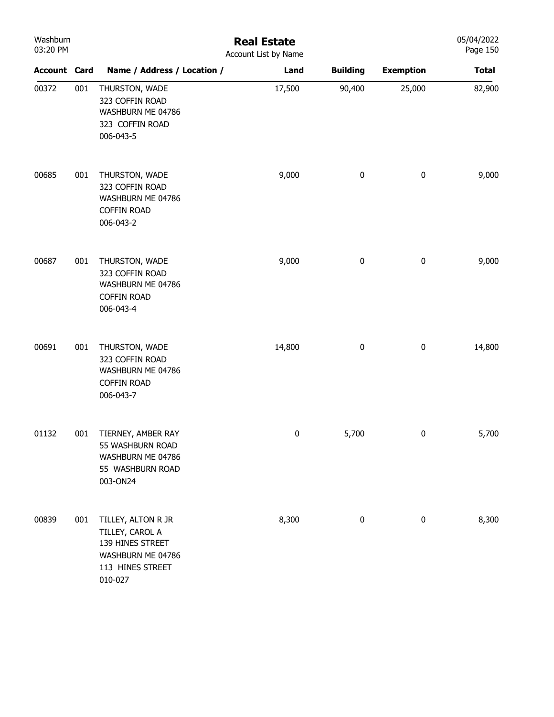| Washburn<br>03:20 PM |     |                                                                                                               | <b>Real Estate</b><br>Account List by Name |                 |                  | 05/04/2022<br>Page 150 |
|----------------------|-----|---------------------------------------------------------------------------------------------------------------|--------------------------------------------|-----------------|------------------|------------------------|
| <b>Account Card</b>  |     | Name / Address / Location /                                                                                   | Land                                       | <b>Building</b> | <b>Exemption</b> | <b>Total</b>           |
| 00372                | 001 | THURSTON, WADE<br>323 COFFIN ROAD<br>WASHBURN ME 04786<br>323 COFFIN ROAD<br>006-043-5                        | 17,500                                     | 90,400          | 25,000           | 82,900                 |
| 00685                | 001 | THURSTON, WADE<br>323 COFFIN ROAD<br>WASHBURN ME 04786<br><b>COFFIN ROAD</b><br>006-043-2                     | 9,000                                      | $\pmb{0}$       | $\pmb{0}$        | 9,000                  |
| 00687                | 001 | THURSTON, WADE<br>323 COFFIN ROAD<br>WASHBURN ME 04786<br><b>COFFIN ROAD</b><br>006-043-4                     | 9,000                                      | $\pmb{0}$       | $\pmb{0}$        | 9,000                  |
| 00691                | 001 | THURSTON, WADE<br>323 COFFIN ROAD<br>WASHBURN ME 04786<br><b>COFFIN ROAD</b><br>006-043-7                     | 14,800                                     | $\pmb{0}$       | $\pmb{0}$        | 14,800                 |
| 01132                | 001 | TIERNEY, AMBER RAY<br>55 WASHBURN ROAD<br>WASHBURN ME 04786<br>55 WASHBURN ROAD<br>003-ON24                   | 0                                          | 5,700           | 0                | 5,700                  |
| 00839                | 001 | TILLEY, ALTON R JR<br>TILLEY, CAROL A<br>139 HINES STREET<br>WASHBURN ME 04786<br>113 HINES STREET<br>010-027 | 8,300                                      | 0               | $\bf{0}$         | 8,300                  |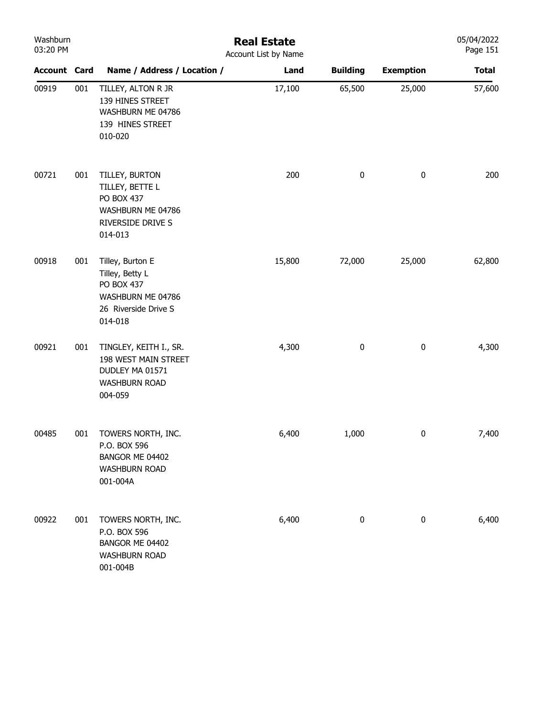| Washburn<br>03:20 PM |     |                                                                                                           | <b>Real Estate</b><br>Account List by Name |                 |                  | 05/04/2022<br>Page 151 |
|----------------------|-----|-----------------------------------------------------------------------------------------------------------|--------------------------------------------|-----------------|------------------|------------------------|
| <b>Account Card</b>  |     | Name / Address / Location /                                                                               | Land                                       | <b>Building</b> | <b>Exemption</b> | <b>Total</b>           |
| 00919                | 001 | TILLEY, ALTON R JR<br>139 HINES STREET<br>WASHBURN ME 04786<br>139 HINES STREET<br>010-020                | 17,100                                     | 65,500          | 25,000           | 57,600                 |
| 00721                | 001 | TILLEY, BURTON<br>TILLEY, BETTE L<br>PO BOX 437<br>WASHBURN ME 04786<br>RIVERSIDE DRIVE S<br>014-013      | 200                                        | $\pmb{0}$       | $\pmb{0}$        | 200                    |
| 00918                | 001 | Tilley, Burton E<br>Tilley, Betty L<br>PO BOX 437<br>WASHBURN ME 04786<br>26 Riverside Drive S<br>014-018 | 15,800                                     | 72,000          | 25,000           | 62,800                 |
| 00921                | 001 | TINGLEY, KEITH I., SR.<br>198 WEST MAIN STREET<br>DUDLEY MA 01571<br><b>WASHBURN ROAD</b><br>004-059      | 4,300                                      | $\bf{0}$        | $\pmb{0}$        | 4,300                  |
| 00485                | 001 | TOWERS NORTH, INC.<br>P.O. BOX 596<br>BANGOR ME 04402<br><b>WASHBURN ROAD</b><br>001-004A                 | 6,400                                      | 1,000           | $\pmb{0}$        | 7,400                  |
| 00922                | 001 | TOWERS NORTH, INC.<br>P.O. BOX 596<br>BANGOR ME 04402<br><b>WASHBURN ROAD</b><br>001-004B                 | 6,400                                      | $\pmb{0}$       | $\pmb{0}$        | 6,400                  |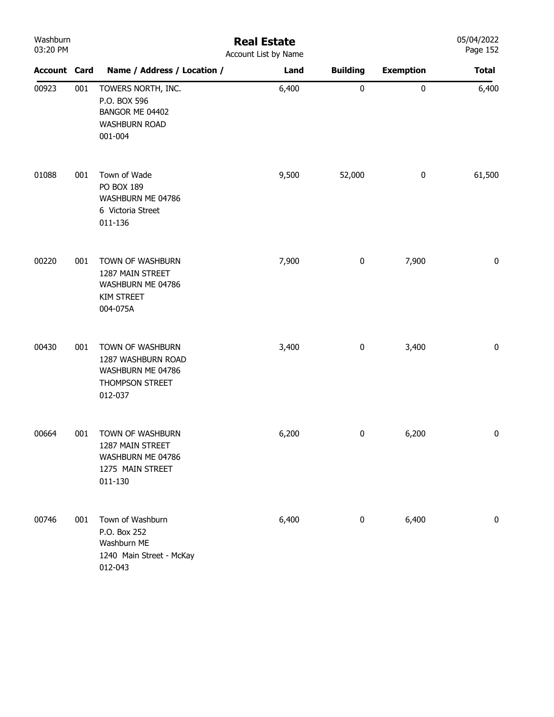| Washburn<br>03:20 PM |     |                                                                                            | <b>Real Estate</b><br>Account List by Name |                 |                  | 05/04/2022<br>Page 152 |
|----------------------|-----|--------------------------------------------------------------------------------------------|--------------------------------------------|-----------------|------------------|------------------------|
| <b>Account Card</b>  |     | Name / Address / Location /                                                                | Land                                       | <b>Building</b> | <b>Exemption</b> | <b>Total</b>           |
| 00923                | 001 | TOWERS NORTH, INC.<br>P.O. BOX 596<br>BANGOR ME 04402<br><b>WASHBURN ROAD</b><br>001-004   | 6,400                                      | $\pmb{0}$       | $\pmb{0}$        | 6,400                  |
| 01088                | 001 | Town of Wade<br>PO BOX 189<br>WASHBURN ME 04786<br>6 Victoria Street<br>011-136            | 9,500                                      | 52,000          | $\pmb{0}$        | 61,500                 |
| 00220                | 001 | TOWN OF WASHBURN<br>1287 MAIN STREET<br>WASHBURN ME 04786<br><b>KIM STREET</b><br>004-075A | 7,900                                      | 0               | 7,900            | $\pmb{0}$              |
| 00430                | 001 | TOWN OF WASHBURN<br>1287 WASHBURN ROAD<br>WASHBURN ME 04786<br>THOMPSON STREET<br>012-037  | 3,400                                      | $\pmb{0}$       | 3,400            | $\pmb{0}$              |
| 00664                | 001 | TOWN OF WASHBURN<br>1287 MAIN STREET<br>WASHBURN ME 04786<br>1275 MAIN STREET<br>011-130   | 6,200                                      | $\pmb{0}$       | 6,200            | $\bf{0}$               |
| 00746                | 001 | Town of Washburn<br>P.O. Box 252<br>Washburn ME<br>1240 Main Street - McKay<br>012-043     | 6,400                                      | $\pmb{0}$       | 6,400            | 0                      |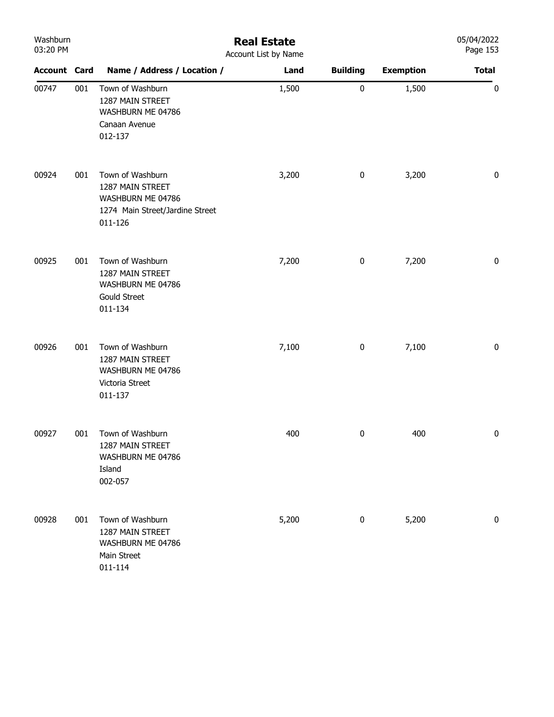| Washburn<br>03:20 PM |     |                                                                                                         | <b>Real Estate</b><br>Account List by Name |                 |                  | 05/04/2022<br>Page 153 |
|----------------------|-----|---------------------------------------------------------------------------------------------------------|--------------------------------------------|-----------------|------------------|------------------------|
| <b>Account Card</b>  |     | Name / Address / Location /                                                                             | Land                                       | <b>Building</b> | <b>Exemption</b> | <b>Total</b>           |
| 00747                | 001 | Town of Washburn<br>1287 MAIN STREET<br>WASHBURN ME 04786<br>Canaan Avenue<br>012-137                   | 1,500                                      | $\pmb{0}$       | 1,500            | 0                      |
| 00924                | 001 | Town of Washburn<br>1287 MAIN STREET<br>WASHBURN ME 04786<br>1274 Main Street/Jardine Street<br>011-126 | 3,200                                      | $\bf{0}$        | 3,200            | $\pmb{0}$              |
| 00925                | 001 | Town of Washburn<br>1287 MAIN STREET<br>WASHBURN ME 04786<br><b>Gould Street</b><br>011-134             | 7,200                                      | $\pmb{0}$       | 7,200            | 0                      |
| 00926                | 001 | Town of Washburn<br>1287 MAIN STREET<br>WASHBURN ME 04786<br>Victoria Street<br>011-137                 | 7,100                                      | $\pmb{0}$       | 7,100            | $\pmb{0}$              |
| 00927                | 001 | Town of Washburn<br>1287 MAIN STREET<br>WASHBURN ME 04786<br>Island<br>002-057                          | 400                                        | 0               | 400              | $\pmb{0}$              |
| 00928                | 001 | Town of Washburn<br>1287 MAIN STREET<br>WASHBURN ME 04786<br>Main Street<br>011-114                     | 5,200                                      | 0               | 5,200            | 0                      |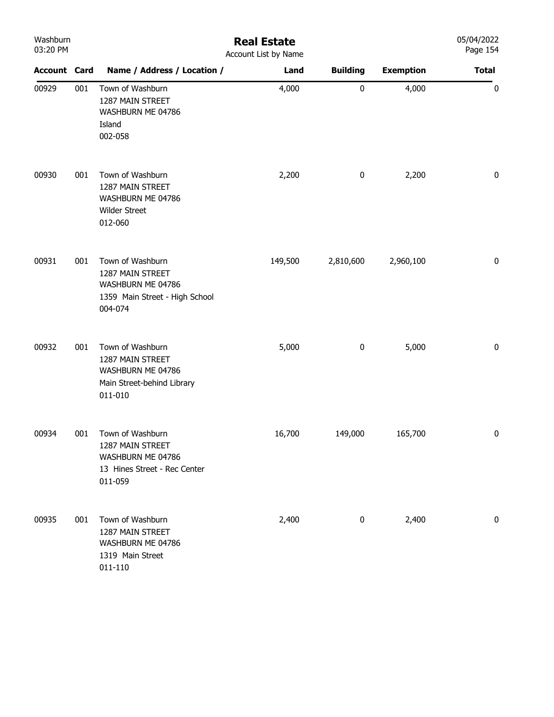| Washburn<br>03:20 PM |     |                                                                                                        | <b>Real Estate</b><br>Account List by Name |                 |                  | 05/04/2022<br>Page 154 |
|----------------------|-----|--------------------------------------------------------------------------------------------------------|--------------------------------------------|-----------------|------------------|------------------------|
| <b>Account Card</b>  |     | Name / Address / Location /                                                                            | Land                                       | <b>Building</b> | <b>Exemption</b> | <b>Total</b>           |
| 00929                | 001 | Town of Washburn<br>1287 MAIN STREET<br>WASHBURN ME 04786<br>Island<br>002-058                         | 4,000                                      | $\pmb{0}$       | 4,000            | $\boldsymbol{0}$       |
| 00930                | 001 | Town of Washburn<br>1287 MAIN STREET<br>WASHBURN ME 04786<br><b>Wilder Street</b><br>012-060           | 2,200                                      | $\pmb{0}$       | 2,200            | $\pmb{0}$              |
| 00931                | 001 | Town of Washburn<br>1287 MAIN STREET<br>WASHBURN ME 04786<br>1359 Main Street - High School<br>004-074 | 149,500                                    | 2,810,600       | 2,960,100        | $\pmb{0}$              |
| 00932                | 001 | Town of Washburn<br>1287 MAIN STREET<br>WASHBURN ME 04786<br>Main Street-behind Library<br>011-010     | 5,000                                      | $\pmb{0}$       | 5,000            | $\pmb{0}$              |
| 00934                | 001 | Town of Washburn<br>1287 MAIN STREET<br>WASHBURN ME 04786<br>13 Hines Street - Rec Center<br>011-059   | 16,700                                     | 149,000         | 165,700          | 0                      |
| 00935                | 001 | Town of Washburn<br>1287 MAIN STREET<br>WASHBURN ME 04786<br>1319 Main Street<br>011-110               | 2,400                                      | 0               | 2,400            | 0                      |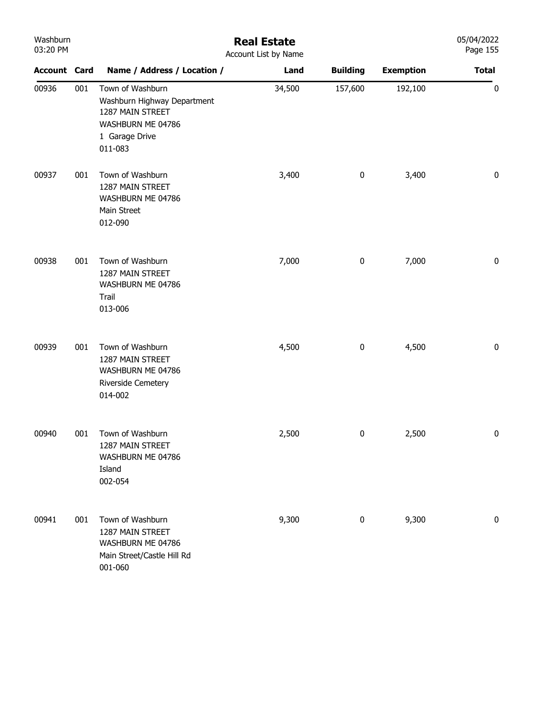| Washburn<br>03:20 PM |     |                                                                                                                       | <b>Real Estate</b><br>Account List by Name |                 |                  | 05/04/2022<br>Page 155 |
|----------------------|-----|-----------------------------------------------------------------------------------------------------------------------|--------------------------------------------|-----------------|------------------|------------------------|
| <b>Account Card</b>  |     | Name / Address / Location /                                                                                           | Land                                       | <b>Building</b> | <b>Exemption</b> | <b>Total</b>           |
| 00936                | 001 | Town of Washburn<br>Washburn Highway Department<br>1287 MAIN STREET<br>WASHBURN ME 04786<br>1 Garage Drive<br>011-083 | 34,500                                     | 157,600         | 192,100          | $\pmb{0}$              |
| 00937                | 001 | Town of Washburn<br>1287 MAIN STREET<br>WASHBURN ME 04786<br>Main Street<br>012-090                                   | 3,400                                      | $\pmb{0}$       | 3,400            | $\pmb{0}$              |
| 00938                | 001 | Town of Washburn<br>1287 MAIN STREET<br>WASHBURN ME 04786<br>Trail<br>013-006                                         | 7,000                                      | $\pmb{0}$       | 7,000            | $\pmb{0}$              |
| 00939                | 001 | Town of Washburn<br>1287 MAIN STREET<br>WASHBURN ME 04786<br>Riverside Cemetery<br>014-002                            | 4,500                                      | $\pmb{0}$       | 4,500            | $\pmb{0}$              |
| 00940                | 001 | Town of Washburn<br>1287 MAIN STREET<br>WASHBURN ME 04786<br>Island<br>002-054                                        | 2,500                                      | 0               | 2,500            | 0                      |
| 00941                | 001 | Town of Washburn<br>1287 MAIN STREET<br>WASHBURN ME 04786<br>Main Street/Castle Hill Rd<br>001-060                    | 9,300                                      | 0               | 9,300            | 0                      |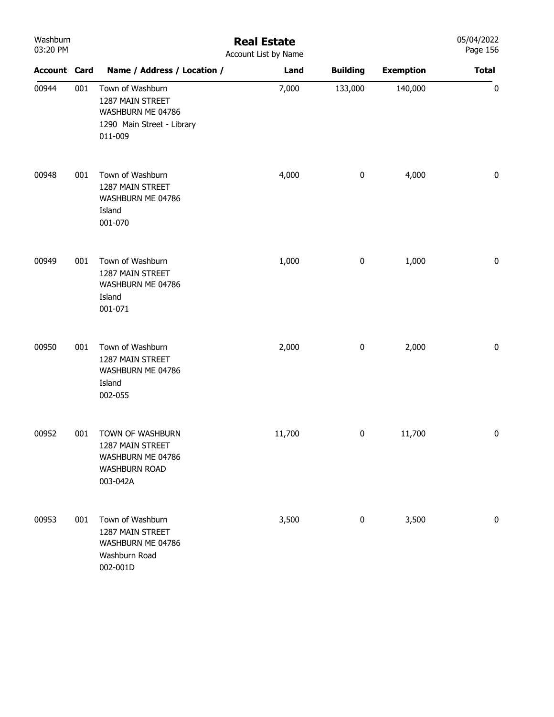| Washburn<br>03:20 PM |     | <b>Real Estate</b><br>Account List by Name                                                         |        |                 |                  |              |
|----------------------|-----|----------------------------------------------------------------------------------------------------|--------|-----------------|------------------|--------------|
| <b>Account Card</b>  |     | Name / Address / Location /                                                                        | Land   | <b>Building</b> | <b>Exemption</b> | <b>Total</b> |
| 00944                | 001 | Town of Washburn<br>1287 MAIN STREET<br>WASHBURN ME 04786<br>1290 Main Street - Library<br>011-009 | 7,000  | 133,000         | 140,000          | $\pmb{0}$    |
| 00948                | 001 | Town of Washburn<br>1287 MAIN STREET<br>WASHBURN ME 04786<br>Island<br>001-070                     | 4,000  | $\pmb{0}$       | 4,000            | 0            |
| 00949                | 001 | Town of Washburn<br>1287 MAIN STREET<br>WASHBURN ME 04786<br>Island<br>001-071                     | 1,000  | $\pmb{0}$       | 1,000            | 0            |
| 00950                | 001 | Town of Washburn<br>1287 MAIN STREET<br>WASHBURN ME 04786<br>Island<br>002-055                     | 2,000  | $\pmb{0}$       | 2,000            | 0            |
| 00952                | 001 | TOWN OF WASHBURN<br>1287 MAIN STREET<br>WASHBURN ME 04786<br><b>WASHBURN ROAD</b><br>003-042A      | 11,700 | $\pmb{0}$       | 11,700           | $\pmb{0}$    |
| 00953                | 001 | Town of Washburn<br>1287 MAIN STREET<br>WASHBURN ME 04786<br>Washburn Road<br>002-001D             | 3,500  | 0               | 3,500            | 0            |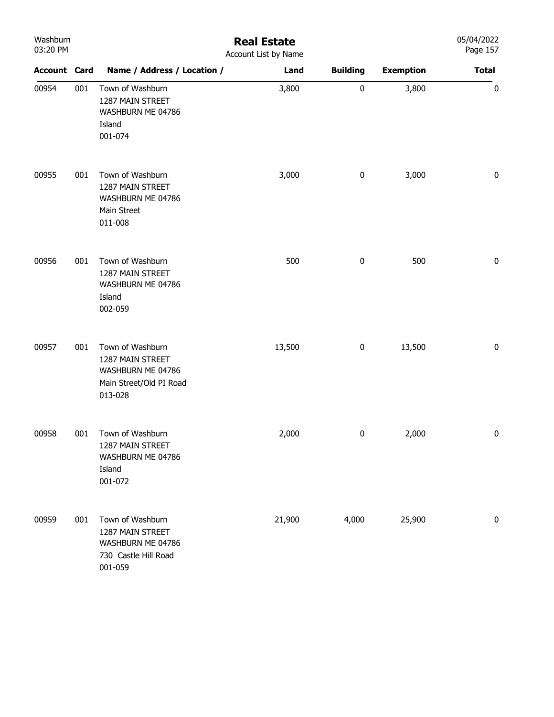| Washburn<br>03:20 PM |     | <b>Real Estate</b><br>Account List by Name                                                      |        |                 |                  |              |
|----------------------|-----|-------------------------------------------------------------------------------------------------|--------|-----------------|------------------|--------------|
| <b>Account Card</b>  |     | Name / Address / Location /                                                                     | Land   | <b>Building</b> | <b>Exemption</b> | <b>Total</b> |
| 00954                | 001 | Town of Washburn<br>1287 MAIN STREET<br>WASHBURN ME 04786<br>Island<br>001-074                  | 3,800  | $\pmb{0}$       | 3,800            | $\pmb{0}$    |
| 00955                | 001 | Town of Washburn<br>1287 MAIN STREET<br>WASHBURN ME 04786<br>Main Street<br>011-008             | 3,000  | $\pmb{0}$       | 3,000            | $\pmb{0}$    |
| 00956                | 001 | Town of Washburn<br>1287 MAIN STREET<br>WASHBURN ME 04786<br>Island<br>002-059                  | 500    | $\pmb{0}$       | 500              | $\pmb{0}$    |
| 00957                | 001 | Town of Washburn<br>1287 MAIN STREET<br>WASHBURN ME 04786<br>Main Street/Old PI Road<br>013-028 | 13,500 | 0               | 13,500           | $\pmb{0}$    |
| 00958                | 001 | Town of Washburn<br>1287 MAIN STREET<br>WASHBURN ME 04786<br>Island<br>001-072                  | 2,000  | $\pmb{0}$       | 2,000            | 0            |
| 00959                | 001 | Town of Washburn<br>1287 MAIN STREET<br>WASHBURN ME 04786<br>730 Castle Hill Road<br>001-059    | 21,900 | 4,000           | 25,900           | 0            |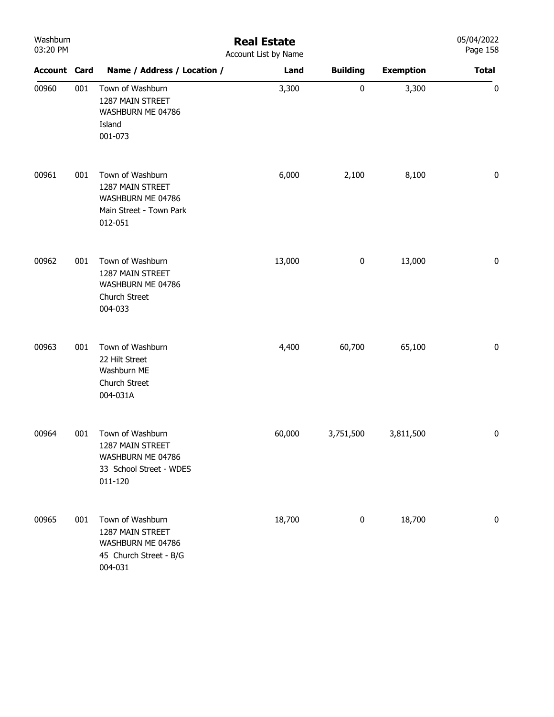| Washburn<br>03:20 PM |     | <b>Real Estate</b><br>Account List by Name                                                      |        |                  |                  |              |  |  |
|----------------------|-----|-------------------------------------------------------------------------------------------------|--------|------------------|------------------|--------------|--|--|
| <b>Account Card</b>  |     | Name / Address / Location /                                                                     | Land   | <b>Building</b>  | <b>Exemption</b> | <b>Total</b> |  |  |
| 00960                | 001 | Town of Washburn<br>1287 MAIN STREET<br>WASHBURN ME 04786<br>Island<br>001-073                  | 3,300  | $\pmb{0}$        | 3,300            | 0            |  |  |
| 00961                | 001 | Town of Washburn<br>1287 MAIN STREET<br>WASHBURN ME 04786<br>Main Street - Town Park<br>012-051 | 6,000  | 2,100            | 8,100            | $\pmb{0}$    |  |  |
| 00962                | 001 | Town of Washburn<br>1287 MAIN STREET<br>WASHBURN ME 04786<br>Church Street<br>004-033           | 13,000 | $\boldsymbol{0}$ | 13,000           | 0            |  |  |
| 00963                | 001 | Town of Washburn<br>22 Hilt Street<br>Washburn ME<br>Church Street<br>004-031A                  | 4,400  | 60,700           | 65,100           | 0            |  |  |
| 00964                | 001 | Town of Washburn<br>1287 MAIN STREET<br>WASHBURN ME 04786<br>33 School Street - WDES<br>011-120 | 60,000 | 3,751,500        | 3,811,500        | $\pmb{0}$    |  |  |
| 00965                | 001 | Town of Washburn<br>1287 MAIN STREET<br>WASHBURN ME 04786<br>45 Church Street - B/G<br>004-031  | 18,700 | $\pmb{0}$        | 18,700           | 0            |  |  |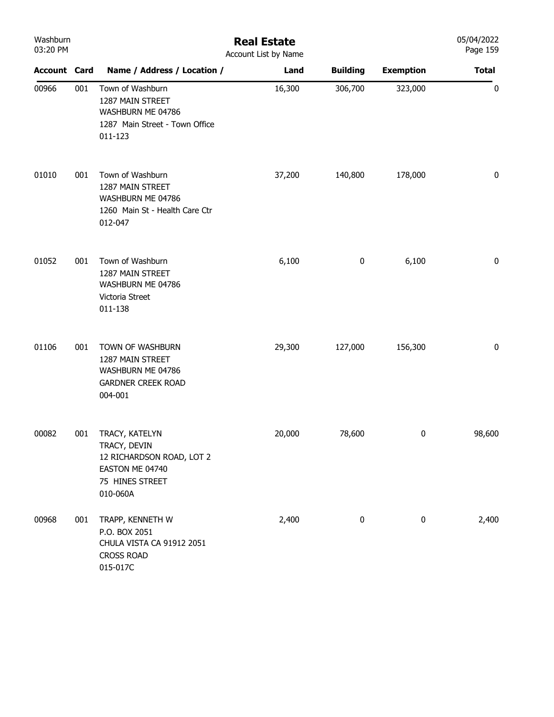| Washburn<br>03:20 PM |     | <b>Real Estate</b><br>Account List by Name                                                                    |        |                 |                  |              |  |
|----------------------|-----|---------------------------------------------------------------------------------------------------------------|--------|-----------------|------------------|--------------|--|
| <b>Account Card</b>  |     | Name / Address / Location /                                                                                   | Land   | <b>Building</b> | <b>Exemption</b> | <b>Total</b> |  |
| 00966                | 001 | Town of Washburn<br>1287 MAIN STREET<br>WASHBURN ME 04786<br>1287 Main Street - Town Office<br>011-123        | 16,300 | 306,700         | 323,000          | $\pmb{0}$    |  |
| 01010                | 001 | Town of Washburn<br>1287 MAIN STREET<br>WASHBURN ME 04786<br>1260 Main St - Health Care Ctr<br>012-047        | 37,200 | 140,800         | 178,000          | 0            |  |
| 01052                | 001 | Town of Washburn<br>1287 MAIN STREET<br>WASHBURN ME 04786<br>Victoria Street<br>011-138                       | 6,100  | $\pmb{0}$       | 6,100            | 0            |  |
| 01106                | 001 | TOWN OF WASHBURN<br>1287 MAIN STREET<br>WASHBURN ME 04786<br><b>GARDNER CREEK ROAD</b><br>004-001             | 29,300 | 127,000         | 156,300          | 0            |  |
| 00082                | 001 | TRACY, KATELYN<br>TRACY, DEVIN<br>12 RICHARDSON ROAD, LOT 2<br>EASTON ME 04740<br>75 HINES STREET<br>010-060A | 20,000 | 78,600          | 0                | 98,600       |  |
| 00968                | 001 | TRAPP, KENNETH W<br>P.O. BOX 2051<br>CHULA VISTA CA 91912 2051<br><b>CROSS ROAD</b><br>015-017C               | 2,400  | 0               | 0                | 2,400        |  |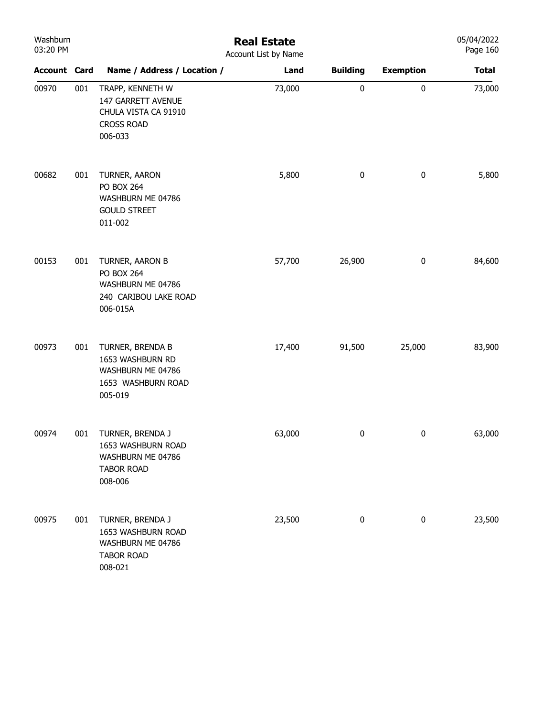| Washburn<br>03:20 PM |     |                                                                                                | <b>Real Estate</b><br>Account List by Name |                 |                  | 05/04/2022<br>Page 160 |
|----------------------|-----|------------------------------------------------------------------------------------------------|--------------------------------------------|-----------------|------------------|------------------------|
| <b>Account Card</b>  |     | Name / Address / Location /                                                                    | Land                                       | <b>Building</b> | <b>Exemption</b> | <b>Total</b>           |
| 00970                | 001 | TRAPP, KENNETH W<br>147 GARRETT AVENUE<br>CHULA VISTA CA 91910<br><b>CROSS ROAD</b><br>006-033 | 73,000                                     | 0               | $\pmb{0}$        | 73,000                 |
| 00682                | 001 | TURNER, AARON<br><b>PO BOX 264</b><br>WASHBURN ME 04786<br><b>GOULD STREET</b><br>011-002      | 5,800                                      | 0               | $\bf{0}$         | 5,800                  |
| 00153                | 001 | TURNER, AARON B<br>PO BOX 264<br>WASHBURN ME 04786<br>240 CARIBOU LAKE ROAD<br>006-015A        | 57,700                                     | 26,900          | $\pmb{0}$        | 84,600                 |
| 00973                | 001 | TURNER, BRENDA B<br>1653 WASHBURN RD<br>WASHBURN ME 04786<br>1653 WASHBURN ROAD<br>005-019     | 17,400                                     | 91,500          | 25,000           | 83,900                 |
| 00974                | 001 | TURNER, BRENDA J<br>1653 WASHBURN ROAD<br>WASHBURN ME 04786<br><b>TABOR ROAD</b><br>008-006    | 63,000                                     | 0               | 0                | 63,000                 |
| 00975                | 001 | TURNER, BRENDA J<br>1653 WASHBURN ROAD<br>WASHBURN ME 04786<br><b>TABOR ROAD</b><br>008-021    | 23,500                                     | 0               | $\bf{0}$         | 23,500                 |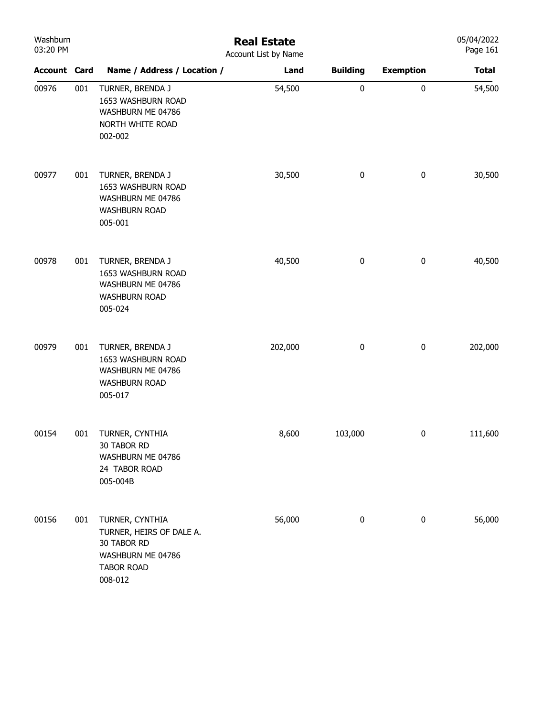| Washburn<br>03:20 PM |     | <b>Real Estate</b><br>Account List by Name                                                                      | 05/04/2022<br>Page 161 |                 |                  |              |
|----------------------|-----|-----------------------------------------------------------------------------------------------------------------|------------------------|-----------------|------------------|--------------|
| <b>Account Card</b>  |     | Name / Address / Location /                                                                                     | Land                   | <b>Building</b> | <b>Exemption</b> | <b>Total</b> |
| 00976                | 001 | TURNER, BRENDA J<br>1653 WASHBURN ROAD<br>WASHBURN ME 04786<br>NORTH WHITE ROAD<br>002-002                      | 54,500                 | $\pmb{0}$       | $\pmb{0}$        | 54,500       |
| 00977                | 001 | TURNER, BRENDA J<br>1653 WASHBURN ROAD<br>WASHBURN ME 04786<br><b>WASHBURN ROAD</b><br>005-001                  | 30,500                 | $\bf{0}$        | 0                | 30,500       |
| 00978                | 001 | TURNER, BRENDA J<br>1653 WASHBURN ROAD<br>WASHBURN ME 04786<br><b>WASHBURN ROAD</b><br>005-024                  | 40,500                 | $\bf{0}$        | $\pmb{0}$        | 40,500       |
| 00979                | 001 | TURNER, BRENDA J<br>1653 WASHBURN ROAD<br>WASHBURN ME 04786<br><b>WASHBURN ROAD</b><br>005-017                  | 202,000                | $\pmb{0}$       | $\pmb{0}$        | 202,000      |
| 00154                | 001 | TURNER, CYNTHIA<br>30 TABOR RD<br>WASHBURN ME 04786<br>24 TABOR ROAD<br>005-004B                                | 8,600                  | 103,000         | 0                | 111,600      |
| 00156                | 001 | TURNER, CYNTHIA<br>TURNER, HEIRS OF DALE A.<br>30 TABOR RD<br>WASHBURN ME 04786<br><b>TABOR ROAD</b><br>008-012 | 56,000                 | $\pmb{0}$       | $\pmb{0}$        | 56,000       |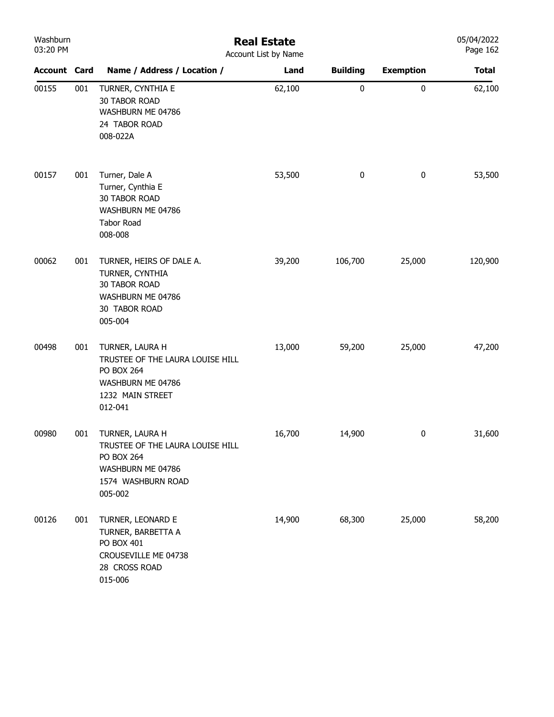| Washburn<br>03:20 PM |     | <b>Real Estate</b><br>Account List by Name                                                                                     |        |                 |                  |              |  |
|----------------------|-----|--------------------------------------------------------------------------------------------------------------------------------|--------|-----------------|------------------|--------------|--|
| <b>Account Card</b>  |     | Name / Address / Location /                                                                                                    | Land   | <b>Building</b> | <b>Exemption</b> | <b>Total</b> |  |
| 00155                | 001 | TURNER, CYNTHIA E<br><b>30 TABOR ROAD</b><br>WASHBURN ME 04786<br>24 TABOR ROAD<br>008-022A                                    | 62,100 | $\pmb{0}$       | $\pmb{0}$        | 62,100       |  |
| 00157                | 001 | Turner, Dale A<br>Turner, Cynthia E<br><b>30 TABOR ROAD</b><br>WASHBURN ME 04786<br>Tabor Road<br>008-008                      | 53,500 | 0               | $\pmb{0}$        | 53,500       |  |
| 00062                | 001 | TURNER, HEIRS OF DALE A.<br>TURNER, CYNTHIA<br><b>30 TABOR ROAD</b><br>WASHBURN ME 04786<br>30 TABOR ROAD<br>005-004           | 39,200 | 106,700         | 25,000           | 120,900      |  |
| 00498                | 001 | TURNER, LAURA H<br>TRUSTEE OF THE LAURA LOUISE HILL<br>PO BOX 264<br>WASHBURN ME 04786<br>1232 MAIN STREET<br>012-041          | 13,000 | 59,200          | 25,000           | 47,200       |  |
| 00980                | 001 | TURNER, LAURA H<br>TRUSTEE OF THE LAURA LOUISE HILL<br><b>PO BOX 264</b><br>WASHBURN ME 04786<br>1574 WASHBURN ROAD<br>005-002 | 16,700 | 14,900          | 0                | 31,600       |  |
| 00126                | 001 | TURNER, LEONARD E<br>TURNER, BARBETTA A<br>PO BOX 401<br>CROUSEVILLE ME 04738<br>28 CROSS ROAD<br>015-006                      | 14,900 | 68,300          | 25,000           | 58,200       |  |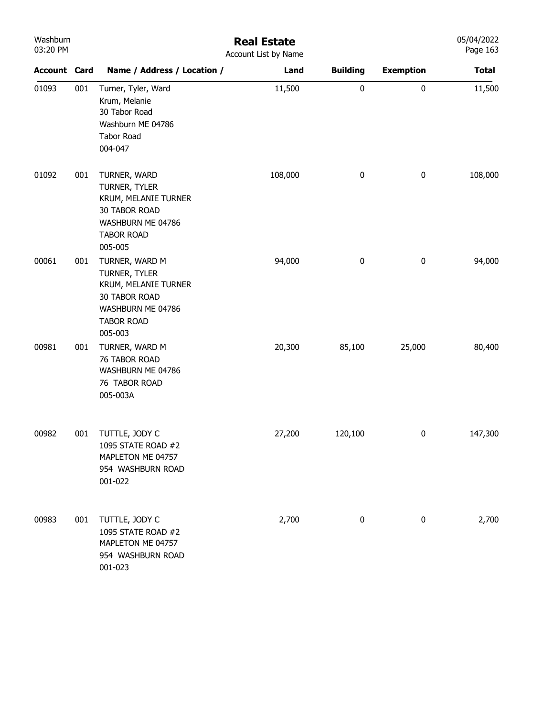| Washburn |
|----------|
| 03:20 PM |

## Real Estate

05/04/2022 Page 163

| 03:20 PM            |     |                                                                                                                               | Account List by Name |                 |                  | Page 163     |
|---------------------|-----|-------------------------------------------------------------------------------------------------------------------------------|----------------------|-----------------|------------------|--------------|
| <b>Account Card</b> |     | Name / Address / Location /                                                                                                   | Land                 | <b>Building</b> | <b>Exemption</b> | <b>Total</b> |
| 01093               | 001 | Turner, Tyler, Ward<br>Krum, Melanie<br>30 Tabor Road<br>Washburn ME 04786<br><b>Tabor Road</b><br>004-047                    | 11,500               | $\pmb{0}$       | $\pmb{0}$        | 11,500       |
| 01092               | 001 | TURNER, WARD<br>TURNER, TYLER<br>KRUM, MELANIE TURNER<br>30 TABOR ROAD<br>WASHBURN ME 04786<br><b>TABOR ROAD</b><br>005-005   | 108,000              | $\pmb{0}$       | $\pmb{0}$        | 108,000      |
| 00061               | 001 | TURNER, WARD M<br>TURNER, TYLER<br>KRUM, MELANIE TURNER<br>30 TABOR ROAD<br>WASHBURN ME 04786<br><b>TABOR ROAD</b><br>005-003 | 94,000               | $\pmb{0}$       | $\pmb{0}$        | 94,000       |
| 00981               | 001 | TURNER, WARD M<br>76 TABOR ROAD<br>WASHBURN ME 04786<br>76 TABOR ROAD<br>005-003A                                             | 20,300               | 85,100          | 25,000           | 80,400       |
| 00982               | 001 | TUTTLE, JODY C<br>1095 STATE ROAD #2<br>MAPLETON ME 04757<br>954 WASHBURN ROAD<br>001-022                                     | 27,200               | 120,100         | $\pmb{0}$        | 147,300      |
| 00983               | 001 | TUTTLE, JODY C<br>1095 STATE ROAD #2<br>MAPLETON ME 04757<br>954 WASHBURN ROAD<br>001-023                                     | 2,700                | $\pmb{0}$       | 0                | 2,700        |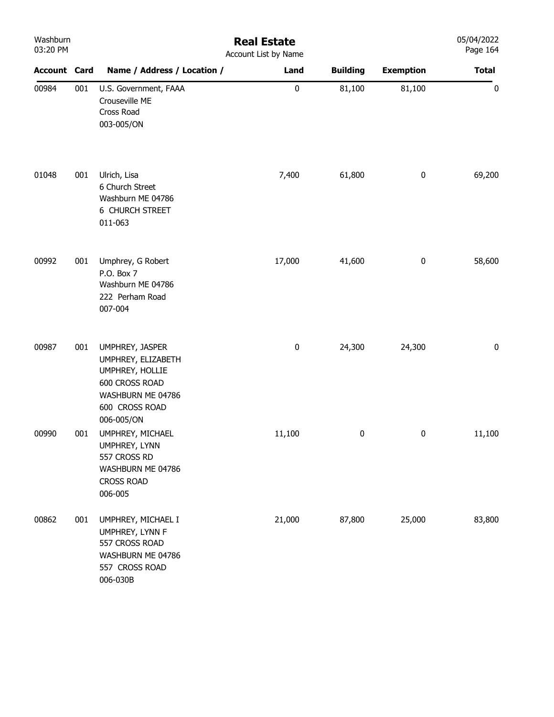| Washburn<br>03:20 PM |     |                                                                                                                                 | <b>Real Estate</b><br>Account List by Name |                 |                  | 05/04/2022<br>Page 164 |
|----------------------|-----|---------------------------------------------------------------------------------------------------------------------------------|--------------------------------------------|-----------------|------------------|------------------------|
| <b>Account Card</b>  |     | Name / Address / Location /                                                                                                     | Land                                       | <b>Building</b> | <b>Exemption</b> | <b>Total</b>           |
| 00984                | 001 | U.S. Government, FAAA<br>Crouseville ME<br>Cross Road<br>003-005/ON                                                             | $\pmb{0}$                                  | 81,100          | 81,100           | $\bf{0}$               |
| 01048                | 001 | Ulrich, Lisa<br>6 Church Street<br>Washburn ME 04786<br>6 CHURCH STREET<br>011-063                                              | 7,400                                      | 61,800          | $\pmb{0}$        | 69,200                 |
| 00992                | 001 | Umphrey, G Robert<br>P.O. Box 7<br>Washburn ME 04786<br>222 Perham Road<br>007-004                                              | 17,000                                     | 41,600          | $\pmb{0}$        | 58,600                 |
| 00987                | 001 | UMPHREY, JASPER<br>UMPHREY, ELIZABETH<br>UMPHREY, HOLLIE<br>600 CROSS ROAD<br>WASHBURN ME 04786<br>600 CROSS ROAD<br>006-005/ON | 0                                          | 24,300          | 24,300           | 0                      |
| 00990                | 001 | UMPHREY, MICHAEL<br>UMPHREY, LYNN<br>557 CROSS RD<br>WASHBURN ME 04786<br><b>CROSS ROAD</b><br>006-005                          | 11,100                                     | $\bf{0}$        | $\pmb{0}$        | 11,100                 |
| 00862                | 001 | UMPHREY, MICHAEL I<br>UMPHREY, LYNN F<br>557 CROSS ROAD<br>WASHBURN ME 04786<br>557 CROSS ROAD<br>006-030B                      | 21,000                                     | 87,800          | 25,000           | 83,800                 |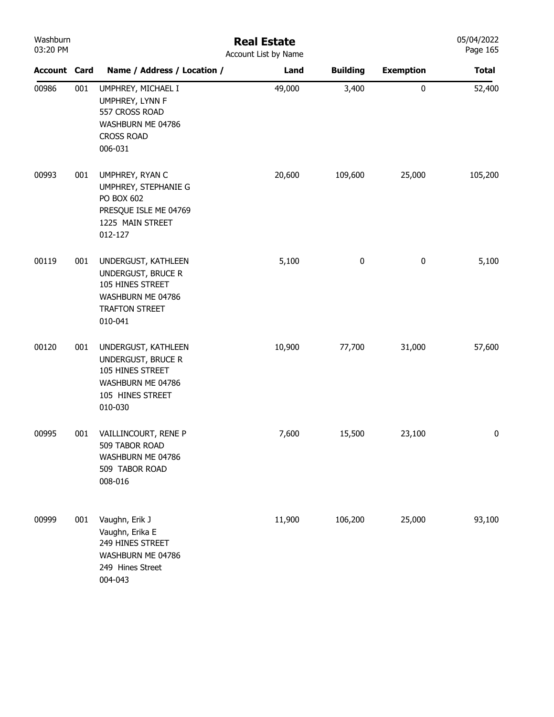| Washburn |  |
|----------|--|
| 03:20 PM |  |

## Real Estate Account List by Name

| <b>Account Card</b> |     | Name / Address / Location /                                                                                       | <b>ACCOUTE LIST DY IVALLIC</b><br>Land | <b>Building</b> | <b>Exemption</b> | <b>Total</b> |
|---------------------|-----|-------------------------------------------------------------------------------------------------------------------|----------------------------------------|-----------------|------------------|--------------|
| 00986               | 001 | UMPHREY, MICHAEL I<br>UMPHREY, LYNN F<br>557 CROSS ROAD<br>WASHBURN ME 04786<br><b>CROSS ROAD</b><br>006-031      | 49,000                                 | 3,400           | $\pmb{0}$        | 52,400       |
| 00993               | 001 | UMPHREY, RYAN C<br>UMPHREY, STEPHANIE G<br>PO BOX 602<br>PRESQUE ISLE ME 04769<br>1225 MAIN STREET<br>012-127     | 20,600                                 | 109,600         | 25,000           | 105,200      |
| 00119               | 001 | UNDERGUST, KATHLEEN<br>UNDERGUST, BRUCE R<br>105 HINES STREET<br>WASHBURN ME 04786<br>TRAFTON STREET<br>010-041   | 5,100                                  | $\pmb{0}$       | $\pmb{0}$        | 5,100        |
| 00120               | 001 | UNDERGUST, KATHLEEN<br>UNDERGUST, BRUCE R<br>105 HINES STREET<br>WASHBURN ME 04786<br>105 HINES STREET<br>010-030 | 10,900                                 | 77,700          | 31,000           | 57,600       |
| 00995               | 001 | VAILLINCOURT, RENE P<br>509 TABOR ROAD<br>WASHBURN ME 04786<br>509 TABOR ROAD<br>008-016                          | 7,600                                  | 15,500          | 23,100           | 0            |
| 00999               | 001 | Vaughn, Erik J<br>Vaughn, Erika E<br>249 HINES STREET<br>WASHBURN ME 04786<br>249 Hines Street<br>004-043         | 11,900                                 | 106,200         | 25,000           | 93,100       |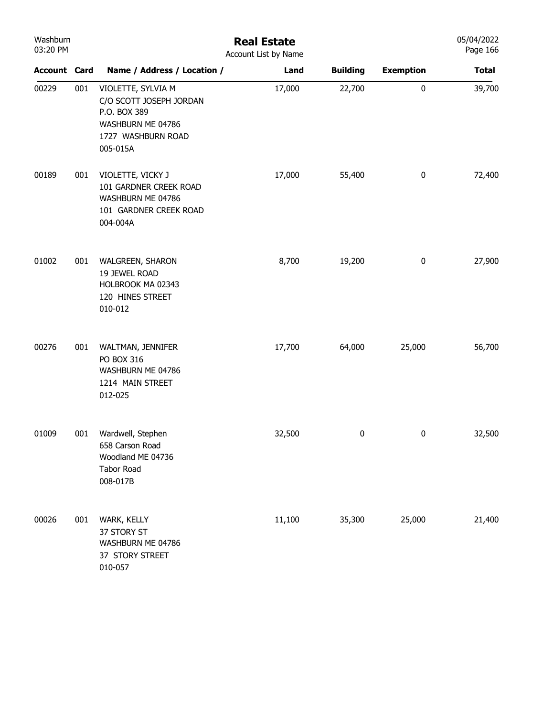| Washburn<br>03:20 PM |     |                                                                                                                      | <b>Real Estate</b><br>Account List by Name |                 |                  | 05/04/2022<br>Page 166 |
|----------------------|-----|----------------------------------------------------------------------------------------------------------------------|--------------------------------------------|-----------------|------------------|------------------------|
| <b>Account Card</b>  |     | Name / Address / Location /                                                                                          | Land                                       | <b>Building</b> | <b>Exemption</b> | <b>Total</b>           |
| 00229                | 001 | VIOLETTE, SYLVIA M<br>C/O SCOTT JOSEPH JORDAN<br>P.O. BOX 389<br>WASHBURN ME 04786<br>1727 WASHBURN ROAD<br>005-015A | 17,000                                     | 22,700          | $\pmb{0}$        | 39,700                 |
| 00189                | 001 | VIOLETTE, VICKY J<br>101 GARDNER CREEK ROAD<br>WASHBURN ME 04786<br>101 GARDNER CREEK ROAD<br>004-004A               | 17,000                                     | 55,400          | $\boldsymbol{0}$ | 72,400                 |
| 01002                | 001 | WALGREEN, SHARON<br>19 JEWEL ROAD<br>HOLBROOK MA 02343<br>120 HINES STREET<br>010-012                                | 8,700                                      | 19,200          | $\boldsymbol{0}$ | 27,900                 |
| 00276                | 001 | WALTMAN, JENNIFER<br>PO BOX 316<br>WASHBURN ME 04786<br>1214 MAIN STREET<br>012-025                                  | 17,700                                     | 64,000          | 25,000           | 56,700                 |
| 01009                | 001 | Wardwell, Stephen<br>658 Carson Road<br>Woodland ME 04736<br>Tabor Road<br>008-017B                                  | 32,500                                     | 0               | 0                | 32,500                 |
| 00026                | 001 | WARK, KELLY<br>37 STORY ST<br>WASHBURN ME 04786<br>37 STORY STREET<br>010-057                                        | 11,100                                     | 35,300          | 25,000           | 21,400                 |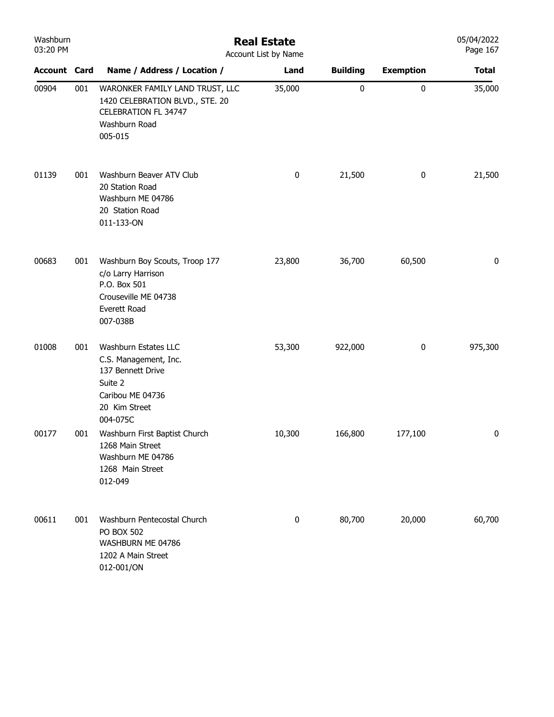| Washburn<br>03:20 PM |     | <b>Real Estate</b><br>Account List by Name                                                                                      |        |                 |                  |              |  |  |
|----------------------|-----|---------------------------------------------------------------------------------------------------------------------------------|--------|-----------------|------------------|--------------|--|--|
| <b>Account Card</b>  |     | Name / Address / Location /                                                                                                     | Land   | <b>Building</b> | <b>Exemption</b> | <b>Total</b> |  |  |
| 00904                | 001 | WARONKER FAMILY LAND TRUST, LLC<br>1420 CELEBRATION BLVD., STE. 20<br><b>CELEBRATION FL 34747</b><br>Washburn Road<br>005-015   | 35,000 | 0               | $\pmb{0}$        | 35,000       |  |  |
| 01139                | 001 | Washburn Beaver ATV Club<br>20 Station Road<br>Washburn ME 04786<br>20 Station Road<br>011-133-ON                               | 0      | 21,500          | $\bf{0}$         | 21,500       |  |  |
| 00683                | 001 | Washburn Boy Scouts, Troop 177<br>c/o Larry Harrison<br>P.O. Box 501<br>Crouseville ME 04738<br><b>Everett Road</b><br>007-038B | 23,800 | 36,700          | 60,500           | 0            |  |  |
| 01008                | 001 | Washburn Estates LLC<br>C.S. Management, Inc.<br>137 Bennett Drive<br>Suite 2<br>Caribou ME 04736<br>20 Kim Street<br>004-075C  | 53,300 | 922,000         | $\bf{0}$         | 975,300      |  |  |
| 00177                | 001 | Washburn First Baptist Church<br>1268 Main Street<br>Washburn ME 04786<br>1268 Main Street<br>012-049                           | 10,300 | 166,800         | 177,100          | 0            |  |  |
| 00611                | 001 | Washburn Pentecostal Church<br><b>PO BOX 502</b><br>WASHBURN ME 04786<br>1202 A Main Street<br>012-001/ON                       | 0      | 80,700          | 20,000           | 60,700       |  |  |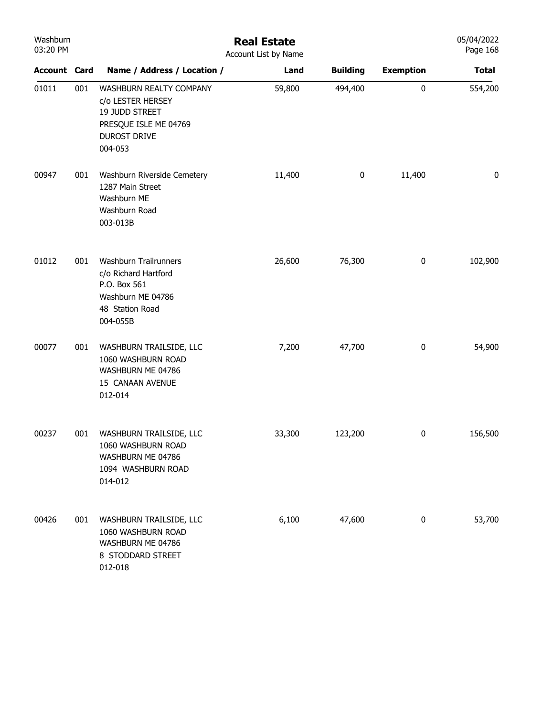| Washburn<br>03:20 PM |     |                                                                                                                           | <b>Real Estate</b><br>Account List by Name |                 |                  | 05/04/2022<br>Page 168 |
|----------------------|-----|---------------------------------------------------------------------------------------------------------------------------|--------------------------------------------|-----------------|------------------|------------------------|
| <b>Account Card</b>  |     | Name / Address / Location /                                                                                               | Land                                       | <b>Building</b> | <b>Exemption</b> | <b>Total</b>           |
| 01011                | 001 | WASHBURN REALTY COMPANY<br>c/o LESTER HERSEY<br>19 JUDD STREET<br>PRESQUE ISLE ME 04769<br><b>DUROST DRIVE</b><br>004-053 | 59,800                                     | 494,400         | $\pmb{0}$        | 554,200                |
| 00947                | 001 | Washburn Riverside Cemetery<br>1287 Main Street<br>Washburn ME<br>Washburn Road<br>003-013B                               | 11,400                                     | $\pmb{0}$       | 11,400           | $\pmb{0}$              |
| 01012                | 001 | <b>Washburn Trailrunners</b><br>c/o Richard Hartford<br>P.O. Box 561<br>Washburn ME 04786<br>48 Station Road<br>004-055B  | 26,600                                     | 76,300          | $\pmb{0}$        | 102,900                |
| 00077                | 001 | WASHBURN TRAILSIDE, LLC<br>1060 WASHBURN ROAD<br>WASHBURN ME 04786<br>15 CANAAN AVENUE<br>012-014                         | 7,200                                      | 47,700          | $\pmb{0}$        | 54,900                 |
| 00237                | 001 | WASHBURN TRAILSIDE, LLC<br>1060 WASHBURN ROAD<br>WASHBURN ME 04786<br>1094 WASHBURN ROAD<br>014-012                       | 33,300                                     | 123,200         | 0                | 156,500                |
| 00426                | 001 | WASHBURN TRAILSIDE, LLC<br>1060 WASHBURN ROAD<br>WASHBURN ME 04786<br>8 STODDARD STREET<br>012-018                        | 6,100                                      | 47,600          | $\pmb{0}$        | 53,700                 |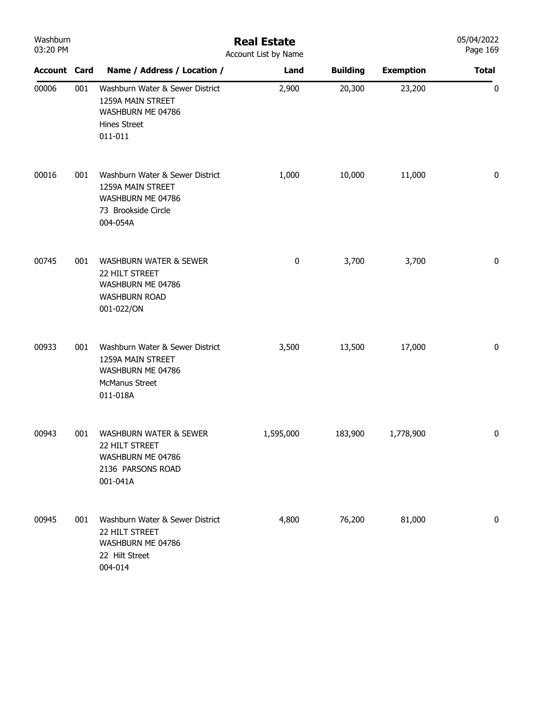| Washburn<br>03:20 PM |     | <b>Real Estate</b><br>Account List by Name                                                                     |           |                 |                  |              |  |  |
|----------------------|-----|----------------------------------------------------------------------------------------------------------------|-----------|-----------------|------------------|--------------|--|--|
| <b>Account Card</b>  |     | Name / Address / Location /                                                                                    | Land      | <b>Building</b> | <b>Exemption</b> | <b>Total</b> |  |  |
| 00006                | 001 | Washburn Water & Sewer District<br>1259A MAIN STREET<br>WASHBURN ME 04786<br><b>Hines Street</b><br>011-011    | 2,900     | 20,300          | 23,200           | $\pmb{0}$    |  |  |
| 00016                | 001 | Washburn Water & Sewer District<br>1259A MAIN STREET<br>WASHBURN ME 04786<br>73 Brookside Circle<br>004-054A   | 1,000     | 10,000          | 11,000           | 0            |  |  |
| 00745                | 001 | <b>WASHBURN WATER &amp; SEWER</b><br>22 HILT STREET<br>WASHBURN ME 04786<br><b>WASHBURN ROAD</b><br>001-022/ON | 0         | 3,700           | 3,700            | 0            |  |  |
| 00933                | 001 | Washburn Water & Sewer District<br>1259A MAIN STREET<br>WASHBURN ME 04786<br><b>McManus Street</b><br>011-018A | 3,500     | 13,500          | 17,000           | 0            |  |  |
| 00943                | 001 | <b>WASHBURN WATER &amp; SEWER</b><br>22 HILT STREET<br>WASHBURN ME 04786<br>2136 PARSONS ROAD<br>001-041A      | 1,595,000 | 183,900         | 1,778,900        | 0            |  |  |
| 00945                | 001 | Washburn Water & Sewer District<br>22 HILT STREET<br>WASHBURN ME 04786<br>22 Hilt Street<br>004-014            | 4,800     | 76,200          | 81,000           | 0            |  |  |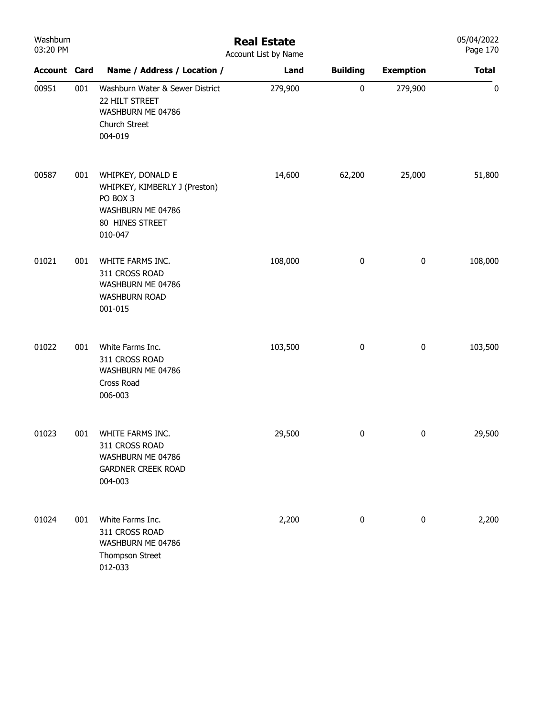| Washburn<br>03:20 PM |     | <b>Real Estate</b><br>Account List by Name                                                                        |         |                 |                  |              |  |
|----------------------|-----|-------------------------------------------------------------------------------------------------------------------|---------|-----------------|------------------|--------------|--|
| <b>Account Card</b>  |     | Name / Address / Location /                                                                                       | Land    | <b>Building</b> | <b>Exemption</b> | <b>Total</b> |  |
| 00951                | 001 | Washburn Water & Sewer District<br>22 HILT STREET<br>WASHBURN ME 04786<br>Church Street<br>004-019                | 279,900 | $\pmb{0}$       | 279,900          | 0            |  |
| 00587                | 001 | WHIPKEY, DONALD E<br>WHIPKEY, KIMBERLY J (Preston)<br>PO BOX 3<br>WASHBURN ME 04786<br>80 HINES STREET<br>010-047 | 14,600  | 62,200          | 25,000           | 51,800       |  |
| 01021                | 001 | WHITE FARMS INC.<br>311 CROSS ROAD<br>WASHBURN ME 04786<br><b>WASHBURN ROAD</b><br>001-015                        | 108,000 | 0               | $\pmb{0}$        | 108,000      |  |
| 01022                | 001 | White Farms Inc.<br>311 CROSS ROAD<br>WASHBURN ME 04786<br>Cross Road<br>006-003                                  | 103,500 | $\pmb{0}$       | $\pmb{0}$        | 103,500      |  |
| 01023                | 001 | WHITE FARMS INC.<br>311 CROSS ROAD<br>WASHBURN ME 04786<br><b>GARDNER CREEK ROAD</b><br>004-003                   | 29,500  | 0               | $\pmb{0}$        | 29,500       |  |
| 01024                | 001 | White Farms Inc.<br>311 CROSS ROAD<br>WASHBURN ME 04786<br>Thompson Street<br>012-033                             | 2,200   | $\pmb{0}$       | $\pmb{0}$        | 2,200        |  |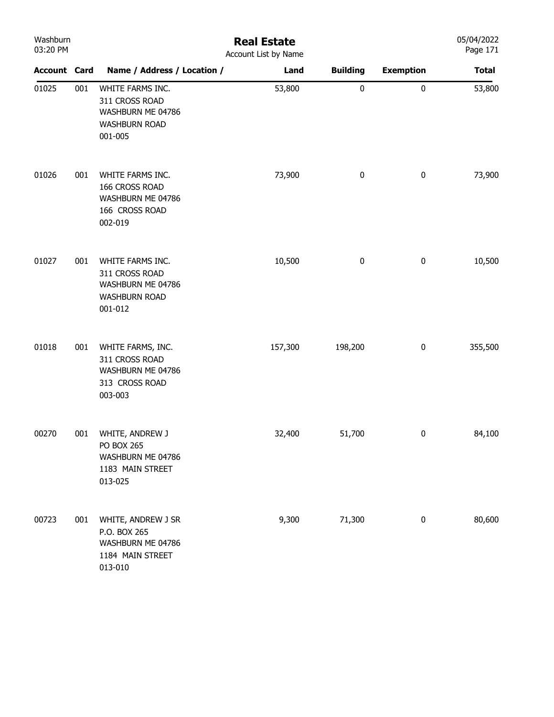| Washburn<br>03:20 PM |     | <b>Real Estate</b><br>Account List by Name                                                 |         |                 |                  |              |  |  |
|----------------------|-----|--------------------------------------------------------------------------------------------|---------|-----------------|------------------|--------------|--|--|
| <b>Account Card</b>  |     | Name / Address / Location /                                                                | Land    | <b>Building</b> | <b>Exemption</b> | <b>Total</b> |  |  |
| 01025                | 001 | WHITE FARMS INC.<br>311 CROSS ROAD<br>WASHBURN ME 04786<br><b>WASHBURN ROAD</b><br>001-005 | 53,800  | 0               | $\pmb{0}$        | 53,800       |  |  |
| 01026                | 001 | WHITE FARMS INC.<br>166 CROSS ROAD<br>WASHBURN ME 04786<br>166 CROSS ROAD<br>002-019       | 73,900  | 0               | $\pmb{0}$        | 73,900       |  |  |
| 01027                | 001 | WHITE FARMS INC.<br>311 CROSS ROAD<br>WASHBURN ME 04786<br><b>WASHBURN ROAD</b><br>001-012 | 10,500  | 0               | $\pmb{0}$        | 10,500       |  |  |
| 01018                | 001 | WHITE FARMS, INC.<br>311 CROSS ROAD<br>WASHBURN ME 04786<br>313 CROSS ROAD<br>003-003      | 157,300 | 198,200         | $\pmb{0}$        | 355,500      |  |  |
| 00270                | 001 | WHITE, ANDREW J<br><b>PO BOX 265</b><br>WASHBURN ME 04786<br>1183 MAIN STREET<br>013-025   | 32,400  | 51,700          | $\pmb{0}$        | 84,100       |  |  |
| 00723                | 001 | WHITE, ANDREW J SR<br>P.O. BOX 265<br>WASHBURN ME 04786<br>1184 MAIN STREET<br>013-010     | 9,300   | 71,300          | $\bf{0}$         | 80,600       |  |  |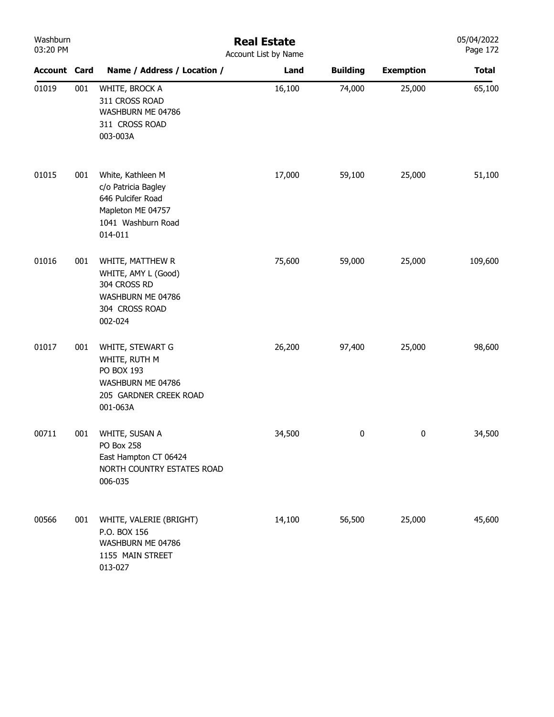| Washburn<br>03:20 PM |     | <b>Real Estate</b><br>Account List by Name                                                                          |        |                 |                  |              |  |  |
|----------------------|-----|---------------------------------------------------------------------------------------------------------------------|--------|-----------------|------------------|--------------|--|--|
| <b>Account Card</b>  |     | Name / Address / Location /                                                                                         | Land   | <b>Building</b> | <b>Exemption</b> | <b>Total</b> |  |  |
| 01019                | 001 | WHITE, BROCK A<br>311 CROSS ROAD<br>WASHBURN ME 04786<br>311 CROSS ROAD<br>003-003A                                 | 16,100 | 74,000          | 25,000           | 65,100       |  |  |
| 01015                | 001 | White, Kathleen M<br>c/o Patricia Bagley<br>646 Pulcifer Road<br>Mapleton ME 04757<br>1041 Washburn Road<br>014-011 | 17,000 | 59,100          | 25,000           | 51,100       |  |  |
| 01016                | 001 | WHITE, MATTHEW R<br>WHITE, AMY L (Good)<br>304 CROSS RD<br>WASHBURN ME 04786<br>304 CROSS ROAD<br>002-024           | 75,600 | 59,000          | 25,000           | 109,600      |  |  |
| 01017                | 001 | WHITE, STEWART G<br>WHITE, RUTH M<br>PO BOX 193<br>WASHBURN ME 04786<br>205 GARDNER CREEK ROAD<br>001-063A          | 26,200 | 97,400          | 25,000           | 98,600       |  |  |
| 00711                | 001 | WHITE, SUSAN A<br>PO Box 258<br>East Hampton CT 06424<br>NORTH COUNTRY ESTATES ROAD<br>006-035                      | 34,500 | 0               | 0                | 34,500       |  |  |
| 00566                | 001 | WHITE, VALERIE (BRIGHT)<br>P.O. BOX 156<br>WASHBURN ME 04786<br>1155 MAIN STREET<br>013-027                         | 14,100 | 56,500          | 25,000           | 45,600       |  |  |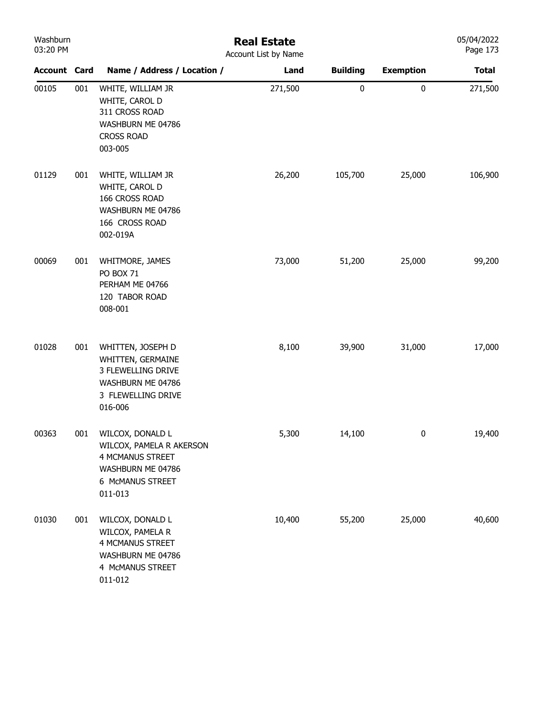| Washburn<br>03:20 PM |     |                                                                                                                             | <b>Real Estate</b><br>Account List by Name |                 |                  | 05/04/2022<br>Page 173 |
|----------------------|-----|-----------------------------------------------------------------------------------------------------------------------------|--------------------------------------------|-----------------|------------------|------------------------|
| <b>Account Card</b>  |     | Name / Address / Location /                                                                                                 | Land                                       | <b>Building</b> | <b>Exemption</b> | <b>Total</b>           |
| 00105                | 001 | WHITE, WILLIAM JR<br>WHITE, CAROL D<br>311 CROSS ROAD<br>WASHBURN ME 04786<br><b>CROSS ROAD</b><br>003-005                  | 271,500                                    | $\pmb{0}$       | $\mathbf 0$      | 271,500                |
| 01129                | 001 | WHITE, WILLIAM JR<br>WHITE, CAROL D<br>166 CROSS ROAD<br>WASHBURN ME 04786<br>166 CROSS ROAD<br>002-019A                    | 26,200                                     | 105,700         | 25,000           | 106,900                |
| 00069                | 001 | WHITMORE, JAMES<br><b>PO BOX 71</b><br>PERHAM ME 04766<br>120 TABOR ROAD<br>008-001                                         | 73,000                                     | 51,200          | 25,000           | 99,200                 |
| 01028                | 001 | WHITTEN, JOSEPH D<br>WHITTEN, GERMAINE<br>3 FLEWELLING DRIVE<br>WASHBURN ME 04786<br>3 FLEWELLING DRIVE<br>016-006          | 8,100                                      | 39,900          | 31,000           | 17,000                 |
| 00363                | 001 | WILCOX, DONALD L<br>WILCOX, PAMELA R AKERSON<br><b>4 MCMANUS STREET</b><br>WASHBURN ME 04786<br>6 McMANUS STREET<br>011-013 | 5,300                                      | 14,100          | $\bf{0}$         | 19,400                 |
| 01030                | 001 | WILCOX, DONALD L<br>WILCOX, PAMELA R<br><b>4 MCMANUS STREET</b><br>WASHBURN ME 04786<br>4 MCMANUS STREET<br>011-012         | 10,400                                     | 55,200          | 25,000           | 40,600                 |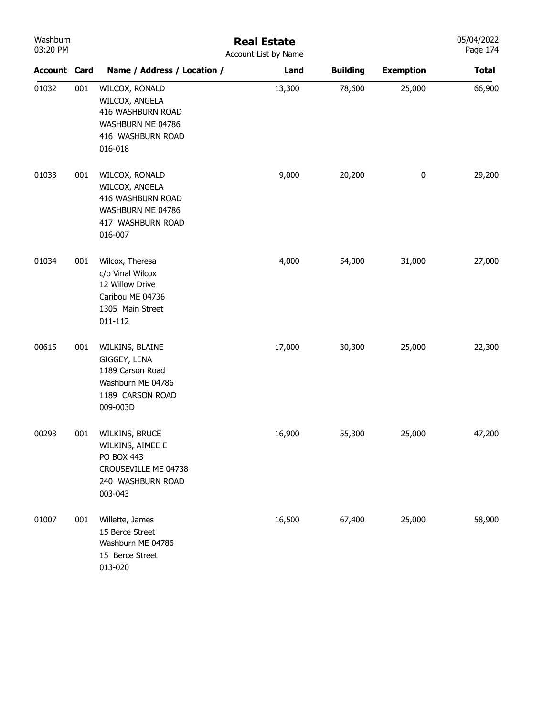| Washburn<br>03:20 PM |     | <b>Real Estate</b><br>Account List by Name                                                                 |        |                 |                  |              |  |  |
|----------------------|-----|------------------------------------------------------------------------------------------------------------|--------|-----------------|------------------|--------------|--|--|
| <b>Account Card</b>  |     | Name / Address / Location /                                                                                | Land   | <b>Building</b> | <b>Exemption</b> | <b>Total</b> |  |  |
| 01032                | 001 | WILCOX, RONALD<br>WILCOX, ANGELA<br>416 WASHBURN ROAD<br>WASHBURN ME 04786<br>416 WASHBURN ROAD<br>016-018 | 13,300 | 78,600          | 25,000           | 66,900       |  |  |
| 01033                | 001 | WILCOX, RONALD<br>WILCOX, ANGELA<br>416 WASHBURN ROAD<br>WASHBURN ME 04786<br>417 WASHBURN ROAD<br>016-007 | 9,000  | 20,200          | $\pmb{0}$        | 29,200       |  |  |
| 01034                | 001 | Wilcox, Theresa<br>c/o Vinal Wilcox<br>12 Willow Drive<br>Caribou ME 04736<br>1305 Main Street<br>011-112  | 4,000  | 54,000          | 31,000           | 27,000       |  |  |
| 00615                | 001 | WILKINS, BLAINE<br>GIGGEY, LENA<br>1189 Carson Road<br>Washburn ME 04786<br>1189 CARSON ROAD<br>009-003D   | 17,000 | 30,300          | 25,000           | 22,300       |  |  |
| 00293                | 001 | WILKINS, BRUCE<br>WILKINS, AIMEE E<br>PO BOX 443<br>CROUSEVILLE ME 04738<br>240 WASHBURN ROAD<br>003-043   | 16,900 | 55,300          | 25,000           | 47,200       |  |  |
| 01007                | 001 | Willette, James<br>15 Berce Street<br>Washburn ME 04786<br>15 Berce Street<br>013-020                      | 16,500 | 67,400          | 25,000           | 58,900       |  |  |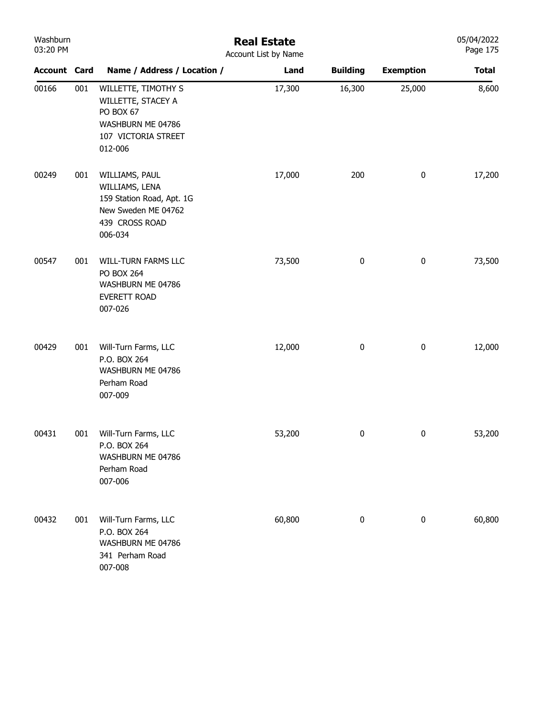| Washburn<br>03:20 PM |     |                                                                                                                   | <b>Real Estate</b><br>Account List by Name |                 |                  | 05/04/2022<br>Page 175 |
|----------------------|-----|-------------------------------------------------------------------------------------------------------------------|--------------------------------------------|-----------------|------------------|------------------------|
| <b>Account Card</b>  |     | Name / Address / Location /                                                                                       | Land                                       | <b>Building</b> | <b>Exemption</b> | <b>Total</b>           |
| 00166                | 001 | WILLETTE, TIMOTHY S<br>WILLETTE, STACEY A<br>PO BOX 67<br>WASHBURN ME 04786<br>107 VICTORIA STREET<br>012-006     | 17,300                                     | 16,300          | 25,000           | 8,600                  |
| 00249                | 001 | WILLIAMS, PAUL<br>WILLIAMS, LENA<br>159 Station Road, Apt. 1G<br>New Sweden ME 04762<br>439 CROSS ROAD<br>006-034 | 17,000                                     | 200             | $\pmb{0}$        | 17,200                 |
| 00547                | 001 | WILL-TURN FARMS LLC<br><b>PO BOX 264</b><br>WASHBURN ME 04786<br>EVERETT ROAD<br>007-026                          | 73,500                                     | $\pmb{0}$       | $\pmb{0}$        | 73,500                 |
| 00429                | 001 | Will-Turn Farms, LLC<br>P.O. BOX 264<br>WASHBURN ME 04786<br>Perham Road<br>007-009                               | 12,000                                     | $\pmb{0}$       | $\pmb{0}$        | 12,000                 |
| 00431                |     | 001 Will-Turn Farms, LLC<br>P.O. BOX 264<br>WASHBURN ME 04786<br>Perham Road<br>007-006                           | 53,200                                     | 0               | $\mathbf{0}$     | 53,200                 |
| 00432                | 001 | Will-Turn Farms, LLC<br>P.O. BOX 264<br>WASHBURN ME 04786<br>341 Perham Road<br>007-008                           | 60,800                                     | 0               | 0                | 60,800                 |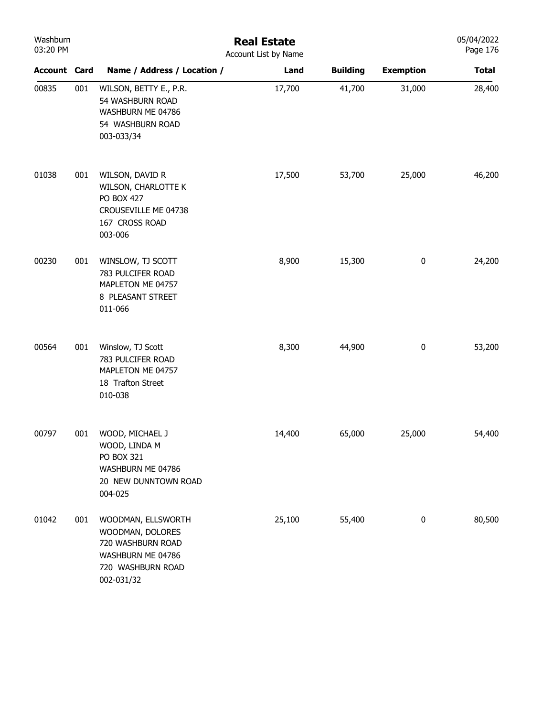| Washburn<br>03:20 PM |     | <b>Real Estate</b><br>Account List by Name                                                                          |        |                 |                  |              |  |  |
|----------------------|-----|---------------------------------------------------------------------------------------------------------------------|--------|-----------------|------------------|--------------|--|--|
| <b>Account Card</b>  |     | Name / Address / Location /                                                                                         | Land   | <b>Building</b> | <b>Exemption</b> | <b>Total</b> |  |  |
| 00835                | 001 | WILSON, BETTY E., P.R.<br>54 WASHBURN ROAD<br>WASHBURN ME 04786<br>54 WASHBURN ROAD<br>003-033/34                   | 17,700 | 41,700          | 31,000           | 28,400       |  |  |
| 01038                | 001 | WILSON, DAVID R<br>WILSON, CHARLOTTE K<br><b>PO BOX 427</b><br>CROUSEVILLE ME 04738<br>167 CROSS ROAD<br>003-006    | 17,500 | 53,700          | 25,000           | 46,200       |  |  |
| 00230                | 001 | WINSLOW, TJ SCOTT<br>783 PULCIFER ROAD<br>MAPLETON ME 04757<br>8 PLEASANT STREET<br>011-066                         | 8,900  | 15,300          | $\pmb{0}$        | 24,200       |  |  |
| 00564                | 001 | Winslow, TJ Scott<br>783 PULCIFER ROAD<br>MAPLETON ME 04757<br>18 Trafton Street<br>010-038                         | 8,300  | 44,900          | $\boldsymbol{0}$ | 53,200       |  |  |
| 00797                | 001 | WOOD, MICHAEL J<br>WOOD, LINDA M<br>PO BOX 321<br>WASHBURN ME 04786<br>20 NEW DUNNTOWN ROAD<br>004-025              | 14,400 | 65,000          | 25,000           | 54,400       |  |  |
| 01042                | 001 | WOODMAN, ELLSWORTH<br>WOODMAN, DOLORES<br>720 WASHBURN ROAD<br>WASHBURN ME 04786<br>720 WASHBURN ROAD<br>002-031/32 | 25,100 | 55,400          | $\pmb{0}$        | 80,500       |  |  |